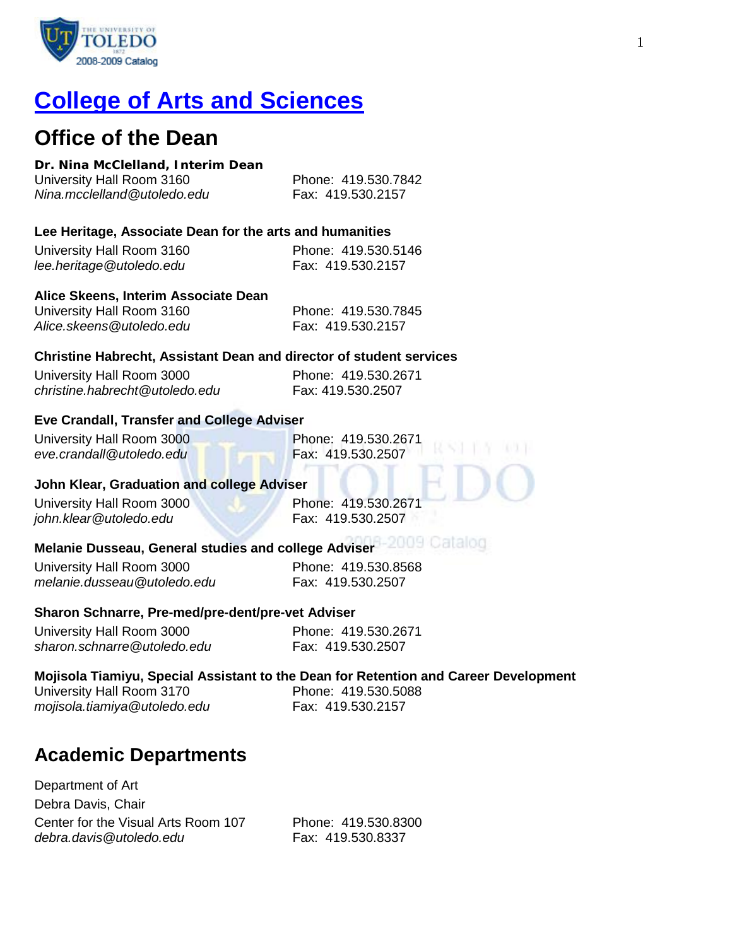

# **[College of Arts and Sciences](http://www.utoledo.edu/as/)**

# **Office of the Dean**

# **Dr. Nina McClelland, Interim Dean**

| University Hall Room 3160   | Phone: 419.530.7842 |
|-----------------------------|---------------------|
| Nina.mcclelland@utoledo.edu | Fax: 419.530.2157   |

# **Lee Heritage, Associate Dean for the arts and humanities**

| University Hall Room 3160 | Phone: 419.530.5146 |
|---------------------------|---------------------|
| lee.heritage@utoledo.edu  | Fax: 419.530.2157   |

# **Alice Skeens, Interim Associate Dean**

| University Hall Room 3160 | Phone: 419.530.7845 |
|---------------------------|---------------------|
| Alice.skeens@utoledo.edu  | Fax: 419.530.2157   |

# **Christine Habrecht, Assistant Dean and director of student services**

| University Hall Room 3000      | Phone: 419.530.2671 |
|--------------------------------|---------------------|
| christine.habrecht@utoledo.edu | Fax: 419.530.2507   |

# **Eve Crandall, Transfer and College Adviser**

University Hall Room 3000<br>
eve.crandall@utoledo.edu Phone: 419.530.2671  $eve.crandall@utoledo.edu$ 

#### **John Klear, Graduation and college Adviser**

University Hall Room 3000 Phone: 419.530.2671 *john.klear@utoledo.edu* Fax: 419.530.2507

# **Melanie Dusseau, General studies and college Adviser**

University Hall Room 3000 Phone: 419,530,8568 *melanie.dusseau@utoledo.edu* Fax: 419.530.2507

# **Sharon Schnarre, Pre-med/pre-dent/pre-vet Adviser**

| University Hall Room 3000   | Phone: 419.530.2671 |
|-----------------------------|---------------------|
| sharon.schnarre@utoledo.edu | Fax: 419.530.2507   |

# **Mojisola Tiamiyu, Special Assistant to the Dean for Retention and Career Development**

| University Hall Room 3170    |  |
|------------------------------|--|
| mojisola.tiamiya@utoledo.edu |  |

Phone: 419.530.5088 *mojisola.tiamiya@utoledo.edu* Fax: 419.530.2157

# **Academic Departments**

Department of Art Debra Davis, Chair Center for the Visual Arts Room 107 Phone: 419.530.8300 *debra.davis@utoledo.edu* Fax: 419.530.8337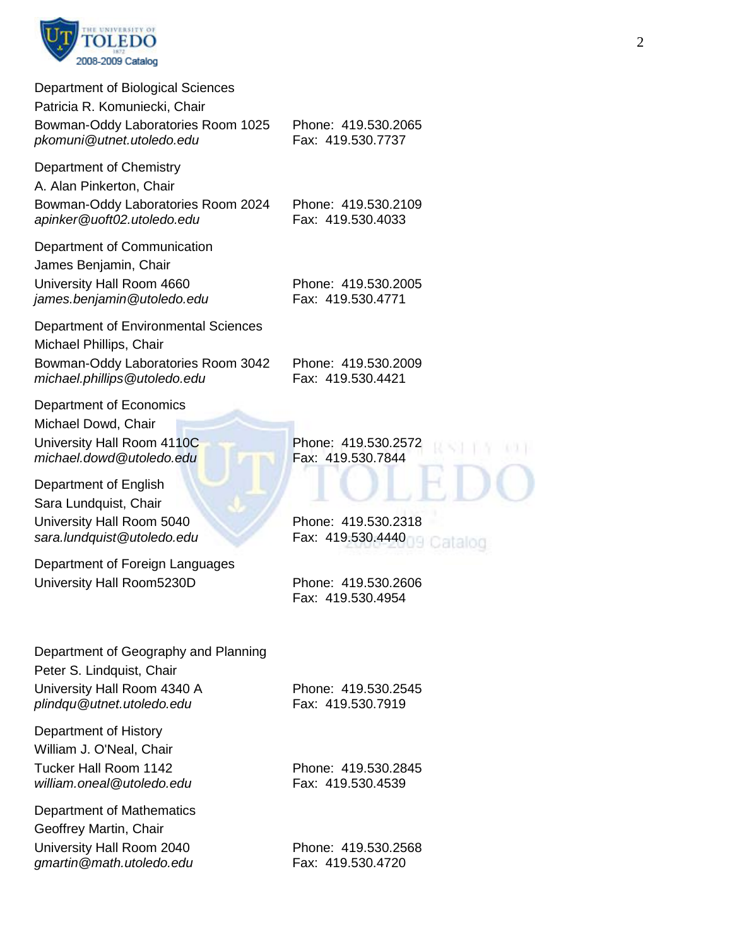

| Department of Biological Sciences<br>Patricia R. Komuniecki, Chair<br>Bowman-Oddy Laboratories Room 1025<br>pkomuni@utnet.utoledo.edu | Phone: 419.530.2065<br>Fax: 419.530.7737            |
|---------------------------------------------------------------------------------------------------------------------------------------|-----------------------------------------------------|
| Department of Chemistry<br>A. Alan Pinkerton, Chair<br>Bowman-Oddy Laboratories Room 2024<br>apinker@uoft02.utoledo.edu               | Phone: 419.530.2109<br>Fax: 419.530.4033            |
| Department of Communication<br>James Benjamin, Chair<br>University Hall Room 4660<br>james.benjamin@utoledo.edu                       | Phone: 419.530.2005<br>Fax: 419.530.4771            |
| Department of Environmental Sciences<br>Michael Phillips, Chair<br>Bowman-Oddy Laboratories Room 3042<br>michael.phillips@utoledo.edu | Phone: 419.530.2009<br>Fax: 419.530.4421            |
| Department of Economics<br>Michael Dowd, Chair<br>University Hall Room 4110C<br>michael.dowd@utoledo.edu                              | Phone: 419.530.2572<br>Fax: 419.530.7844            |
| Department of English<br>Sara Lundquist, Chair<br>University Hall Room 5040<br>sara.lundquist@utoledo.edu                             | Phone: 419.530.2318<br>Fax: 419.530.4440<br>cataloc |
| Department of Foreign Languages<br>University Hall Room5230D                                                                          | Phone: 419.530.2606<br>Fax: 419.530.4954            |
| Department of Geography and Planning<br>Peter S. Lindquist, Chair<br>University Hall Room 4340 A<br>plindqu@utnet.utoledo.edu         | Phone: 419.530.2545<br>Fax: 419.530.7919            |
| Department of History<br>William J. O'Neal, Chair<br>Tucker Hall Room 1142<br>william.oneal@utoledo.edu                               | Phone: 419.530.2845<br>Fax: 419.530.4539            |
| Department of Mathematics<br>Geoffrey Martin, Chair<br>University Hall Room 2040<br>gmartin@math.utoledo.edu                          | Phone: 419.530.2568<br>Fax: 419.530.4720            |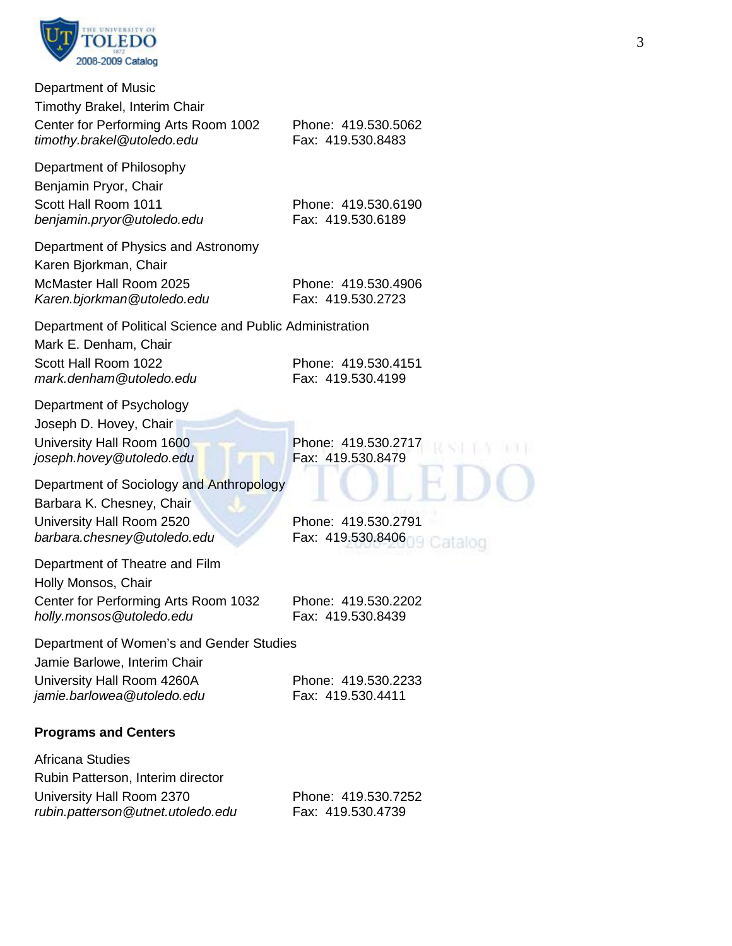

| Department of Music<br>Timothy Brakel, Interim Chair<br>Center for Performing Arts Room 1002<br>timothy.brakel@utoledo.edu            | Phone: 419.530.5062<br>Fax: 419.530.8483            |
|---------------------------------------------------------------------------------------------------------------------------------------|-----------------------------------------------------|
| Department of Philosophy<br>Benjamin Pryor, Chair<br>Scott Hall Room 1011<br>benjamin.pryor@utoledo.edu                               | Phone: 419.530.6190<br>Fax: 419.530.6189            |
| Department of Physics and Astronomy<br>Karen Bjorkman, Chair<br>McMaster Hall Room 2025<br>Karen.bjorkman@utoledo.edu                 | Phone: 419.530.4906<br>Fax: 419.530.2723            |
| Department of Political Science and Public Administration<br>Mark E. Denham, Chair<br>Scott Hall Room 1022<br>mark.denham@utoledo.edu | Phone: 419.530.4151<br>Fax: 419.530.4199            |
| Department of Psychology<br>Joseph D. Hovey, Chair<br>University Hall Room 1600<br>joseph.hovey@utoledo.edu                           | Phone: 419.530.2717<br>Fax: 419.530.8479            |
| Department of Sociology and Anthropology<br>Barbara K. Chesney, Chair<br>University Hall Room 2520<br>barbara.chesney@utoledo.edu     | Phone: 419.530.2791<br>Fax: 419.530.8406<br>cataloc |
| Department of Theatre and Film<br>Holly Monsos, Chair<br>Center for Performing Arts Room 1032<br>holly.monsos@utoledo.edu             | Phone: 419.530.2202<br>Fax: 419.530.8439            |
| Department of Women's and Gender Studies<br>Jamie Barlowe, Interim Chair<br>University Hall Room 4260A<br>jamie.barlowea@utoledo.edu  | Phone: 419.530.2233<br>Fax: 419.530.4411            |
| <b>Programs and Centers</b>                                                                                                           |                                                     |
| Africana Studies<br>Rubin Patterson, Interim director<br>University Hall Room 2370<br>rubin.patterson@utnet.utoledo.edu               | Phone: 419.530.7252<br>Fax: 419.530.4739            |

 $(1, 2, 1)$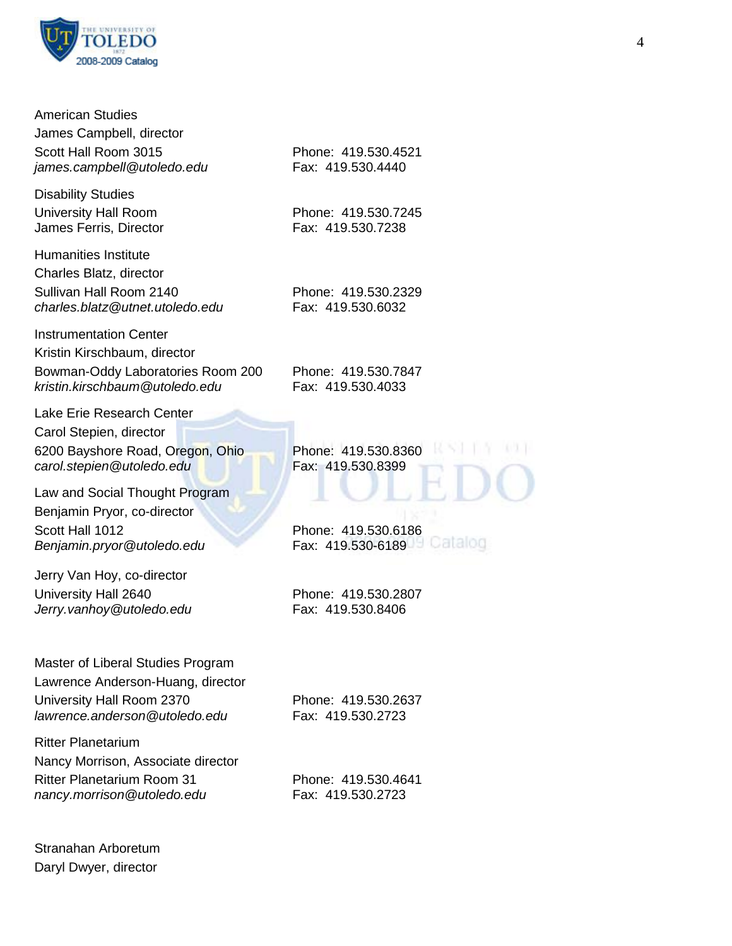

| <b>American Studies</b><br>James Campbell, director<br>Scott Hall Room 3015<br>james.campbell@utoledo.edu<br><b>Disability Studies</b>                  | Phone: 419.530.4521<br>Fax: 419.530.4440            |
|---------------------------------------------------------------------------------------------------------------------------------------------------------|-----------------------------------------------------|
| <b>University Hall Room</b><br>James Ferris, Director                                                                                                   | Phone: 419.530.7245<br>Fax: 419.530.7238            |
| <b>Humanities Institute</b><br>Charles Blatz, director<br>Sullivan Hall Room 2140<br>charles.blatz@utnet.utoledo.edu                                    | Phone: 419.530.2329<br>Fax: 419.530.6032            |
| <b>Instrumentation Center</b><br>Kristin Kirschbaum, director<br>Bowman-Oddy Laboratories Room 200<br>kristin.kirschbaum@utoledo.edu                    | Phone: 419.530.7847<br>Fax: 419.530.4033            |
| Lake Erie Research Center<br>Carol Stepien, director<br>6200 Bayshore Road, Oregon, Ohio<br>carol.stepien@utoledo.edu<br>Law and Social Thought Program | Phone: 419.530.8360<br>Fax: 419.530.8399            |
| Benjamin Pryor, co-director<br>Scott Hall 1012<br>Benjamin.pryor@utoledo.edu                                                                            | Phone: 419.530.6186<br>Cataloc<br>Fax: 419.530-6189 |
| Jerry Van Hoy, co-director<br>University Hall 2640<br>Jerry.vanhoy@utoledo.edu                                                                          | Phone: 419.530.2807<br>Fax: 419.530.8406            |
| Master of Liberal Studies Program<br>Lawrence Anderson-Huang, director<br>University Hall Room 2370<br>lawrence.anderson@utoledo.edu                    | Phone: 419.530.2637<br>Fax: 419.530.2723            |
| <b>Ritter Planetarium</b><br>Nancy Morrison, Associate director<br><b>Ritter Planetarium Room 31</b><br>nancy.morrison@utoledo.edu                      | Phone: 419.530.4641<br>Fax: 419.530.2723            |

Stranahan Arboretum Daryl Dwyer, director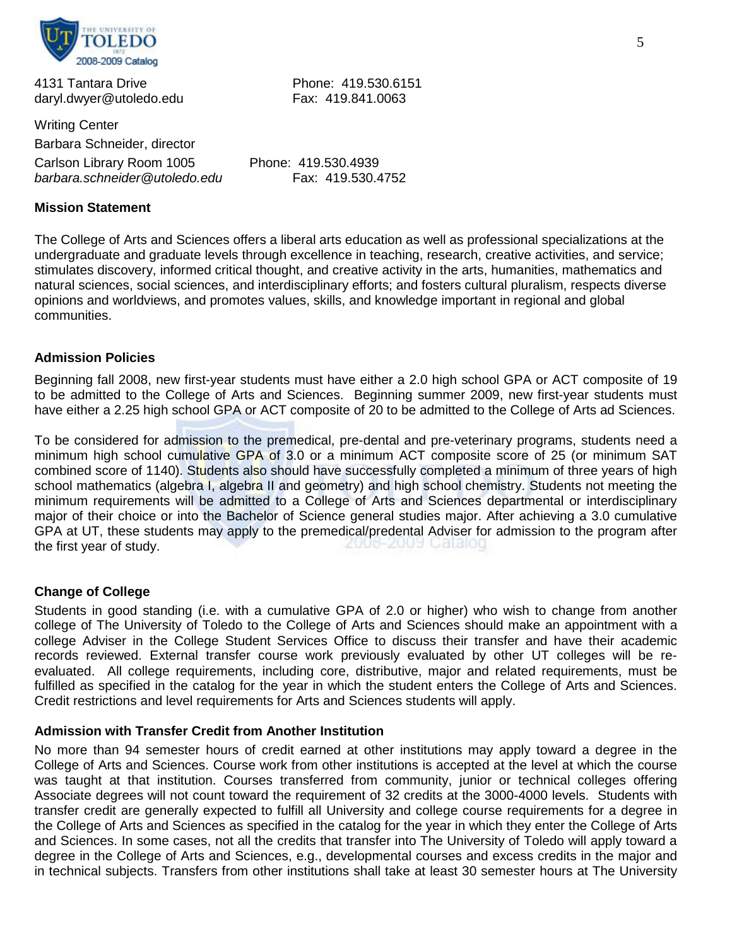

4131 Tantara Drive Phone: 419.530.6151 daryl.dwyer@utoledo.edu Fax: 419.841.0063

Writing Center Barbara Schneider, director Carlson Library Room 1005 Phone: 419.530.4939 *barbara.schneider@utoledo.edu* Fax: 419.530.4752

#### **Mission Statement**

The College of Arts and Sciences offers a liberal arts education as well as professional specializations at the undergraduate and graduate levels through excellence in teaching, research, creative activities, and service; stimulates discovery, informed critical thought, and creative activity in the arts, humanities, mathematics and natural sciences, social sciences, and interdisciplinary efforts; and fosters cultural pluralism, respects diverse opinions and worldviews, and promotes values, skills, and knowledge important in regional and global communities.

# **Admission Policies**

Beginning fall 2008, new first-year students must have either a 2.0 high school GPA or ACT composite of 19 to be admitted to the College of Arts and Sciences. Beginning summer 2009, new first-year students must have either a 2.25 high school GPA or ACT composite of 20 to be admitted to the College of Arts ad Sciences.

To be considered for admission to the premedical, pre-dental and pre-veterinary programs, students need a minimum high school cumulative GPA of 3.0 or a minimum ACT composite score of 25 (or minimum SAT combined score of 1140). Students also should have successfully completed a minimum of three years of high school mathematics (algebra I, algebra II and geometry) and high school chemistry. Students not meeting the minimum requirements will be admitted to a College of Arts and Sciences departmental or interdisciplinary major of their choice or into the Bachelor of Science general studies major. After achieving a 3.0 cumulative GPA at UT, these students may apply to the premedical/predental Adviser for admission to the program after<br>the first vear of study. the first year of study.

#### **Change of College**

Students in good standing (i.e. with a cumulative GPA of 2.0 or higher) who wish to change from another college of The University of Toledo to the College of Arts and Sciences should make an appointment with a college Adviser in the College Student Services Office to discuss their transfer and have their academic records reviewed. External transfer course work previously evaluated by other UT colleges will be reevaluated. All college requirements, including core, distributive, major and related requirements, must be fulfilled as specified in the catalog for the year in which the student enters the College of Arts and Sciences. Credit restrictions and level requirements for Arts and Sciences students will apply.

#### **Admission with Transfer Credit from Another Institution**

No more than 94 semester hours of credit earned at other institutions may apply toward a degree in the College of Arts and Sciences. Course work from other institutions is accepted at the level at which the course was taught at that institution. Courses transferred from community, junior or technical colleges offering Associate degrees will not count toward the requirement of 32 credits at the 3000-4000 levels. Students with transfer credit are generally expected to fulfill all University and college course requirements for a degree in the College of Arts and Sciences as specified in the catalog for the year in which they enter the College of Arts and Sciences. In some cases, not all the credits that transfer into The University of Toledo will apply toward a degree in the College of Arts and Sciences, e.g., developmental courses and excess credits in the major and in technical subjects. Transfers from other institutions shall take at least 30 semester hours at The University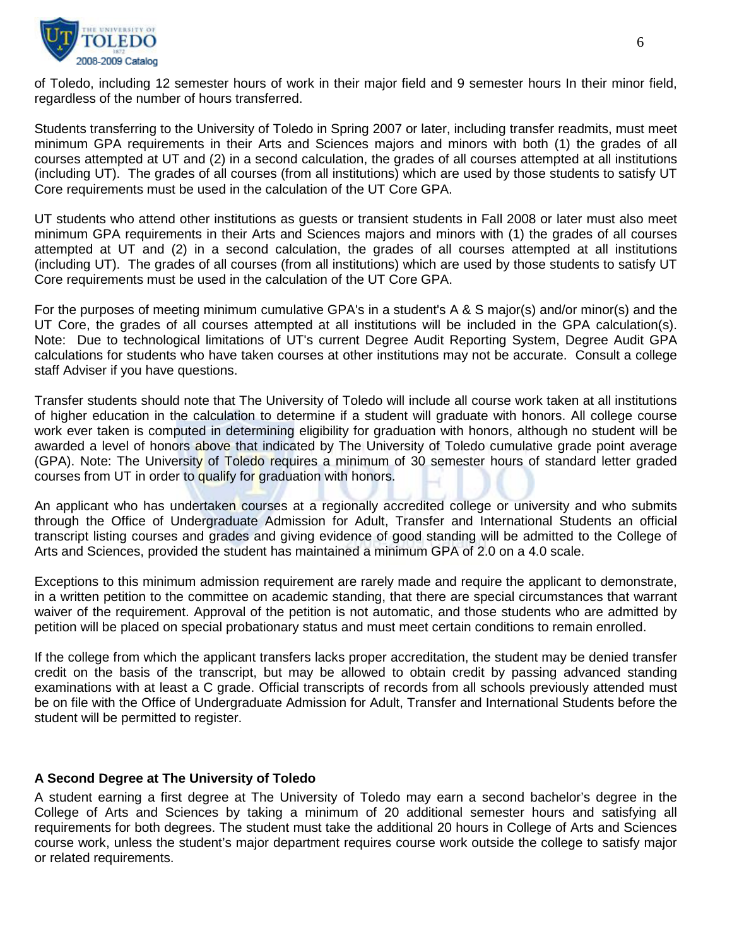

of Toledo, including 12 semester hours of work in their major field and 9 semester hours In their minor field, regardless of the number of hours transferred.

Students transferring to the University of Toledo in Spring 2007 or later, including transfer readmits, must meet minimum GPA requirements in their Arts and Sciences majors and minors with both (1) the grades of all courses attempted at UT and (2) in a second calculation, the grades of all courses attempted at all institutions (including UT). The grades of all courses (from all institutions) which are used by those students to satisfy UT Core requirements must be used in the calculation of the UT Core GPA.

UT students who attend other institutions as guests or transient students in Fall 2008 or later must also meet minimum GPA requirements in their Arts and Sciences majors and minors with (1) the grades of all courses attempted at UT and (2) in a second calculation, the grades of all courses attempted at all institutions (including UT). The grades of all courses (from all institutions) which are used by those students to satisfy UT Core requirements must be used in the calculation of the UT Core GPA.

For the purposes of meeting minimum cumulative GPA's in a student's A & S major(s) and/or minor(s) and the UT Core, the grades of all courses attempted at all institutions will be included in the GPA calculation(s). Note: Due to technological limitations of UT's current Degree Audit Reporting System, Degree Audit GPA calculations for students who have taken courses at other institutions may not be accurate. Consult a college staff Adviser if you have questions.

Transfer students should note that The University of Toledo will include all course work taken at all institutions of higher education in the calculation to determine if a student will graduate with honors. All college course work ever taken is computed in determining eligibility for graduation with honors, although no student will be awarded a level of honors above that indicated by The University of Toledo cumulative grade point average (GPA). Note: The University of Toledo requires a minimum of 30 semester hours of standard letter graded courses from UT in order to qualify for graduation with honors.

An applicant who has undertaken courses at a regionally accredited college or university and who submits through the Office of Undergraduate Admission for Adult, Transfer and International Students an official transcript listing courses and grades and giving evidence of good standing will be admitted to the College of Arts and Sciences, provided the student has maintained a minimum GPA of 2.0 on a 4.0 scale.

Exceptions to this minimum admission requirement are rarely made and require the applicant to demonstrate, in a written petition to the committee on academic standing, that there are special circumstances that warrant waiver of the requirement. Approval of the petition is not automatic, and those students who are admitted by petition will be placed on special probationary status and must meet certain conditions to remain enrolled.

If the college from which the applicant transfers lacks proper accreditation, the student may be denied transfer credit on the basis of the transcript, but may be allowed to obtain credit by passing advanced standing examinations with at least a C grade. Official transcripts of records from all schools previously attended must be on file with the Office of Undergraduate Admission for Adult, Transfer and International Students before the student will be permitted to register.

# **A Second Degree at The University of Toledo**

A student earning a first degree at The University of Toledo may earn a second bachelor's degree in the College of Arts and Sciences by taking a minimum of 20 additional semester hours and satisfying all requirements for both degrees. The student must take the additional 20 hours in College of Arts and Sciences course work, unless the student's major department requires course work outside the college to satisfy major or related requirements.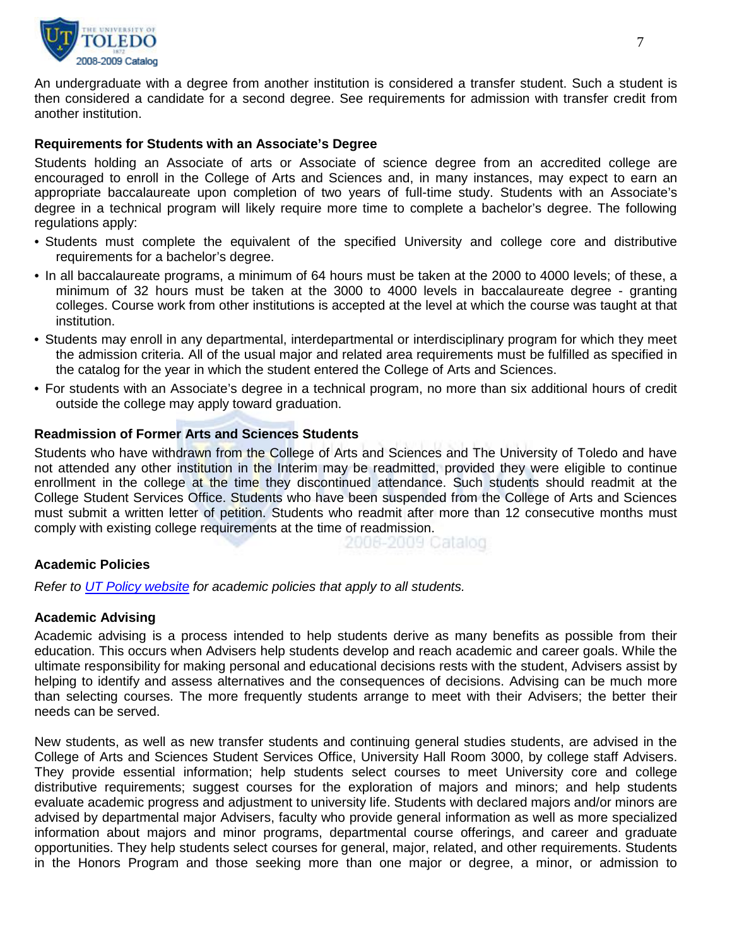

An undergraduate with a degree from another institution is considered a transfer student. Such a student is then considered a candidate for a second degree. See requirements for admission with transfer credit from another institution.

#### **Requirements for Students with an Associate's Degree**

Students holding an Associate of arts or Associate of science degree from an accredited college are encouraged to enroll in the College of Arts and Sciences and, in many instances, may expect to earn an appropriate baccalaureate upon completion of two years of full-time study. Students with an Associate's degree in a technical program will likely require more time to complete a bachelor's degree. The following regulations apply:

- Students must complete the equivalent of the specified University and college core and distributive requirements for a bachelor's degree.
- In all baccalaureate programs, a minimum of 64 hours must be taken at the 2000 to 4000 levels; of these, a minimum of 32 hours must be taken at the 3000 to 4000 levels in baccalaureate degree - granting colleges. Course work from other institutions is accepted at the level at which the course was taught at that institution.
- Students may enroll in any departmental, interdepartmental or interdisciplinary program for which they meet the admission criteria. All of the usual major and related area requirements must be fulfilled as specified in the catalog for the year in which the student entered the College of Arts and Sciences.
- For students with an Associate's degree in a technical program, no more than six additional hours of credit outside the college may apply toward graduation.

# **Readmission of Former Arts and Sciences Students**

Students who have withdrawn from the College of Arts and Sciences and The University of Toledo and have not attended any other institution in the Interim may be readmitted, provided they were eligible to continue enrollment in the college at the time they discontinued attendance. Such students should readmit at the College Student Services Office. Students who have been suspended from the College of Arts and Sciences must submit a written letter of petition. Students who readmit after more than 12 consecutive months must comply with existing college requirements at the time of readmission.

2008-2009 Catalog

# **Academic Policies**

*Refer to [UT Policy website](http://utoledo.edu/policies/) for academic policies that apply to all students.*

#### **Academic Advising**

Academic advising is a process intended to help students derive as many benefits as possible from their education. This occurs when Advisers help students develop and reach academic and career goals. While the ultimate responsibility for making personal and educational decisions rests with the student, Advisers assist by helping to identify and assess alternatives and the consequences of decisions. Advising can be much more than selecting courses. The more frequently students arrange to meet with their Advisers; the better their needs can be served.

New students, as well as new transfer students and continuing general studies students, are advised in the College of Arts and Sciences Student Services Office, University Hall Room 3000, by college staff Advisers. They provide essential information; help students select courses to meet University core and college distributive requirements; suggest courses for the exploration of majors and minors; and help students evaluate academic progress and adjustment to university life. Students with declared majors and/or minors are advised by departmental major Advisers, faculty who provide general information as well as more specialized information about majors and minor programs, departmental course offerings, and career and graduate opportunities. They help students select courses for general, major, related, and other requirements. Students in the Honors Program and those seeking more than one major or degree, a minor, or admission to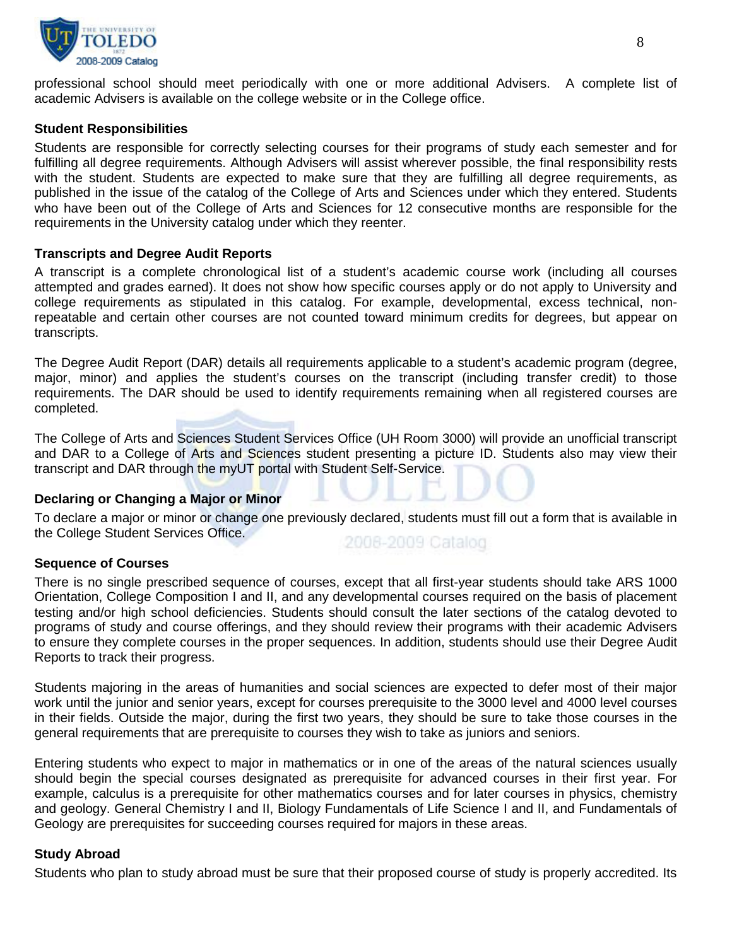

professional school should meet periodically with one or more additional Advisers. A complete list of academic Advisers is available on the college website or in the College office.

#### **Student Responsibilities**

Students are responsible for correctly selecting courses for their programs of study each semester and for fulfilling all degree requirements. Although Advisers will assist wherever possible, the final responsibility rests with the student. Students are expected to make sure that they are fulfilling all degree requirements, as published in the issue of the catalog of the College of Arts and Sciences under which they entered. Students who have been out of the College of Arts and Sciences for 12 consecutive months are responsible for the requirements in the University catalog under which they reenter.

#### **Transcripts and Degree Audit Reports**

A transcript is a complete chronological list of a student's academic course work (including all courses attempted and grades earned). It does not show how specific courses apply or do not apply to University and college requirements as stipulated in this catalog. For example, developmental, excess technical, nonrepeatable and certain other courses are not counted toward minimum credits for degrees, but appear on transcripts.

The Degree Audit Report (DAR) details all requirements applicable to a student's academic program (degree, major, minor) and applies the student's courses on the transcript (including transfer credit) to those requirements. The DAR should be used to identify requirements remaining when all registered courses are completed.

The College of Arts and Sciences Student Services Office (UH Room 3000) will provide an unofficial transcript and DAR to a College of Arts and Sciences student presenting a picture ID. Students also may view their transcript and DAR through the myUT portal with Student Self-Service.

#### **Declaring or Changing a Major or Minor**

To declare a major or minor or change one previously declared, students must fill out a form that is available in the College Student Services Office.

2008-2009 Catalog

#### **Sequence of Courses**

There is no single prescribed sequence of courses, except that all first-year students should take ARS 1000 Orientation, College Composition I and II, and any developmental courses required on the basis of placement testing and/or high school deficiencies. Students should consult the later sections of the catalog devoted to programs of study and course offerings, and they should review their programs with their academic Advisers to ensure they complete courses in the proper sequences. In addition, students should use their Degree Audit Reports to track their progress.

Students majoring in the areas of humanities and social sciences are expected to defer most of their major work until the junior and senior years, except for courses prerequisite to the 3000 level and 4000 level courses in their fields. Outside the major, during the first two years, they should be sure to take those courses in the general requirements that are prerequisite to courses they wish to take as juniors and seniors.

Entering students who expect to major in mathematics or in one of the areas of the natural sciences usually should begin the special courses designated as prerequisite for advanced courses in their first year. For example, calculus is a prerequisite for other mathematics courses and for later courses in physics, chemistry and geology. General Chemistry I and II, Biology Fundamentals of Life Science I and II, and Fundamentals of Geology are prerequisites for succeeding courses required for majors in these areas.

#### **Study Abroad**

Students who plan to study abroad must be sure that their proposed course of study is properly accredited. Its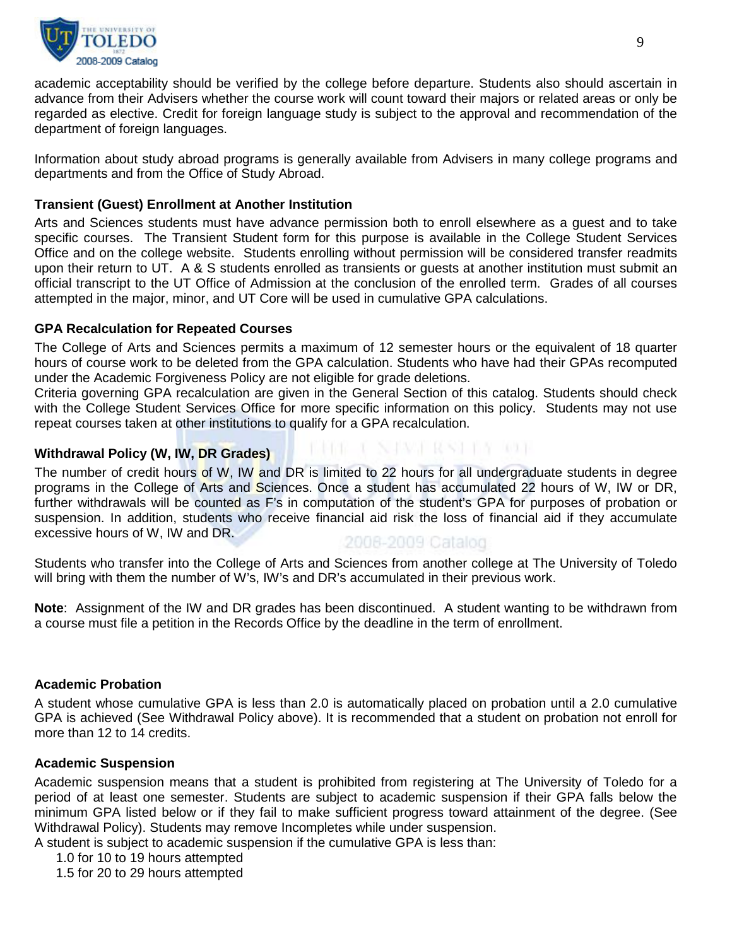

academic acceptability should be verified by the college before departure. Students also should ascertain in advance from their Advisers whether the course work will count toward their majors or related areas or only be regarded as elective. Credit for foreign language study is subject to the approval and recommendation of the department of foreign languages.

Information about study abroad programs is generally available from Advisers in many college programs and departments and from the Office of Study Abroad.

# **Transient (Guest) Enrollment at Another Institution**

Arts and Sciences students must have advance permission both to enroll elsewhere as a guest and to take specific courses. The Transient Student form for this purpose is available in the College Student Services Office and on the college website. Students enrolling without permission will be considered transfer readmits upon their return to UT. A & S students enrolled as transients or guests at another institution must submit an official transcript to the UT Office of Admission at the conclusion of the enrolled term. Grades of all courses attempted in the major, minor, and UT Core will be used in cumulative GPA calculations.

# **GPA Recalculation for Repeated Courses**

The College of Arts and Sciences permits a maximum of 12 semester hours or the equivalent of 18 quarter hours of course work to be deleted from the GPA calculation. Students who have had their GPAs recomputed under the Academic Forgiveness Policy are not eligible for grade deletions.

Criteria governing GPA recalculation are given in the General Section of this catalog. Students should check with the College Student Services Office for more specific information on this policy. Students may not use repeat courses taken at other institutions to qualify for a GPA recalculation.

# **Withdrawal Policy (W, IW, DR Grades)**

The number of credit hours of W, IW and DR is limited to 22 hours for all undergraduate students in degree programs in the College of Arts and Sciences. Once a student has accumulated 22 hours of W, IW or DR, further withdrawals will be counted as F's in computation of the student's GPA for purposes of probation or suspension. In addition, students who receive financial aid risk the loss of financial aid if they accumulate excessive hours of W, IW and DR.

# 2008-2009 Catalog

医阿维二毛 医耳塞耳 化室厂监督 通事

Students who transfer into the College of Arts and Sciences from another college at The University of Toledo will bring with them the number of W's, IW's and DR's accumulated in their previous work.

**Note**: Assignment of the IW and DR grades has been discontinued. A student wanting to be withdrawn from a course must file a petition in the Records Office by the deadline in the term of enrollment.

# **Academic Probation**

A student whose cumulative GPA is less than 2.0 is automatically placed on probation until a 2.0 cumulative GPA is achieved (See Withdrawal Policy above). It is recommended that a student on probation not enroll for more than 12 to 14 credits.

# **Academic Suspension**

Academic suspension means that a student is prohibited from registering at The University of Toledo for a period of at least one semester. Students are subject to academic suspension if their GPA falls below the minimum GPA listed below or if they fail to make sufficient progress toward attainment of the degree. (See Withdrawal Policy). Students may remove Incompletes while under suspension.

A student is subject to academic suspension if the cumulative GPA is less than:

- 1.0 for 10 to 19 hours attempted
- 1.5 for 20 to 29 hours attempted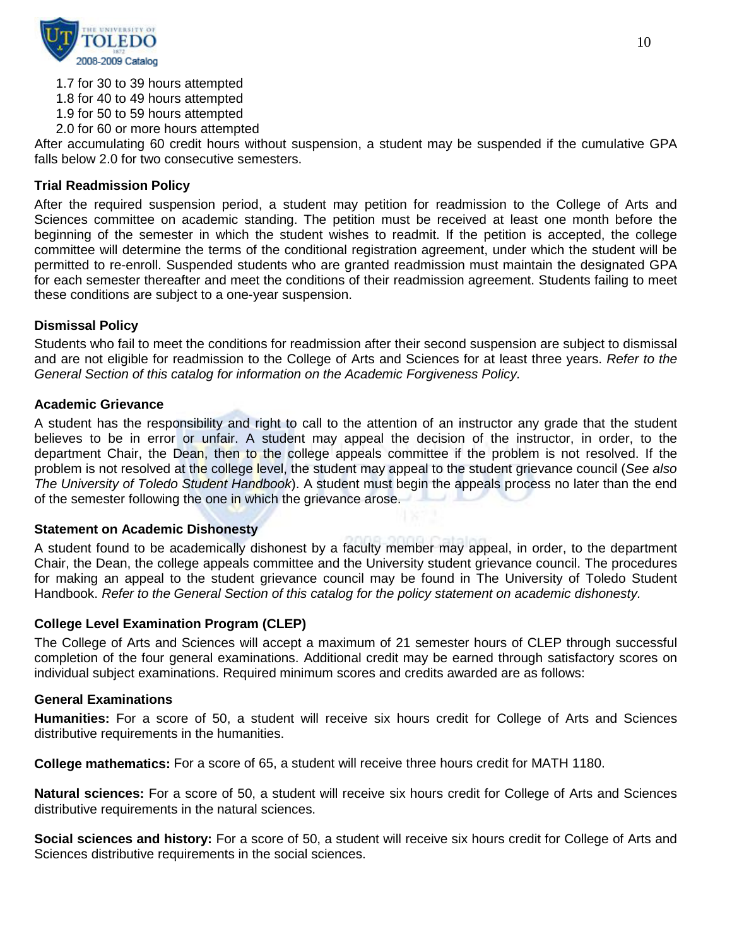

- 1.7 for 30 to 39 hours attempted
- 1.8 for 40 to 49 hours attempted
- 1.9 for 50 to 59 hours attempted
- 2.0 for 60 or more hours attempted

After accumulating 60 credit hours without suspension, a student may be suspended if the cumulative GPA falls below 2.0 for two consecutive semesters.

# **Trial Readmission Policy**

After the required suspension period, a student may petition for readmission to the College of Arts and Sciences committee on academic standing. The petition must be received at least one month before the beginning of the semester in which the student wishes to readmit. If the petition is accepted, the college committee will determine the terms of the conditional registration agreement, under which the student will be permitted to re-enroll. Suspended students who are granted readmission must maintain the designated GPA for each semester thereafter and meet the conditions of their readmission agreement. Students failing to meet these conditions are subject to a one-year suspension.

#### **Dismissal Policy**

Students who fail to meet the conditions for readmission after their second suspension are subject to dismissal and are not eligible for readmission to the College of Arts and Sciences for at least three years. *Refer to the General Section of this catalog for information on the Academic Forgiveness Policy.*

#### **Academic Grievance**

A student has the responsibility and right to call to the attention of an instructor any grade that the student believes to be in error or unfair. A student may appeal the decision of the instructor, in order, to the department Chair, the Dean, then to the college appeals committee if the problem is not resolved. If the problem is not resolved at the college level, the student may appeal to the student grievance council (*See also The University of Toledo Student Handbook*). A student must begin the appeals process no later than the end of the semester following the one in which the grievance arose.

#### **Statement on Academic Dishonesty**

A student found to be academically dishonest by a faculty member may appeal, in order, to the department Chair, the Dean, the college appeals committee and the University student grievance council. The procedures for making an appeal to the student grievance council may be found in The University of Toledo Student Handbook. *Refer to the General Section of this catalog for the policy statement on academic dishonesty.*

#### **College Level Examination Program (CLEP)**

The College of Arts and Sciences will accept a maximum of 21 semester hours of CLEP through successful completion of the four general examinations. Additional credit may be earned through satisfactory scores on individual subject examinations. Required minimum scores and credits awarded are as follows:

#### **General Examinations**

**Humanities:** For a score of 50, a student will receive six hours credit for College of Arts and Sciences distributive requirements in the humanities.

**College mathematics:** For a score of 65, a student will receive three hours credit for MATH 1180.

**Natural sciences:** For a score of 50, a student will receive six hours credit for College of Arts and Sciences distributive requirements in the natural sciences.

**Social sciences and history:** For a score of 50, a student will receive six hours credit for College of Arts and Sciences distributive requirements in the social sciences.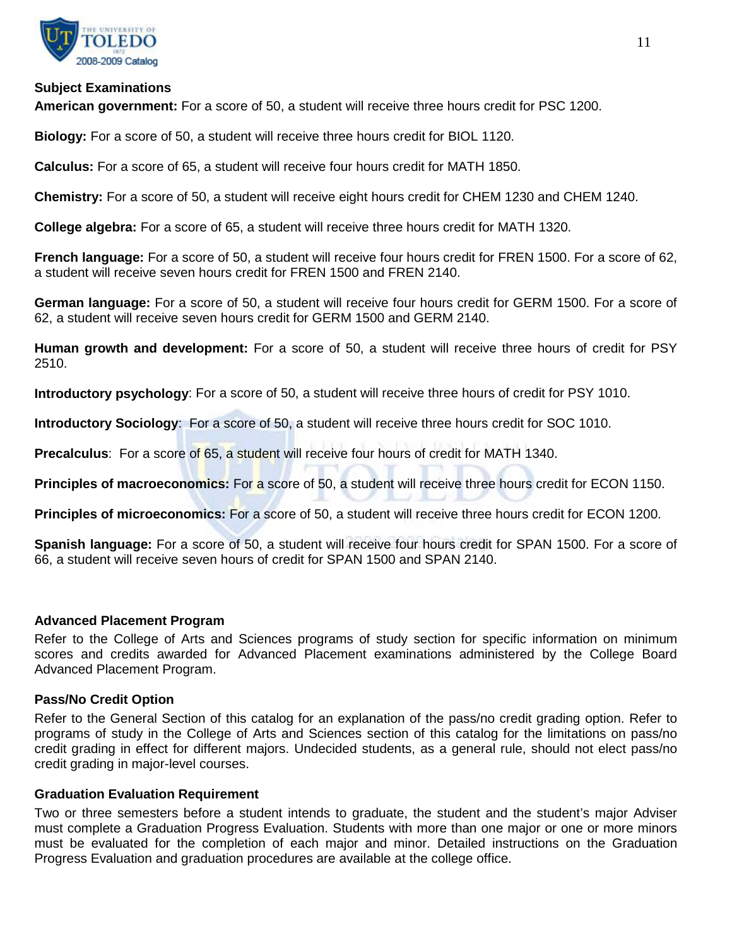

#### **Subject Examinations**

**American government:** For a score of 50, a student will receive three hours credit for PSC 1200.

**Biology:** For a score of 50, a student will receive three hours credit for BIOL 1120.

**Calculus:** For a score of 65, a student will receive four hours credit for MATH 1850.

**Chemistry:** For a score of 50, a student will receive eight hours credit for CHEM 1230 and CHEM 1240.

**College algebra:** For a score of 65, a student will receive three hours credit for MATH 1320.

**French language:** For a score of 50, a student will receive four hours credit for FREN 1500. For a score of 62, a student will receive seven hours credit for FREN 1500 and FREN 2140.

**German language:** For a score of 50, a student will receive four hours credit for GERM 1500. For a score of 62, a student will receive seven hours credit for GERM 1500 and GERM 2140.

**Human growth and development:** For a score of 50, a student will receive three hours of credit for PSY 2510.

**Introductory psychology**: For a score of 50, a student will receive three hours of credit for PSY 1010.

**Introductory Sociology**: For a score of 50, a student will receive three hours credit for SOC 1010.

**Precalculus**: For a score of 65, a student will receive four hours of credit for MATH 1340.

**Principles of macroeconomics:** For a score of 50, a student will receive three hours credit for ECON 1150.

**Principles of microeconomics:** For a score of 50, a student will receive three hours credit for ECON 1200.

**Spanish language:** For a score of 50, a student will receive four hours credit for SPAN 1500. For a score of 66, a student will receive seven hours of credit for SPAN 1500 and SPAN 2140.

#### **Advanced Placement Program**

Refer to the College of Arts and Sciences programs of study section for specific information on minimum scores and credits awarded for Advanced Placement examinations administered by the College Board Advanced Placement Program.

#### **Pass/No Credit Option**

Refer to the General Section of this catalog for an explanation of the pass/no credit grading option. Refer to programs of study in the College of Arts and Sciences section of this catalog for the limitations on pass/no credit grading in effect for different majors. Undecided students, as a general rule, should not elect pass/no credit grading in major-level courses.

#### **Graduation Evaluation Requirement**

Two or three semesters before a student intends to graduate, the student and the student's major Adviser must complete a Graduation Progress Evaluation. Students with more than one major or one or more minors must be evaluated for the completion of each major and minor. Detailed instructions on the Graduation Progress Evaluation and graduation procedures are available at the college office.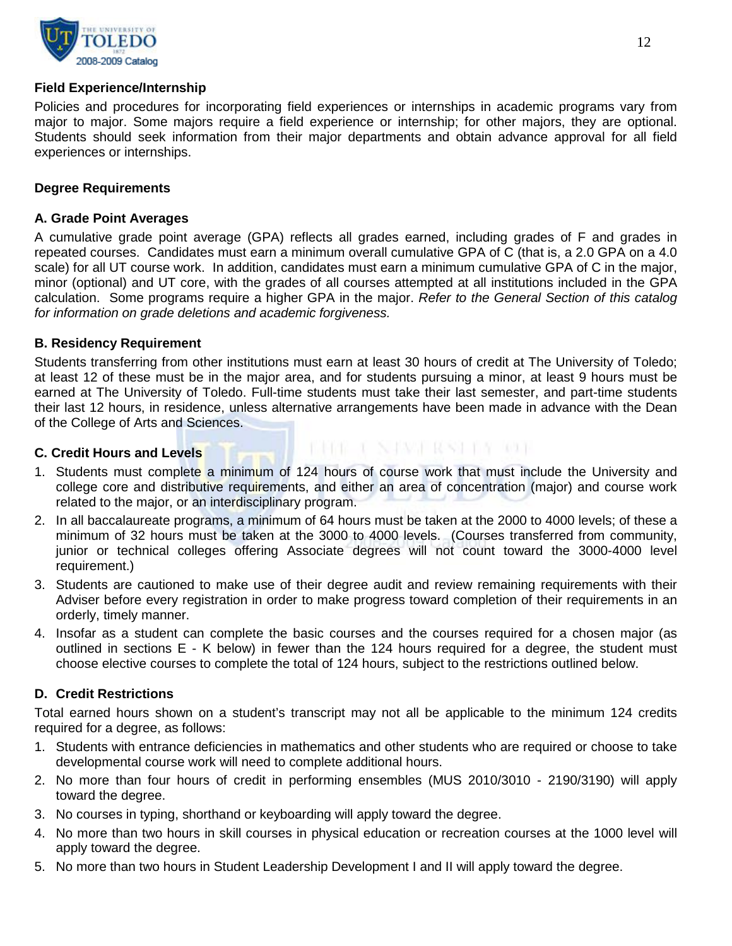

#### **Field Experience/Internship**

Policies and procedures for incorporating field experiences or internships in academic programs vary from major to major. Some majors require a field experience or internship; for other majors, they are optional. Students should seek information from their major departments and obtain advance approval for all field experiences or internships.

# **Degree Requirements**

#### **A. Grade Point Averages**

A cumulative grade point average (GPA) reflects all grades earned, including grades of F and grades in repeated courses. Candidates must earn a minimum overall cumulative GPA of C (that is, a 2.0 GPA on a 4.0 scale) for all UT course work. In addition, candidates must earn a minimum cumulative GPA of C in the major, minor (optional) and UT core, with the grades of all courses attempted at all institutions included in the GPA calculation. Some programs require a higher GPA in the major. *Refer to the General Section of this catalog for information on grade deletions and academic forgiveness.*

#### **B. Residency Requirement**

Students transferring from other institutions must earn at least 30 hours of credit at The University of Toledo; at least 12 of these must be in the major area, and for students pursuing a minor, at least 9 hours must be earned at The University of Toledo. Full-time students must take their last semester, and part-time students their last 12 hours, in residence, unless alternative arrangements have been made in advance with the Dean of the College of Arts and Sciences.

#### **C. Credit Hours and Levels**

1. Students must complete a minimum of 124 hours of course work that must include the University and college core and distributive requirements, and either an area of concentration (major) and course work related to the major, or an interdisciplinary program.

**FRIDE CANDRY RSYLVE RDF** 

- 2. In all baccalaureate programs, a minimum of 64 hours must be taken at the 2000 to 4000 levels; of these a minimum of 32 hours must be taken at the 3000 to 4000 levels. (Courses transferred from community, junior or technical colleges offering Associate degrees will not count toward the 3000-4000 level requirement.)
- 3. Students are cautioned to make use of their degree audit and review remaining requirements with their Adviser before every registration in order to make progress toward completion of their requirements in an orderly, timely manner.
- 4. Insofar as a student can complete the basic courses and the courses required for a chosen major (as outlined in sections E - K below) in fewer than the 124 hours required for a degree, the student must choose elective courses to complete the total of 124 hours, subject to the restrictions outlined below.

# **D. Credit Restrictions**

Total earned hours shown on a student's transcript may not all be applicable to the minimum 124 credits required for a degree, as follows:

- 1. Students with entrance deficiencies in mathematics and other students who are required or choose to take developmental course work will need to complete additional hours.
- 2. No more than four hours of credit in performing ensembles (MUS 2010/3010 2190/3190) will apply toward the degree.
- 3. No courses in typing, shorthand or keyboarding will apply toward the degree.
- 4. No more than two hours in skill courses in physical education or recreation courses at the 1000 level will apply toward the degree.
- 5. No more than two hours in Student Leadership Development I and II will apply toward the degree.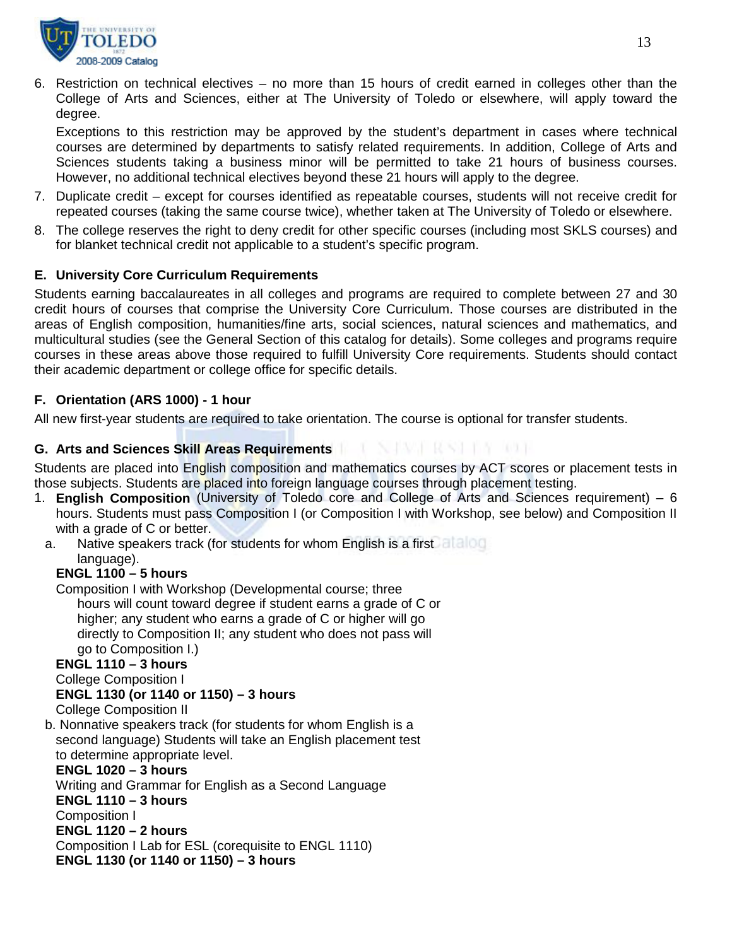

6. Restriction on technical electives – no more than 15 hours of credit earned in colleges other than the College of Arts and Sciences, either at The University of Toledo or elsewhere, will apply toward the degree.

Exceptions to this restriction may be approved by the student's department in cases where technical courses are determined by departments to satisfy related requirements. In addition, College of Arts and Sciences students taking a business minor will be permitted to take 21 hours of business courses. However, no additional technical electives beyond these 21 hours will apply to the degree.

- 7. Duplicate credit except for courses identified as repeatable courses, students will not receive credit for repeated courses (taking the same course twice), whether taken at The University of Toledo or elsewhere.
- 8. The college reserves the right to deny credit for other specific courses (including most SKLS courses) and for blanket technical credit not applicable to a student's specific program.

# **E. University Core Curriculum Requirements**

Students earning baccalaureates in all colleges and programs are required to complete between 27 and 30 credit hours of courses that comprise the University Core Curriculum. Those courses are distributed in the areas of English composition, humanities/fine arts, social sciences, natural sciences and mathematics, and multicultural studies (see the General Section of this catalog for details). Some colleges and programs require courses in these areas above those required to fulfill University Core requirements. Students should contact their academic department or college office for specific details.

# **F. Orientation (ARS 1000) - 1 hour**

All new first-year students are required to take orientation. The course is optional for transfer students.

# **G. Arts and Sciences Skill Areas Requirements**

Students are placed into English composition and mathematics courses by ACT scores or placement tests in those subjects. Students are placed into foreign language courses through placement testing.

- 1. **English Composition** (University of Toledo core and College of Arts and Sciences requirement) 6 hours. Students must pass Composition I (or Composition I with Workshop, see below) and Composition II with a grade of C or better.
	- a. Native speakers track (for students for whom English is a first language).

# **ENGL 1100 – 5 hours**

Composition I with Workshop (Developmental course; three hours will count toward degree if student earns a grade of C or higher; any student who earns a grade of C or higher will go directly to Composition II; any student who does not pass will go to Composition I.)

# **ENGL 1110 – 3 hours**

College Composition I

# **ENGL 1130 (or 1140 or 1150) – 3 hours**

College Composition II

b. Nonnative speakers track (for students for whom English is a second language) Students will take an English placement test to determine appropriate level.

# **ENGL 1020 – 3 hours**

Writing and Grammar for English as a Second Language

# **ENGL 1110 – 3 hours**

Composition I

**ENGL 1120 – 2 hours**

Composition I Lab for ESL (corequisite to ENGL 1110)

```
 ENGL 1130 (or 1140 or 1150) – 3 hours
```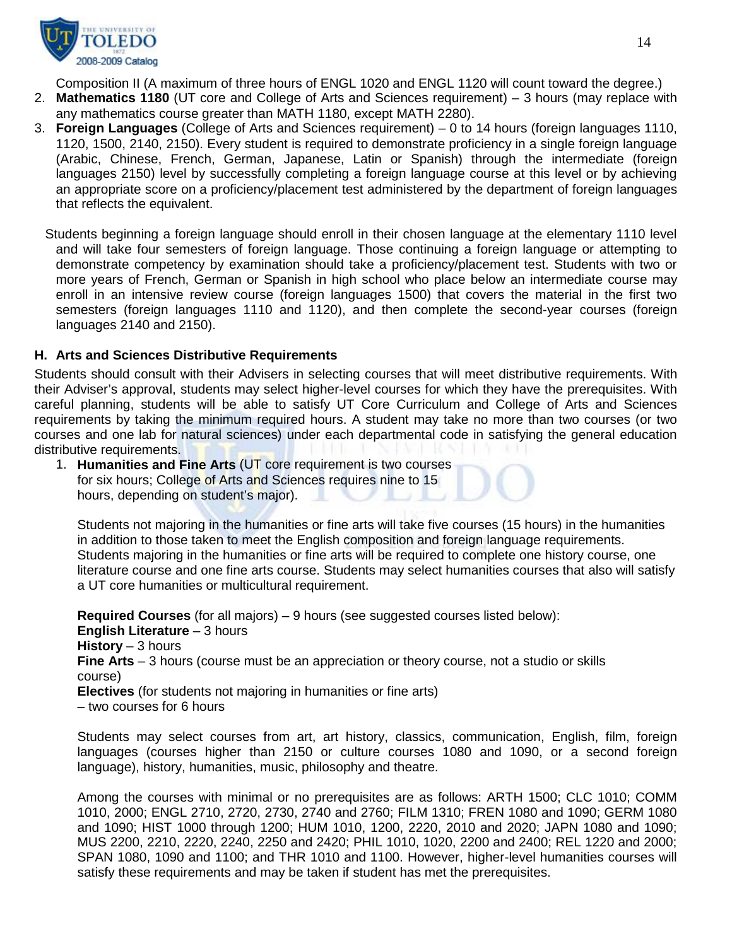

Composition II (A maximum of three hours of ENGL 1020 and ENGL 1120 will count toward the degree.)

- 2. **Mathematics 1180** (UT core and College of Arts and Sciences requirement) 3 hours (may replace with any mathematics course greater than MATH 1180, except MATH 2280).
- 3. **Foreign Languages** (College of Arts and Sciences requirement) 0 to 14 hours (foreign languages 1110, 1120, 1500, 2140, 2150). Every student is required to demonstrate proficiency in a single foreign language (Arabic, Chinese, French, German, Japanese, Latin or Spanish) through the intermediate (foreign languages 2150) level by successfully completing a foreign language course at this level or by achieving an appropriate score on a proficiency/placement test administered by the department of foreign languages that reflects the equivalent.
	- Students beginning a foreign language should enroll in their chosen language at the elementary 1110 level and will take four semesters of foreign language. Those continuing a foreign language or attempting to demonstrate competency by examination should take a proficiency/placement test. Students with two or more years of French, German or Spanish in high school who place below an intermediate course may enroll in an intensive review course (foreign languages 1500) that covers the material in the first two semesters (foreign languages 1110 and 1120), and then complete the second-year courses (foreign languages 2140 and 2150).

# **H. Arts and Sciences Distributive Requirements**

Students should consult with their Advisers in selecting courses that will meet distributive requirements. With their Adviser's approval, students may select higher-level courses for which they have the prerequisites. With careful planning, students will be able to satisfy UT Core Curriculum and College of Arts and Sciences requirements by taking the minimum required hours. A student may take no more than two courses (or two courses and one lab for natural sciences) under each departmental code in satisfying the general education distributive requirements.

1. **Humanities and Fine Arts** (UT core requirement is two courses for six hours; College of Arts and Sciences requires nine to 15 hours, depending on student's major).

Students not majoring in the humanities or fine arts will take five courses (15 hours) in the humanities in addition to those taken to meet the English composition and foreign language requirements. Students majoring in the humanities or fine arts will be required to complete one history course, one literature course and one fine arts course. Students may select humanities courses that also will satisfy a UT core humanities or multicultural requirement.

**Required Courses** (for all majors) – 9 hours (see suggested courses listed below): **English Literature** – 3 hours **History** – 3 hours **Fine Arts** – 3 hours (course must be an appreciation or theory course, not a studio or skills course) **Electives** (for students not majoring in humanities or fine arts)

– two courses for 6 hours

Students may select courses from art, art history, classics, communication, English, film, foreign languages (courses higher than 2150 or culture courses 1080 and 1090, or a second foreign language), history, humanities, music, philosophy and theatre.

Among the courses with minimal or no prerequisites are as follows: ARTH 1500; CLC 1010; COMM 1010, 2000; ENGL 2710, 2720, 2730, 2740 and 2760; FILM 1310; FREN 1080 and 1090; GERM 1080 and 1090; HIST 1000 through 1200; HUM 1010, 1200, 2220, 2010 and 2020; JAPN 1080 and 1090; MUS 2200, 2210, 2220, 2240, 2250 and 2420; PHIL 1010, 1020, 2200 and 2400; REL 1220 and 2000; SPAN 1080, 1090 and 1100; and THR 1010 and 1100. However, higher-level humanities courses will satisfy these requirements and may be taken if student has met the prerequisites.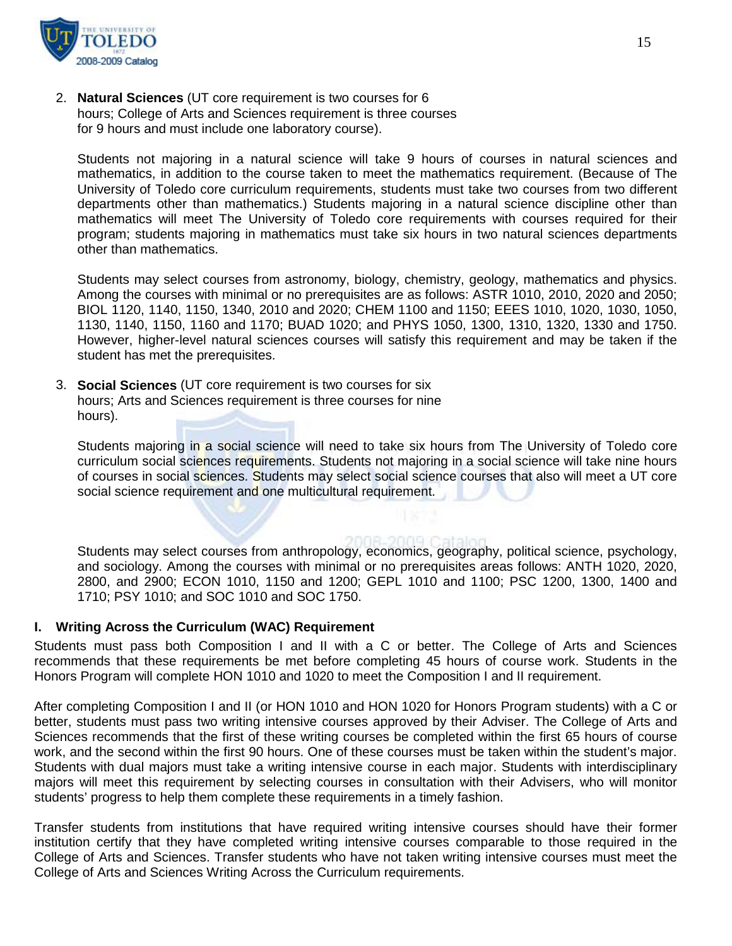

2. **Natural Sciences** (UT core requirement is two courses for 6 hours; College of Arts and Sciences requirement is three courses for 9 hours and must include one laboratory course).

Students not majoring in a natural science will take 9 hours of courses in natural sciences and mathematics, in addition to the course taken to meet the mathematics requirement. (Because of The University of Toledo core curriculum requirements, students must take two courses from two different departments other than mathematics.) Students majoring in a natural science discipline other than mathematics will meet The University of Toledo core requirements with courses required for their program; students majoring in mathematics must take six hours in two natural sciences departments other than mathematics.

Students may select courses from astronomy, biology, chemistry, geology, mathematics and physics. Among the courses with minimal or no prerequisites are as follows: ASTR 1010, 2010, 2020 and 2050; BIOL 1120, 1140, 1150, 1340, 2010 and 2020; CHEM 1100 and 1150; EEES 1010, 1020, 1030, 1050, 1130, 1140, 1150, 1160 and 1170; BUAD 1020; and PHYS 1050, 1300, 1310, 1320, 1330 and 1750. However, higher-level natural sciences courses will satisfy this requirement and may be taken if the student has met the prerequisites.

3. **Social Sciences** (UT core requirement is two courses for six hours; Arts and Sciences requirement is three courses for nine hours).

Students majoring in a social science will need to take six hours from The University of Toledo core curriculum social sciences requirements. Students not majoring in a social science will take nine hours of courses in social sciences. Students may select social science courses that also will meet a UT core social science requirement and one multicultural requirement.

Students may select courses from anthropology, economics, geography, political science, psychology, and sociology. Among the courses with minimal or no prerequisites areas follows: ANTH 1020, 2020, 2800, and 2900; ECON 1010, 1150 and 1200; GEPL 1010 and 1100; PSC 1200, 1300, 1400 and 1710; PSY 1010; and SOC 1010 and SOC 1750.

#### **I. Writing Across the Curriculum (WAC) Requirement**

Students must pass both Composition I and II with a C or better. The College of Arts and Sciences recommends that these requirements be met before completing 45 hours of course work. Students in the Honors Program will complete HON 1010 and 1020 to meet the Composition I and II requirement.

After completing Composition I and II (or HON 1010 and HON 1020 for Honors Program students) with a C or better, students must pass two writing intensive courses approved by their Adviser. The College of Arts and Sciences recommends that the first of these writing courses be completed within the first 65 hours of course work, and the second within the first 90 hours. One of these courses must be taken within the student's major. Students with dual majors must take a writing intensive course in each major. Students with interdisciplinary majors will meet this requirement by selecting courses in consultation with their Advisers, who will monitor students' progress to help them complete these requirements in a timely fashion.

Transfer students from institutions that have required writing intensive courses should have their former institution certify that they have completed writing intensive courses comparable to those required in the College of Arts and Sciences. Transfer students who have not taken writing intensive courses must meet the College of Arts and Sciences Writing Across the Curriculum requirements.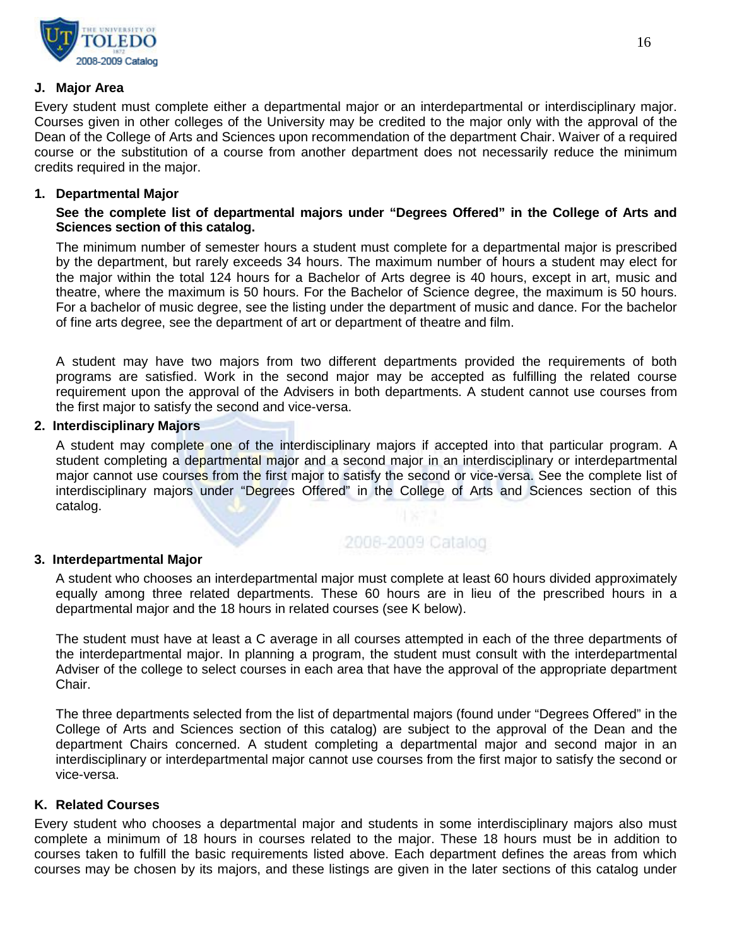

#### **J. Major Area**

Every student must complete either a departmental major or an interdepartmental or interdisciplinary major. Courses given in other colleges of the University may be credited to the major only with the approval of the Dean of the College of Arts and Sciences upon recommendation of the department Chair. Waiver of a required course or the substitution of a course from another department does not necessarily reduce the minimum credits required in the major.

#### **1. Departmental Major**

# **See the complete list of departmental majors under "Degrees Offered" in the College of Arts and Sciences section of this catalog.**

The minimum number of semester hours a student must complete for a departmental major is prescribed by the department, but rarely exceeds 34 hours. The maximum number of hours a student may elect for the major within the total 124 hours for a Bachelor of Arts degree is 40 hours, except in art, music and theatre, where the maximum is 50 hours. For the Bachelor of Science degree, the maximum is 50 hours. For a bachelor of music degree, see the listing under the department of music and dance. For the bachelor of fine arts degree, see the department of art or department of theatre and film.

A student may have two majors from two different departments provided the requirements of both programs are satisfied. Work in the second major may be accepted as fulfilling the related course requirement upon the approval of the Advisers in both departments. A student cannot use courses from the first major to satisfy the second and vice-versa.

#### **2. Interdisciplinary Majors**

A student may complete one of the interdisciplinary majors if accepted into that particular program. A student completing a departmental major and a second major in an interdisciplinary or interdepartmental major cannot use courses from the first major to satisfy the second or vice-versa. See the complete list of interdisciplinary majors under "Degrees Offered" in the College of Arts and Sciences section of this catalog.

# 2008-2009 Catalog

#### **3. Interdepartmental Major**

A student who chooses an interdepartmental major must complete at least 60 hours divided approximately equally among three related departments. These 60 hours are in lieu of the prescribed hours in a departmental major and the 18 hours in related courses (see K below).

The student must have at least a C average in all courses attempted in each of the three departments of the interdepartmental major. In planning a program, the student must consult with the interdepartmental Adviser of the college to select courses in each area that have the approval of the appropriate department Chair.

The three departments selected from the list of departmental majors (found under "Degrees Offered" in the College of Arts and Sciences section of this catalog) are subject to the approval of the Dean and the department Chairs concerned. A student completing a departmental major and second major in an interdisciplinary or interdepartmental major cannot use courses from the first major to satisfy the second or vice-versa.

# **K. Related Courses**

Every student who chooses a departmental major and students in some interdisciplinary majors also must complete a minimum of 18 hours in courses related to the major. These 18 hours must be in addition to courses taken to fulfill the basic requirements listed above. Each department defines the areas from which courses may be chosen by its majors, and these listings are given in the later sections of this catalog under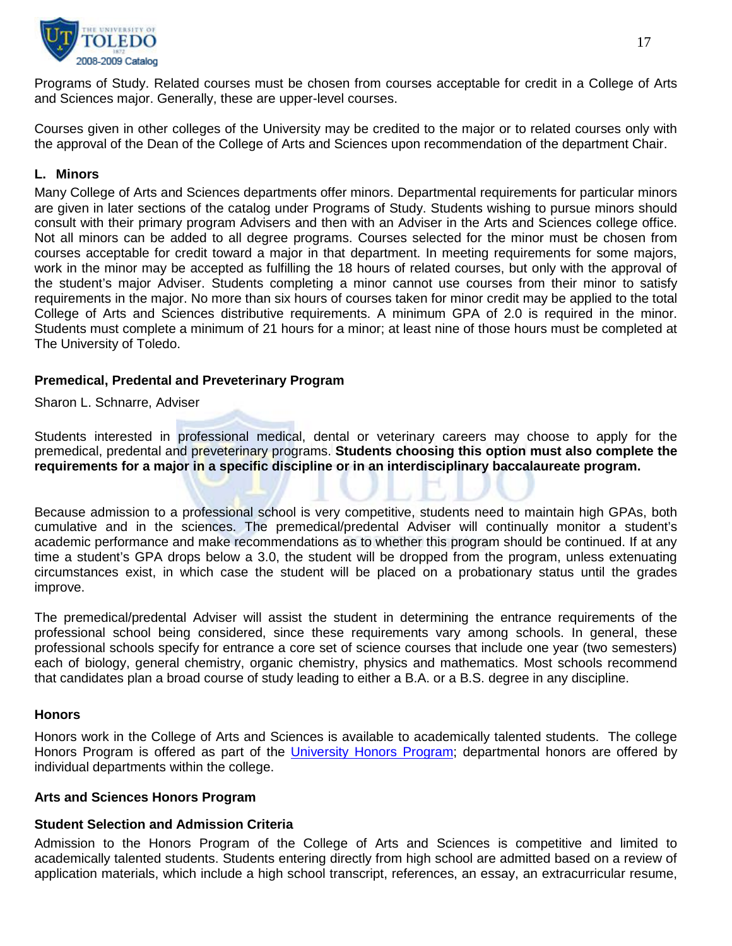

Programs of Study. Related courses must be chosen from courses acceptable for credit in a College of Arts and Sciences major. Generally, these are upper-level courses.

Courses given in other colleges of the University may be credited to the major or to related courses only with the approval of the Dean of the College of Arts and Sciences upon recommendation of the department Chair.

#### **L. Minors**

Many College of Arts and Sciences departments offer minors. Departmental requirements for particular minors are given in later sections of the catalog under Programs of Study. Students wishing to pursue minors should consult with their primary program Advisers and then with an Adviser in the Arts and Sciences college office. Not all minors can be added to all degree programs. Courses selected for the minor must be chosen from courses acceptable for credit toward a major in that department. In meeting requirements for some majors, work in the minor may be accepted as fulfilling the 18 hours of related courses, but only with the approval of the student's major Adviser. Students completing a minor cannot use courses from their minor to satisfy requirements in the major. No more than six hours of courses taken for minor credit may be applied to the total College of Arts and Sciences distributive requirements. A minimum GPA of 2.0 is required in the minor. Students must complete a minimum of 21 hours for a minor; at least nine of those hours must be completed at The University of Toledo.

#### **Premedical, Predental and Preveterinary Program**

Sharon L. Schnarre, Adviser

Students interested in professional medical, dental or veterinary careers may choose to apply for the premedical, predental and preveterinary programs. **Students choosing this option must also complete the requirements for a major in a specific discipline or in an interdisciplinary baccalaureate program.** 

Because admission to a professional school is very competitive, students need to maintain high GPAs, both cumulative and in the sciences. The premedical/predental Adviser will continually monitor a student's academic performance and make recommendations as to whether this program should be continued. If at any time a student's GPA drops below a 3.0, the student will be dropped from the program, unless extenuating circumstances exist, in which case the student will be placed on a probationary status until the grades improve.

The premedical/predental Adviser will assist the student in determining the entrance requirements of the professional school being considered, since these requirements vary among schools. In general, these professional schools specify for entrance a core set of science courses that include one year (two semesters) each of biology, general chemistry, organic chemistry, physics and mathematics. Most schools recommend that candidates plan a broad course of study leading to either a B.A. or a B.S. degree in any discipline.

#### **Honors**

Honors work in the College of Arts and Sciences is available to academically talented students. The college Honors Program is offered as part of the *University Honors Program*; departmental honors are offered by individual departments within the college.

#### **Arts and Sciences Honors Program**

#### **Student Selection and Admission Criteria**

Admission to the Honors Program of the College of Arts and Sciences is competitive and limited to academically talented students. Students entering directly from high school are admitted based on a review of application materials, which include a high school transcript, references, an essay, an extracurricular resume,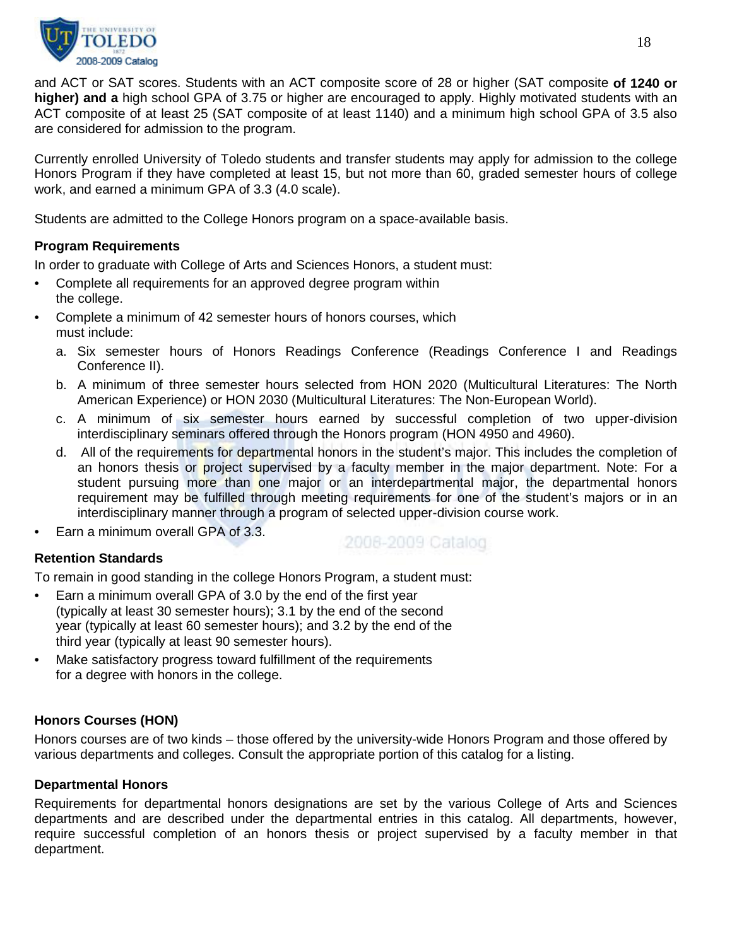

and ACT or SAT scores. Students with an ACT composite score of 28 or higher (SAT composite **of 1240 or higher) and a** high school GPA of 3.75 or higher are encouraged to apply. Highly motivated students with an ACT composite of at least 25 (SAT composite of at least 1140) and a minimum high school GPA of 3.5 also are considered for admission to the program.

Currently enrolled University of Toledo students and transfer students may apply for admission to the college Honors Program if they have completed at least 15, but not more than 60, graded semester hours of college work, and earned a minimum GPA of 3.3 (4.0 scale).

Students are admitted to the College Honors program on a space-available basis.

# **Program Requirements**

In order to graduate with College of Arts and Sciences Honors, a student must:

- Complete all requirements for an approved degree program within the college.
- Complete a minimum of 42 semester hours of honors courses, which must include:
	- a. Six semester hours of Honors Readings Conference (Readings Conference I and Readings Conference II).
	- b. A minimum of three semester hours selected from HON 2020 (Multicultural Literatures: The North American Experience) or HON 2030 (Multicultural Literatures: The Non-European World).
	- c. A minimum of six semester hours earned by successful completion of two upper-division interdisciplinary seminars offered through the Honors program (HON 4950 and 4960).
	- d. All of the requirements for departmental honors in the student's major. This includes the completion of an honors thesis or project supervised by a faculty member in the major department. Note: For a student pursuing more than one major or an interdepartmental major, the departmental honors requirement may be fulfilled through meeting requirements for one of the student's majors or in an interdisciplinary manner through a program of selected upper-division course work.
- Earn a minimum overall GPA of 3.3.

2008-2009 Catalog

# **Retention Standards**

To remain in good standing in the college Honors Program, a student must:

- Earn a minimum overall GPA of 3.0 by the end of the first year (typically at least 30 semester hours); 3.1 by the end of the second year (typically at least 60 semester hours); and 3.2 by the end of the third year (typically at least 90 semester hours).
- Make satisfactory progress toward fulfillment of the requirements for a degree with honors in the college.

# **Honors Courses (HON)**

Honors courses are of two kinds – those offered by the university-wide Honors Program and those offered by various departments and colleges. Consult the appropriate portion of this catalog for a listing.

#### **Departmental Honors**

Requirements for departmental honors designations are set by the various College of Arts and Sciences departments and are described under the departmental entries in this catalog. All departments, however, require successful completion of an honors thesis or project supervised by a faculty member in that department.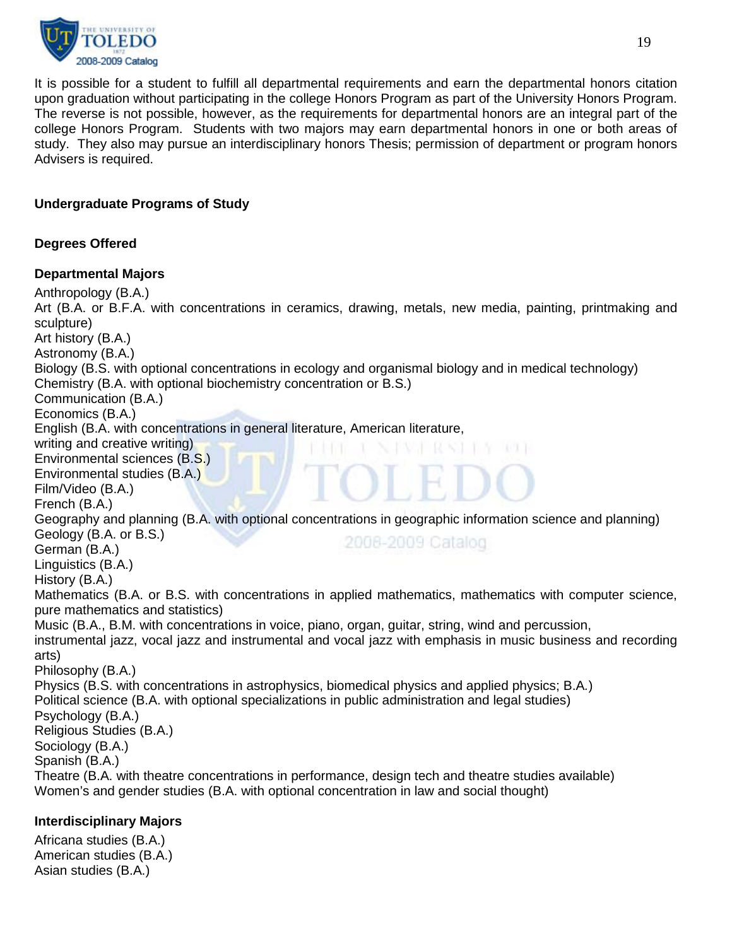

It is possible for a student to fulfill all departmental requirements and earn the departmental honors citation upon graduation without participating in the college Honors Program as part of the University Honors Program. The reverse is not possible, however, as the requirements for departmental honors are an integral part of the college Honors Program. Students with two majors may earn departmental honors in one or both areas of study. They also may pursue an interdisciplinary honors Thesis; permission of department or program honors Advisers is required.

# **Undergraduate Programs of Study**

# **Degrees Offered**

# **Departmental Majors**

Anthropology (B.A.) Art (B.A. or B.F.A. with concentrations in ceramics, drawing, metals, new media, painting, printmaking and sculpture) Art history (B.A.) Astronomy (B.A.) Biology (B.S. with optional concentrations in ecology and organismal biology and in medical technology) Chemistry (B.A. with optional biochemistry concentration or B.S.) Communication (B.A.) Economics (B.A.) English (B.A. with concentrations in general literature, American literature, writing and creative writing) Environmental sciences (B.S.) Environmental studies (B.A.) Film/Video (B.A.) French (B.A.) Geography and planning (B.A. with optional concentrations in geographic information science and planning) Geology (B.A. or B.S.) 2008-2009 Catalog German (B.A.) Linguistics (B.A.) History (B.A.) Mathematics (B.A. or B.S. with concentrations in applied mathematics, mathematics with computer science, pure mathematics and statistics) Music (B.A., B.M. with concentrations in voice, piano, organ, guitar, string, wind and percussion, instrumental jazz, vocal jazz and instrumental and vocal jazz with emphasis in music business and recording arts) Philosophy (B.A.) Physics (B.S. with concentrations in astrophysics, biomedical physics and applied physics; B.A*.*) Political science (B.A. with optional specializations in public administration and legal studies) Psychology (B.A.) Religious Studies (B.A.) Sociology (B.A.) Spanish (B.A.) Theatre (B.A. with theatre concentrations in performance, design tech and theatre studies available) Women's and gender studies (B.A. with optional concentration in law and social thought) **Interdisciplinary Majors**

Africana studies (B.A.) American studies (B.A.) Asian studies (B.A.)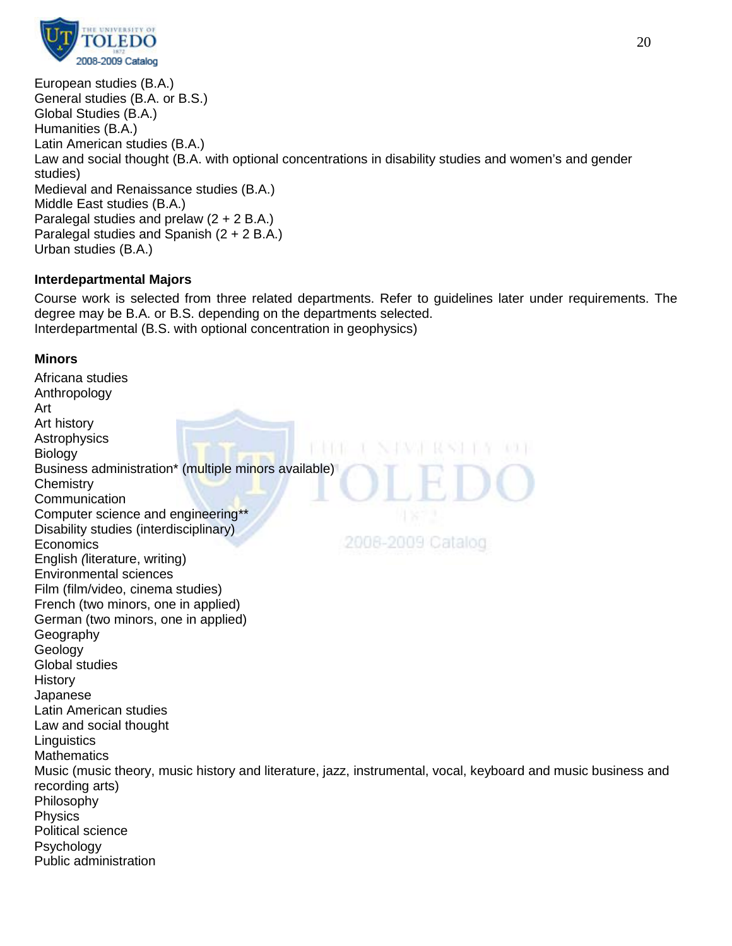

European studies (B.A.) General studies (B.A. or B.S.) Global Studies (B.A.) Humanities (B.A.) Latin American studies (B.A.) Law and social thought (B.A. with optional concentrations in disability studies and women's and gender studies) Medieval and Renaissance studies (B.A.) Middle East studies (B.A.) Paralegal studies and prelaw (2 + 2 B.A.) Paralegal studies and Spanish (2 + 2 B.A.) Urban studies (B.A.)

# **Interdepartmental Majors**

Course work is selected from three related departments. Refer to guidelines later under requirements. The degree may be B.A. or B.S. depending on the departments selected. Interdepartmental (B.S. with optional concentration in geophysics)

# **Minors**

Africana studies Anthropology Art Art history **Astrophysics Biology** Business administration\* (multiple minors available) **Chemistry Communication** Computer science and engineering\*\* Disability studies (interdisciplinary) 2008-2009 Catalog Economics English *(*literature, writing) Environmental sciences Film (film/video, cinema studies) French (two minors, one in applied) German (two minors, one in applied) **Geography** Geology Global studies History Japanese Latin American studies Law and social thought **Linguistics Mathematics** Music (music theory, music history and literature, jazz, instrumental, vocal, keyboard and music business and recording arts) Philosophy **Physics** Political science Psychology Public administration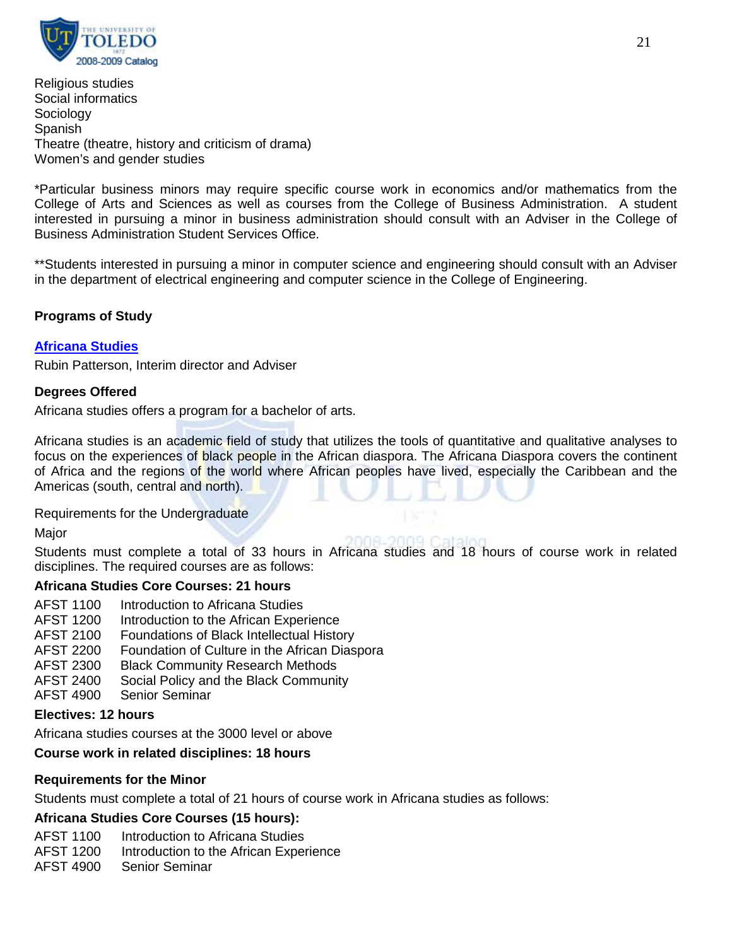

Religious studies Social informatics **Sociology** Spanish Theatre (theatre, history and criticism of drama) Women's and gender studies

\*Particular business minors may require specific course work in economics and/or mathematics from the College of Arts and Sciences as well as courses from the College of Business Administration. A student interested in pursuing a minor in business administration should consult with an Adviser in the College of Business Administration Student Services Office.

\*\*Students interested in pursuing a minor in computer science and engineering should consult with an Adviser in the department of electrical engineering and computer science in the College of Engineering.

# **Programs of Study**

# **[Africana Studies](http://www.utoledo.edu/as/africana/index.html)**

Rubin Patterson, Interim director and Adviser

# **Degrees Offered**

Africana studies offers a program for a bachelor of arts.

Africana studies is an academic field of study that utilizes the tools of quantitative and qualitative analyses to focus on the experiences of black people in the African diaspora. The Africana Diaspora covers the continent of Africa and the regions of the world where African peoples have lived, especially the Caribbean and the Americas (south, central and north).

Requirements for the Undergraduate

Major

Students must complete a total of 33 hours in Africana studies and 18 hours of course work in related disciplines. The required courses are as follows:

# **Africana Studies Core Courses: 21 hours**

- AFST 1100 Introduction to Africana Studies
- AFST 1200 Introduction to the African Experience
- AFST 2100 Foundations of Black Intellectual History
- AFST 2200 Foundation of Culture in the African Diaspora
- AFST 2300 Black Community Research Methods
- AFST 2400 Social Policy and the Black Community
- AFST 4900 Senior Seminar

# **Electives: 12 hours**

Africana studies courses at the 3000 level or above

# **Course work in related disciplines: 18 hours**

# **Requirements for the Minor**

Students must complete a total of 21 hours of course work in Africana studies as follows:

# **Africana Studies Core Courses (15 hours):**

- AFST 1100 Introduction to Africana Studies
- AFST 1200 Introduction to the African Experience

AFST 4900 Senior Seminar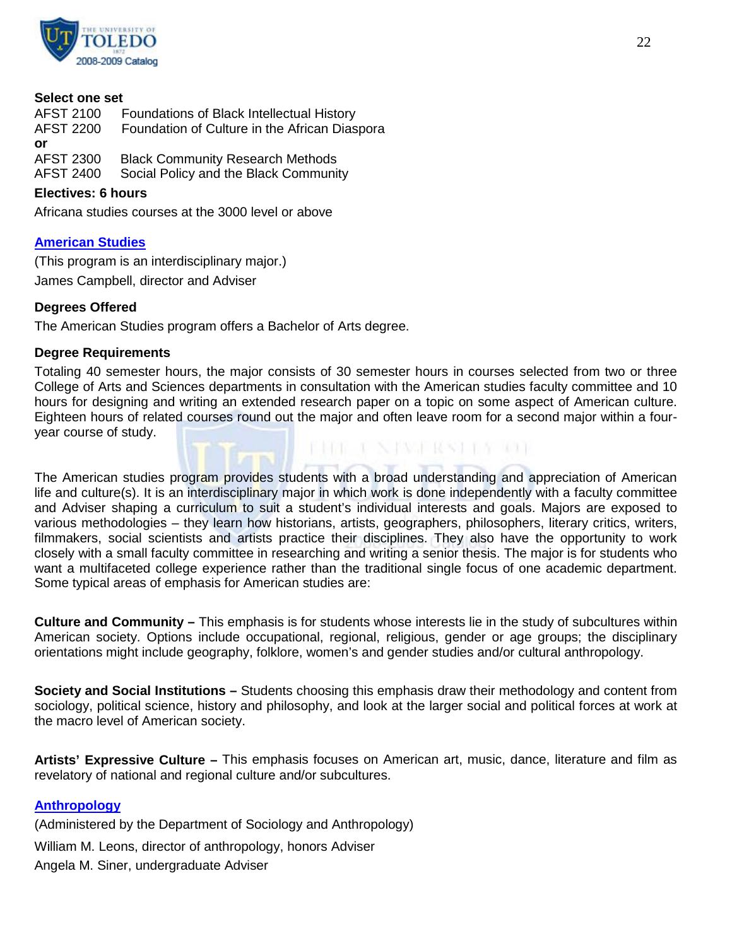

#### **Select one set**

| AFST 2100        | Foundations of Black Intellectual History     |
|------------------|-----------------------------------------------|
| <b>AFST 2200</b> | Foundation of Culture in the African Diaspora |
| or               |                                               |
| <b>AFST 2300</b> | <b>Black Community Research Methods</b>       |
| <b>AFST 2400</b> | Social Policy and the Black Community         |
|                  |                                               |

#### **Electives: 6 hours**

Africana studies courses at the 3000 level or above

# **[American Studies](http://www.utoledo.edu/as/philosophy/american/index.html)**

(This program is an interdisciplinary major.) James Campbell, director and Adviser

#### **Degrees Offered**

The American Studies program offers a Bachelor of Arts degree.

#### **Degree Requirements**

Totaling 40 semester hours, the major consists of 30 semester hours in courses selected from two or three College of Arts and Sciences departments in consultation with the American studies faculty committee and 10 hours for designing and writing an extended research paper on a topic on some aspect of American culture. Eighteen hours of related courses round out the major and often leave room for a second major within a fouryear course of study.

KING TAJAWI RASHIY ROF

The American studies program provides students with a broad understanding and appreciation of American life and culture(s). It is an interdisciplinary major in which work is done independently with a faculty committee and Adviser shaping a curriculum to suit a student's individual interests and goals. Majors are exposed to various methodologies – they learn how historians, artists, geographers, philosophers, literary critics, writers, filmmakers, social scientists and artists practice their disciplines. They also have the opportunity to work closely with a small faculty committee in researching and writing a senior thesis. The major is for students who want a multifaceted college experience rather than the traditional single focus of one academic department. Some typical areas of emphasis for American studies are:

**Culture and Community –** This emphasis is for students whose interests lie in the study of subcultures within American society. Options include occupational, regional, religious, gender or age groups; the disciplinary orientations might include geography, folklore, women's and gender studies and/or cultural anthropology.

**Society and Social Institutions –** Students choosing this emphasis draw their methodology and content from sociology, political science, history and philosophy, and look at the larger social and political forces at work at the macro level of American society.

**Artists' Expressive Culture –** This emphasis focuses on American art, music, dance, literature and film as revelatory of national and regional culture and/or subcultures.

# **[Anthropology](http://www.utoledo.edu/as/sa/index.html)**

(Administered by the Department of Sociology and Anthropology)

William M. Leons, director of anthropology, honors Adviser

Angela M. Siner, undergraduate Adviser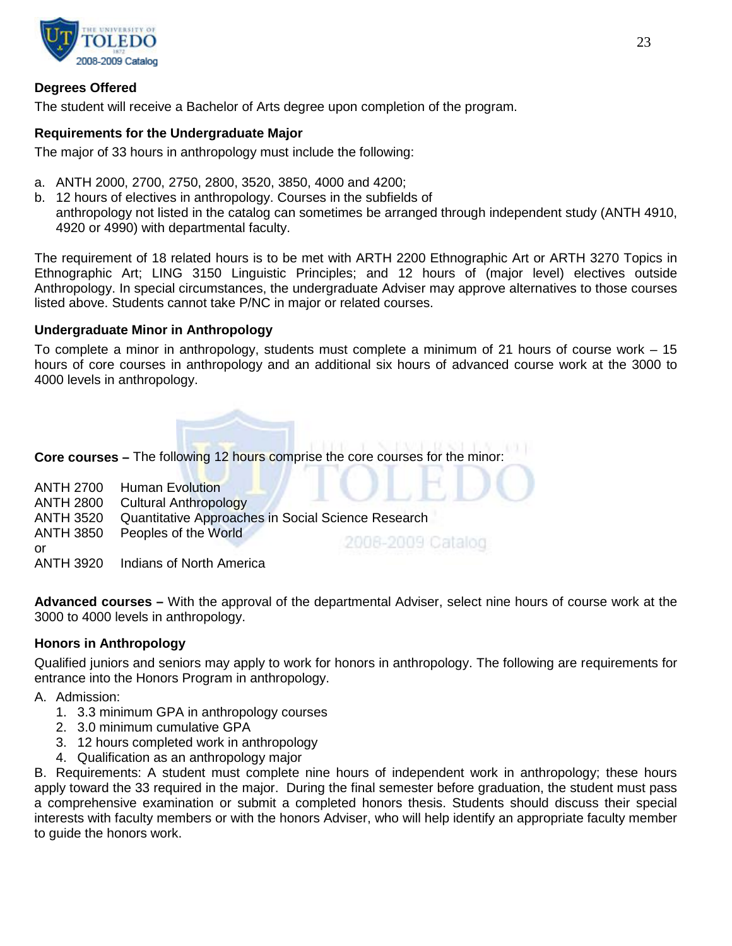

# **Degrees Offered**

The student will receive a Bachelor of Arts degree upon completion of the program.

#### **Requirements for the Undergraduate Major**

The major of 33 hours in anthropology must include the following:

- a. ANTH 2000, 2700, 2750, 2800, 3520, 3850, 4000 and 4200;
- b. 12 hours of electives in anthropology. Courses in the subfields of anthropology not listed in the catalog can sometimes be arranged through independent study (ANTH 4910, 4920 or 4990) with departmental faculty.

The requirement of 18 related hours is to be met with ARTH 2200 Ethnographic Art or ARTH 3270 Topics in Ethnographic Art; LING 3150 Linguistic Principles; and 12 hours of (major level) electives outside Anthropology. In special circumstances, the undergraduate Adviser may approve alternatives to those courses listed above. Students cannot take P/NC in major or related courses.

#### **Undergraduate Minor in Anthropology**

To complete a minor in anthropology, students must complete a minimum of 21 hours of course work – 15 hours of core courses in anthropology and an additional six hours of advanced course work at the 3000 to 4000 levels in anthropology.



**Core courses –** The following 12 hours comprise the core courses for the minor:

|                  | <b>ANTH 2700 Human Evolution</b>                   |                   |  |
|------------------|----------------------------------------------------|-------------------|--|
| <b>ANTH 2800</b> | Cultural Anthropology                              |                   |  |
| <b>ANTH 3520</b> | Quantitative Approaches in Social Science Research |                   |  |
| <b>ANTH 3850</b> | Peoples of the World                               |                   |  |
| or               |                                                    | 2006-2009 Catalog |  |
|                  | ANTH 3920 Indians of North America                 |                   |  |

**Advanced courses –** With the approval of the departmental Adviser, select nine hours of course work at the 3000 to 4000 levels in anthropology.

# **Honors in Anthropology**

Qualified juniors and seniors may apply to work for honors in anthropology. The following are requirements for entrance into the Honors Program in anthropology.

A. Admission:

- 1. 3.3 minimum GPA in anthropology courses
- 2. 3.0 minimum cumulative GPA
- 3. 12 hours completed work in anthropology
- 4. Qualification as an anthropology major

B. Requirements: A student must complete nine hours of independent work in anthropology; these hours apply toward the 33 required in the major. During the final semester before graduation, the student must pass a comprehensive examination or submit a completed honors thesis. Students should discuss their special interests with faculty members or with the honors Adviser, who will help identify an appropriate faculty member to guide the honors work.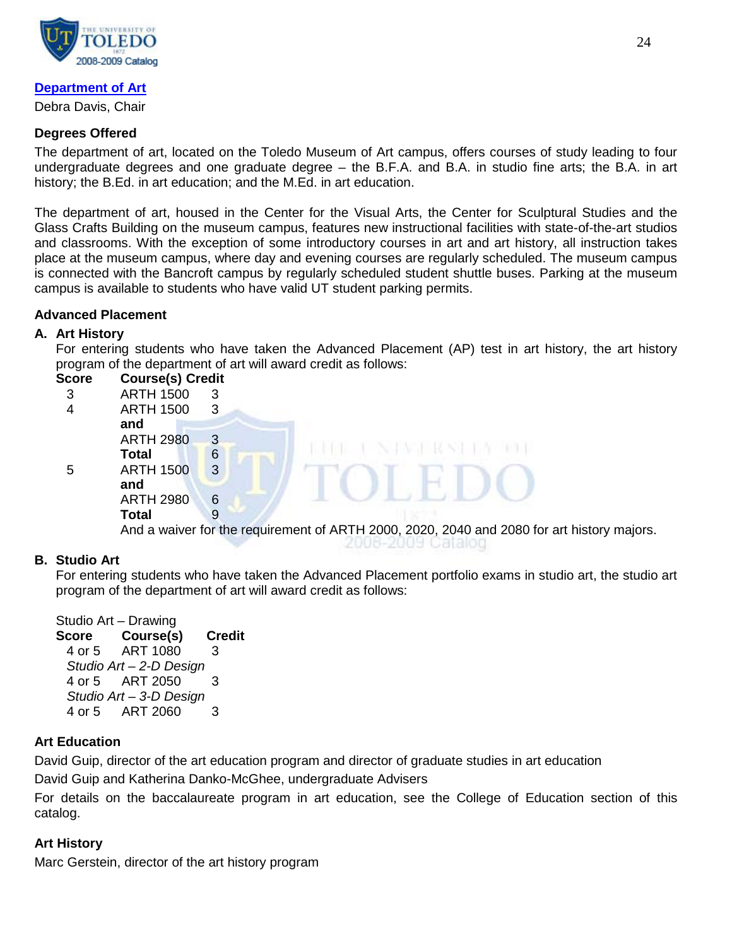

# **[Department of Art](http://www.utoledo.edu/as/art/index.html)**

Debra Davis, Chair

# **Degrees Offered**

The department of art, located on the Toledo Museum of Art campus, offers courses of study leading to four undergraduate degrees and one graduate degree – the B.F.A. and B.A. in studio fine arts; the B.A. in art history; the B.Ed. in art education; and the M.Ed. in art education.

The department of art, housed in the Center for the Visual Arts, the Center for Sculptural Studies and the Glass Crafts Building on the museum campus, features new instructional facilities with state-of-the-art studios and classrooms. With the exception of some introductory courses in art and art history, all instruction takes place at the museum campus, where day and evening courses are regularly scheduled. The museum campus is connected with the Bancroft campus by regularly scheduled student shuttle buses. Parking at the museum campus is available to students who have valid UT student parking permits.

# **Advanced Placement**

# **A. Art History**

For entering students who have taken the Advanced Placement (AP) test in art history, the art history program of the department of art will award credit as follows:

| Score | <b>Course(s) Credit</b> |                        |                                                     |
|-------|-------------------------|------------------------|-----------------------------------------------------|
| 3     | <b>ARTH 1500</b>        | 3                      |                                                     |
| 4     | <b>ARTH 1500</b>        | 3                      |                                                     |
|       | and                     |                        |                                                     |
|       | <b>ARTH 2980</b>        | 3                      |                                                     |
|       | <b>Total</b>            | 6                      |                                                     |
| 5     | <b>ARTH 1500</b>        | 3                      |                                                     |
|       | and                     |                        |                                                     |
|       | <b>ARTH 2980</b>        | 6                      |                                                     |
|       | <b>Total</b>            | 9                      |                                                     |
|       | ٠<br>$\sim$ $\sim$      | $\epsilon$<br>$\sim$ 1 | $\sim$ $\sim$ $\sim$ $\sim$ $\sim$<br>$\sim$ $\sim$ |

And a waiver for the requirement of ARTH 2000, 2020, 2040 and 2080 for art history majors.

# **B. Studio Art**

For entering students who have taken the Advanced Placement portfolio exams in studio art, the studio art program of the department of art will award credit as follows:

Studio Art – Drawing **Score Course(s) Credit** 4 or 5 ART 1080 3 *Studio Art – 2-D Design* 4 or 5 ART 2050 3 *Studio Art – 3-D Design* 4 or 5 ART 2060 3

# **Art Education**

David Guip, director of the art education program and director of graduate studies in art education

David Guip and Katherina Danko-McGhee, undergraduate Advisers

For details on the baccalaureate program in art education, see the College of Education section of this catalog.

# **Art History**

Marc Gerstein, director of the art history program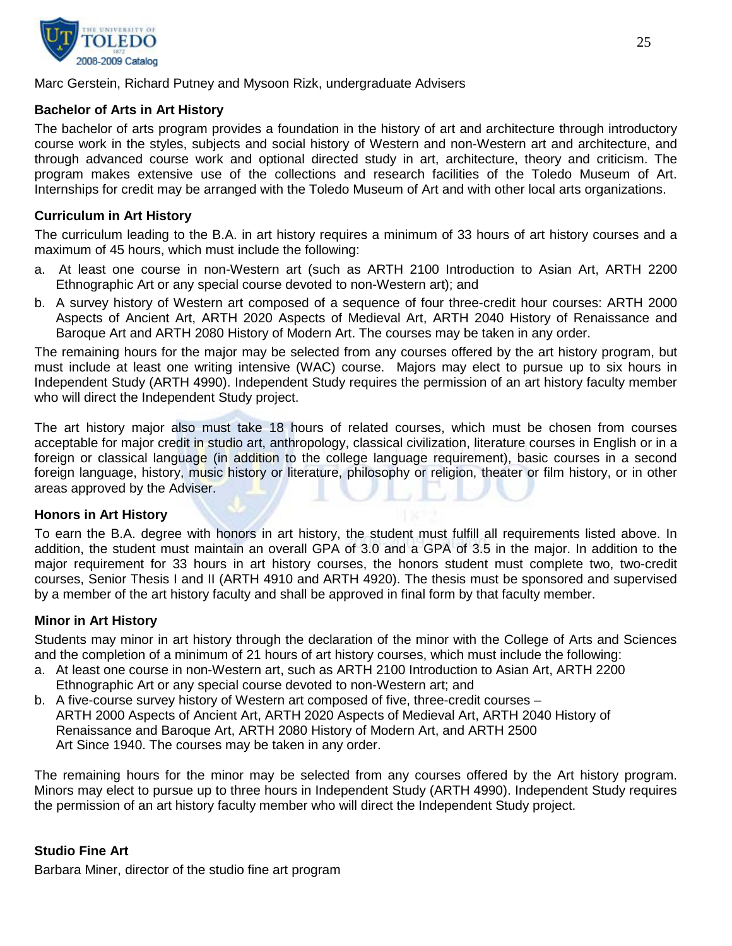

#### Marc Gerstein, Richard Putney and Mysoon Rizk, undergraduate Advisers

#### **Bachelor of Arts in Art History**

The bachelor of arts program provides a foundation in the history of art and architecture through introductory course work in the styles, subjects and social history of Western and non-Western art and architecture, and through advanced course work and optional directed study in art, architecture, theory and criticism. The program makes extensive use of the collections and research facilities of the Toledo Museum of Art. Internships for credit may be arranged with the Toledo Museum of Art and with other local arts organizations.

#### **Curriculum in Art History**

The curriculum leading to the B.A. in art history requires a minimum of 33 hours of art history courses and a maximum of 45 hours, which must include the following:

- a. At least one course in non-Western art (such as ARTH 2100 Introduction to Asian Art, ARTH 2200 Ethnographic Art or any special course devoted to non-Western art); and
- b. A survey history of Western art composed of a sequence of four three-credit hour courses: ARTH 2000 Aspects of Ancient Art, ARTH 2020 Aspects of Medieval Art, ARTH 2040 History of Renaissance and Baroque Art and ARTH 2080 History of Modern Art. The courses may be taken in any order.

The remaining hours for the major may be selected from any courses offered by the art history program, but must include at least one writing intensive (WAC) course. Majors may elect to pursue up to six hours in Independent Study (ARTH 4990). Independent Study requires the permission of an art history faculty member who will direct the Independent Study project.

The art history major also must take 18 hours of related courses, which must be chosen from courses acceptable for major credit in studio art, anthropology, classical civilization, literature courses in English or in a foreign or classical language (in addition to the college language requirement), basic courses in a second foreign language, history, music history or literature, philosophy or religion, theater or film history, or in other areas approved by the Adviser.

#### **Honors in Art History**

To earn the B.A. degree with honors in art history, the student must fulfill all requirements listed above. In addition, the student must maintain an overall GPA of 3.0 and a GPA of 3.5 in the major. In addition to the major requirement for 33 hours in art history courses, the honors student must complete two, two-credit courses, Senior Thesis I and II (ARTH 4910 and ARTH 4920). The thesis must be sponsored and supervised by a member of the art history faculty and shall be approved in final form by that faculty member.

#### **Minor in Art History**

Students may minor in art history through the declaration of the minor with the College of Arts and Sciences and the completion of a minimum of 21 hours of art history courses, which must include the following:

- a. At least one course in non-Western art, such as ARTH 2100 Introduction to Asian Art, ARTH 2200 Ethnographic Art or any special course devoted to non-Western art; and
- b. A five-course survey history of Western art composed of five, three-credit courses ARTH 2000 Aspects of Ancient Art, ARTH 2020 Aspects of Medieval Art, ARTH 2040 History of Renaissance and Baroque Art, ARTH 2080 History of Modern Art, and ARTH 2500 Art Since 1940. The courses may be taken in any order.

The remaining hours for the minor may be selected from any courses offered by the Art history program. Minors may elect to pursue up to three hours in Independent Study (ARTH 4990). Independent Study requires the permission of an art history faculty member who will direct the Independent Study project.

# **Studio Fine Art**

Barbara Miner, director of the studio fine art program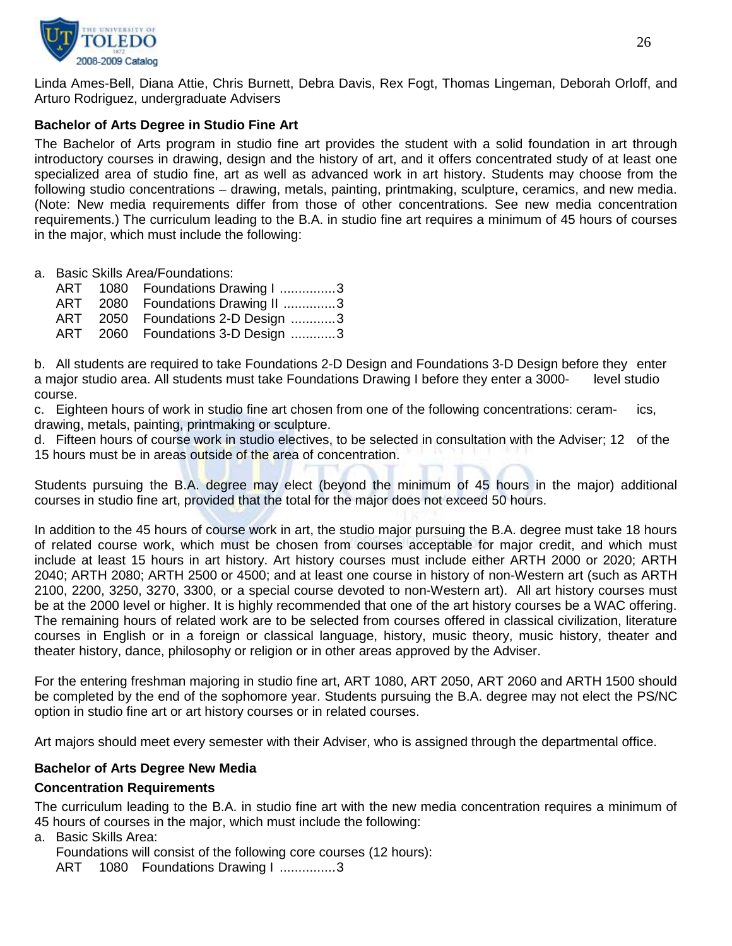

Linda Ames-Bell, Diana Attie, Chris Burnett, Debra Davis, Rex Fogt, Thomas Lingeman, Deborah Orloff, and Arturo Rodriguez, undergraduate Advisers

# **Bachelor of Arts Degree in Studio Fine Art**

The Bachelor of Arts program in studio fine art provides the student with a solid foundation in art through introductory courses in drawing, design and the history of art, and it offers concentrated study of at least one specialized area of studio fine, art as well as advanced work in art history. Students may choose from the following studio concentrations – drawing, metals, painting, printmaking, sculpture, ceramics, and new media. (Note: New media requirements differ from those of other concentrations. See new media concentration requirements.) The curriculum leading to the B.A. in studio fine art requires a minimum of 45 hours of courses in the major, which must include the following:

a. Basic Skills Area/Foundations:

|  | ART 1080 Foundations Drawing I 3  |
|--|-----------------------------------|
|  | ART 2080 Foundations Drawing II 3 |
|  | ART 2050 Foundations 2-D Design 3 |
|  | ART 2060 Foundations 3-D Design 3 |

b. All students are required to take Foundations 2-D Design and Foundations 3-D Design before they enter a major studio area. All students must take Foundations Drawing I before they enter a 3000- level studio course.

c. Eighteen hours of work in studio fine art chosen from one of the following concentrations: ceram- ics, drawing, metals, painting, printmaking or sculpture.

d. Fifteen hours of course work in studio electives, to be selected in consultation with the Adviser; 12 of the 15 hours must be in areas outside of the area of concentration.

Students pursuing the B.A. degree may elect (beyond the minimum of 45 hours in the major) additional courses in studio fine art, provided that the total for the major does not exceed 50 hours.

In addition to the 45 hours of course work in art, the studio major pursuing the B.A. degree must take 18 hours of related course work, which must be chosen from courses acceptable for major credit, and which must include at least 15 hours in art history. Art history courses must include either ARTH 2000 or 2020; ARTH 2040; ARTH 2080; ARTH 2500 or 4500; and at least one course in history of non-Western art (such as ARTH 2100, 2200, 3250, 3270, 3300, or a special course devoted to non-Western art). All art history courses must be at the 2000 level or higher. It is highly recommended that one of the art history courses be a WAC offering. The remaining hours of related work are to be selected from courses offered in classical civilization, literature courses in English or in a foreign or classical language, history, music theory, music history, theater and theater history, dance, philosophy or religion or in other areas approved by the Adviser.

For the entering freshman majoring in studio fine art, ART 1080, ART 2050, ART 2060 and ARTH 1500 should be completed by the end of the sophomore year. Students pursuing the B.A. degree may not elect the PS/NC option in studio fine art or art history courses or in related courses.

Art majors should meet every semester with their Adviser, who is assigned through the departmental office.

# **Bachelor of Arts Degree New Media**

# **Concentration Requirements**

The curriculum leading to the B.A. in studio fine art with the new media concentration requires a minimum of 45 hours of courses in the major, which must include the following:

a. Basic Skills Area:

Foundations will consist of the following core courses (12 hours):

ART 1080 Foundations Drawing I ..............3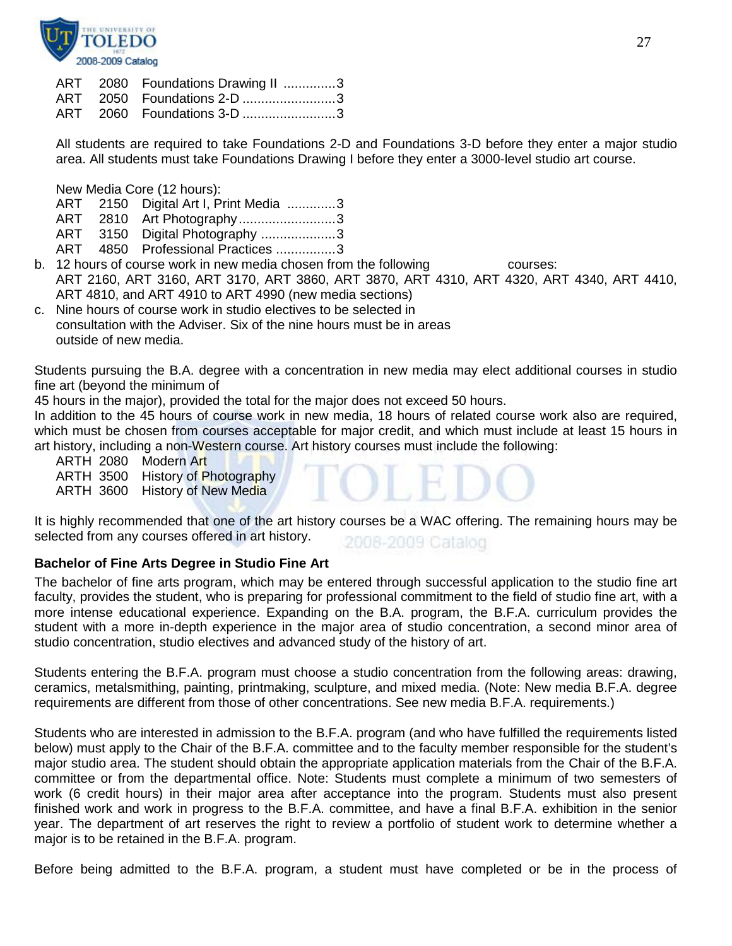

|  | ART 2080 Foundations Drawing II 3 |  |
|--|-----------------------------------|--|
|  | ART 2050 Foundations 2-D 3        |  |
|  | ART 2060 Foundations 3-D 3        |  |

All students are required to take Foundations 2-D and Foundations 3-D before they enter a major studio area. All students must take Foundations Drawing I before they enter a 3000-level studio art course.

New Media Core (12 hours):

- ART 2150 Digital Art I, Print Media .............3
- ART 2810 Art Photography.............................3
- ART 3150 Digital Photography ....................3
- ART 4850 Professional Practices ...............3
- b. 12 hours of course work in new media chosen from the following courses: ART 2160, ART 3160, ART 3170, ART 3860, ART 3870, ART 4310, ART 4320, ART 4340, ART 4410, ART 4810, and ART 4910 to ART 4990 (new media sections)
- c. Nine hours of course work in studio electives to be selected in consultation with the Adviser. Six of the nine hours must be in areas outside of new media.

Students pursuing the B.A. degree with a concentration in new media may elect additional courses in studio fine art (beyond the minimum of

45 hours in the major), provided the total for the major does not exceed 50 hours.

In addition to the 45 hours of course work in new media, 18 hours of related course work also are required, which must be chosen from courses acceptable for major credit, and which must include at least 15 hours in art history, including a non-Western course. Art history courses must include the following:

ARTH 2080 Modern Art

ARTH 3500 History of Photography

ARTH 3600 History of New Media

It is highly recommended that one of the art history courses be a WAC offering. The remaining hours may be selected from any courses offered in art history. 2008-2009 Catalog

# **Bachelor of Fine Arts Degree in Studio Fine Art**

The bachelor of fine arts program, which may be entered through successful application to the studio fine art faculty, provides the student, who is preparing for professional commitment to the field of studio fine art, with a more intense educational experience. Expanding on the B.A. program, the B.F.A. curriculum provides the student with a more in-depth experience in the major area of studio concentration, a second minor area of studio concentration, studio electives and advanced study of the history of art.

Students entering the B.F.A. program must choose a studio concentration from the following areas: drawing, ceramics, metalsmithing, painting, printmaking, sculpture, and mixed media. (Note: New media B.F.A. degree requirements are different from those of other concentrations. See new media B.F.A. requirements.)

Students who are interested in admission to the B.F.A. program (and who have fulfilled the requirements listed below) must apply to the Chair of the B.F.A. committee and to the faculty member responsible for the student's major studio area. The student should obtain the appropriate application materials from the Chair of the B.F.A. committee or from the departmental office. Note: Students must complete a minimum of two semesters of work (6 credit hours) in their major area after acceptance into the program. Students must also present finished work and work in progress to the B.F.A. committee, and have a final B.F.A. exhibition in the senior year. The department of art reserves the right to review a portfolio of student work to determine whether a major is to be retained in the B.F.A. program.

Before being admitted to the B.F.A. program, a student must have completed or be in the process of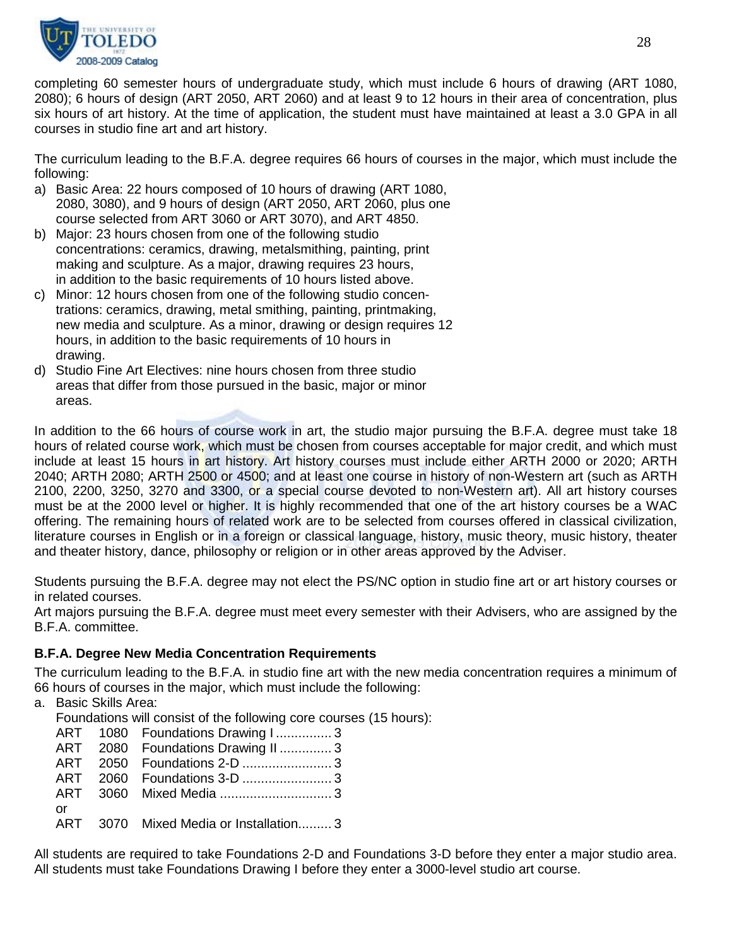

completing 60 semester hours of undergraduate study, which must include 6 hours of drawing (ART 1080, 2080); 6 hours of design (ART 2050, ART 2060) and at least 9 to 12 hours in their area of concentration, plus six hours of art history. At the time of application, the student must have maintained at least a 3.0 GPA in all courses in studio fine art and art history.

The curriculum leading to the B.F.A. degree requires 66 hours of courses in the major, which must include the following:

- a) Basic Area: 22 hours composed of 10 hours of drawing (ART 1080, 2080, 3080), and 9 hours of design (ART 2050, ART 2060, plus one course selected from ART 3060 or ART 3070), and ART 4850.
- b) Major: 23 hours chosen from one of the following studio concentrations: ceramics, drawing, metalsmithing, painting, print making and sculpture. As a major, drawing requires 23 hours, in addition to the basic requirements of 10 hours listed above.
- c) Minor: 12 hours chosen from one of the following studio concentrations: ceramics, drawing, metal smithing, painting, printmaking, new media and sculpture. As a minor, drawing or design requires 12 hours, in addition to the basic requirements of 10 hours in drawing.
- d) Studio Fine Art Electives: nine hours chosen from three studio areas that differ from those pursued in the basic, major or minor areas.

In addition to the 66 hours of course work in art, the studio major pursuing the B.F.A. degree must take 18 hours of related course work, which must be chosen from courses acceptable for major credit, and which must include at least 15 hours in art history. Art history courses must include either ARTH 2000 or 2020; ARTH 2040; ARTH 2080; ARTH 2500 or 4500; and at least one course in history of non-Western art (such as ARTH 2100, 2200, 3250, 3270 and 3300, or a special course devoted to non-Western art). All art history courses must be at the 2000 level or higher. It is highly recommended that one of the art history courses be a WAC offering. The remaining hours of related work are to be selected from courses offered in classical civilization, literature courses in English or in a foreign or classical language, history, music theory, music history, theater and theater history, dance, philosophy or religion or in other areas approved by the Adviser.

Students pursuing the B.F.A. degree may not elect the PS/NC option in studio fine art or art history courses or in related courses.

Art majors pursuing the B.F.A. degree must meet every semester with their Advisers, who are assigned by the B.F.A. committee.

# **B.F.A. Degree New Media Concentration Requirements**

The curriculum leading to the B.F.A. in studio fine art with the new media concentration requires a minimum of 66 hours of courses in the major, which must include the following:

a. Basic Skills Area:

Foundations will consist of the following core courses (15 hours):

|     | ART 1080 Foundations Drawing I 3      |
|-----|---------------------------------------|
|     | ART 2080 Foundations Drawing II  3    |
|     |                                       |
|     |                                       |
|     |                                       |
| .or |                                       |
|     | ART 3070 Mixed Media or Installation3 |

All students are required to take Foundations 2-D and Foundations 3-D before they enter a major studio area. All students must take Foundations Drawing I before they enter a 3000-level studio art course.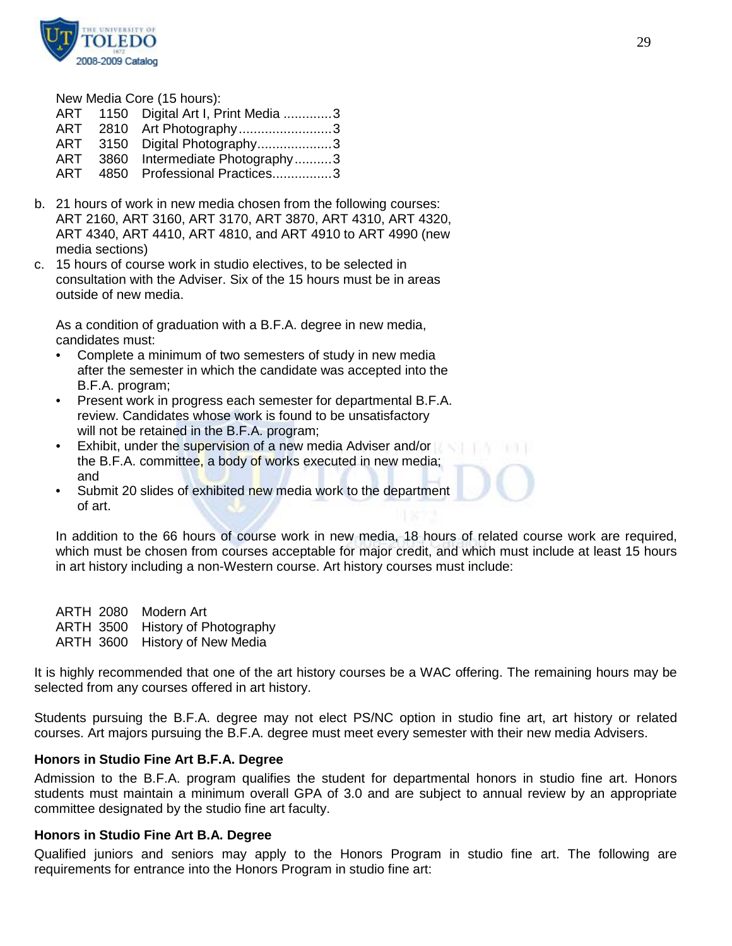

New Media Core (15 hours):

|     | ART 1150 Digital Art I, Print Media 3 |  |
|-----|---------------------------------------|--|
| ART | 2810 Art Photography3                 |  |
| ART | 3150 Digital Photography3             |  |
| ART | 3860 Intermediate Photography3        |  |
| ART | 4850 Professional Practices3          |  |
|     |                                       |  |

- b. 21 hours of work in new media chosen from the following courses: ART 2160, ART 3160, ART 3170, ART 3870, ART 4310, ART 4320, ART 4340, ART 4410, ART 4810, and ART 4910 to ART 4990 (new media sections)
- c. 15 hours of course work in studio electives, to be selected in consultation with the Adviser. Six of the 15 hours must be in areas outside of new media.

As a condition of graduation with a B.F.A. degree in new media, candidates must:

- Complete a minimum of two semesters of study in new media after the semester in which the candidate was accepted into the B.F.A. program;
- Present work in progress each semester for departmental B.F.A. review. Candidates whose work is found to be unsatisfactory will not be retained in the B.F.A. program;
- Exhibit, under the supervision of a new media Adviser and/or the B.F.A. committee, a body of works executed in new media; and
- Submit 20 slides of exhibited new media work to the department of art.

In addition to the 66 hours of course work in new media, 18 hours of related course work are required, which must be chosen from courses acceptable for major credit, and which must include at least 15 hours in art history including a non-Western course. Art history courses must include:

ARTH 2080 Modern Art ARTH 3500 History of Photography ARTH 3600 History of New Media

It is highly recommended that one of the art history courses be a WAC offering. The remaining hours may be selected from any courses offered in art history.

Students pursuing the B.F.A. degree may not elect PS/NC option in studio fine art, art history or related courses. Art majors pursuing the B.F.A. degree must meet every semester with their new media Advisers.

# **Honors in Studio Fine Art B.F.A. Degree**

Admission to the B.F.A. program qualifies the student for departmental honors in studio fine art. Honors students must maintain a minimum overall GPA of 3.0 and are subject to annual review by an appropriate committee designated by the studio fine art faculty.

# **Honors in Studio Fine Art B.A. Degree**

Qualified juniors and seniors may apply to the Honors Program in studio fine art. The following are requirements for entrance into the Honors Program in studio fine art: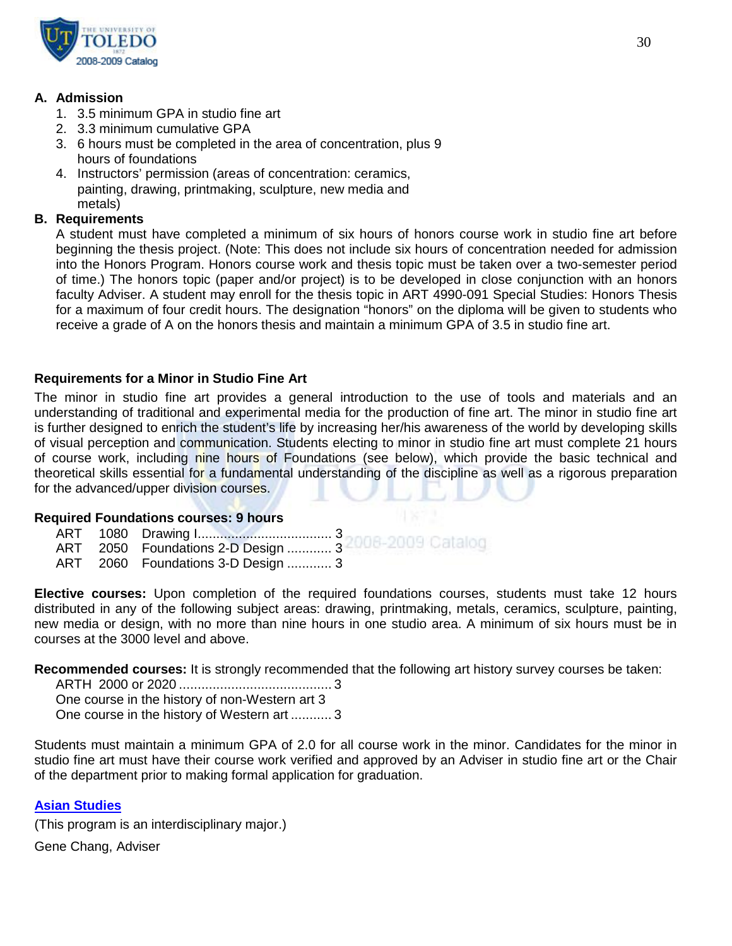

# **A. Admission**

- 1. 3.5 minimum GPA in studio fine art
- 2. 3.3 minimum cumulative GPA
- 3. 6 hours must be completed in the area of concentration, plus 9 hours of foundations
- 4. Instructors' permission (areas of concentration: ceramics, painting, drawing, printmaking, sculpture, new media and metals)

# **B. Requirements**

A student must have completed a minimum of six hours of honors course work in studio fine art before beginning the thesis project. (Note: This does not include six hours of concentration needed for admission into the Honors Program. Honors course work and thesis topic must be taken over a two-semester period of time.) The honors topic (paper and/or project) is to be developed in close conjunction with an honors faculty Adviser. A student may enroll for the thesis topic in ART 4990-091 Special Studies: Honors Thesis for a maximum of four credit hours. The designation "honors" on the diploma will be given to students who receive a grade of A on the honors thesis and maintain a minimum GPA of 3.5 in studio fine art.

# **Requirements for a Minor in Studio Fine Art**

The minor in studio fine art provides a general introduction to the use of tools and materials and an understanding of traditional and experimental media for the production of fine art. The minor in studio fine art is further designed to enrich the student's life by increasing her/his awareness of the world by developing skills of visual perception and communication. Students electing to minor in studio fine art must complete 21 hours of course work, including nine hours of Foundations (see below), which provide the basic technical and theoretical skills essential for a fundamental understanding of the discipline as well as a rigorous preparation for the advanced/upper division courses.

# **Required Foundations courses: 9 hours**

- ART 1080 Drawing I.................................... 3
- ART 2050 Foundations 2-D Design ............ 3
- ART 2060 Foundations 3-D Design ............ 3

**Elective courses:** Upon completion of the required foundations courses, students must take 12 hours distributed in any of the following subject areas: drawing, printmaking, metals, ceramics, sculpture, painting, new media or design, with no more than nine hours in one studio area. A minimum of six hours must be in courses at the 3000 level and above.

**Recommended courses:** It is strongly recommended that the following art history survey courses be taken:

ARTH 2000 or 2020 ......................................... 3 One course in the history of non-Western art 3 One course in the history of Western art ........... 3

Students must maintain a minimum GPA of 2.0 for all course work in the minor. Candidates for the minor in studio fine art must have their course work verified and approved by an Adviser in studio fine art or the Chair of the department prior to making formal application for graduation.

# **[Asian Studies](http://www.utoledo.edu/as/ids/asian/asian.html)**

(This program is an interdisciplinary major.)

Gene Chang, Adviser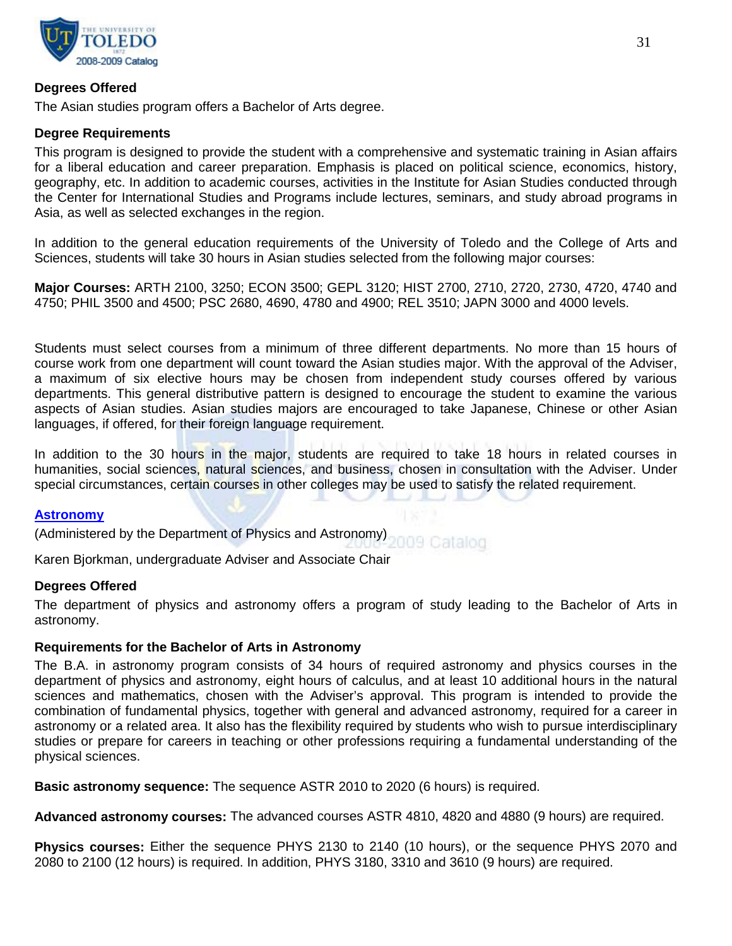

# **Degrees Offered**

The Asian studies program offers a Bachelor of Arts degree.

# **Degree Requirements**

This program is designed to provide the student with a comprehensive and systematic training in Asian affairs for a liberal education and career preparation. Emphasis is placed on political science, economics, history, geography, etc. In addition to academic courses, activities in the Institute for Asian Studies conducted through the Center for International Studies and Programs include lectures, seminars, and study abroad programs in Asia, as well as selected exchanges in the region.

In addition to the general education requirements of the University of Toledo and the College of Arts and Sciences, students will take 30 hours in Asian studies selected from the following major courses:

**Major Courses:** ARTH 2100, 3250; ECON 3500; GEPL 3120; HIST 2700, 2710, 2720, 2730, 4720, 4740 and 4750; PHIL 3500 and 4500; PSC 2680, 4690, 4780 and 4900; REL 3510; JAPN 3000 and 4000 levels.

Students must select courses from a minimum of three different departments. No more than 15 hours of course work from one department will count toward the Asian studies major. With the approval of the Adviser, a maximum of six elective hours may be chosen from independent study courses offered by various departments. This general distributive pattern is designed to encourage the student to examine the various aspects of Asian studies. Asian studies majors are encouraged to take Japanese, Chinese or other Asian languages, if offered, for their foreign language requirement.

In addition to the 30 hours in the major, students are required to take 18 hours in related courses in humanities, social sciences, natural sciences, and business, chosen in consultation with the Adviser. Under special circumstances, certain courses in other colleges may be used to satisfy the related requirement.

# **[Astronomy](http://www.utoledo.edu/as/physast/)**

(Administered by the Department of Physics and Astronomy) 009 Catalog

Karen Bjorkman, undergraduate Adviser and Associate Chair

# **Degrees Offered**

The department of physics and astronomy offers a program of study leading to the Bachelor of Arts in astronomy.

# **Requirements for the Bachelor of Arts in Astronomy**

The B.A. in astronomy program consists of 34 hours of required astronomy and physics courses in the department of physics and astronomy, eight hours of calculus, and at least 10 additional hours in the natural sciences and mathematics, chosen with the Adviser's approval. This program is intended to provide the combination of fundamental physics, together with general and advanced astronomy, required for a career in astronomy or a related area. It also has the flexibility required by students who wish to pursue interdisciplinary studies or prepare for careers in teaching or other professions requiring a fundamental understanding of the physical sciences.

**Basic astronomy sequence:** The sequence ASTR 2010 to 2020 (6 hours) is required.

**Advanced astronomy courses:** The advanced courses ASTR 4810, 4820 and 4880 (9 hours) are required.

**Physics courses:** Either the sequence PHYS 2130 to 2140 (10 hours), or the sequence PHYS 2070 and 2080 to 2100 (12 hours) is required. In addition, PHYS 3180, 3310 and 3610 (9 hours) are required.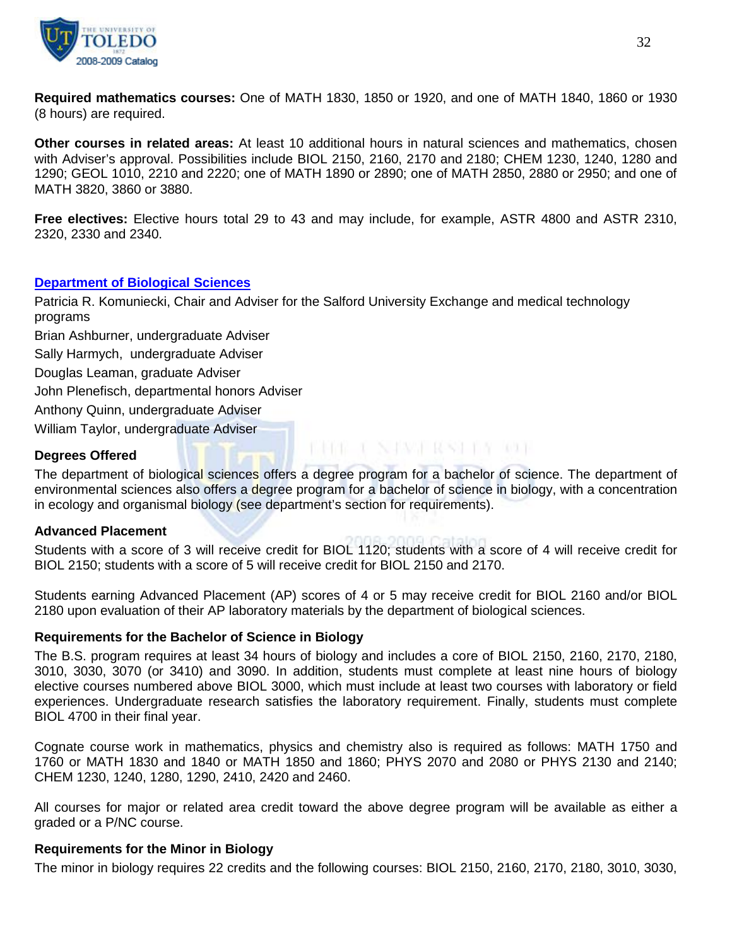

**Required mathematics courses:** One of MATH 1830, 1850 or 1920, and one of MATH 1840, 1860 or 1930 (8 hours) are required.

**Other courses in related areas:** At least 10 additional hours in natural sciences and mathematics, chosen with Adviser's approval. Possibilities include BIOL 2150, 2160, 2170 and 2180; CHEM 1230, 1240, 1280 and 1290; GEOL 1010, 2210 and 2220; one of MATH 1890 or 2890; one of MATH 2850, 2880 or 2950; and one of MATH 3820, 3860 or 3880.

**Free electives:** Elective hours total 29 to 43 and may include, for example, ASTR 4800 and ASTR 2310, 2320, 2330 and 2340.

#### **[Department of Biological Sciences](http://www.utoledo.edu/as/bio/index.html)**

Patricia R. Komuniecki, Chair and Adviser for the Salford University Exchange and medical technology programs

Brian Ashburner, undergraduate Adviser

Sally Harmych, undergraduate Adviser

Douglas Leaman, graduate Adviser

John Plenefisch, departmental honors Adviser

Anthony Quinn, undergraduate Adviser

William Taylor, undergraduate Adviser

#### **Degrees Offered**

The department of biological sciences offers a degree program for a bachelor of science. The department of environmental sciences also offers a degree program for a bachelor of science in biology, with a concentration in ecology and organismal biology (see department's section for requirements).

**CRE CNIVERSITY OF** 

#### **Advanced Placement**

Students with a score of 3 will receive credit for BIOL 1120; students with a score of 4 will receive credit for BIOL 2150; students with a score of 5 will receive credit for BIOL 2150 and 2170.

Students earning Advanced Placement (AP) scores of 4 or 5 may receive credit for BIOL 2160 and/or BIOL 2180 upon evaluation of their AP laboratory materials by the department of biological sciences.

#### **Requirements for the Bachelor of Science in Biology**

The B.S. program requires at least 34 hours of biology and includes a core of BIOL 2150, 2160, 2170, 2180, 3010, 3030, 3070 (or 3410) and 3090. In addition, students must complete at least nine hours of biology elective courses numbered above BIOL 3000, which must include at least two courses with laboratory or field experiences. Undergraduate research satisfies the laboratory requirement. Finally, students must complete BIOL 4700 in their final year.

Cognate course work in mathematics, physics and chemistry also is required as follows: MATH 1750 and 1760 or MATH 1830 and 1840 or MATH 1850 and 1860; PHYS 2070 and 2080 or PHYS 2130 and 2140; CHEM 1230, 1240, 1280, 1290, 2410, 2420 and 2460.

All courses for major or related area credit toward the above degree program will be available as either a graded or a P/NC course.

#### **Requirements for the Minor in Biology**

The minor in biology requires 22 credits and the following courses: BIOL 2150, 2160, 2170, 2180, 3010, 3030,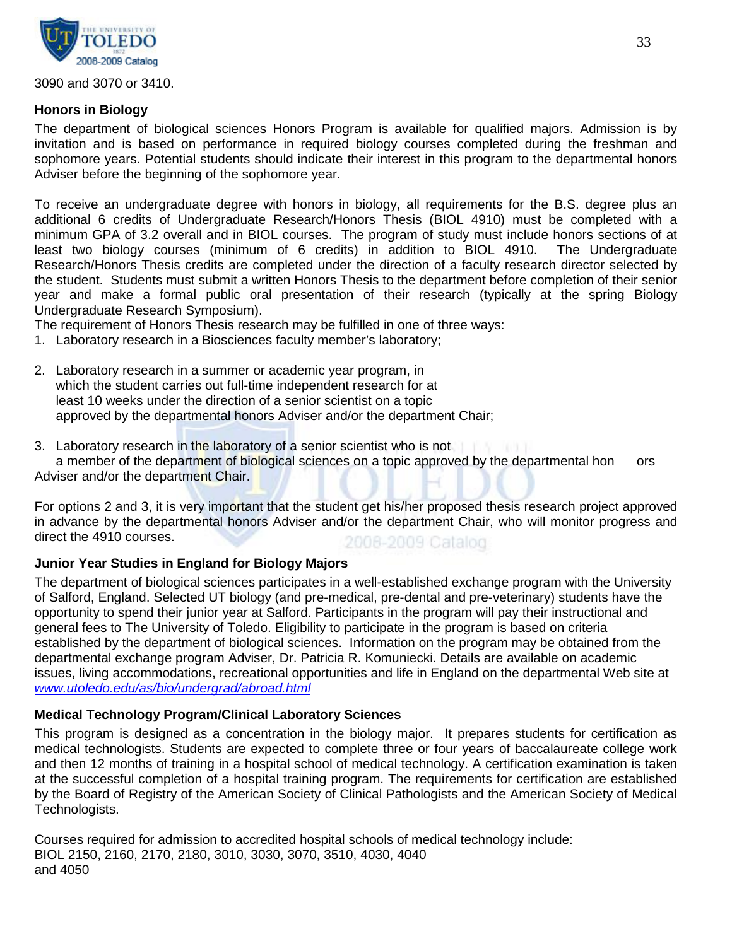

3090 and 3070 or 3410.

# **Honors in Biology**

The department of biological sciences Honors Program is available for qualified majors. Admission is by invitation and is based on performance in required biology courses completed during the freshman and sophomore years. Potential students should indicate their interest in this program to the departmental honors Adviser before the beginning of the sophomore year.

To receive an undergraduate degree with honors in biology, all requirements for the B.S. degree plus an additional 6 credits of Undergraduate Research/Honors Thesis (BIOL 4910) must be completed with a minimum GPA of 3.2 overall and in BIOL courses. The program of study must include honors sections of at least two biology courses (minimum of 6 credits) in addition to BIOL 4910. The Undergraduate Research/Honors Thesis credits are completed under the direction of a faculty research director selected by the student. Students must submit a written Honors Thesis to the department before completion of their senior year and make a formal public oral presentation of their research (typically at the spring Biology Undergraduate Research Symposium).

The requirement of Honors Thesis research may be fulfilled in one of three ways:

- 1. Laboratory research in a Biosciences faculty member's laboratory;
- 2. Laboratory research in a summer or academic year program, in which the student carries out full-time independent research for at least 10 weeks under the direction of a senior scientist on a topic approved by the departmental honors Adviser and/or the department Chair;
- 3. Laboratory research in the laboratory of a senior scientist who is not a member of the department of biological sciences on a topic approved by the departmental hon ors Adviser and/or the department Chair.

For options 2 and 3, it is very important that the student get his/her proposed thesis research project approved in advance by the departmental honors Adviser and/or the department Chair, who will monitor progress and direct the 4910 courses. 2008-2009 Catalog

# **Junior Year Studies in England for Biology Majors**

The department of biological sciences participates in a well-established exchange program with the University of Salford, England. Selected UT biology (and pre-medical, pre-dental and pre-veterinary) students have the opportunity to spend their junior year at Salford. Participants in the program will pay their instructional and general fees to The University of Toledo. Eligibility to participate in the program is based on criteria established by the department of biological sciences. Information on the program may be obtained from the departmental exchange program Adviser, Dr. Patricia R. Komuniecki. Details are available on academic issues, living accommodations, recreational opportunities and life in England on the departmental Web site at *[www.utoledo.edu/as/bio/undergrad/abroad.html](http://www.utoledo.edu/as/bio/undergrad/abroad.html)*

# **Medical Technology Program/Clinical Laboratory Sciences**

This program is designed as a concentration in the biology major. It prepares students for certification as medical technologists. Students are expected to complete three or four years of baccalaureate college work and then 12 months of training in a hospital school of medical technology. A certification examination is taken at the successful completion of a hospital training program. The requirements for certification are established by the Board of Registry of the American Society of Clinical Pathologists and the American Society of Medical Technologists.

Courses required for admission to accredited hospital schools of medical technology include: BIOL 2150, 2160, 2170, 2180, 3010, 3030, 3070, 3510, 4030, 4040 and 4050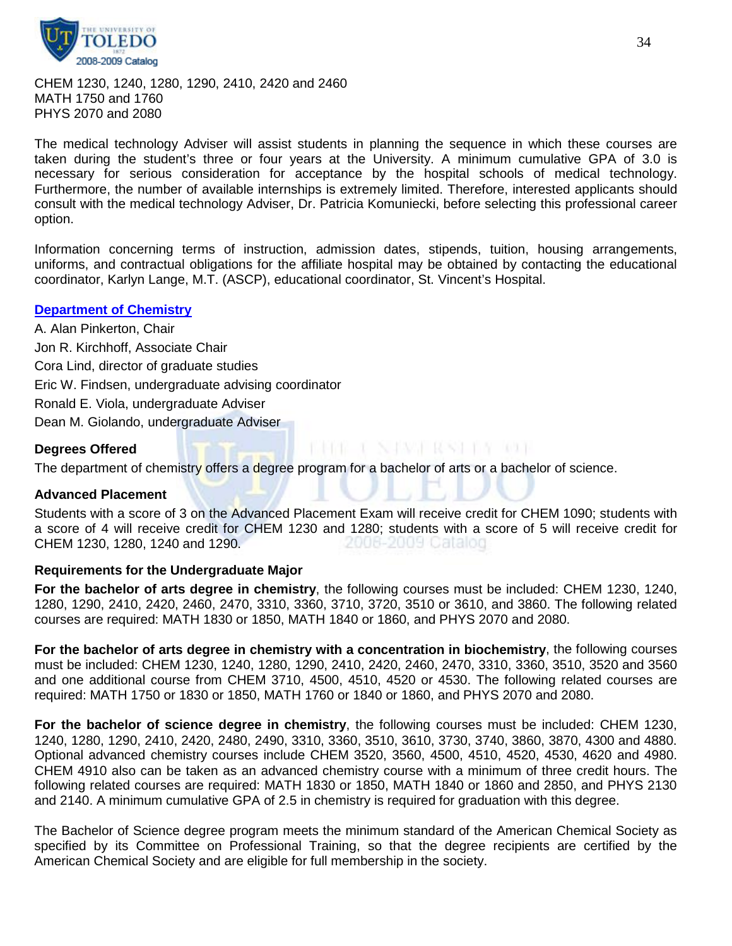

CHEM 1230, 1240, 1280, 1290, 2410, 2420 and 2460 MATH 1750 and 1760 PHYS 2070 and 2080

The medical technology Adviser will assist students in planning the sequence in which these courses are taken during the student's three or four years at the University. A minimum cumulative GPA of 3.0 is necessary for serious consideration for acceptance by the hospital schools of medical technology. Furthermore, the number of available internships is extremely limited. Therefore, interested applicants should consult with the medical technology Adviser, Dr. Patricia Komuniecki, before selecting this professional career option.

Information concerning terms of instruction, admission dates, stipends, tuition, housing arrangements, uniforms, and contractual obligations for the affiliate hospital may be obtained by contacting the educational coordinator, Karlyn Lange, M.T. (ASCP), educational coordinator, St. Vincent's Hospital.

#### **[Department of Chemistry](http://www.utoledo.edu/as/chemistry/index.html)**

A. Alan Pinkerton, Chair Jon R. Kirchhoff, Associate Chair Cora Lind, director of graduate studies Eric W. Findsen, undergraduate advising coordinator Ronald E. Viola, undergraduate Adviser Dean M. Giolando, undergraduate Adviser

#### **Degrees Offered**

The department of chemistry offers a degree program for a bachelor of arts or a bachelor of science.

#### **Advanced Placement**

Students with a score of 3 on the Advanced Placement Exam will receive credit for CHEM 1090; students with a score of 4 will receive credit for CHEM 1230 and 1280; students with a score of 5 will receive credit for CHEM 1230, 1280, 1240 and 1290. 2006-2009 Catalog

1968 - I NJWE RWEI 19 10 1

#### **Requirements for the Undergraduate Major**

**For the bachelor of arts degree in chemistry**, the following courses must be included: CHEM 1230, 1240, 1280, 1290, 2410, 2420, 2460, 2470, 3310, 3360, 3710, 3720, 3510 or 3610, and 3860. The following related courses are required: MATH 1830 or 1850, MATH 1840 or 1860, and PHYS 2070 and 2080.

**For the bachelor of arts degree in chemistry with a concentration in biochemistry**, the following courses must be included: CHEM 1230, 1240, 1280, 1290, 2410, 2420, 2460, 2470, 3310, 3360, 3510, 3520 and 3560 and one additional course from CHEM 3710, 4500, 4510, 4520 or 4530. The following related courses are required: MATH 1750 or 1830 or 1850, MATH 1760 or 1840 or 1860, and PHYS 2070 and 2080.

**For the bachelor of science degree in chemistry**, the following courses must be included: CHEM 1230, 1240, 1280, 1290, 2410, 2420, 2480, 2490, 3310, 3360, 3510, 3610, 3730, 3740, 3860, 3870, 4300 and 4880. Optional advanced chemistry courses include CHEM 3520, 3560, 4500, 4510, 4520, 4530, 4620 and 4980. CHEM 4910 also can be taken as an advanced chemistry course with a minimum of three credit hours. The following related courses are required: MATH 1830 or 1850, MATH 1840 or 1860 and 2850, and PHYS 2130 and 2140. A minimum cumulative GPA of 2.5 in chemistry is required for graduation with this degree.

The Bachelor of Science degree program meets the minimum standard of the American Chemical Society as specified by its Committee on Professional Training, so that the degree recipients are certified by the American Chemical Society and are eligible for full membership in the society.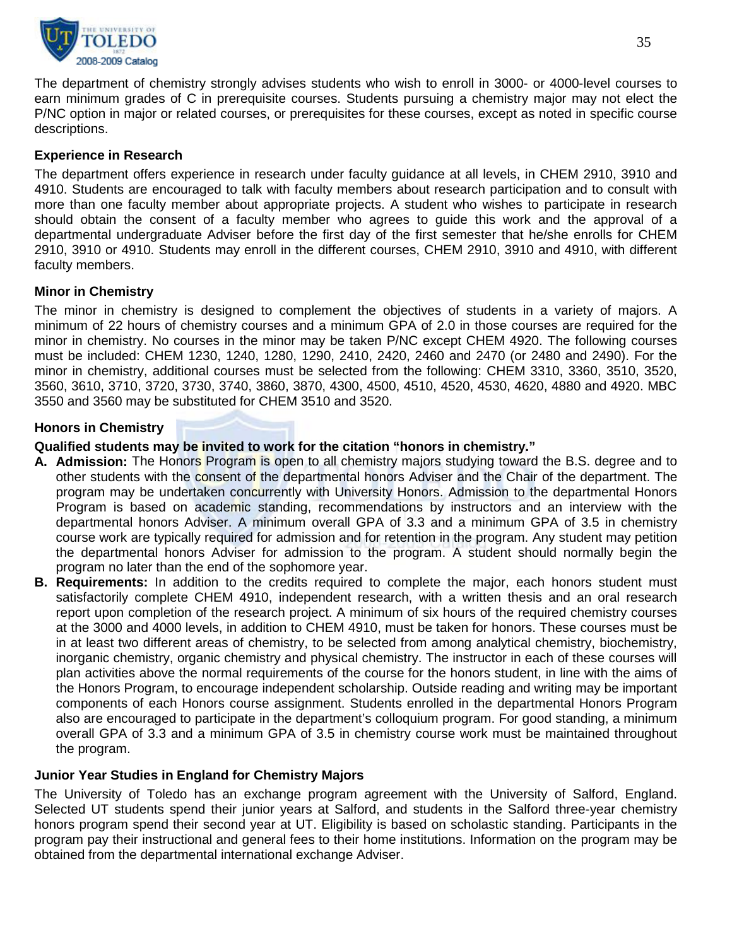

The department of chemistry strongly advises students who wish to enroll in 3000- or 4000-level courses to earn minimum grades of C in prerequisite courses. Students pursuing a chemistry major may not elect the P/NC option in major or related courses, or prerequisites for these courses, except as noted in specific course descriptions.

# **Experience in Research**

The department offers experience in research under faculty guidance at all levels, in CHEM 2910, 3910 and 4910. Students are encouraged to talk with faculty members about research participation and to consult with more than one faculty member about appropriate projects. A student who wishes to participate in research should obtain the consent of a faculty member who agrees to guide this work and the approval of a departmental undergraduate Adviser before the first day of the first semester that he/she enrolls for CHEM 2910, 3910 or 4910. Students may enroll in the different courses, CHEM 2910, 3910 and 4910, with different faculty members.

# **Minor in Chemistry**

The minor in chemistry is designed to complement the objectives of students in a variety of majors. A minimum of 22 hours of chemistry courses and a minimum GPA of 2.0 in those courses are required for the minor in chemistry. No courses in the minor may be taken P/NC except CHEM 4920. The following courses must be included: CHEM 1230, 1240, 1280, 1290, 2410, 2420, 2460 and 2470 (or 2480 and 2490). For the minor in chemistry, additional courses must be selected from the following: CHEM 3310, 3360, 3510, 3520, 3560, 3610, 3710, 3720, 3730, 3740, 3860, 3870, 4300, 4500, 4510, 4520, 4530, 4620, 4880 and 4920. MBC 3550 and 3560 may be substituted for CHEM 3510 and 3520.

# **Honors in Chemistry**

#### **Qualified students may be invited to work for the citation "honors in chemistry."**

- **A. Admission:** The Honors Program is open to all chemistry majors studying toward the B.S. degree and to other students with the consent of the departmental honors Adviser and the Chair of the department. The program may be undertaken concurrently with University Honors. Admission to the departmental Honors Program is based on academic standing, recommendations by instructors and an interview with the departmental honors Adviser. A minimum overall GPA of 3.3 and a minimum GPA of 3.5 in chemistry course work are typically required for admission and for retention in the program. Any student may petition the departmental honors Adviser for admission to the program. A student should normally begin the program no later than the end of the sophomore year.
- **B. Requirements:** In addition to the credits required to complete the major, each honors student must satisfactorily complete CHEM 4910, independent research, with a written thesis and an oral research report upon completion of the research project. A minimum of six hours of the required chemistry courses at the 3000 and 4000 levels, in addition to CHEM 4910, must be taken for honors. These courses must be in at least two different areas of chemistry, to be selected from among analytical chemistry, biochemistry, inorganic chemistry, organic chemistry and physical chemistry. The instructor in each of these courses will plan activities above the normal requirements of the course for the honors student, in line with the aims of the Honors Program, to encourage independent scholarship. Outside reading and writing may be important components of each Honors course assignment. Students enrolled in the departmental Honors Program also are encouraged to participate in the department's colloquium program. For good standing, a minimum overall GPA of 3.3 and a minimum GPA of 3.5 in chemistry course work must be maintained throughout the program.

# **Junior Year Studies in England for Chemistry Majors**

The University of Toledo has an exchange program agreement with the University of Salford, England. Selected UT students spend their junior years at Salford, and students in the Salford three-year chemistry honors program spend their second year at UT. Eligibility is based on scholastic standing. Participants in the program pay their instructional and general fees to their home institutions. Information on the program may be obtained from the departmental international exchange Adviser.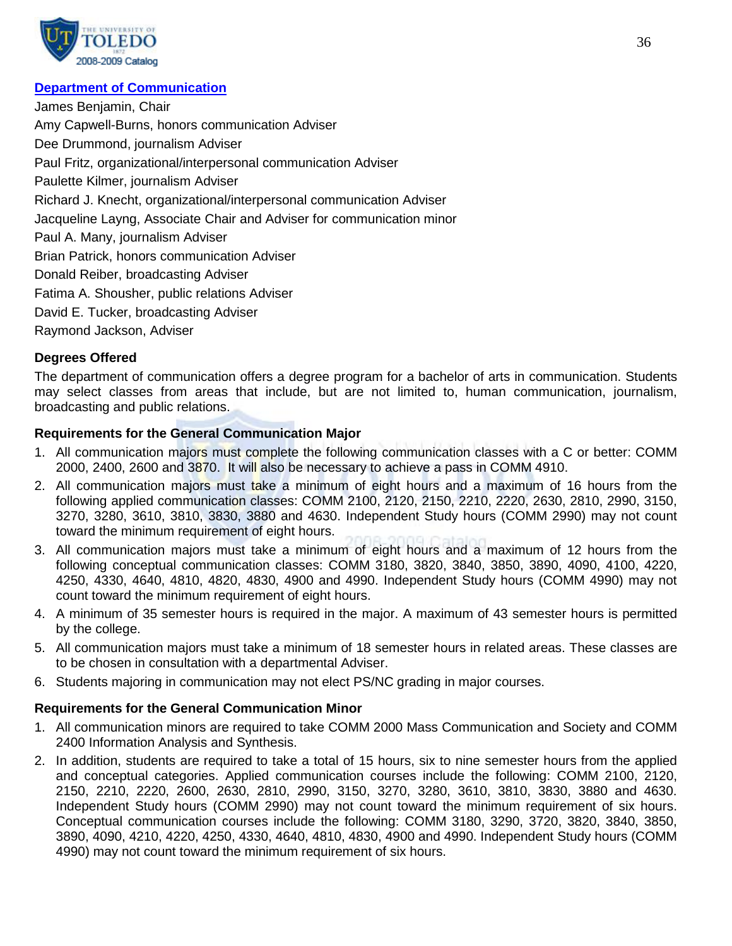

# **[Department of Communication](http://www.utoledo.edu/as/communication/)**

James Benjamin, Chair Amy Capwell-Burns, honors communication Adviser Dee Drummond, journalism Adviser Paul Fritz, organizational/interpersonal communication Adviser Paulette Kilmer, journalism Adviser Richard J. Knecht, organizational/interpersonal communication Adviser Jacqueline Layng, Associate Chair and Adviser for communication minor Paul A. Many, journalism Adviser Brian Patrick, honors communication Adviser Donald Reiber, broadcasting Adviser Fatima A. Shousher, public relations Adviser David E. Tucker, broadcasting Adviser Raymond Jackson, Adviser

# **Degrees Offered**

The department of communication offers a degree program for a bachelor of arts in communication. Students may select classes from areas that include, but are not limited to, human communication, journalism, broadcasting and public relations.

# **Requirements for the General Communication Major**

- 1. All communication majors must complete the following communication classes with a C or better: COMM 2000, 2400, 2600 and 3870. It will also be necessary to achieve a pass in COMM 4910.
- 2. All communication majors must take a minimum of eight hours and a maximum of 16 hours from the following applied communication classes: COMM 2100, 2120, 2150, 2210, 2220, 2630, 2810, 2990, 3150, 3270, 3280, 3610, 3810, 3830, 3880 and 4630. Independent Study hours (COMM 2990) may not count toward the minimum requirement of eight hours.
- 3. All communication majors must take a minimum of eight hours and a maximum of 12 hours from the following conceptual communication classes: COMM 3180, 3820, 3840, 3850, 3890, 4090, 4100, 4220, 4250, 4330, 4640, 4810, 4820, 4830, 4900 and 4990. Independent Study hours (COMM 4990) may not count toward the minimum requirement of eight hours.
- 4. A minimum of 35 semester hours is required in the major. A maximum of 43 semester hours is permitted by the college.
- 5. All communication majors must take a minimum of 18 semester hours in related areas. These classes are to be chosen in consultation with a departmental Adviser.
- 6. Students majoring in communication may not elect PS/NC grading in major courses.

# **Requirements for the General Communication Minor**

- 1. All communication minors are required to take COMM 2000 Mass Communication and Society and COMM 2400 Information Analysis and Synthesis.
- 2. In addition, students are required to take a total of 15 hours, six to nine semester hours from the applied and conceptual categories. Applied communication courses include the following: COMM 2100, 2120, 2150, 2210, 2220, 2600, 2630, 2810, 2990, 3150, 3270, 3280, 3610, 3810, 3830, 3880 and 4630. Independent Study hours (COMM 2990) may not count toward the minimum requirement of six hours. Conceptual communication courses include the following: COMM 3180, 3290, 3720, 3820, 3840, 3850, 3890, 4090, 4210, 4220, 4250, 4330, 4640, 4810, 4830, 4900 and 4990. Independent Study hours (COMM 4990) may not count toward the minimum requirement of six hours.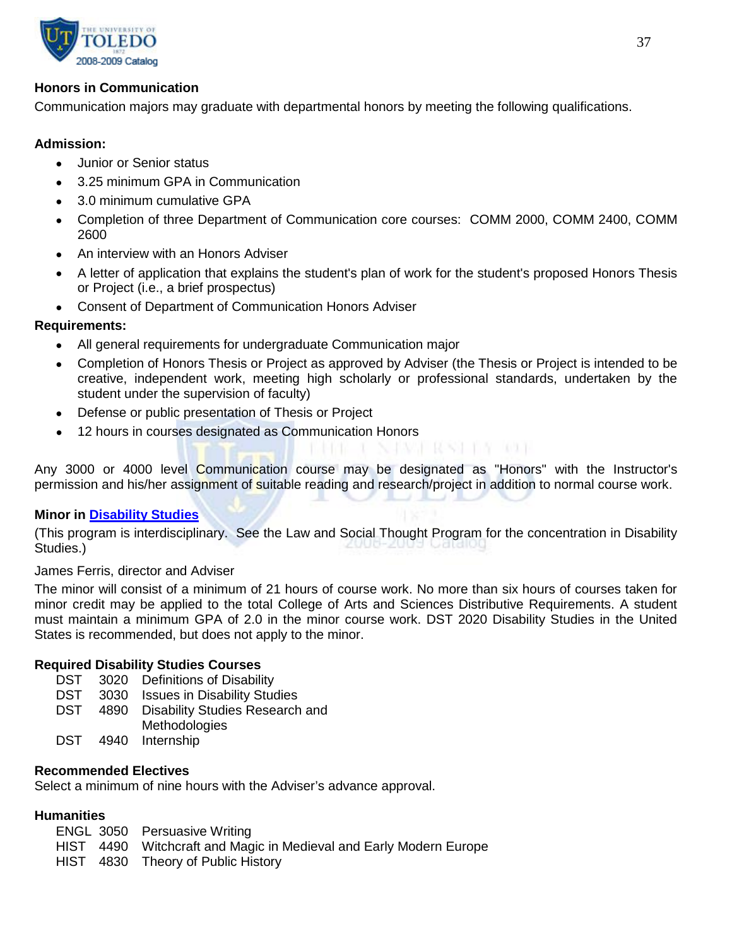

## **Honors in Communication**

Communication majors may graduate with departmental honors by meeting the following qualifications.

## **Admission:**

- Junior or Senior status
- 3.25 minimum GPA in Communication
- 3.0 minimum cumulative GPA
- Completion of three Department of Communication core courses: COMM 2000, COMM 2400, COMM 2600
- An interview with an Honors Adviser
- A letter of application that explains the student's plan of work for the student's proposed Honors Thesis or Project (i.e., a brief prospectus)
- Consent of Department of Communication Honors Adviser

## **Requirements:**

- All general requirements for undergraduate Communication major
- Completion of Honors Thesis or Project as approved by Adviser (the Thesis or Project is intended to be creative, independent work, meeting high scholarly or professional standards, undertaken by the student under the supervision of faculty)

NAWA RASHA MAT

- Defense or public presentation of Thesis or Project
- 12 hours in courses designated as Communication Honors

Any 3000 or 4000 level Communication course may be designated as "Honors" with the Instructor's permission and his/her assignment of suitable reading and research/project in addition to normal course work.

## **Minor in [Disability Studies](http://utoledo.edu/as/disability/)**

(This program is interdisciplinary. See the Law and Social Thought Program for the concentration in Disability Studies.)

## James Ferris, director and Adviser

The minor will consist of a minimum of 21 hours of course work. No more than six hours of courses taken for minor credit may be applied to the total College of Arts and Sciences Distributive Requirements. A student must maintain a minimum GPA of 2.0 in the minor course work. DST 2020 Disability Studies in the United States is recommended, but does not apply to the minor.

## **Required Disability Studies Courses**

- DST 3020 Definitions of Disability
- DST 3030 Issues in Disability Studies
- DST 4890 Disability Studies Research and
	- **Methodologies**
- DST 4940 Internship

## **Recommended Electives**

Select a minimum of nine hours with the Adviser's advance approval.

## **Humanities**

|  | <b>ENGL 3050 Persuasive Writing</b>                                |
|--|--------------------------------------------------------------------|
|  | HIST 4490 Witchcraft and Magic in Medieval and Early Modern Europe |
|  | HIST 4830 Theory of Public History                                 |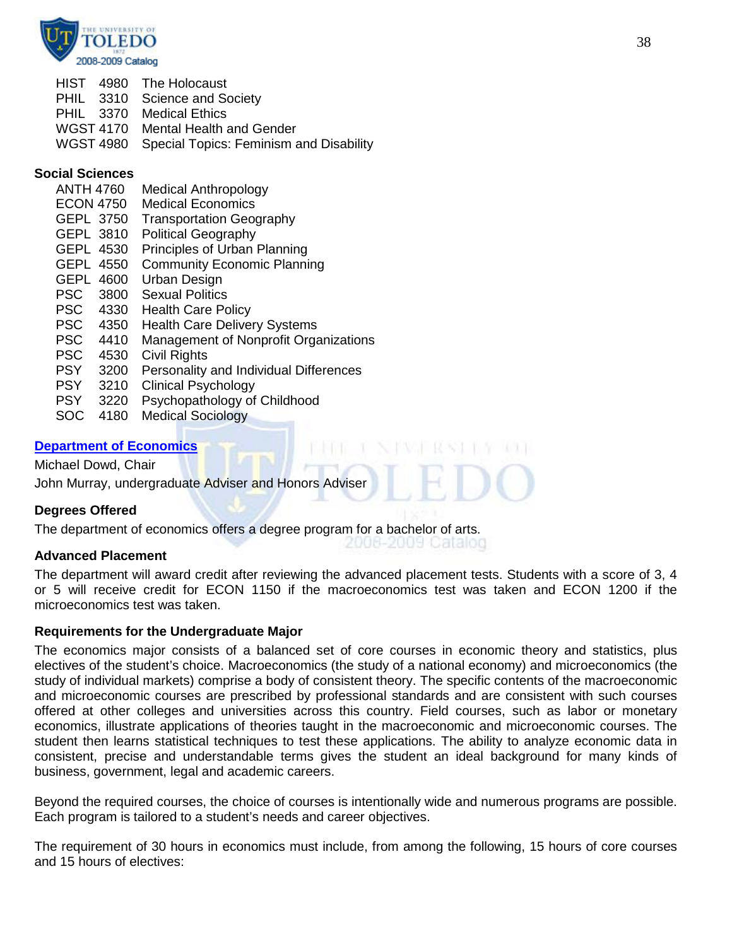

|  | HIST 4980 The Holocaust                           |
|--|---------------------------------------------------|
|  | PHIL 3310 Science and Society                     |
|  | <b>PHIL</b> 3370 Medical Ethics                   |
|  | WGST 4170 Mental Health and Gender                |
|  | WGST 4980 Special Topics: Feminism and Disability |

#### **Social Sciences**

| <b>ANTH 4760</b> |      | <b>Medical Anthropology</b>            |
|------------------|------|----------------------------------------|
| <b>ECON 4750</b> |      | <b>Medical Economics</b>               |
| <b>GEPL 3750</b> |      | <b>Transportation Geography</b>        |
| GEPL 3810        |      | <b>Political Geography</b>             |
| GEPL 4530        |      | Principles of Urban Planning           |
| <b>GEPL 4550</b> |      | <b>Community Economic Planning</b>     |
| <b>GEPL</b>      | 4600 | Urban Design                           |
| <b>PSC</b>       | 3800 | <b>Sexual Politics</b>                 |
| <b>PSC</b>       | 4330 | <b>Health Care Policy</b>              |
| <b>PSC</b>       | 4350 | <b>Health Care Delivery Systems</b>    |
| <b>PSC</b>       | 4410 | Management of Nonprofit Organizations  |
| <b>PSC</b>       | 4530 | Civil Rights                           |
| <b>PSY</b>       | 3200 | Personality and Individual Differences |
| <b>PSY</b>       | 3210 | <b>Clinical Psychology</b>             |
| <b>PSY</b>       | 3220 | Psychopathology of Childhood           |
| SOC              | 4180 | <b>Medical Sociology</b>               |

## **[Department of Economics](http://www.utoledo.edu/as/econ/index.html)**

Michael Dowd, Chair John Murray, undergraduate Adviser and Honors Adviser

## **Degrees Offered**

The department of economics offers a degree program for a bachelor of arts.

#### **Advanced Placement**

The department will award credit after reviewing the advanced placement tests. Students with a score of 3, 4 or 5 will receive credit for ECON 1150 if the macroeconomics test was taken and ECON 1200 if the microeconomics test was taken.

2006-2009 Catalog

#### **Requirements for the Undergraduate Major**

The economics major consists of a balanced set of core courses in economic theory and statistics, plus electives of the student's choice. Macroeconomics (the study of a national economy) and microeconomics (the study of individual markets) comprise a body of consistent theory. The specific contents of the macroeconomic and microeconomic courses are prescribed by professional standards and are consistent with such courses offered at other colleges and universities across this country. Field courses, such as labor or monetary economics, illustrate applications of theories taught in the macroeconomic and microeconomic courses. The student then learns statistical techniques to test these applications. The ability to analyze economic data in consistent, precise and understandable terms gives the student an ideal background for many kinds of business, government, legal and academic careers.

Beyond the required courses, the choice of courses is intentionally wide and numerous programs are possible. Each program is tailored to a student's needs and career objectives.

The requirement of 30 hours in economics must include, from among the following, 15 hours of core courses and 15 hours of electives: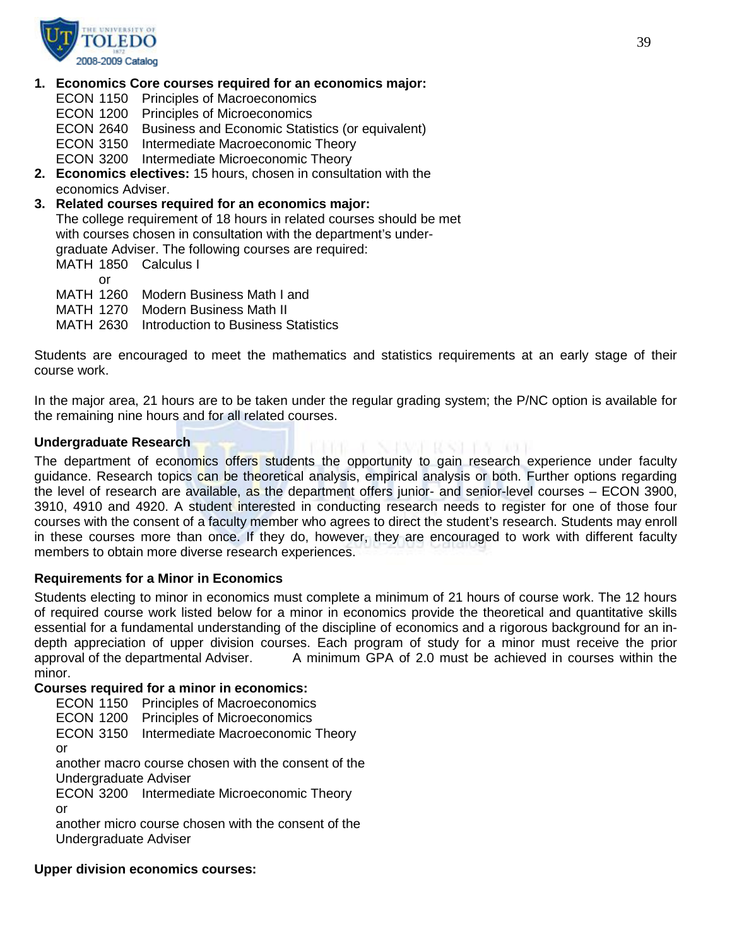

#### **1. Economics Core courses required for an economics major:**

ECON 1150 Principles of Macroeconomics

ECON 1200 Principles of Microeconomics

ECON 2640 Business and Economic Statistics (or equivalent)

ECON 3150 Intermediate Macroeconomic Theory

ECON 3200 Intermediate Microeconomic Theory

**2. Economics electives:** 15 hours, chosen in consultation with the economics Adviser.

**3. Related courses required for an economics major:** The college requirement of 18 hours in related courses should be met with courses chosen in consultation with the department's undergraduate Adviser. The following courses are required: MATH 1850 Calculus I or

MATH 1260 Modern Business Math I and

MATH 1270 Modern Business Math II

MATH 2630 Introduction to Business Statistics

Students are encouraged to meet the mathematics and statistics requirements at an early stage of their course work.

In the major area, 21 hours are to be taken under the regular grading system; the P/NC option is available for the remaining nine hours and for all related courses.

#### **Undergraduate Research**

1991 - E. N. P.V.H. RASH 178 - 101 I The department of economics offers students the opportunity to gain research experience under faculty guidance. Research topics can be theoretical analysis, empirical analysis or both. Further options regarding the level of research are available, as the department offers junior- and senior-level courses – ECON 3900, 3910, 4910 and 4920. A student interested in conducting research needs to register for one of those four courses with the consent of a faculty member who agrees to direct the student's research. Students may enroll in these courses more than once. If they do, however, they are encouraged to work with different faculty members to obtain more diverse research experiences.

## **Requirements for a Minor in Economics**

Students electing to minor in economics must complete a minimum of 21 hours of course work. The 12 hours of required course work listed below for a minor in economics provide the theoretical and quantitative skills essential for a fundamental understanding of the discipline of economics and a rigorous background for an indepth appreciation of upper division courses. Each program of study for a minor must receive the prior<br>approval of the departmental Adviser. <br>A minimum GPA of 2.0 must be achieved in courses within the A minimum GPA of 2.0 must be achieved in courses within the minor.

#### **Courses required for a minor in economics:**

ECON 1150 Principles of Macroeconomics

ECON 1200 Principles of Microeconomics

ECON 3150 Intermediate Macroeconomic Theory

or

another macro course chosen with the consent of the

Undergraduate Adviser

ECON 3200 Intermediate Microeconomic Theory or

another micro course chosen with the consent of the Undergraduate Adviser

#### **Upper division economics courses:**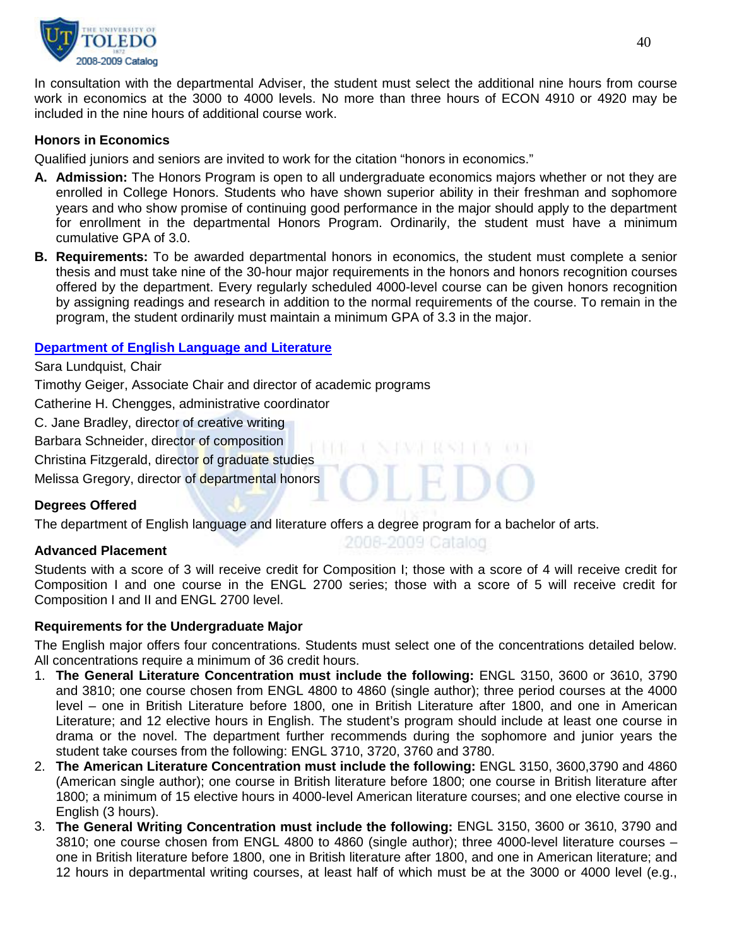

In consultation with the departmental Adviser, the student must select the additional nine hours from course work in economics at the 3000 to 4000 levels. No more than three hours of ECON 4910 or 4920 may be included in the nine hours of additional course work.

## **Honors in Economics**

Qualified juniors and seniors are invited to work for the citation "honors in economics."

- **A. Admission:** The Honors Program is open to all undergraduate economics majors whether or not they are enrolled in College Honors. Students who have shown superior ability in their freshman and sophomore years and who show promise of continuing good performance in the major should apply to the department for enrollment in the departmental Honors Program. Ordinarily, the student must have a minimum cumulative GPA of 3.0.
- **B. Requirements:** To be awarded departmental honors in economics, the student must complete a senior thesis and must take nine of the 30-hour major requirements in the honors and honors recognition courses offered by the department. Every regularly scheduled 4000-level course can be given honors recognition by assigning readings and research in addition to the normal requirements of the course. To remain in the program, the student ordinarily must maintain a minimum GPA of 3.3 in the major.

## **[Department of English Language and Literature](http://www.utoledo.edu/as/english/index.html)**

Sara Lundquist, Chair Timothy Geiger, Associate Chair and director of academic programs Catherine H. Chengges, administrative coordinator C. Jane Bradley, director of creative writing Barbara Schneider, director of composition Christina Fitzgerald, director of graduate studies Melissa Gregory, director of departmental honors

## **Degrees Offered**

The department of English language and literature offers a degree program for a bachelor of arts.

#### **Advanced Placement**

Students with a score of 3 will receive credit for Composition I; those with a score of 4 will receive credit for Composition I and one course in the ENGL 2700 series; those with a score of 5 will receive credit for Composition I and II and ENGL 2700 level.

2008-2009 Catalog

#### **Requirements for the Undergraduate Major**

The English major offers four concentrations. Students must select one of the concentrations detailed below. All concentrations require a minimum of 36 credit hours.

- 1. **The General Literature Concentration must include the following:** ENGL 3150, 3600 or 3610, 3790 and 3810; one course chosen from ENGL 4800 to 4860 (single author); three period courses at the 4000 level – one in British Literature before 1800, one in British Literature after 1800, and one in American Literature; and 12 elective hours in English. The student's program should include at least one course in drama or the novel. The department further recommends during the sophomore and junior years the student take courses from the following: ENGL 3710, 3720, 3760 and 3780.
- 2. **The American Literature Concentration must include the following:** ENGL 3150, 3600,3790 and 4860 (American single author); one course in British literature before 1800; one course in British literature after 1800; a minimum of 15 elective hours in 4000-level American literature courses; and one elective course in English (3 hours).
- 3. **The General Writing Concentration must include the following:** ENGL 3150, 3600 or 3610, 3790 and 3810; one course chosen from ENGL 4800 to 4860 (single author); three 4000-level literature courses – one in British literature before 1800, one in British literature after 1800, and one in American literature; and 12 hours in departmental writing courses, at least half of which must be at the 3000 or 4000 level (e.g.,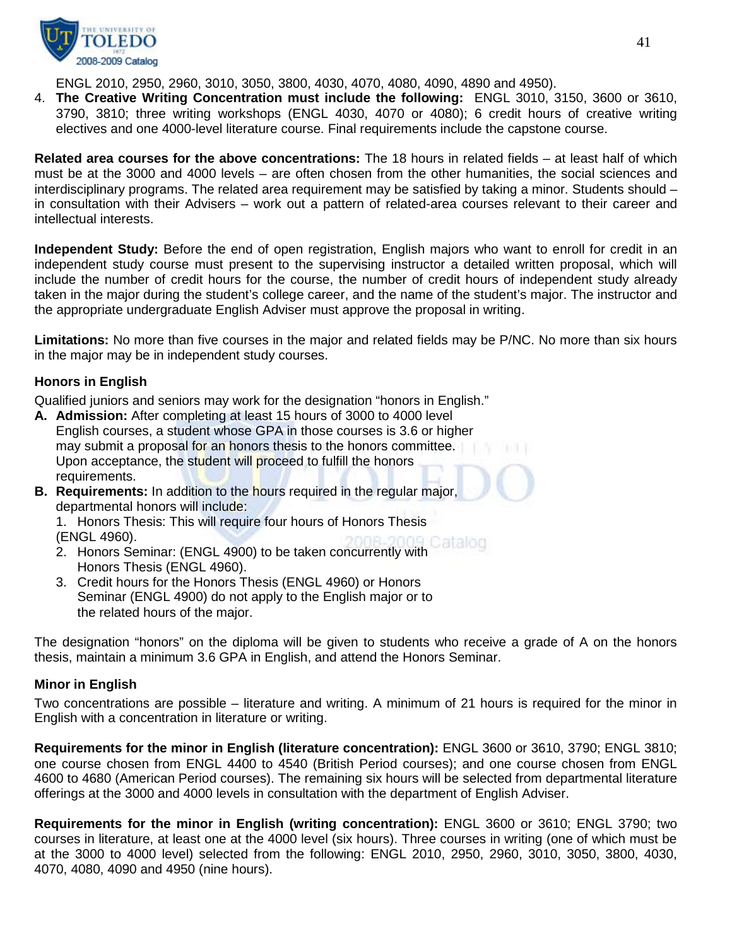

ENGL 2010, 2950, 2960, 3010, 3050, 3800, 4030, 4070, 4080, 4090, 4890 and 4950).

4. **The Creative Writing Concentration must include the following:** ENGL 3010, 3150, 3600 or 3610, 3790, 3810; three writing workshops (ENGL 4030, 4070 or 4080); 6 credit hours of creative writing electives and one 4000-level literature course. Final requirements include the capstone course.

**Related area courses for the above concentrations:** The 18 hours in related fields – at least half of which must be at the 3000 and 4000 levels – are often chosen from the other humanities, the social sciences and interdisciplinary programs. The related area requirement may be satisfied by taking a minor. Students should – in consultation with their Advisers – work out a pattern of related-area courses relevant to their career and intellectual interests.

**Independent Study:** Before the end of open registration, English majors who want to enroll for credit in an independent study course must present to the supervising instructor a detailed written proposal, which will include the number of credit hours for the course, the number of credit hours of independent study already taken in the major during the student's college career, and the name of the student's major. The instructor and the appropriate undergraduate English Adviser must approve the proposal in writing.

**Limitations:** No more than five courses in the major and related fields may be P/NC. No more than six hours in the major may be in independent study courses.

## **Honors in English**

Qualified juniors and seniors may work for the designation "honors in English."

- **A. Admission:** After completing at least 15 hours of 3000 to 4000 level English courses, a student whose GPA in those courses is 3.6 or higher may submit a proposal for an honors thesis to the honors committee. Upon acceptance, the student will proceed to fulfill the honors requirements.
- **B. Requirements:** In addition to the hours required in the regular major, departmental honors will include:

1. Honors Thesis: This will require four hours of Honors Thesis (ENGL 4960).

- 2. Honors Seminar: (ENGL 4900) to be taken concurrently with Honors Thesis (ENGL 4960).
- 3. Credit hours for the Honors Thesis (ENGL 4960) or Honors Seminar (ENGL 4900) do not apply to the English major or to the related hours of the major.

The designation "honors" on the diploma will be given to students who receive a grade of A on the honors thesis, maintain a minimum 3.6 GPA in English, and attend the Honors Seminar.

#### **Minor in English**

Two concentrations are possible – literature and writing. A minimum of 21 hours is required for the minor in English with a concentration in literature or writing.

**Requirements for the minor in English (literature concentration):** ENGL 3600 or 3610, 3790; ENGL 3810; one course chosen from ENGL 4400 to 4540 (British Period courses); and one course chosen from ENGL 4600 to 4680 (American Period courses). The remaining six hours will be selected from departmental literature offerings at the 3000 and 4000 levels in consultation with the department of English Adviser.

**Requirements for the minor in English (writing concentration):** ENGL 3600 or 3610; ENGL 3790; two courses in literature, at least one at the 4000 level (six hours). Three courses in writing (one of which must be at the 3000 to 4000 level) selected from the following: ENGL 2010, 2950, 2960, 3010, 3050, 3800, 4030, 4070, 4080, 4090 and 4950 (nine hours).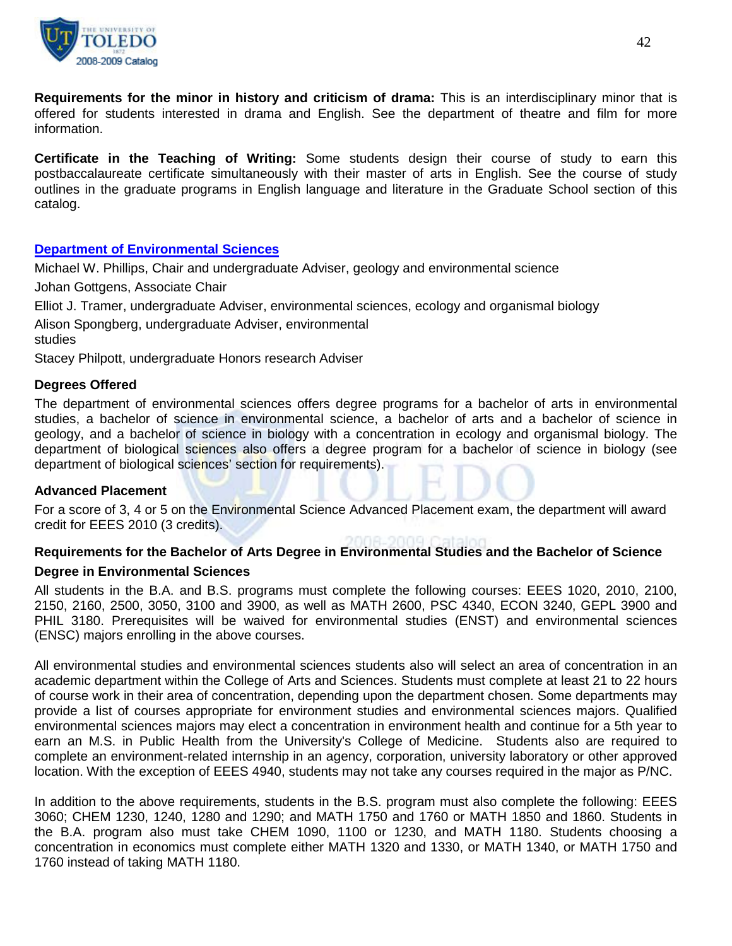

**Requirements for the minor in history and criticism of drama:** This is an interdisciplinary minor that is offered for students interested in drama and English. See the department of theatre and film for more information.

**Certificate in the Teaching of Writing:** Some students design their course of study to earn this postbaccalaureate certificate simultaneously with their master of arts in English. See the course of study outlines in the graduate programs in English language and literature in the Graduate School section of this catalog.

## **[Department of Environmental Sciences](http://www.utoledo.edu/as/envsciences/index.html)**

Michael W. Phillips, Chair and undergraduate Adviser, geology and environmental science

Johan Gottgens, Associate Chair

Elliot J. Tramer, undergraduate Adviser, environmental sciences, ecology and organismal biology

Alison Spongberg, undergraduate Adviser, environmental

studies

Stacey Philpott, undergraduate Honors research Adviser

#### **Degrees Offered**

The department of environmental sciences offers degree programs for a bachelor of arts in environmental studies, a bachelor of science in environmental science, a bachelor of arts and a bachelor of science in geology, and a bachelor of science in biology with a concentration in ecology and organismal biology. The department of biological sciences also offers a degree program for a bachelor of science in biology (see department of biological sciences' section for requirements).

#### **Advanced Placement**

For a score of 3, 4 or 5 on the Environmental Science Advanced Placement exam, the department will award credit for EEES 2010 (3 credits).

# **Requirements for the Bachelor of Arts Degree in Environmental Studies and the Bachelor of Science**

## **Degree in Environmental Sciences**

All students in the B.A. and B.S. programs must complete the following courses: EEES 1020, 2010, 2100, 2150, 2160, 2500, 3050, 3100 and 3900, as well as MATH 2600, PSC 4340, ECON 3240, GEPL 3900 and PHIL 3180. Prerequisites will be waived for environmental studies (ENST) and environmental sciences (ENSC) majors enrolling in the above courses.

All environmental studies and environmental sciences students also will select an area of concentration in an academic department within the College of Arts and Sciences. Students must complete at least 21 to 22 hours of course work in their area of concentration, depending upon the department chosen. Some departments may provide a list of courses appropriate for environment studies and environmental sciences majors. Qualified environmental sciences majors may elect a concentration in environment health and continue for a 5th year to earn an M.S. in Public Health from the University's College of Medicine. Students also are required to complete an environment-related internship in an agency, corporation, university laboratory or other approved location. With the exception of EEES 4940, students may not take any courses required in the major as P/NC.

In addition to the above requirements, students in the B.S. program must also complete the following: EEES 3060; CHEM 1230, 1240, 1280 and 1290; and MATH 1750 and 1760 or MATH 1850 and 1860. Students in the B.A. program also must take CHEM 1090, 1100 or 1230, and MATH 1180. Students choosing a concentration in economics must complete either MATH 1320 and 1330, or MATH 1340, or MATH 1750 and 1760 instead of taking MATH 1180.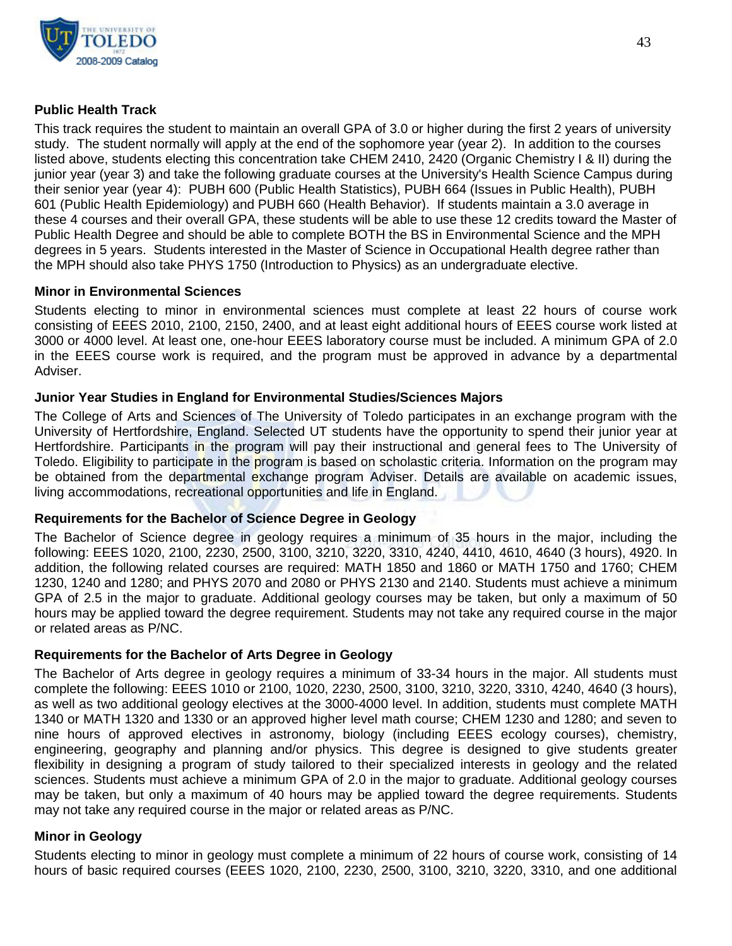

## **Public Health Track**

This track requires the student to maintain an overall GPA of 3.0 or higher during the first 2 years of university study. The student normally will apply at the end of the sophomore year (year 2). In addition to the courses listed above, students electing this concentration take CHEM 2410, 2420 (Organic Chemistry I & II) during the junior year (year 3) and take the following graduate courses at the University's Health Science Campus during their senior year (year 4): PUBH 600 (Public Health Statistics), PUBH 664 (Issues in Public Health), PUBH 601 (Public Health Epidemiology) and PUBH 660 (Health Behavior). If students maintain a 3.0 average in these 4 courses and their overall GPA, these students will be able to use these 12 credits toward the Master of Public Health Degree and should be able to complete BOTH the BS in Environmental Science and the MPH degrees in 5 years. Students interested in the Master of Science in Occupational Health degree rather than the MPH should also take PHYS 1750 (Introduction to Physics) as an undergraduate elective.

#### **Minor in Environmental Sciences**

Students electing to minor in environmental sciences must complete at least 22 hours of course work consisting of EEES 2010, 2100, 2150, 2400, and at least eight additional hours of EEES course work listed at 3000 or 4000 level. At least one, one-hour EEES laboratory course must be included. A minimum GPA of 2.0 in the EEES course work is required, and the program must be approved in advance by a departmental Adviser.

## **Junior Year Studies in England for Environmental Studies/Sciences Majors**

The College of Arts and Sciences of The University of Toledo participates in an exchange program with the University of Hertfordshire, England. Selected UT students have the opportunity to spend their junior year at Hertfordshire. Participants in the program will pay their instructional and general fees to The University of Toledo. Eligibility to participate in the program is based on scholastic criteria. Information on the program may be obtained from the departmental exchange program Adviser. Details are available on academic issues, living accommodations, recreational opportunities and life in England.

## **Requirements for the Bachelor of Science Degree in Geology**

The Bachelor of Science degree in geology requires a minimum of 35 hours in the major, including the following: EEES 1020, 2100, 2230, 2500, 3100, 3210, 3220, 3310, 4240, 4410, 4610, 4640 (3 hours), 4920. In addition, the following related courses are required: MATH 1850 and 1860 or MATH 1750 and 1760; CHEM 1230, 1240 and 1280; and PHYS 2070 and 2080 or PHYS 2130 and 2140. Students must achieve a minimum GPA of 2.5 in the major to graduate. Additional geology courses may be taken, but only a maximum of 50 hours may be applied toward the degree requirement. Students may not take any required course in the major or related areas as P/NC.

## **Requirements for the Bachelor of Arts Degree in Geology**

The Bachelor of Arts degree in geology requires a minimum of 33-34 hours in the major. All students must complete the following: EEES 1010 or 2100, 1020, 2230, 2500, 3100, 3210, 3220, 3310, 4240, 4640 (3 hours), as well as two additional geology electives at the 3000-4000 level. In addition, students must complete MATH 1340 or MATH 1320 and 1330 or an approved higher level math course; CHEM 1230 and 1280; and seven to nine hours of approved electives in astronomy, biology (including EEES ecology courses), chemistry, engineering, geography and planning and/or physics. This degree is designed to give students greater flexibility in designing a program of study tailored to their specialized interests in geology and the related sciences. Students must achieve a minimum GPA of 2.0 in the major to graduate. Additional geology courses may be taken, but only a maximum of 40 hours may be applied toward the degree requirements. Students may not take any required course in the major or related areas as P/NC.

## **Minor in Geology**

Students electing to minor in geology must complete a minimum of 22 hours of course work, consisting of 14 hours of basic required courses (EEES 1020, 2100, 2230, 2500, 3100, 3210, 3220, 3310, and one additional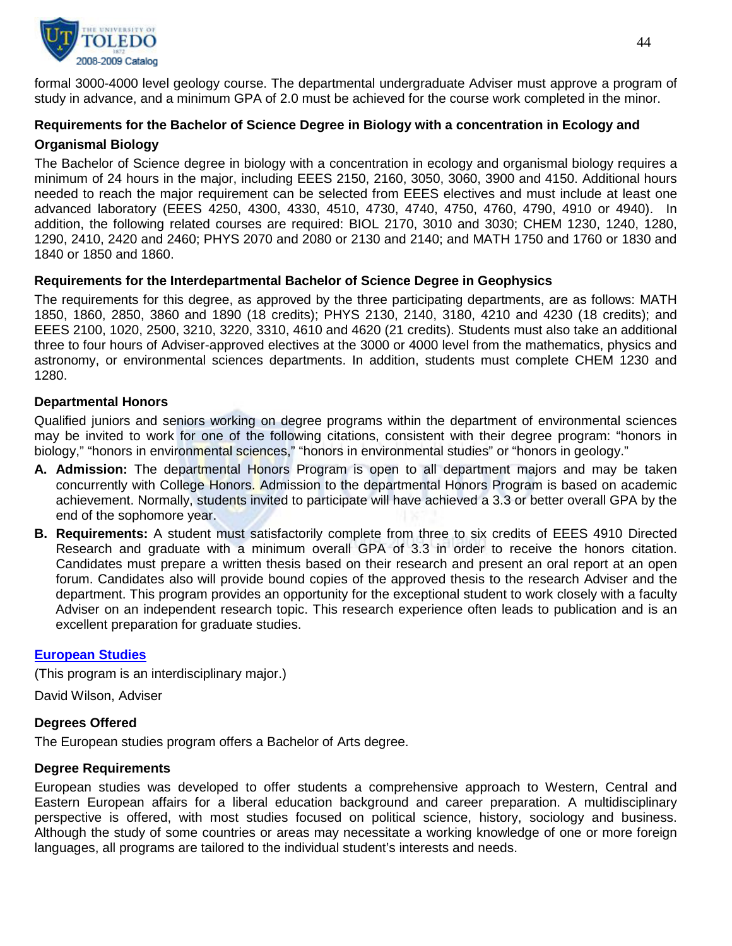

formal 3000-4000 level geology course. The departmental undergraduate Adviser must approve a program of study in advance, and a minimum GPA of 2.0 must be achieved for the course work completed in the minor.

# **Requirements for the Bachelor of Science Degree in Biology with a concentration in Ecology and Organismal Biology**

The Bachelor of Science degree in biology with a concentration in ecology and organismal biology requires a minimum of 24 hours in the major, including EEES 2150, 2160, 3050, 3060, 3900 and 4150. Additional hours needed to reach the major requirement can be selected from EEES electives and must include at least one advanced laboratory (EEES 4250, 4300, 4330, 4510, 4730, 4740, 4750, 4760, 4790, 4910 or 4940). In addition, the following related courses are required: BIOL 2170, 3010 and 3030; CHEM 1230, 1240, 1280, 1290, 2410, 2420 and 2460; PHYS 2070 and 2080 or 2130 and 2140; and MATH 1750 and 1760 or 1830 and 1840 or 1850 and 1860.

## **Requirements for the Interdepartmental Bachelor of Science Degree in Geophysics**

The requirements for this degree, as approved by the three participating departments, are as follows: MATH 1850, 1860, 2850, 3860 and 1890 (18 credits); PHYS 2130, 2140, 3180, 4210 and 4230 (18 credits); and EEES 2100, 1020, 2500, 3210, 3220, 3310, 4610 and 4620 (21 credits). Students must also take an additional three to four hours of Adviser-approved electives at the 3000 or 4000 level from the mathematics, physics and astronomy, or environmental sciences departments. In addition, students must complete CHEM 1230 and 1280.

## **Departmental Honors**

Qualified juniors and seniors working on degree programs within the department of environmental sciences may be invited to work for one of the following citations, consistent with their degree program: "honors in biology," "honors in environmental sciences," "honors in environmental studies" or "honors in geology."

- **A. Admission:** The departmental Honors Program is open to all department majors and may be taken concurrently with College Honors. Admission to the departmental Honors Program is based on academic achievement. Normally, students invited to participate will have achieved a 3.3 or better overall GPA by the end of the sophomore year.
- **B. Requirements:** A student must satisfactorily complete from three to six credits of EEES 4910 Directed Research and graduate with a minimum overall GPA of 3.3 in order to receive the honors citation. Candidates must prepare a written thesis based on their research and present an oral report at an open forum. Candidates also will provide bound copies of the approved thesis to the research Adviser and the department. This program provides an opportunity for the exceptional student to work closely with a faculty Adviser on an independent research topic. This research experience often leads to publication and is an excellent preparation for graduate studies.

## **[European Studies](http://www.utoledo.edu/as/ids/european.html)**

(This program is an interdisciplinary major.)

David Wilson, Adviser

## **Degrees Offered**

The European studies program offers a Bachelor of Arts degree.

# **Degree Requirements**

European studies was developed to offer students a comprehensive approach to Western, Central and Eastern European affairs for a liberal education background and career preparation. A multidisciplinary perspective is offered, with most studies focused on political science, history, sociology and business. Although the study of some countries or areas may necessitate a working knowledge of one or more foreign languages, all programs are tailored to the individual student's interests and needs.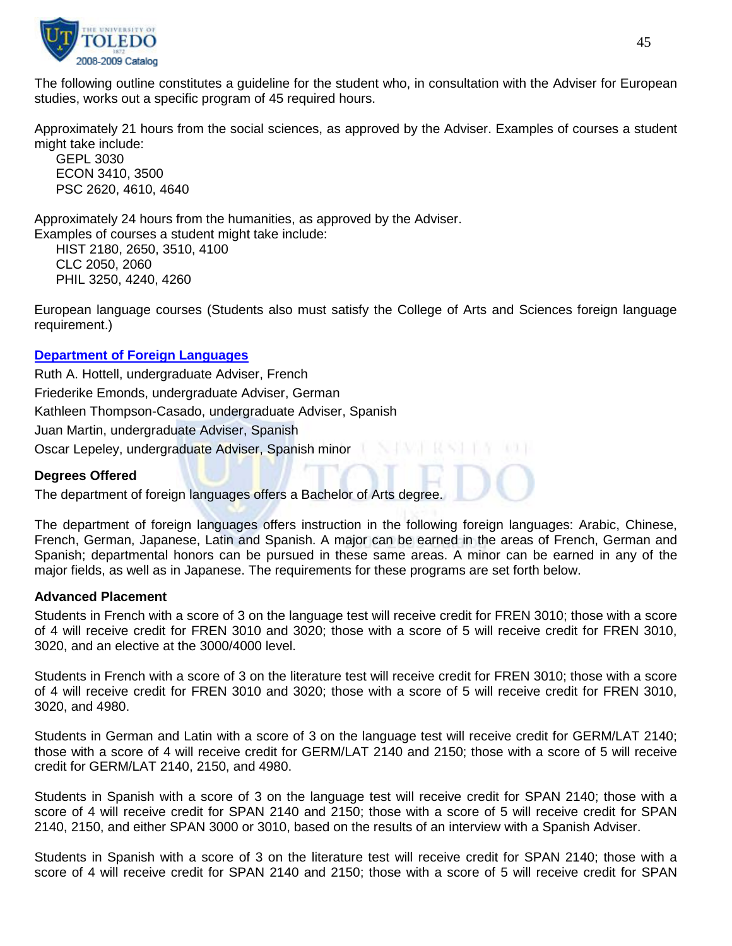

The following outline constitutes a guideline for the student who, in consultation with the Adviser for European studies, works out a specific program of 45 required hours.

Approximately 21 hours from the social sciences, as approved by the Adviser. Examples of courses a student might take include:

GEPL 3030 ECON 3410, 3500 PSC 2620, 4610, 4640

Approximately 24 hours from the humanities, as approved by the Adviser.

Examples of courses a student might take include: HIST 2180, 2650, 3510, 4100 CLC 2050, 2060

PHIL 3250, 4240, 4260

European language courses (Students also must satisfy the College of Arts and Sciences foreign language requirement.)

## **[Department of Foreign Languages](http://www.utoledo.edu/as/forlang/index.html)**

Ruth A. Hottell, undergraduate Adviser, French Friederike Emonds, undergraduate Adviser, German Kathleen Thompson-Casado, undergraduate Adviser, Spanish Juan Martin, undergraduate Adviser, Spanish Oscar Lepeley, undergraduate Adviser, Spanish minor

## **Degrees Offered**

The department of foreign languages offers a Bachelor of Arts degree.

The department of foreign languages offers instruction in the following foreign languages: Arabic, Chinese, French, German, Japanese, Latin and Spanish. A major can be earned in the areas of French, German and Spanish; departmental honors can be pursued in these same areas. A minor can be earned in any of the major fields, as well as in Japanese. The requirements for these programs are set forth below.

#### **Advanced Placement**

Students in French with a score of 3 on the language test will receive credit for FREN 3010; those with a score of 4 will receive credit for FREN 3010 and 3020; those with a score of 5 will receive credit for FREN 3010, 3020, and an elective at the 3000/4000 level.

Students in French with a score of 3 on the literature test will receive credit for FREN 3010; those with a score of 4 will receive credit for FREN 3010 and 3020; those with a score of 5 will receive credit for FREN 3010, 3020, and 4980.

Students in German and Latin with a score of 3 on the language test will receive credit for GERM/LAT 2140; those with a score of 4 will receive credit for GERM/LAT 2140 and 2150; those with a score of 5 will receive credit for GERM/LAT 2140, 2150, and 4980.

Students in Spanish with a score of 3 on the language test will receive credit for SPAN 2140; those with a score of 4 will receive credit for SPAN 2140 and 2150; those with a score of 5 will receive credit for SPAN 2140, 2150, and either SPAN 3000 or 3010, based on the results of an interview with a Spanish Adviser.

Students in Spanish with a score of 3 on the literature test will receive credit for SPAN 2140; those with a score of 4 will receive credit for SPAN 2140 and 2150; those with a score of 5 will receive credit for SPAN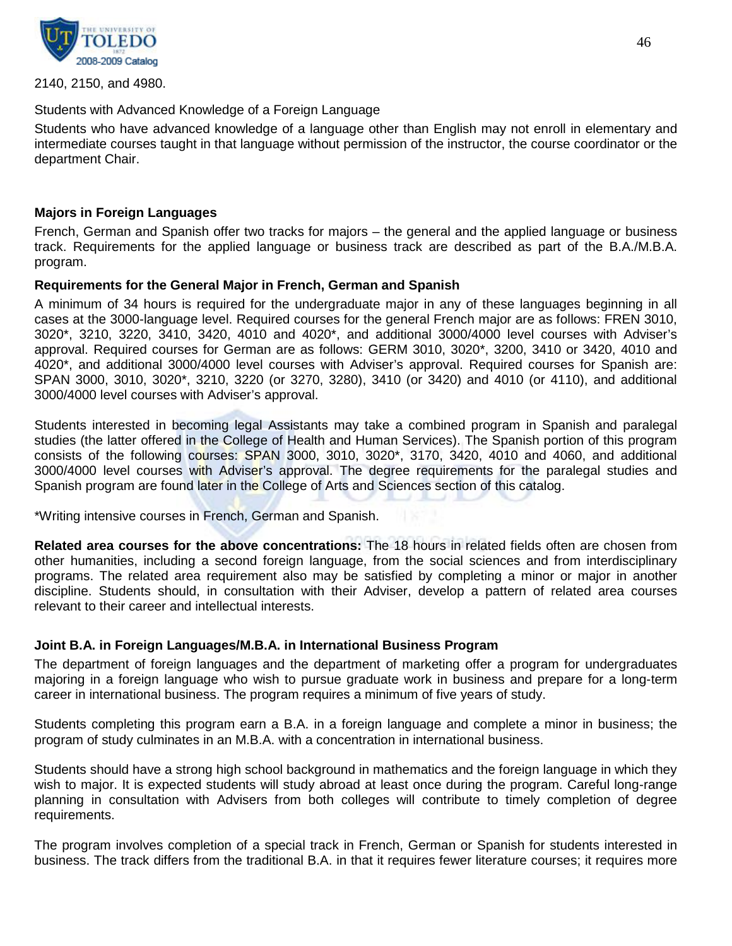

2140, 2150, and 4980.

#### Students with Advanced Knowledge of a Foreign Language

Students who have advanced knowledge of a language other than English may not enroll in elementary and intermediate courses taught in that language without permission of the instructor, the course coordinator or the department Chair.

#### **Majors in Foreign Languages**

French, German and Spanish offer two tracks for majors – the general and the applied language or business track. Requirements for the applied language or business track are described as part of the B.A./M.B.A. program.

#### **Requirements for the General Major in French, German and Spanish**

A minimum of 34 hours is required for the undergraduate major in any of these languages beginning in all cases at the 3000-language level. Required courses for the general French major are as follows: FREN 3010, 3020\*, 3210, 3220, 3410, 3420, 4010 and 4020\*, and additional 3000/4000 level courses with Adviser's approval. Required courses for German are as follows: GERM 3010, 3020\*, 3200, 3410 or 3420, 4010 and 4020\*, and additional 3000/4000 level courses with Adviser's approval. Required courses for Spanish are: SPAN 3000, 3010, 3020\*, 3210, 3220 (or 3270, 3280), 3410 (or 3420) and 4010 (or 4110), and additional 3000/4000 level courses with Adviser's approval.

Students interested in becoming legal Assistants may take a combined program in Spanish and paralegal studies (the latter offered in the College of Health and Human Services). The Spanish portion of this program consists of the following courses: SPAN 3000, 3010, 3020\*, 3170, 3420, 4010 and 4060, and additional 3000/4000 level courses with Adviser's approval. The degree requirements for the paralegal studies and Spanish program are found later in the College of Arts and Sciences section of this catalog.

\*Writing intensive courses in French, German and Spanish.

**Related area courses for the above concentrations:** The 18 hours in related fields often are chosen from other humanities, including a second foreign language, from the social sciences and from interdisciplinary programs. The related area requirement also may be satisfied by completing a minor or major in another discipline. Students should, in consultation with their Adviser, develop a pattern of related area courses relevant to their career and intellectual interests.

## **Joint B.A. in Foreign Languages/M.B.A. in International Business Program**

The department of foreign languages and the department of marketing offer a program for undergraduates majoring in a foreign language who wish to pursue graduate work in business and prepare for a long-term career in international business. The program requires a minimum of five years of study.

Students completing this program earn a B.A. in a foreign language and complete a minor in business; the program of study culminates in an M.B.A. with a concentration in international business.

Students should have a strong high school background in mathematics and the foreign language in which they wish to major. It is expected students will study abroad at least once during the program. Careful long-range planning in consultation with Advisers from both colleges will contribute to timely completion of degree requirements.

The program involves completion of a special track in French, German or Spanish for students interested in business. The track differs from the traditional B.A. in that it requires fewer literature courses; it requires more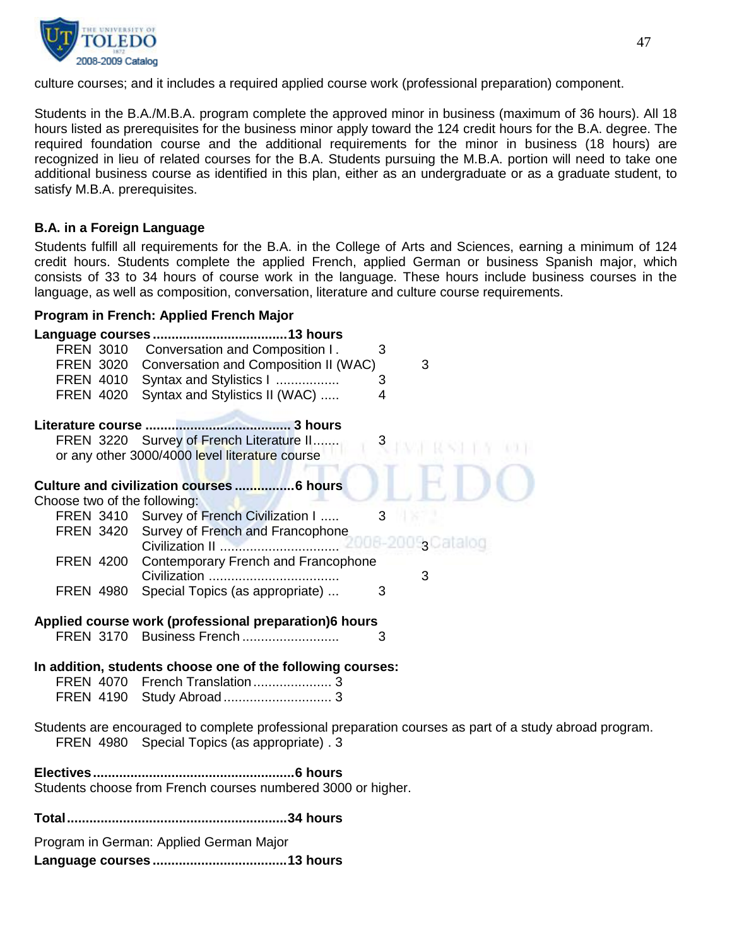

culture courses; and it includes a required applied course work (professional preparation) component.

Students in the B.A./M.B.A. program complete the approved minor in business (maximum of 36 hours). All 18 hours listed as prerequisites for the business minor apply toward the 124 credit hours for the B.A. degree. The required foundation course and the additional requirements for the minor in business (18 hours) are recognized in lieu of related courses for the B.A. Students pursuing the M.B.A. portion will need to take one additional business course as identified in this plan, either as an undergraduate or as a graduate student, to satisfy M.B.A. prerequisites.

## **B.A. in a Foreign Language**

Students fulfill all requirements for the B.A. in the College of Arts and Sciences, earning a minimum of 124 credit hours. Students complete the applied French, applied German or business Spanish major, which consists of 33 to 34 hours of course work in the language. These hours include business courses in the language, as well as composition, conversation, literature and culture course requirements.

#### **Program in French: Applied French Major**

|                                         | FREN 3010 Conversation and Composition I.                    | 3                      |                                                                                                         |
|-----------------------------------------|--------------------------------------------------------------|------------------------|---------------------------------------------------------------------------------------------------------|
|                                         | FREN 3020 Conversation and Composition II (WAC)              |                        | 3                                                                                                       |
|                                         | FREN 4010 Syntax and Stylistics I                            | 3                      |                                                                                                         |
|                                         | FREN 4020 Syntax and Stylistics II (WAC)                     | 4                      |                                                                                                         |
|                                         |                                                              |                        |                                                                                                         |
|                                         |                                                              |                        |                                                                                                         |
|                                         | FREN 3220 Survey of French Literature II                     | $3 \quad \blacksquare$ |                                                                                                         |
|                                         | or any other 3000/4000 level literature course               |                        |                                                                                                         |
|                                         |                                                              |                        |                                                                                                         |
|                                         |                                                              |                        |                                                                                                         |
| Choose two of the following:            |                                                              |                        |                                                                                                         |
|                                         | FREN 3410 Survey of French Civilization I                    | 3                      |                                                                                                         |
|                                         | FREN 3420 Survey of French and Francophone                   |                        |                                                                                                         |
|                                         |                                                              |                        |                                                                                                         |
|                                         | FREN 4200 Contemporary French and Francophone                |                        |                                                                                                         |
|                                         |                                                              |                        | 3                                                                                                       |
| FREN 4980                               | Special Topics (as appropriate)                              | 3                      |                                                                                                         |
|                                         |                                                              |                        |                                                                                                         |
|                                         | Applied course work (professional preparation)6 hours        |                        |                                                                                                         |
|                                         | FREN 3170 Business French                                    | 3                      |                                                                                                         |
|                                         |                                                              |                        |                                                                                                         |
|                                         |                                                              |                        |                                                                                                         |
|                                         | In addition, students choose one of the following courses:   |                        |                                                                                                         |
|                                         |                                                              |                        |                                                                                                         |
|                                         |                                                              |                        |                                                                                                         |
|                                         |                                                              |                        |                                                                                                         |
|                                         |                                                              |                        | Students are encouraged to complete professional preparation courses as part of a study abroad program. |
|                                         | FREN 4980 Special Topics (as appropriate). 3                 |                        |                                                                                                         |
|                                         |                                                              |                        |                                                                                                         |
|                                         | Students choose from French courses numbered 3000 or higher. |                        |                                                                                                         |
|                                         |                                                              |                        |                                                                                                         |
|                                         |                                                              |                        |                                                                                                         |
|                                         |                                                              |                        |                                                                                                         |
| Program in German: Applied German Major |                                                              |                        |                                                                                                         |
|                                         |                                                              |                        |                                                                                                         |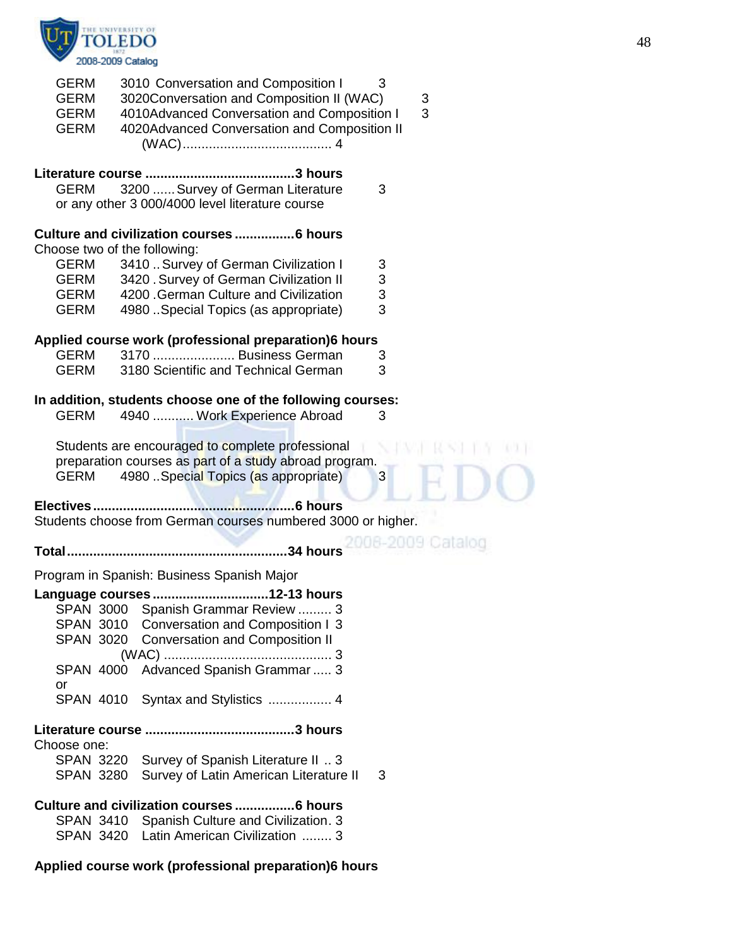

| <b>GERM</b><br><b>GERM</b><br><b>GERM</b><br><b>GERM</b> | 3010 Conversation and Composition I<br>3020Conversation and Composition II (WAC)<br>4010Advanced Conversation and Composition I<br>4020Advanced Conversation and Composition II | 3<br>3<br>3      |
|----------------------------------------------------------|---------------------------------------------------------------------------------------------------------------------------------------------------------------------------------|------------------|
|                                                          |                                                                                                                                                                                 |                  |
| <b>GERM</b>                                              | 3200  Survey of German Literature                                                                                                                                               | 3                |
|                                                          | or any other 3 000/4000 level literature course                                                                                                                                 |                  |
|                                                          |                                                                                                                                                                                 |                  |
|                                                          | Culture and civilization courses  6 hours<br>Choose two of the following:                                                                                                       |                  |
| <b>GERM</b>                                              | 3410  Survey of German Civilization I                                                                                                                                           | 3                |
| GERM                                                     | 3420 . Survey of German Civilization II                                                                                                                                         | 3                |
| GERM                                                     | 4200 .German Culture and Civilization                                                                                                                                           | 3                |
| <b>GERM</b>                                              | 4980 . Special Topics (as appropriate)                                                                                                                                          | 3                |
|                                                          |                                                                                                                                                                                 |                  |
|                                                          | Applied course work (professional preparation)6 hours                                                                                                                           |                  |
| <b>GERM</b>                                              | 3170  Business German                                                                                                                                                           | З                |
| <b>GERM</b>                                              | 3180 Scientific and Technical German                                                                                                                                            | 3                |
|                                                          | In addition, students choose one of the following courses:                                                                                                                      |                  |
| <b>GERM</b>                                              | 4940  Work Experience Abroad                                                                                                                                                    | 3                |
|                                                          |                                                                                                                                                                                 |                  |
|                                                          | Students are encouraged to complete professional                                                                                                                                |                  |
|                                                          | preparation courses as part of a study abroad program.                                                                                                                          |                  |
| <b>GERM</b>                                              | 4980 . Special Topics (as appropriate)                                                                                                                                          | 3                |
|                                                          |                                                                                                                                                                                 |                  |
|                                                          | Students choose from German courses numbered 3000 or higher.                                                                                                                    |                  |
|                                                          |                                                                                                                                                                                 | 008-2009 Catalog |
|                                                          | .34 hours                                                                                                                                                                       |                  |
|                                                          | Program in Spanish: Business Spanish Major                                                                                                                                      |                  |
|                                                          | Language courses12-13 hours                                                                                                                                                     |                  |
|                                                          | SPAN 3000 Spanish Grammar Review  3                                                                                                                                             |                  |
|                                                          | SPAN 3010 Conversation and Composition I 3                                                                                                                                      |                  |
| <b>SPAN 3020</b>                                         | <b>Conversation and Composition II</b>                                                                                                                                          |                  |
|                                                          |                                                                                                                                                                                 |                  |
| <b>SPAN 4000</b>                                         | Advanced Spanish Grammar  3                                                                                                                                                     |                  |
| or                                                       |                                                                                                                                                                                 |                  |
| <b>SPAN 4010</b>                                         | Syntax and Stylistics  4                                                                                                                                                        |                  |
|                                                          |                                                                                                                                                                                 |                  |
| Choose one:                                              |                                                                                                                                                                                 |                  |
| <b>SPAN 3220</b>                                         | Survey of Spanish Literature II  3                                                                                                                                              |                  |
| <b>SPAN 3280</b>                                         | Survey of Latin American Literature II                                                                                                                                          | 3                |
|                                                          |                                                                                                                                                                                 |                  |
|                                                          | Culture and civilization courses  6 hours                                                                                                                                       |                  |
| <b>SPAN 3410</b>                                         | Spanish Culture and Civilization. 3                                                                                                                                             |                  |
| SPAN 3420                                                | Latin American Civilization  3                                                                                                                                                  |                  |

**Applied course work (professional preparation)6 hours**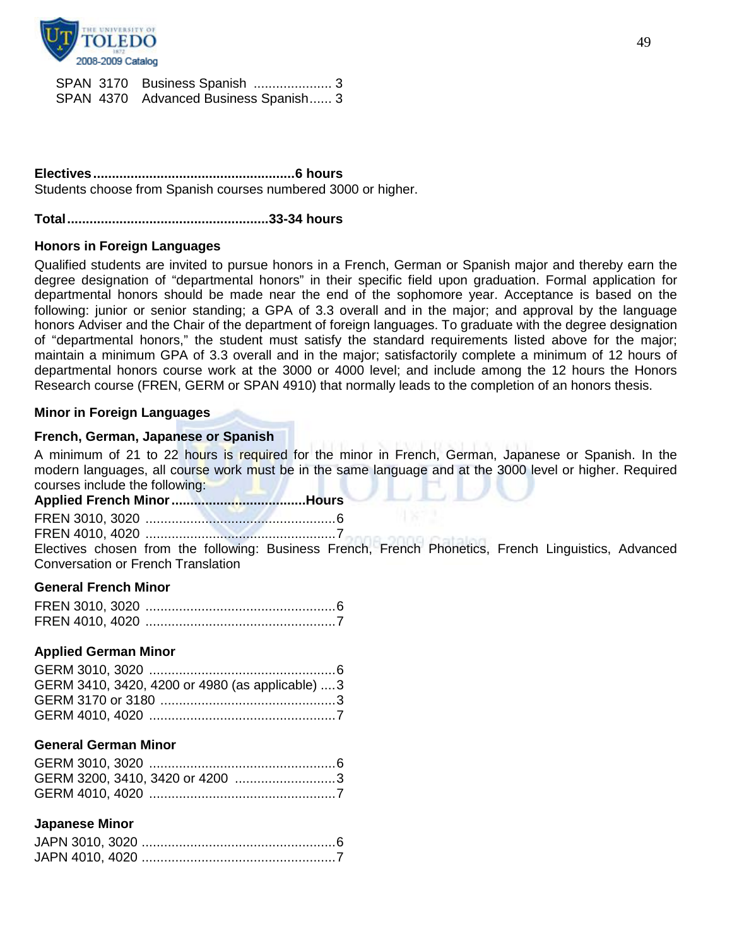

| SPAN 3170 Business Spanish  3         |  |
|---------------------------------------|--|
| SPAN 4370 Advanced Business Spanish 3 |  |

**Electives......................................................6 hours** Students choose from Spanish courses numbered 3000 or higher.

#### **Total......................................................33-34 hours**

#### **Honors in Foreign Languages**

Qualified students are invited to pursue honors in a French, German or Spanish major and thereby earn the degree designation of "departmental honors" in their specific field upon graduation. Formal application for departmental honors should be made near the end of the sophomore year. Acceptance is based on the following: junior or senior standing; a GPA of 3.3 overall and in the major; and approval by the language honors Adviser and the Chair of the department of foreign languages. To graduate with the degree designation of "departmental honors," the student must satisfy the standard requirements listed above for the major; maintain a minimum GPA of 3.3 overall and in the major; satisfactorily complete a minimum of 12 hours of departmental honors course work at the 3000 or 4000 level; and include among the 12 hours the Honors Research course (FREN, GERM or SPAN 4910) that normally leads to the completion of an honors thesis.

#### **Minor in Foreign Languages**

#### **French, German, Japanese or Spanish**

A minimum of 21 to 22 hours is required for the minor in French, German, Japanese or Spanish. In the modern languages, all course work must be in the same language and at the 3000 level or higher. Required courses include the following:

**Applied French Minor....................................Hours**

FREN 3010, 3020 ...................................................6

FREN 4010, 4020 ...................................................7

Electives chosen from the following: Business French, French Phonetics, French Linguistics, Advanced Conversation or French Translation

#### **General French Minor**

#### **Applied German Minor**

| GERM 3410, 3420, 4200 or 4980 (as applicable)  3 |  |
|--------------------------------------------------|--|
|                                                  |  |
|                                                  |  |

#### **General German Minor**

| GERM 3200, 3410, 3420 or 4200 3 |  |
|---------------------------------|--|
|                                 |  |

#### **Japanese Minor**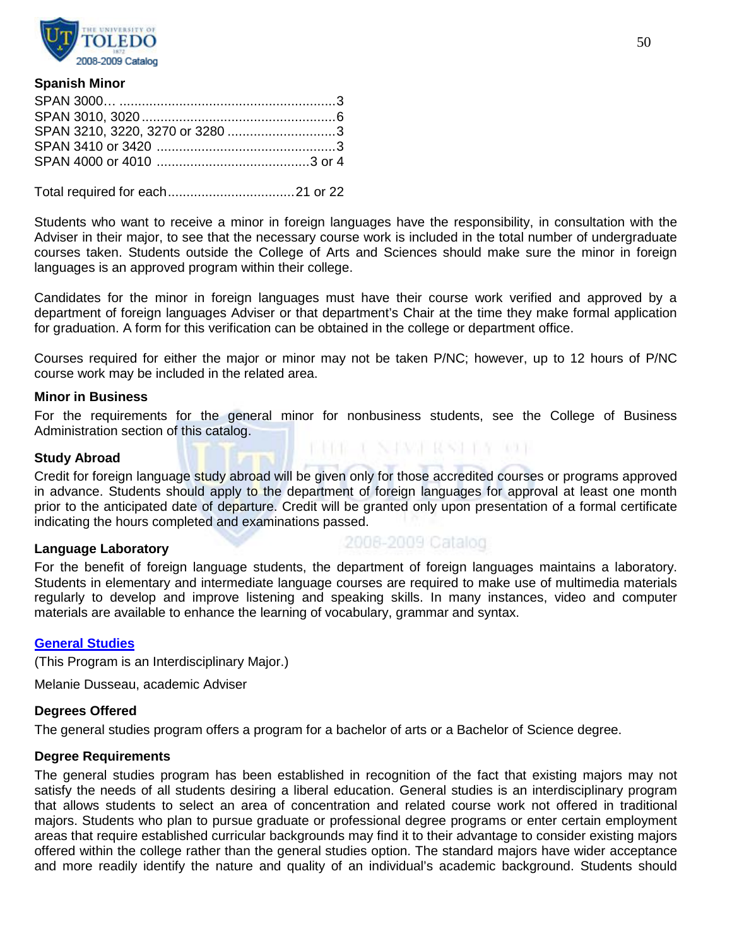

#### **Spanish Minor**

Total required for each..................................21 or 22

Students who want to receive a minor in foreign languages have the responsibility, in consultation with the Adviser in their major, to see that the necessary course work is included in the total number of undergraduate courses taken. Students outside the College of Arts and Sciences should make sure the minor in foreign languages is an approved program within their college.

Candidates for the minor in foreign languages must have their course work verified and approved by a department of foreign languages Adviser or that department's Chair at the time they make formal application for graduation. A form for this verification can be obtained in the college or department office.

Courses required for either the major or minor may not be taken P/NC; however, up to 12 hours of P/NC course work may be included in the related area.

#### **Minor in Business**

For the requirements for the general minor for nonbusiness students, see the College of Business Administration section of this catalog.

#### **Study Abroad**

Credit for foreign language study abroad will be given only for those accredited courses or programs approved in advance. Students should apply to the department of foreign languages for approval at least one month prior to the anticipated date of departure. Credit will be granted only upon presentation of a formal certificate indicating the hours completed and examinations passed.

#### **Language Laboratory**

2008-2009 Catalog

BIOLE VALVALIAN IN TOL

For the benefit of foreign language students, the department of foreign languages maintains a laboratory. Students in elementary and intermediate language courses are required to make use of multimedia materials regularly to develop and improve listening and speaking skills. In many instances, video and computer materials are available to enhance the learning of vocabulary, grammar and syntax.

#### **[General Studies](http://www.utoledo.edu/as/ids/general.html)**

(This Program is an Interdisciplinary Major.)

Melanie Dusseau, academic Adviser

## **Degrees Offered**

The general studies program offers a program for a bachelor of arts or a Bachelor of Science degree.

# **Degree Requirements**

The general studies program has been established in recognition of the fact that existing majors may not satisfy the needs of all students desiring a liberal education. General studies is an interdisciplinary program that allows students to select an area of concentration and related course work not offered in traditional majors. Students who plan to pursue graduate or professional degree programs or enter certain employment areas that require established curricular backgrounds may find it to their advantage to consider existing majors offered within the college rather than the general studies option. The standard majors have wider acceptance and more readily identify the nature and quality of an individual's academic background. Students should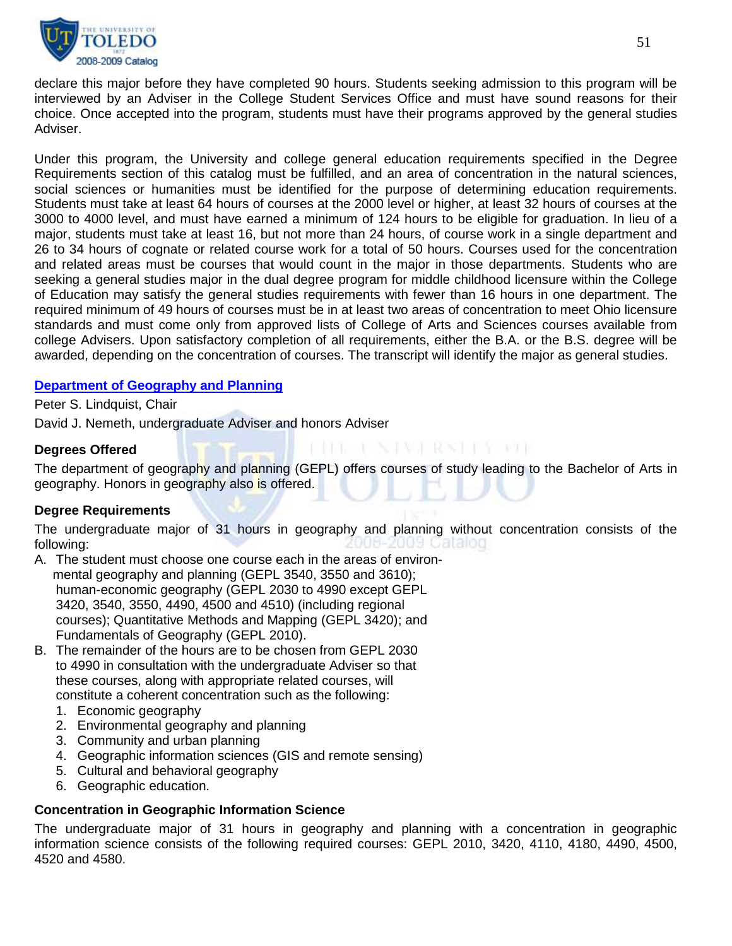

declare this major before they have completed 90 hours. Students seeking admission to this program will be interviewed by an Adviser in the College Student Services Office and must have sound reasons for their choice. Once accepted into the program, students must have their programs approved by the general studies Adviser.

Under this program, the University and college general education requirements specified in the Degree Requirements section of this catalog must be fulfilled, and an area of concentration in the natural sciences, social sciences or humanities must be identified for the purpose of determining education requirements. Students must take at least 64 hours of courses at the 2000 level or higher, at least 32 hours of courses at the 3000 to 4000 level, and must have earned a minimum of 124 hours to be eligible for graduation. In lieu of a major, students must take at least 16, but not more than 24 hours, of course work in a single department and 26 to 34 hours of cognate or related course work for a total of 50 hours. Courses used for the concentration and related areas must be courses that would count in the major in those departments. Students who are seeking a general studies major in the dual degree program for middle childhood licensure within the College of Education may satisfy the general studies requirements with fewer than 16 hours in one department. The required minimum of 49 hours of courses must be in at least two areas of concentration to meet Ohio licensure standards and must come only from approved lists of College of Arts and Sciences courses available from college Advisers. Upon satisfactory completion of all requirements, either the B.A. or the B.S. degree will be awarded, depending on the concentration of courses. The transcript will identify the major as general studies.

#### **[Department of Geography and Planning](http://www.utoledo.edu/as/geography/)**

Peter S. Lindquist, Chair

David J. Nemeth, undergraduate Adviser and honors Adviser

#### **Degrees Offered**

The department of geography and planning (GEPL) offers courses of study leading to the Bachelor of Arts in geography. Honors in geography also is offered.

BIRBE I NJAVI RASLIST RDI

## **Degree Requirements**

The undergraduate major of 31 hours in geography and planning without concentration consists of the following: 2009 Catalog

- A. The student must choose one course each in the areas of environ mental geography and planning (GEPL 3540, 3550 and 3610); human-economic geography (GEPL 2030 to 4990 except GEPL 3420, 3540, 3550, 4490, 4500 and 4510) (including regional courses); Quantitative Methods and Mapping (GEPL 3420); and Fundamentals of Geography (GEPL 2010).
- B. The remainder of the hours are to be chosen from GEPL 2030 to 4990 in consultation with the undergraduate Adviser so that these courses, along with appropriate related courses, will constitute a coherent concentration such as the following:
	- 1. Economic geography
	- 2. Environmental geography and planning
	- 3. Community and urban planning
	- 4. Geographic information sciences (GIS and remote sensing)
	- 5. Cultural and behavioral geography
	- 6. Geographic education.

#### **Concentration in Geographic Information Science**

The undergraduate major of 31 hours in geography and planning with a concentration in geographic information science consists of the following required courses: GEPL 2010, 3420, 4110, 4180, 4490, 4500, 4520 and 4580.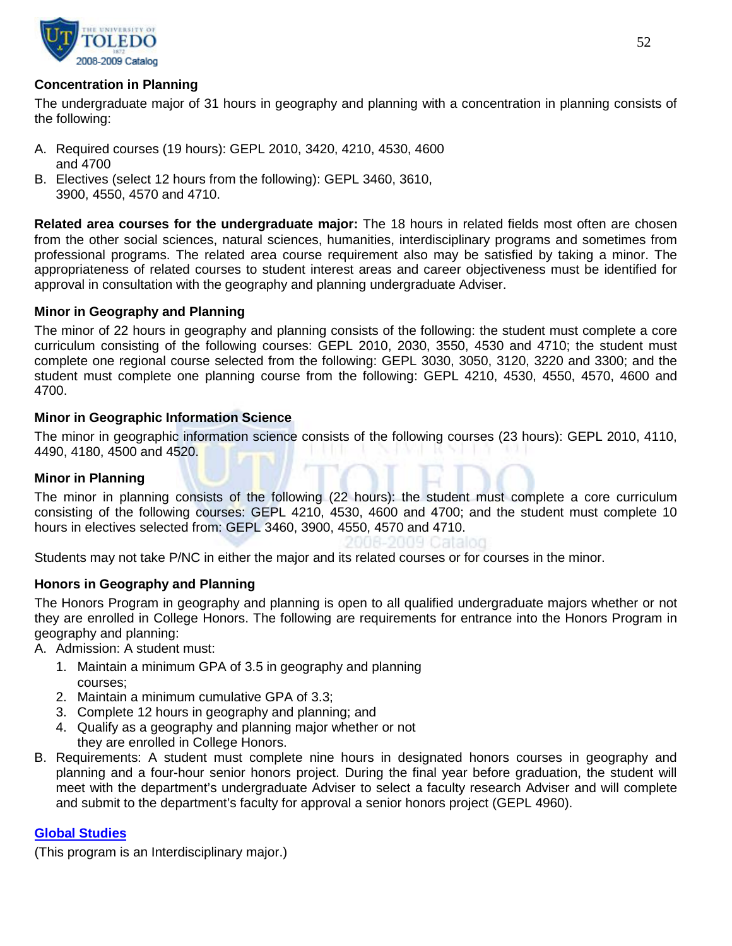

## **Concentration in Planning**

The undergraduate major of 31 hours in geography and planning with a concentration in planning consists of the following:

- A. Required courses (19 hours): GEPL 2010, 3420, 4210, 4530, 4600 and 4700
- B. Electives (select 12 hours from the following): GEPL 3460, 3610, 3900, 4550, 4570 and 4710.

**Related area courses for the undergraduate major:** The 18 hours in related fields most often are chosen from the other social sciences, natural sciences, humanities, interdisciplinary programs and sometimes from professional programs. The related area course requirement also may be satisfied by taking a minor. The appropriateness of related courses to student interest areas and career objectiveness must be identified for approval in consultation with the geography and planning undergraduate Adviser.

## **Minor in Geography and Planning**

The minor of 22 hours in geography and planning consists of the following: the student must complete a core curriculum consisting of the following courses: GEPL 2010, 2030, 3550, 4530 and 4710; the student must complete one regional course selected from the following: GEPL 3030, 3050, 3120, 3220 and 3300; and the student must complete one planning course from the following: GEPL 4210, 4530, 4550, 4570, 4600 and 4700.

## **Minor in Geographic Information Science**

The minor in geographic information science consists of the following courses (23 hours): GEPL 2010, 4110, 4490, 4180, 4500 and 4520.

# **Minor in Planning**

The minor in planning consists of the following (22 hours): the student must complete a core curriculum consisting of the following courses: GEPL 4210, 4530, 4600 and 4700; and the student must complete 10 hours in electives selected from: GEPL 3460, 3900, 4550, 4570 and 4710.

IO9 Cataloo

Students may not take P/NC in either the major and its related courses or for courses in the minor.

## **Honors in Geography and Planning**

The Honors Program in geography and planning is open to all qualified undergraduate majors whether or not they are enrolled in College Honors. The following are requirements for entrance into the Honors Program in geography and planning:

A. Admission: A student must:

- 1. Maintain a minimum GPA of 3.5 in geography and planning courses;
- 2. Maintain a minimum cumulative GPA of 3.3;
- 3. Complete 12 hours in geography and planning; and
- 4. Qualify as a geography and planning major whether or not they are enrolled in College Honors.
- B. Requirements: A student must complete nine hours in designated honors courses in geography and planning and a four-hour senior honors project. During the final year before graduation, the student will meet with the department's undergraduate Adviser to select a faculty research Adviser and will complete and submit to the department's faculty for approval a senior honors project (GEPL 4960).

## **[Global Studies](http://www.utoledo.edu/as/ids/global/global.html)**

(This program is an Interdisciplinary major.)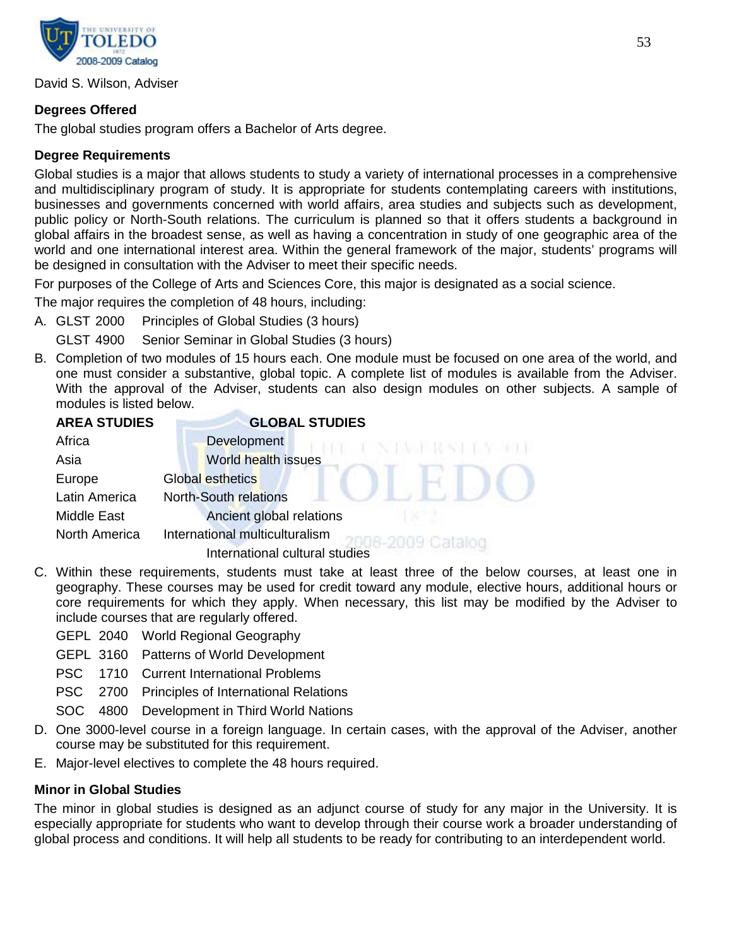

David S. Wilson, Adviser

# **Degrees Offered**

The global studies program offers a Bachelor of Arts degree.

## **Degree Requirements**

Global studies is a major that allows students to study a variety of international processes in a comprehensive and multidisciplinary program of study. It is appropriate for students contemplating careers with institutions, businesses and governments concerned with world affairs, area studies and subjects such as development, public policy or North-South relations. The curriculum is planned so that it offers students a background in global affairs in the broadest sense, as well as having a concentration in study of one geographic area of the world and one international interest area. Within the general framework of the major, students' programs will be designed in consultation with the Adviser to meet their specific needs.

For purposes of the College of Arts and Sciences Core, this major is designated as a social science.

The major requires the completion of 48 hours, including:

- A. GLST 2000 Principles of Global Studies (3 hours)
	- GLST 4900 Senior Seminar in Global Studies (3 hours)
- B. Completion of two modules of 15 hours each. One module must be focused on one area of the world, and one must consider a substantive, global topic. A complete list of modules is available from the Adviser. With the approval of the Adviser, students can also design modules on other subjects. A sample of modules is listed below.

| <b>AREA STUDIES</b>  | <b>GLOBAL STUDIES</b>                             |
|----------------------|---------------------------------------------------|
| Africa               | Development<br>NAME RAM                           |
| Asia                 | <b>World health issues</b>                        |
| Europe               | <b>Global esthetics</b>                           |
| Latin America        | <b>North-South relations</b>                      |
| <b>Middle East</b>   | Ancient global relations                          |
| <b>North America</b> | International multiculturalism<br>16-2009 Catalog |
|                      | International cultural studies                    |

- C. Within these requirements, students must take at least three of the below courses, at least one in geography. These courses may be used for credit toward any module, elective hours, additional hours or core requirements for which they apply. When necessary, this list may be modified by the Adviser to include courses that are regularly offered.
	- GEPL 2040 World Regional Geography
	- GEPL 3160 Patterns of World Development
	- PSC 1710 Current International Problems
	- PSC 2700 Principles of International Relations
	- SOC 4800 Development in Third World Nations
- D. One 3000-level course in a foreign language. In certain cases, with the approval of the Adviser, another course may be substituted for this requirement.
- E. Major-level electives to complete the 48 hours required.

## **Minor in Global Studies**

The minor in global studies is designed as an adjunct course of study for any major in the University. It is especially appropriate for students who want to develop through their course work a broader understanding of global process and conditions. It will help all students to be ready for contributing to an interdependent world.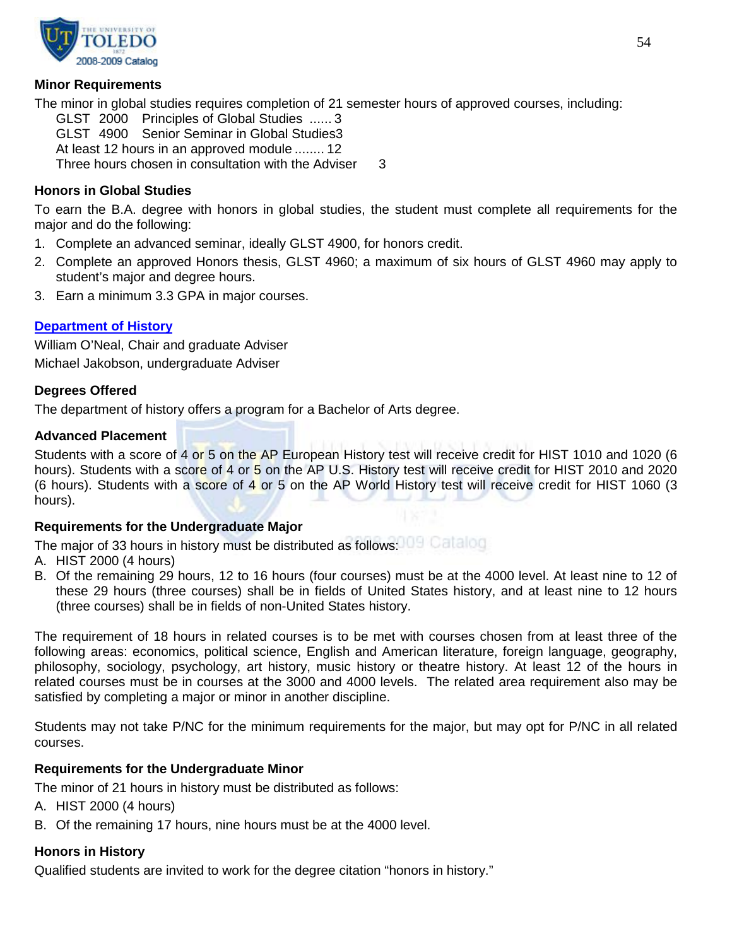

## **Minor Requirements**

The minor in global studies requires completion of 21 semester hours of approved courses, including: GLST 2000 Principles of Global Studies ...... 3 GLST 4900 Senior Seminar in Global Studies3 At least 12 hours in an approved module ........ 12 Three hours chosen in consultation with the Adviser 3

## **Honors in Global Studies**

To earn the B.A. degree with honors in global studies, the student must complete all requirements for the major and do the following:

- 1. Complete an advanced seminar, ideally GLST 4900, for honors credit.
- 2. Complete an approved Honors thesis, GLST 4960; a maximum of six hours of GLST 4960 may apply to student's major and degree hours.
- 3. Earn a minimum 3.3 GPA in major courses.

#### **[Department of History](http://www.utoledo.edu/as/history/index.html)**

William O'Neal, Chair and graduate Adviser Michael Jakobson, undergraduate Adviser

#### **Degrees Offered**

The department of history offers a program for a Bachelor of Arts degree.

#### **Advanced Placement**

Students with a score of 4 or 5 on the AP European History test will receive credit for HIST 1010 and 1020 (6 hours). Students with a score of 4 or 5 on the AP U.S. History test will receive credit for HIST 2010 and 2020 (6 hours). Students with a score of 4 or 5 on the AP World History test will receive credit for HIST 1060 (3 hours).

#### **Requirements for the Undergraduate Major**

The major of 33 hours in history must be distributed as follows: IDE Callalon

- A. HIST 2000 (4 hours)
- B. Of the remaining 29 hours, 12 to 16 hours (four courses) must be at the 4000 level. At least nine to 12 of these 29 hours (three courses) shall be in fields of United States history, and at least nine to 12 hours (three courses) shall be in fields of non-United States history.

The requirement of 18 hours in related courses is to be met with courses chosen from at least three of the following areas: economics, political science, English and American literature, foreign language, geography, philosophy, sociology, psychology, art history, music history or theatre history. At least 12 of the hours in related courses must be in courses at the 3000 and 4000 levels. The related area requirement also may be satisfied by completing a major or minor in another discipline.

Students may not take P/NC for the minimum requirements for the major, but may opt for P/NC in all related courses.

#### **Requirements for the Undergraduate Minor**

The minor of 21 hours in history must be distributed as follows:

- A. HIST 2000 (4 hours)
- B. Of the remaining 17 hours, nine hours must be at the 4000 level.

#### **Honors in History**

Qualified students are invited to work for the degree citation "honors in history."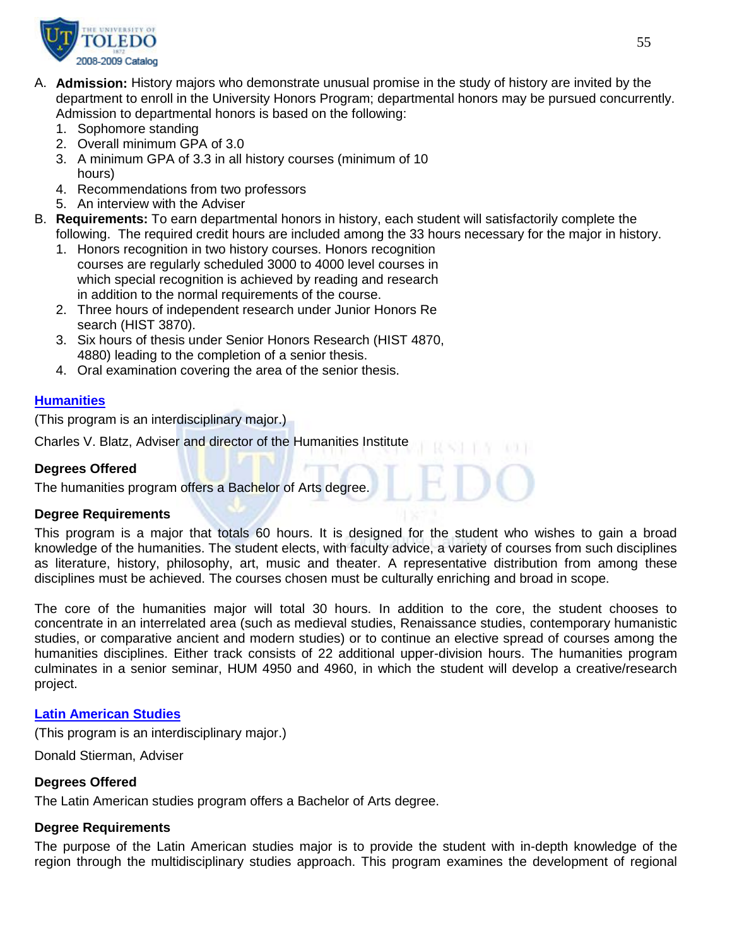

- A. **Admission:** History majors who demonstrate unusual promise in the study of history are invited by the department to enroll in the University Honors Program; departmental honors may be pursued concurrently. Admission to departmental honors is based on the following:
	- 1. Sophomore standing
	- 2. Overall minimum GPA of 3.0
	- 3. A minimum GPA of 3.3 in all history courses (minimum of 10 hours)
	- 4. Recommendations from two professors
	- 5. An interview with the Adviser
- B. **Requirements:** To earn departmental honors in history, each student will satisfactorily complete the following. The required credit hours are included among the 33 hours necessary for the major in history.
	- 1. Honors recognition in two history courses. Honors recognition courses are regularly scheduled 3000 to 4000 level courses in which special recognition is achieved by reading and research in addition to the normal requirements of the course.
	- 2. Three hours of independent research under Junior Honors Re search (HIST 3870).
	- 3. Six hours of thesis under Senior Honors Research (HIST 4870, 4880) leading to the completion of a senior thesis.
	- 4. Oral examination covering the area of the senior thesis.

## **[Humanities](http://www.utoledo.edu/as/ids/humanities.html)**

(This program is an interdisciplinary major.)

Charles V. Blatz, Adviser and director of the Humanities Institute

#### **Degrees Offered**

The humanities program offers a Bachelor of Arts degree.

#### **Degree Requirements**

This program is a major that totals 60 hours. It is designed for the student who wishes to gain a broad knowledge of the humanities. The student elects, with faculty advice, a variety of courses from such disciplines as literature, history, philosophy, art, music and theater. A representative distribution from among these disciplines must be achieved. The courses chosen must be culturally enriching and broad in scope.

The core of the humanities major will total 30 hours. In addition to the core, the student chooses to concentrate in an interrelated area (such as medieval studies, Renaissance studies, contemporary humanistic studies, or comparative ancient and modern studies) or to continue an elective spread of courses among the humanities disciplines. Either track consists of 22 additional upper-division hours. The humanities program culminates in a senior seminar, HUM 4950 and 4960, in which the student will develop a creative/research project.

#### **[Latin American Studies](http://www.lasi.utoledo.edu/index.html)**

(This program is an interdisciplinary major.)

Donald Stierman, Adviser

## **Degrees Offered**

The Latin American studies program offers a Bachelor of Arts degree.

# **Degree Requirements**

The purpose of the Latin American studies major is to provide the student with in-depth knowledge of the region through the multidisciplinary studies approach. This program examines the development of regional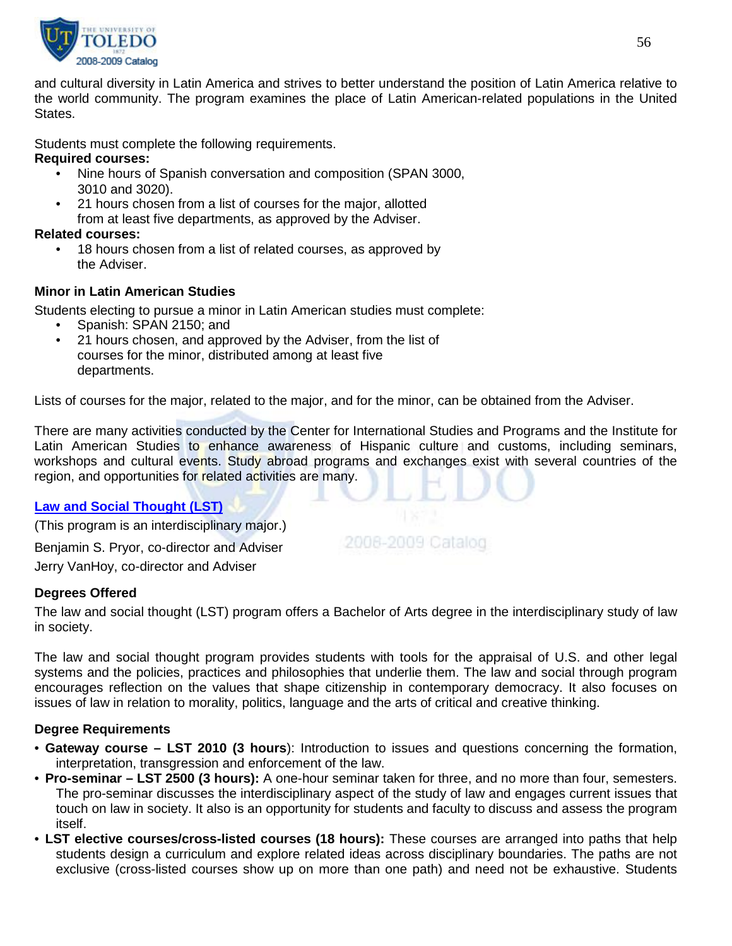

and cultural diversity in Latin America and strives to better understand the position of Latin America relative to the world community. The program examines the place of Latin American-related populations in the United States.

Students must complete the following requirements.

# **Required courses:**

- Nine hours of Spanish conversation and composition (SPAN 3000, 3010 and 3020).
- 21 hours chosen from a list of courses for the major, allotted from at least five departments, as approved by the Adviser.

# **Related courses:**

18 hours chosen from a list of related courses, as approved by the Adviser.

# **Minor in Latin American Studies**

Students electing to pursue a minor in Latin American studies must complete:

- Spanish: SPAN 2150; and
- 21 hours chosen, and approved by the Adviser, from the list of courses for the minor, distributed among at least five departments.

Lists of courses for the major, related to the major, and for the minor, can be obtained from the Adviser.

There are many activities conducted by the Center for International Studies and Programs and the Institute for Latin American Studies to enhance awareness of Hispanic culture and customs, including seminars, workshops and cultural events. Study abroad programs and exchanges exist with several countries of the region, and opportunities for related activities are many.

# **[Law and Social Thought \(LST\)](http://www.utoledo.edu/as/lst/index.html)**

(This program is an interdisciplinary major.)

Benjamin S. Pryor, co-director and Adviser Jerry VanHoy, co-director and Adviser

# **Degrees Offered**

The law and social thought (LST) program offers a Bachelor of Arts degree in the interdisciplinary study of law in society.

2008-2009 Catalog

The law and social thought program provides students with tools for the appraisal of U.S. and other legal systems and the policies, practices and philosophies that underlie them. The law and social through program encourages reflection on the values that shape citizenship in contemporary democracy. It also focuses on issues of law in relation to morality, politics, language and the arts of critical and creative thinking.

# **Degree Requirements**

- **Gateway course – LST 2010 (3 hours**): Introduction to issues and questions concerning the formation, interpretation, transgression and enforcement of the law.
- **Pro-seminar – LST 2500 (3 hours):** A one-hour seminar taken for three, and no more than four, semesters. The pro-seminar discusses the interdisciplinary aspect of the study of law and engages current issues that touch on law in society. It also is an opportunity for students and faculty to discuss and assess the program itself.
- **LST elective courses/cross-listed courses (18 hours):** These courses are arranged into paths that help students design a curriculum and explore related ideas across disciplinary boundaries. The paths are not exclusive (cross-listed courses show up on more than one path) and need not be exhaustive. Students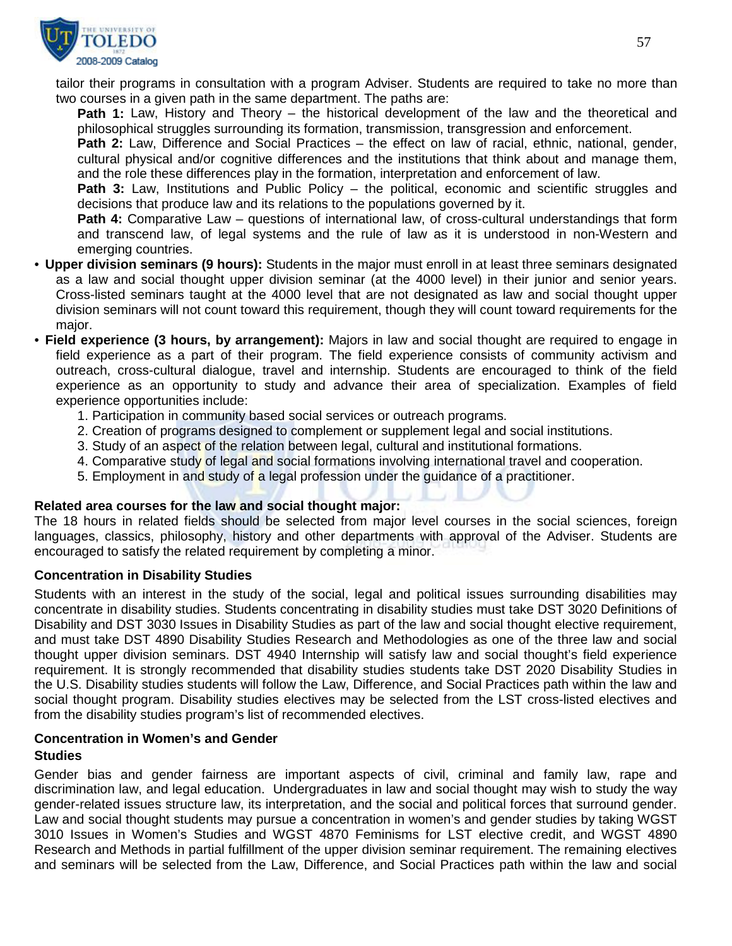

tailor their programs in consultation with a program Adviser. Students are required to take no more than two courses in a given path in the same department. The paths are:

**Path 1:** Law, History and Theory – the historical development of the law and the theoretical and philosophical struggles surrounding its formation, transmission, transgression and enforcement.

Path 2: Law, Difference and Social Practices – the effect on law of racial, ethnic, national, gender, cultural physical and/or cognitive differences and the institutions that think about and manage them, and the role these differences play in the formation, interpretation and enforcement of law.

Path 3: Law, Institutions and Public Policy – the political, economic and scientific struggles and decisions that produce law and its relations to the populations governed by it.

**Path 4:** Comparative Law – questions of international law, of cross-cultural understandings that form and transcend law, of legal systems and the rule of law as it is understood in non-Western and emerging countries.

- **Upper division seminars (9 hours):** Students in the major must enroll in at least three seminars designated as a law and social thought upper division seminar (at the 4000 level) in their junior and senior years. Cross-listed seminars taught at the 4000 level that are not designated as law and social thought upper division seminars will not count toward this requirement, though they will count toward requirements for the major.
- **Field experience (3 hours, by arrangement):** Majors in law and social thought are required to engage in field experience as a part of their program. The field experience consists of community activism and outreach, cross-cultural dialogue, travel and internship. Students are encouraged to think of the field experience as an opportunity to study and advance their area of specialization. Examples of field experience opportunities include:
	- 1. Participation in community based social services or outreach programs.
	- 2. Creation of programs designed to complement or supplement legal and social institutions.
	- 3. Study of an aspect of the relation between legal, cultural and institutional formations.
	- 4. Comparative study of legal and social formations involving international travel and cooperation.
	- 5. Employment in and study of a legal profession under the guidance of a practitioner.

#### **Related area courses for the law and social thought major:**

The 18 hours in related fields should be selected from major level courses in the social sciences, foreign languages, classics, philosophy, history and other departments with approval of the Adviser. Students are encouraged to satisfy the related requirement by completing a minor.

#### **Concentration in Disability Studies**

Students with an interest in the study of the social, legal and political issues surrounding disabilities may concentrate in disability studies. Students concentrating in disability studies must take DST 3020 Definitions of Disability and DST 3030 Issues in Disability Studies as part of the law and social thought elective requirement, and must take DST 4890 Disability Studies Research and Methodologies as one of the three law and social thought upper division seminars. DST 4940 Internship will satisfy law and social thought's field experience requirement. It is strongly recommended that disability studies students take DST 2020 Disability Studies in the U.S. Disability studies students will follow the Law, Difference, and Social Practices path within the law and social thought program. Disability studies electives may be selected from the LST cross-listed electives and from the disability studies program's list of recommended electives.

#### **Concentration in Women's and Gender Studies**

Gender bias and gender fairness are important aspects of civil, criminal and family law, rape and discrimination law, and legal education. Undergraduates in law and social thought may wish to study the way gender-related issues structure law, its interpretation, and the social and political forces that surround gender. Law and social thought students may pursue a concentration in women's and gender studies by taking WGST 3010 Issues in Women's Studies and WGST 4870 Feminisms for LST elective credit, and WGST 4890 Research and Methods in partial fulfillment of the upper division seminar requirement. The remaining electives and seminars will be selected from the Law, Difference, and Social Practices path within the law and social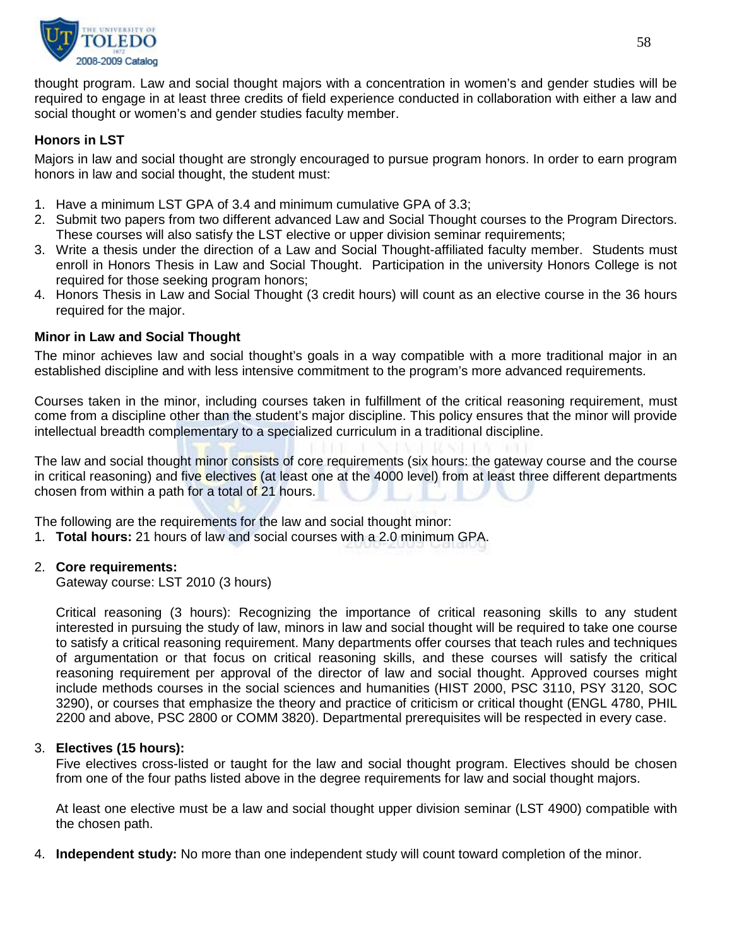

thought program. Law and social thought majors with a concentration in women's and gender studies will be required to engage in at least three credits of field experience conducted in collaboration with either a law and social thought or women's and gender studies faculty member.

# **Honors in LST**

Majors in law and social thought are strongly encouraged to pursue program honors. In order to earn program honors in law and social thought, the student must:

- 1. Have a minimum LST GPA of 3.4 and minimum cumulative GPA of 3.3;
- 2. Submit two papers from two different advanced Law and Social Thought courses to the Program Directors. These courses will also satisfy the LST elective or upper division seminar requirements;
- 3. Write a thesis under the direction of a Law and Social Thought-affiliated faculty member. Students must enroll in Honors Thesis in Law and Social Thought. Participation in the university Honors College is not required for those seeking program honors;
- 4. Honors Thesis in Law and Social Thought (3 credit hours) will count as an elective course in the 36 hours required for the major.

#### **Minor in Law and Social Thought**

The minor achieves law and social thought's goals in a way compatible with a more traditional major in an established discipline and with less intensive commitment to the program's more advanced requirements.

Courses taken in the minor, including courses taken in fulfillment of the critical reasoning requirement, must come from a discipline other than the student's major discipline. This policy ensures that the minor will provide intellectual breadth complementary to a specialized curriculum in a traditional discipline.

The law and social thought minor consists of core requirements (six hours: the gateway course and the course in critical reasoning) and five electives (at least one at the 4000 level) from at least three different departments chosen from within a path for a total of 21 hours.

The following are the requirements for the law and social thought minor:

1. **Total hours:** 21 hours of law and social courses with a 2.0 minimum GPA.

## 2. **Core requirements:**

Gateway course: LST 2010 (3 hours)

Critical reasoning (3 hours): Recognizing the importance of critical reasoning skills to any student interested in pursuing the study of law, minors in law and social thought will be required to take one course to satisfy a critical reasoning requirement. Many departments offer courses that teach rules and techniques of argumentation or that focus on critical reasoning skills, and these courses will satisfy the critical reasoning requirement per approval of the director of law and social thought. Approved courses might include methods courses in the social sciences and humanities (HIST 2000, PSC 3110, PSY 3120, SOC 3290), or courses that emphasize the theory and practice of criticism or critical thought (ENGL 4780, PHIL 2200 and above, PSC 2800 or COMM 3820). Departmental prerequisites will be respected in every case.

#### 3. **Electives (15 hours):**

Five electives cross-listed or taught for the law and social thought program. Electives should be chosen from one of the four paths listed above in the degree requirements for law and social thought majors.

At least one elective must be a law and social thought upper division seminar (LST 4900) compatible with the chosen path.

4. **Independent study:** No more than one independent study will count toward completion of the minor.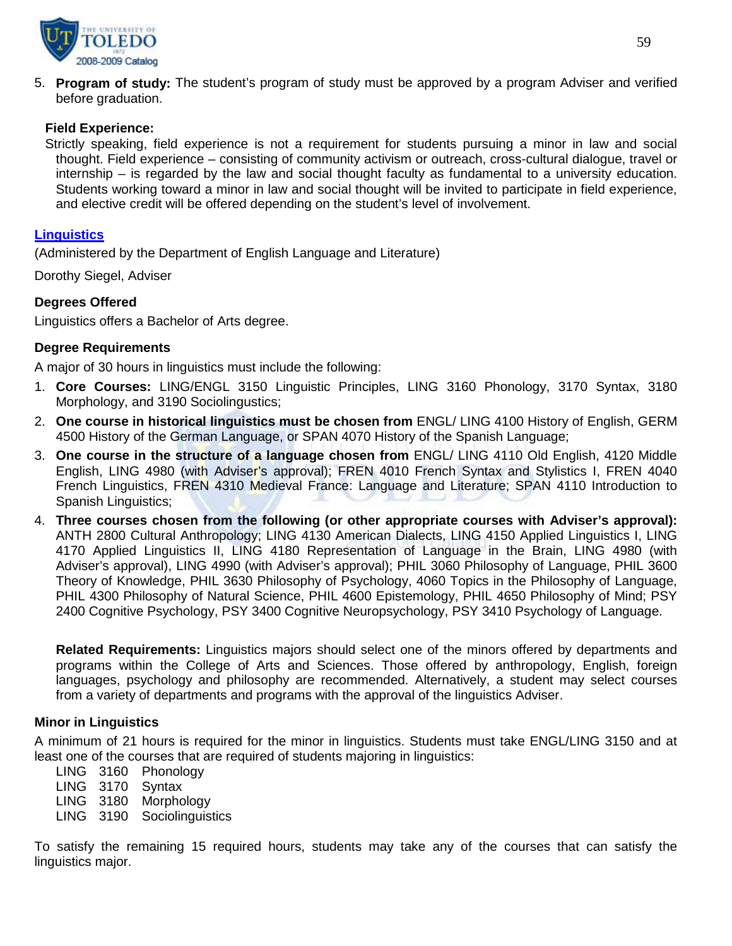

5. **Program of study:** The student's program of study must be approved by a program Adviser and verified before graduation.

## **Field Experience:**

Strictly speaking, field experience is not a requirement for students pursuing a minor in law and social thought. Field experience – consisting of community activism or outreach, cross-cultural dialogue, travel or internship – is regarded by the law and social thought faculty as fundamental to a university education. Students working toward a minor in law and social thought will be invited to participate in field experience, and elective credit will be offered depending on the student's level of involvement.

## **[Linguistics](http://www.utoledo.edu/as/english/programs/linguistics/index.html)**

(Administered by the Department of English Language and Literature)

Dorothy Siegel, Adviser

## **Degrees Offered**

Linguistics offers a Bachelor of Arts degree.

## **Degree Requirements**

A major of 30 hours in linguistics must include the following:

- 1. **Core Courses:** LING/ENGL 3150 Linguistic Principles, LING 3160 Phonology, 3170 Syntax, 3180 Morphology, and 3190 Sociolingustics;
- 2. **One course in historical linguistics must be chosen from** ENGL/ LING 4100 History of English, GERM 4500 History of the German Language, or SPAN 4070 History of the Spanish Language;
- 3. **One course in the structure of a language chosen from** ENGL/ LING 4110 Old English, 4120 Middle English, LING 4980 (with Adviser's approval); FREN 4010 French Syntax and Stylistics I, FREN 4040 French Linguistics, FREN 4310 Medieval France: Language and Literature; SPAN 4110 Introduction to Spanish Linguistics;
- 4. **Three courses chosen from the following (or other appropriate courses with Adviser's approval):** ANTH 2800 Cultural Anthropology; LING 4130 American Dialects, LING 4150 Applied Linguistics I, LING 4170 Applied Linguistics II, LING 4180 Representation of Language in the Brain, LING 4980 (with Adviser's approval), LING 4990 (with Adviser's approval); PHIL 3060 Philosophy of Language, PHIL 3600 Theory of Knowledge, PHIL 3630 Philosophy of Psychology, 4060 Topics in the Philosophy of Language, PHIL 4300 Philosophy of Natural Science, PHIL 4600 Epistemology, PHIL 4650 Philosophy of Mind; PSY 2400 Cognitive Psychology, PSY 3400 Cognitive Neuropsychology, PSY 3410 Psychology of Language.

**Related Requirements:** Linguistics majors should select one of the minors offered by departments and programs within the College of Arts and Sciences. Those offered by anthropology, English, foreign languages, psychology and philosophy are recommended. Alternatively, a student may select courses from a variety of departments and programs with the approval of the linguistics Adviser.

## **Minor in Linguistics**

A minimum of 21 hours is required for the minor in linguistics. Students must take ENGL/LING 3150 and at least one of the courses that are required of students majoring in linguistics:

LING 3160 Phonology LING 3170 Syntax LING 3180 Morphology LING 3190 Sociolinguistics

To satisfy the remaining 15 required hours, students may take any of the courses that can satisfy the linguistics major.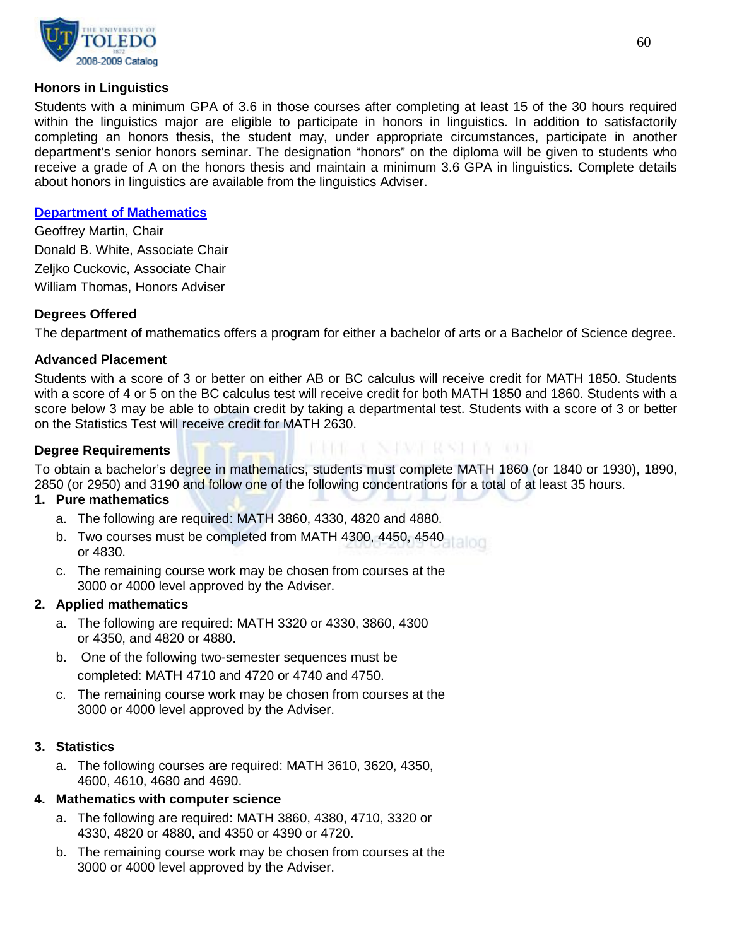

#### **Honors in Linguistics**

Students with a minimum GPA of 3.6 in those courses after completing at least 15 of the 30 hours required within the linguistics major are eligible to participate in honors in linguistics. In addition to satisfactorily completing an honors thesis, the student may, under appropriate circumstances, participate in another department's senior honors seminar. The designation "honors" on the diploma will be given to students who receive a grade of A on the honors thesis and maintain a minimum 3.6 GPA in linguistics. Complete details about honors in linguistics are available from the linguistics Adviser.

#### **[Department of Mathematics](http://www.math.utoledo.edu/)**

Geoffrey Martin, Chair Donald B. White, Associate Chair Zeljko Cuckovic, Associate Chair William Thomas, Honors Adviser

## **Degrees Offered**

The department of mathematics offers a program for either a bachelor of arts or a Bachelor of Science degree.

#### **Advanced Placement**

Students with a score of 3 or better on either AB or BC calculus will receive credit for MATH 1850. Students with a score of 4 or 5 on the BC calculus test will receive credit for both MATH 1850 and 1860. Students with a score below 3 may be able to obtain credit by taking a departmental test. Students with a score of 3 or better on the Statistics Test will receive credit for MATH 2630.

## **Degree Requirements**

To obtain a bachelor's degree in mathematics, students must complete MATH 1860 (or 1840 or 1930), 1890, 2850 (or 2950) and 3190 and follow one of the following concentrations for a total of at least 35 hours.

KRIK I NJAVI RASI KA 101

#### **1. Pure mathematics**

- a. The following are required: MATH 3860, 4330, 4820 and 4880.
- b. Two courses must be completed from MATH 4300, 4450, 4540 or 4830.
- c. The remaining course work may be chosen from courses at the 3000 or 4000 level approved by the Adviser.

#### **2. Applied mathematics**

- a. The following are required: MATH 3320 or 4330, 3860, 4300 or 4350, and 4820 or 4880.
- b. One of the following two-semester sequences must be completed: MATH 4710 and 4720 or 4740 and 4750.
- c. The remaining course work may be chosen from courses at the 3000 or 4000 level approved by the Adviser.

#### **3. Statistics**

a. The following courses are required: MATH 3610, 3620, 4350, 4600, 4610, 4680 and 4690.

# **4. Mathematics with computer science**

- a. The following are required: MATH 3860, 4380, 4710, 3320 or 4330, 4820 or 4880, and 4350 or 4390 or 4720.
- b. The remaining course work may be chosen from courses at the 3000 or 4000 level approved by the Adviser.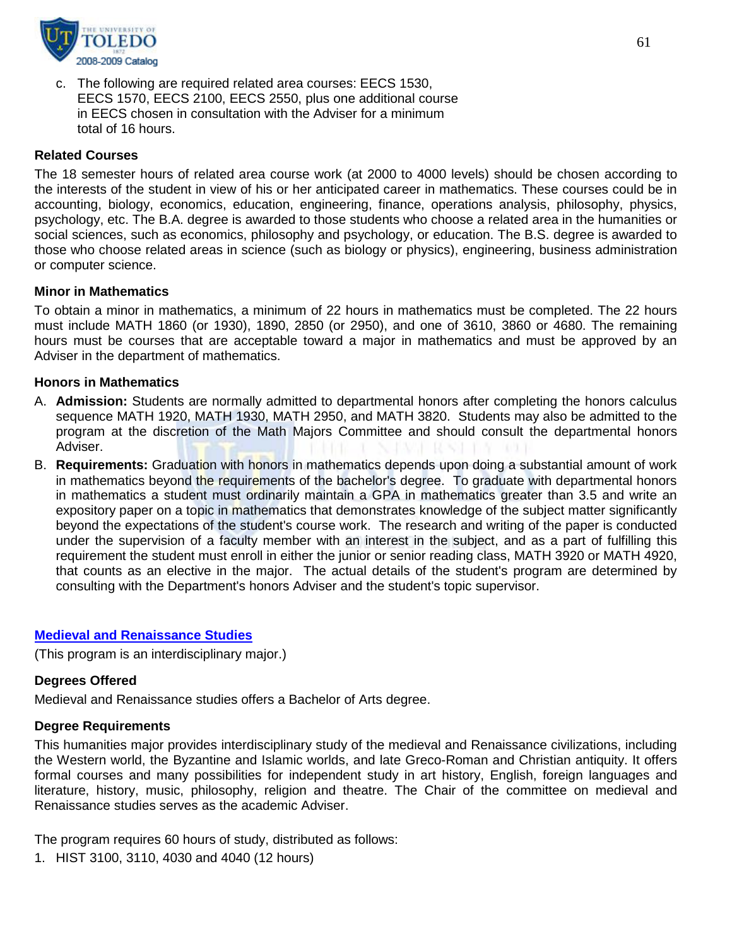

c. The following are required related area courses: EECS 1530, EECS 1570, EECS 2100, EECS 2550, plus one additional course in EECS chosen in consultation with the Adviser for a minimum total of 16 hours.

#### **Related Courses**

The 18 semester hours of related area course work (at 2000 to 4000 levels) should be chosen according to the interests of the student in view of his or her anticipated career in mathematics. These courses could be in accounting, biology, economics, education, engineering, finance, operations analysis, philosophy, physics, psychology, etc. The B.A. degree is awarded to those students who choose a related area in the humanities or social sciences, such as economics, philosophy and psychology, or education. The B.S. degree is awarded to those who choose related areas in science (such as biology or physics), engineering, business administration or computer science.

#### **Minor in Mathematics**

To obtain a minor in mathematics, a minimum of 22 hours in mathematics must be completed. The 22 hours must include MATH 1860 (or 1930), 1890, 2850 (or 2950), and one of 3610, 3860 or 4680. The remaining hours must be courses that are acceptable toward a major in mathematics and must be approved by an Adviser in the department of mathematics.

#### **Honors in Mathematics**

- A. **Admission:** Students are normally admitted to departmental honors after completing the honors calculus sequence MATH 1920, MATH 1930, MATH 2950, and MATH 3820. Students may also be admitted to the program at the discretion of the Math Majors Committee and should consult the departmental honors Adviser.
- B. **Requirements:** Graduation with honors in mathematics depends upon doing a substantial amount of work in mathematics beyond the requirements of the bachelor's degree. To graduate with departmental honors in mathematics a student must ordinarily maintain a GPA in mathematics greater than 3.5 and write an expository paper on a topic in mathematics that demonstrates knowledge of the subject matter significantly beyond the expectations of the student's course work. The research and writing of the paper is conducted under the supervision of a faculty member with an interest in the subject, and as a part of fulfilling this requirement the student must enroll in either the junior or senior reading class, MATH 3920 or MATH 4920, that counts as an elective in the major. The actual details of the student's program are determined by consulting with the Department's honors Adviser and the student's topic supervisor.

## **[Medieval and Renaissance Studies](http://www.utoledo.edu/as/ids/medieval.html)**

(This program is an interdisciplinary major.)

## **Degrees Offered**

Medieval and Renaissance studies offers a Bachelor of Arts degree.

#### **Degree Requirements**

This humanities major provides interdisciplinary study of the medieval and Renaissance civilizations, including the Western world, the Byzantine and Islamic worlds, and late Greco-Roman and Christian antiquity. It offers formal courses and many possibilities for independent study in art history, English, foreign languages and literature, history, music, philosophy, religion and theatre. The Chair of the committee on medieval and Renaissance studies serves as the academic Adviser.

The program requires 60 hours of study, distributed as follows:

1. HIST 3100, 3110, 4030 and 4040 (12 hours)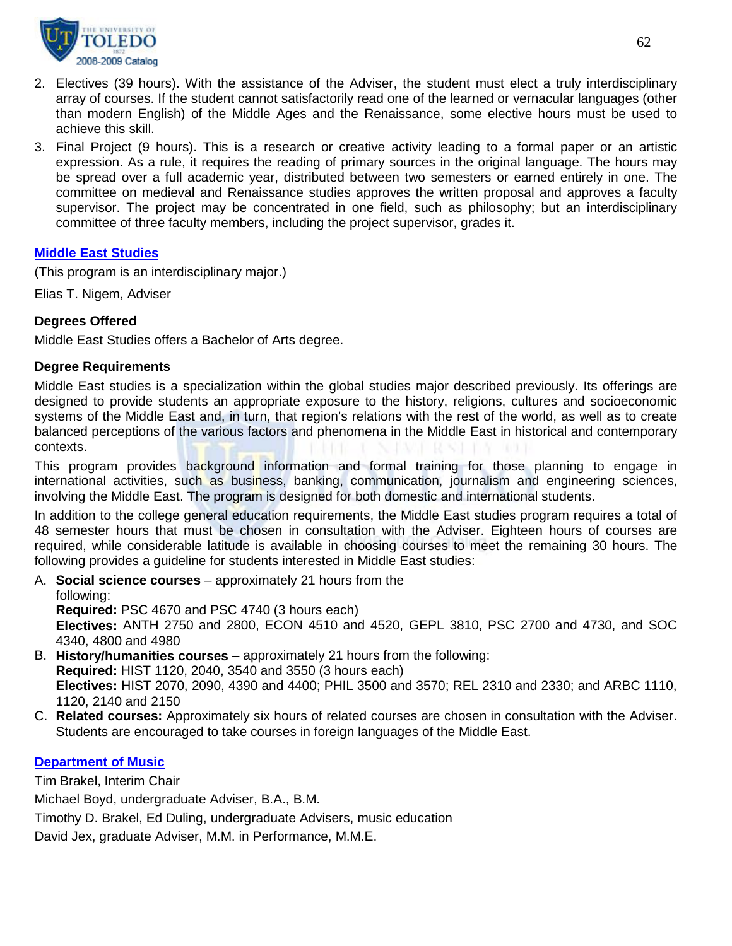

- 2. Electives (39 hours). With the assistance of the Adviser, the student must elect a truly interdisciplinary array of courses. If the student cannot satisfactorily read one of the learned or vernacular languages (other than modern English) of the Middle Ages and the Renaissance, some elective hours must be used to achieve this skill.
- 3. Final Project (9 hours). This is a research or creative activity leading to a formal paper or an artistic expression. As a rule, it requires the reading of primary sources in the original language. The hours may be spread over a full academic year, distributed between two semesters or earned entirely in one. The committee on medieval and Renaissance studies approves the written proposal and approves a faculty supervisor. The project may be concentrated in one field, such as philosophy; but an interdisciplinary committee of three faculty members, including the project supervisor, grades it.

## **[Middle East Studies](http://www.utoledo.edu/as/ids/meast/middleeast.html)**

(This program is an interdisciplinary major.)

Elias T. Nigem, Adviser

#### **Degrees Offered**

Middle East Studies offers a Bachelor of Arts degree.

#### **Degree Requirements**

Middle East studies is a specialization within the global studies major described previously. Its offerings are designed to provide students an appropriate exposure to the history, religions, cultures and socioeconomic systems of the Middle East and, in turn, that region's relations with the rest of the world, as well as to create balanced perceptions of the various factors and phenomena in the Middle East in historical and contemporary contexts.

This program provides background information and formal training for those planning to engage in international activities, such as business, banking, communication, journalism and engineering sciences, involving the Middle East. The program is designed for both domestic and international students.

In addition to the college general education requirements, the Middle East studies program requires a total of 48 semester hours that must be chosen in consultation with the Adviser. Eighteen hours of courses are required, while considerable latitude is available in choosing courses to meet the remaining 30 hours. The following provides a guideline for students interested in Middle East studies:

A. **Social science courses** – approximately 21 hours from the

following: **Required:** PSC 4670 and PSC 4740 (3 hours each) **Electives:** ANTH 2750 and 2800, ECON 4510 and 4520, GEPL 3810, PSC 2700 and 4730, and SOC 4340, 4800 and 4980

- B. **History/humanities courses** approximately 21 hours from the following: **Required:** HIST 1120, 2040, 3540 and 3550 (3 hours each) **Electives:** HIST 2070, 2090, 4390 and 4400; PHIL 3500 and 3570; REL 2310 and 2330; and ARBC 1110, 1120, 2140 and 2150
- C. **Related courses:** Approximately six hours of related courses are chosen in consultation with the Adviser. Students are encouraged to take courses in foreign languages of the Middle East.

#### **[Department of Music](http://www.utoledo.edu/as/music/index.html)**

Tim Brakel, Interim Chair Michael Boyd, undergraduate Adviser, B.A., B.M. Timothy D. Brakel, Ed Duling, undergraduate Advisers, music education

David Jex, graduate Adviser, M.M. in Performance, M.M.E.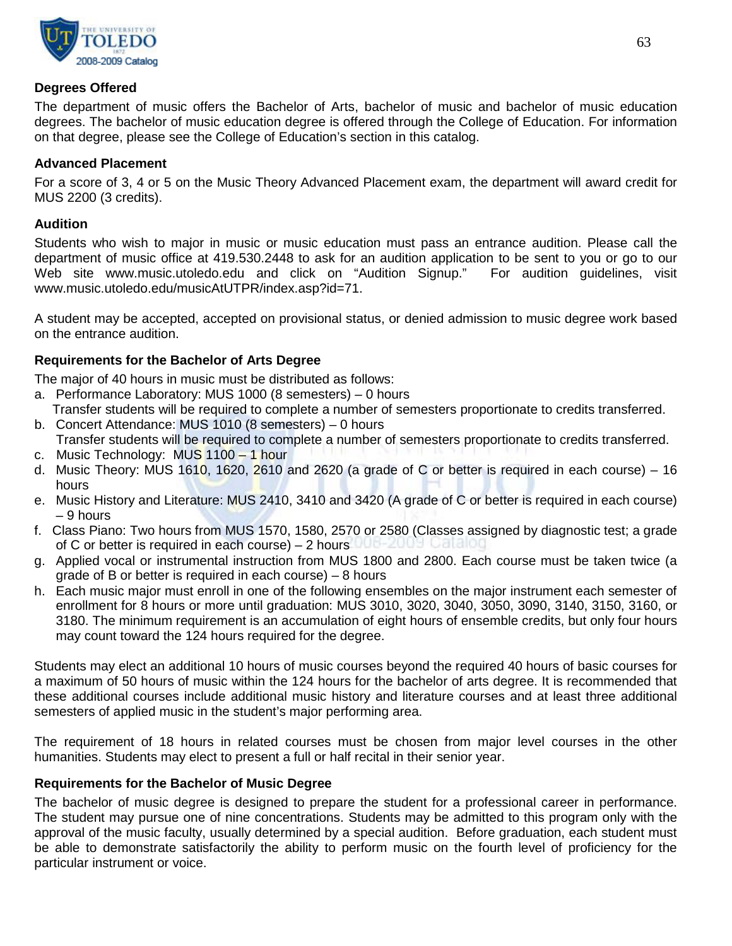

## **Degrees Offered**

The department of music offers the Bachelor of Arts, bachelor of music and bachelor of music education degrees. The bachelor of music education degree is offered through the College of Education. For information on that degree, please see the College of Education's section in this catalog.

## **Advanced Placement**

For a score of 3, 4 or 5 on the Music Theory Advanced Placement exam, the department will award credit for MUS 2200 (3 credits).

## **Audition**

Students who wish to major in music or music education must pass an entrance audition. Please call the department of music office at 419.530.2448 to ask for an audition application to be sent to you or go to our Web site www.music.utoledo.edu and click on "Audition Signup." For audition guidelines, visit www.music.utoledo.edu/musicAtUTPR/index.asp?id=71.

A student may be accepted, accepted on provisional status, or denied admission to music degree work based on the entrance audition.

## **Requirements for the Bachelor of Arts Degree**

The major of 40 hours in music must be distributed as follows:

- a. Performance Laboratory: MUS 1000 (8 semesters) 0 hours Transfer students will be required to complete a number of semesters proportionate to credits transferred.
- b. Concert Attendance: MUS 1010 (8 semesters) 0 hours Transfer students will be required to complete a number of semesters proportionate to credits transferred.
- c. Music Technology: MUS 1100 1 hour
- d. Music Theory: MUS 1610, 1620, 2610 and 2620 (a grade of C or better is required in each course) 16 hours
- e. Music History and Literature: MUS 2410, 3410 and 3420 (A grade of C or better is required in each course) – 9 hours
- f. Class Piano: Two hours from MUS 1570, 1580, 2570 or 2580 (Classes assigned by diagnostic test; a grade of C or better is required in each course) – 2 hours
- g. Applied vocal or instrumental instruction from MUS 1800 and 2800. Each course must be taken twice (a grade of B or better is required in each course) – 8 hours
- h. Each music major must enroll in one of the following ensembles on the major instrument each semester of enrollment for 8 hours or more until graduation: MUS 3010, 3020, 3040, 3050, 3090, 3140, 3150, 3160, or 3180. The minimum requirement is an accumulation of eight hours of ensemble credits, but only four hours may count toward the 124 hours required for the degree.

Students may elect an additional 10 hours of music courses beyond the required 40 hours of basic courses for a maximum of 50 hours of music within the 124 hours for the bachelor of arts degree. It is recommended that these additional courses include additional music history and literature courses and at least three additional semesters of applied music in the student's major performing area.

The requirement of 18 hours in related courses must be chosen from major level courses in the other humanities. Students may elect to present a full or half recital in their senior year.

## **Requirements for the Bachelor of Music Degree**

The bachelor of music degree is designed to prepare the student for a professional career in performance. The student may pursue one of nine concentrations. Students may be admitted to this program only with the approval of the music faculty, usually determined by a special audition. Before graduation, each student must be able to demonstrate satisfactorily the ability to perform music on the fourth level of proficiency for the particular instrument or voice.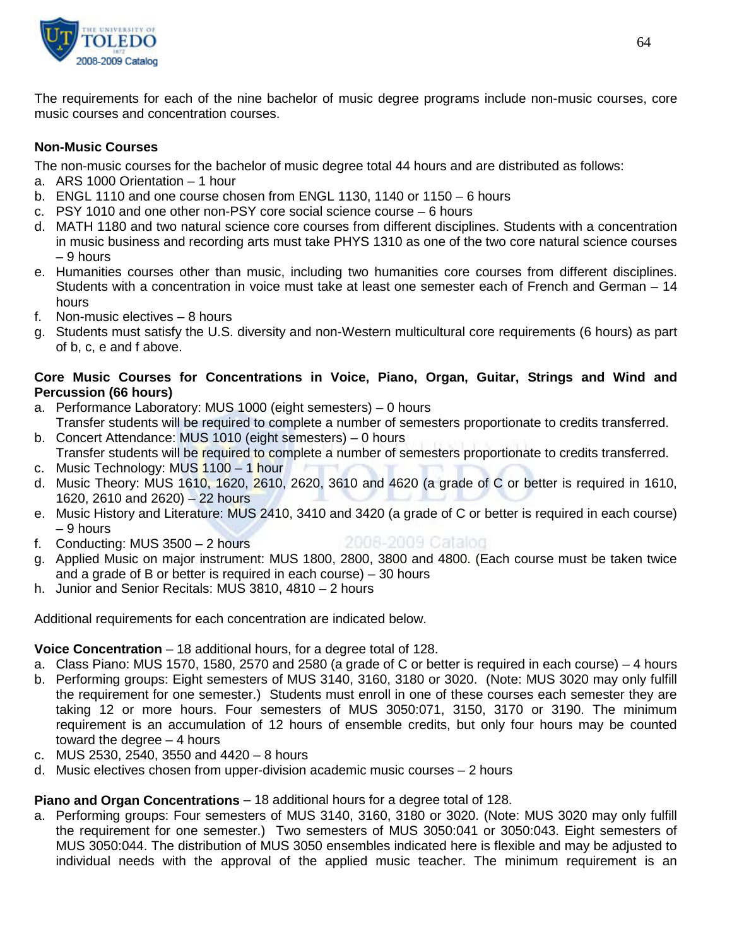

The requirements for each of the nine bachelor of music degree programs include non-music courses, core music courses and concentration courses.

## **Non-Music Courses**

The non-music courses for the bachelor of music degree total 44 hours and are distributed as follows:

- a. ARS 1000 Orientation 1 hour
- b. ENGL 1110 and one course chosen from ENGL 1130, 1140 or 1150 6 hours
- c. PSY 1010 and one other non-PSY core social science course 6 hours
- d. MATH 1180 and two natural science core courses from different disciplines. Students with a concentration in music business and recording arts must take PHYS 1310 as one of the two core natural science courses  $-9$  hours
- e. Humanities courses other than music, including two humanities core courses from different disciplines. Students with a concentration in voice must take at least one semester each of French and German – 14 hours
- f. Non-music electives 8 hours
- g. Students must satisfy the U.S. diversity and non-Western multicultural core requirements (6 hours) as part of b, c, e and f above.

## **Core Music Courses for Concentrations in Voice, Piano, Organ, Guitar, Strings and Wind and Percussion (66 hours)**

- a. Performance Laboratory: MUS 1000 (eight semesters) 0 hours Transfer students will be required to complete a number of semesters proportionate to credits transferred.
- b. Concert Attendance: MUS 1010 (eight semesters) 0 hours Transfer students will be required to complete a number of semesters proportionate to credits transferred.
- c. Music Technology: MUS 1100 1 hour
- d. Music Theory: MUS 1610, 1620, 2610, 2620, 3610 and 4620 (a grade of C or better is required in 1610, 1620, 2610 and 2620) – 22 hours
- e. Music History and Literature: MUS 2410, 3410 and 3420 (a grade of C or better is required in each course) – 9 hours
- f. Conducting: MUS 3500 2 hours

# 2008-2009 Catalog

- g. Applied Music on major instrument: MUS 1800, 2800, 3800 and 4800. (Each course must be taken twice and a grade of B or better is required in each course) – 30 hours
- h. Junior and Senior Recitals: MUS 3810, 4810 2 hours

Additional requirements for each concentration are indicated below.

# **Voice Concentration** – 18 additional hours, for a degree total of 128.

- a. Class Piano: MUS 1570, 1580, 2570 and 2580 (a grade of C or better is required in each course) 4 hours
- b. Performing groups: Eight semesters of MUS 3140, 3160, 3180 or 3020. (Note: MUS 3020 may only fulfill the requirement for one semester.) Students must enroll in one of these courses each semester they are taking 12 or more hours. Four semesters of MUS 3050:071, 3150, 3170 or 3190. The minimum requirement is an accumulation of 12 hours of ensemble credits, but only four hours may be counted toward the degree – 4 hours
- c. MUS 2530, 2540, 3550 and 4420 8 hours
- d. Music electives chosen from upper-division academic music courses 2 hours

# **Piano and Organ Concentrations** – 18 additional hours for a degree total of 128.

a. Performing groups: Four semesters of MUS 3140, 3160, 3180 or 3020. (Note: MUS 3020 may only fulfill the requirement for one semester.) Two semesters of MUS 3050:041 or 3050:043. Eight semesters of MUS 3050:044. The distribution of MUS 3050 ensembles indicated here is flexible and may be adjusted to individual needs with the approval of the applied music teacher. The minimum requirement is an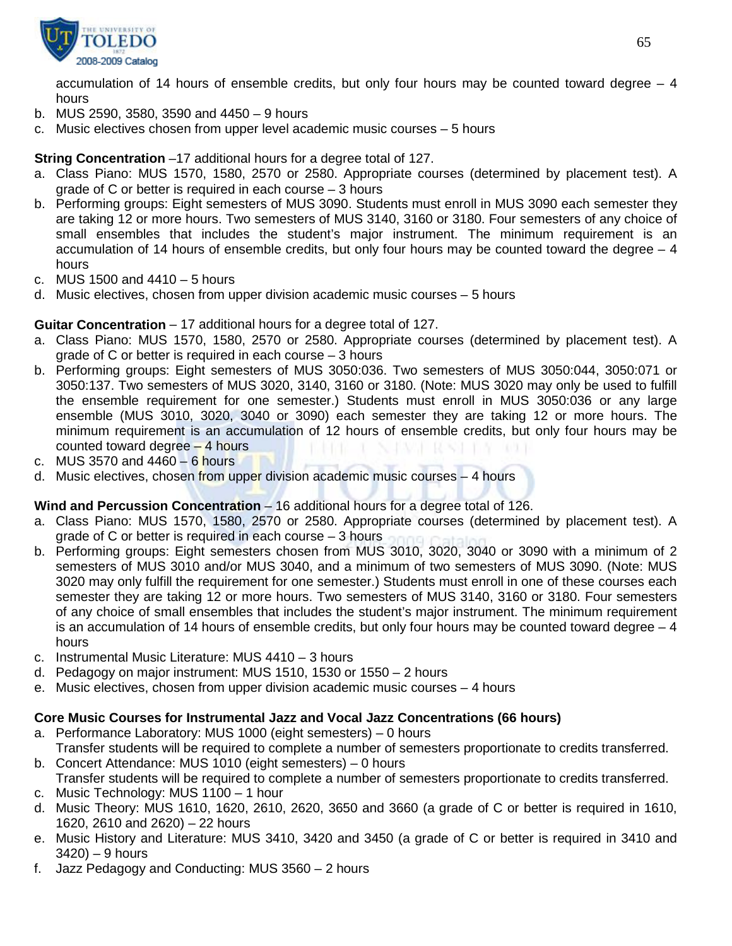

accumulation of 14 hours of ensemble credits, but only four hours may be counted toward degree  $-4$ hours

- b. MUS 2590, 3580, 3590 and 4450 9 hours
- c. Music electives chosen from upper level academic music courses 5 hours

# **String Concentration** –17 additional hours for a degree total of 127.

- a. Class Piano: MUS 1570, 1580, 2570 or 2580. Appropriate courses (determined by placement test). A grade of C or better is required in each course – 3 hours
- b. Performing groups: Eight semesters of MUS 3090. Students must enroll in MUS 3090 each semester they are taking 12 or more hours. Two semesters of MUS 3140, 3160 or 3180. Four semesters of any choice of small ensembles that includes the student's major instrument. The minimum requirement is an accumulation of 14 hours of ensemble credits, but only four hours may be counted toward the degree – 4 hours
- c. MUS 1500 and 4410 5 hours
- d. Music electives, chosen from upper division academic music courses 5 hours

## **Guitar Concentration** – 17 additional hours for a degree total of 127.

- a. Class Piano: MUS 1570, 1580, 2570 or 2580. Appropriate courses (determined by placement test). A grade of C or better is required in each course – 3 hours
- b. Performing groups: Eight semesters of MUS 3050:036. Two semesters of MUS 3050:044, 3050:071 or 3050:137. Two semesters of MUS 3020, 3140, 3160 or 3180. (Note: MUS 3020 may only be used to fulfill the ensemble requirement for one semester.) Students must enroll in MUS 3050:036 or any large ensemble (MUS 3010, 3020, 3040 or 3090) each semester they are taking 12 or more hours. The minimum requirement is an accumulation of 12 hours of ensemble credits, but only four hours may be counted toward degree – 4 hours
- c. MUS 3570 and  $4460 6$  hours
- d. Music electives, chosen from upper division academic music courses 4 hours

## **Wind and Percussion Concentration** – 16 additional hours for a degree total of 126.

- a. Class Piano: MUS 1570, 1580, 2570 or 2580. Appropriate courses (determined by placement test). A grade of C or better is required in each course – 3 hours
- b. Performing groups: Eight semesters chosen from MUS 3010, 3020, 3040 or 3090 with a minimum of 2 semesters of MUS 3010 and/or MUS 3040, and a minimum of two semesters of MUS 3090. (Note: MUS 3020 may only fulfill the requirement for one semester.) Students must enroll in one of these courses each semester they are taking 12 or more hours. Two semesters of MUS 3140, 3160 or 3180. Four semesters of any choice of small ensembles that includes the student's major instrument. The minimum requirement is an accumulation of 14 hours of ensemble credits, but only four hours may be counted toward degree  $-4$ hours
- c. Instrumental Music Literature: MUS 4410 3 hours
- d. Pedagogy on major instrument: MUS 1510, 1530 or 1550 2 hours
- e. Music electives, chosen from upper division academic music courses 4 hours

# **Core Music Courses for Instrumental Jazz and Vocal Jazz Concentrations (66 hours)**

- a. Performance Laboratory: MUS 1000 (eight semesters) 0 hours
- Transfer students will be required to complete a number of semesters proportionate to credits transferred. b. Concert Attendance: MUS 1010 (eight semesters) – 0 hours
- Transfer students will be required to complete a number of semesters proportionate to credits transferred.
- c. Music Technology: MUS 1100 1 hour
- d. Music Theory: MUS 1610, 1620, 2610, 2620, 3650 and 3660 (a grade of C or better is required in 1610, 1620, 2610 and 2620) – 22 hours
- e. Music History and Literature: MUS 3410, 3420 and 3450 (a grade of C or better is required in 3410 and 3420) – 9 hours
- f. Jazz Pedagogy and Conducting: MUS 3560 2 hours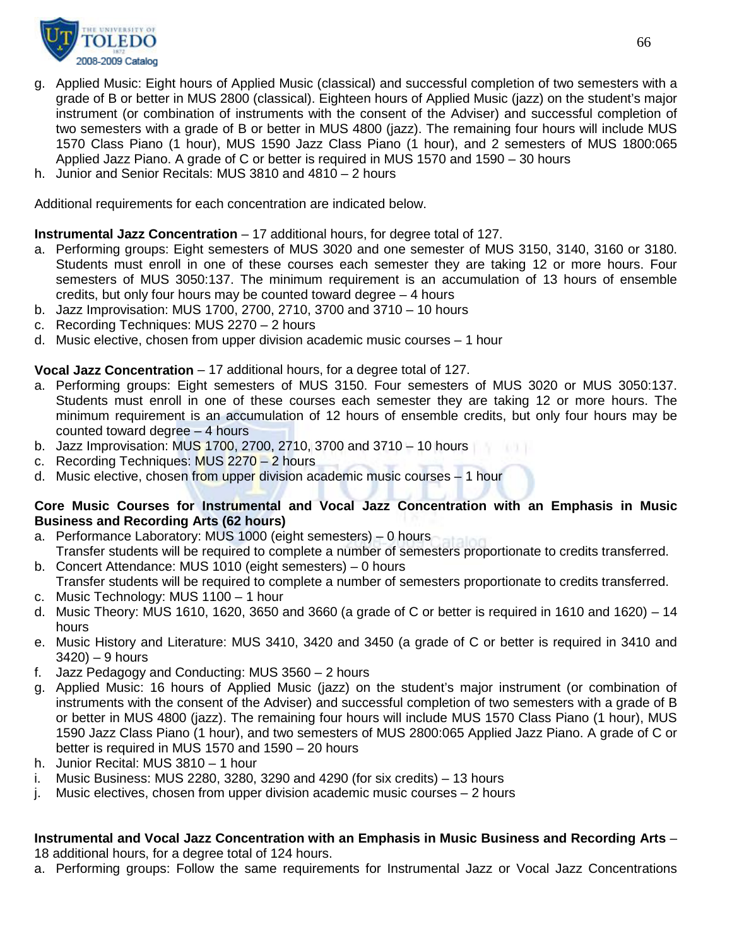

- g. Applied Music: Eight hours of Applied Music (classical) and successful completion of two semesters with a grade of B or better in MUS 2800 (classical). Eighteen hours of Applied Music (jazz) on the student's major instrument (or combination of instruments with the consent of the Adviser) and successful completion of two semesters with a grade of B or better in MUS 4800 (jazz). The remaining four hours will include MUS 1570 Class Piano (1 hour), MUS 1590 Jazz Class Piano (1 hour), and 2 semesters of MUS 1800:065 Applied Jazz Piano. A grade of C or better is required in MUS 1570 and 1590 – 30 hours
- h. Junior and Senior Recitals: MUS 3810 and 4810 2 hours

Additional requirements for each concentration are indicated below.

**Instrumental Jazz Concentration** – 17 additional hours, for degree total of 127.

- a. Performing groups: Eight semesters of MUS 3020 and one semester of MUS 3150, 3140, 3160 or 3180. Students must enroll in one of these courses each semester they are taking 12 or more hours. Four semesters of MUS 3050:137. The minimum requirement is an accumulation of 13 hours of ensemble credits, but only four hours may be counted toward degree – 4 hours
- b. Jazz Improvisation: MUS 1700, 2700, 2710, 3700 and 3710 10 hours
- c. Recording Techniques: MUS 2270 2 hours
- d. Music elective, chosen from upper division academic music courses 1 hour

**Vocal Jazz Concentration** – 17 additional hours, for a degree total of 127.

- a. Performing groups: Eight semesters of MUS 3150. Four semesters of MUS 3020 or MUS 3050:137. Students must enroll in one of these courses each semester they are taking 12 or more hours. The minimum requirement is an accumulation of 12 hours of ensemble credits, but only four hours may be counted toward degree – 4 hours
- b. Jazz Improvisation: MUS 1700, 2700, 2710, 3700 and 3710 10 hours
- c. Recording Techniques: MUS 2270 2 hours
- d. Music elective, chosen from upper division academic music courses 1 hour

#### **Core Music Courses for Instrumental and Vocal Jazz Concentration with an Emphasis in Music Business and Recording Arts (62 hours)**

- a. Performance Laboratory: MUS 1000 (eight semesters) 0 hours Transfer students will be required to complete a number of semesters proportionate to credits transferred.
- b. Concert Attendance: MUS 1010 (eight semesters) 0 hours Transfer students will be required to complete a number of semesters proportionate to credits transferred.
- c. Music Technology: MUS 1100 1 hour
- d. Music Theory: MUS 1610, 1620, 3650 and 3660 (a grade of C or better is required in 1610 and 1620) 14 hours
- e. Music History and Literature: MUS 3410, 3420 and 3450 (a grade of C or better is required in 3410 and 3420) – 9 hours
- f. Jazz Pedagogy and Conducting: MUS 3560 2 hours
- g. Applied Music: 16 hours of Applied Music (jazz) on the student's major instrument (or combination of instruments with the consent of the Adviser) and successful completion of two semesters with a grade of B or better in MUS 4800 (jazz). The remaining four hours will include MUS 1570 Class Piano (1 hour), MUS 1590 Jazz Class Piano (1 hour), and two semesters of MUS 2800:065 Applied Jazz Piano. A grade of C or better is required in MUS 1570 and 1590 – 20 hours
- h. Junior Recital: MUS 3810 1 hour
- i. Music Business: MUS 2280, 3280, 3290 and 4290 (for six credits) 13 hours
- j. Music electives, chosen from upper division academic music courses 2 hours

#### **Instrumental and Vocal Jazz Concentration with an Emphasis in Music Business and Recording Arts** – 18 additional hours, for a degree total of 124 hours.

a. Performing groups: Follow the same requirements for Instrumental Jazz or Vocal Jazz Concentrations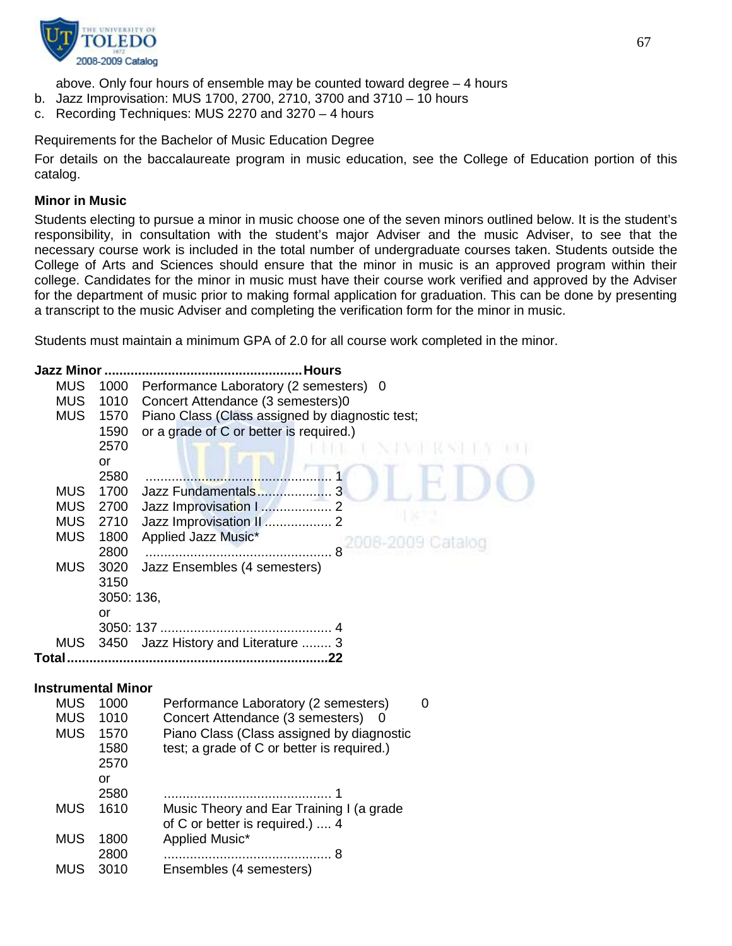

above. Only four hours of ensemble may be counted toward degree – 4 hours

- b. Jazz Improvisation: MUS 1700, 2700, 2710, 3700 and 3710 10 hours
- c. Recording Techniques: MUS 2270 and 3270 4 hours

Requirements for the Bachelor of Music Education Degree

For details on the baccalaureate program in music education, see the College of Education portion of this catalog.

## **Minor in Music**

Students electing to pursue a minor in music choose one of the seven minors outlined below. It is the student's responsibility, in consultation with the student's major Adviser and the music Adviser, to see that the necessary course work is included in the total number of undergraduate courses taken. Students outside the College of Arts and Sciences should ensure that the minor in music is an approved program within their college. Candidates for the minor in music must have their course work verified and approved by the Adviser for the department of music prior to making formal application for graduation. This can be done by presenting a transcript to the music Adviser and completing the verification form for the minor in music.

Students must maintain a minimum GPA of 2.0 for all course work completed in the minor.

| <b>Jazz Minor </b>        |              | . Hours                                                                       |
|---------------------------|--------------|-------------------------------------------------------------------------------|
| <b>MUS</b>                | 1000         | Performance Laboratory (2 semesters) 0                                        |
| <b>MUS</b>                | 1010         | Concert Attendance (3 semesters)0                                             |
| <b>MUS</b>                | 1570         | Piano Class (Class assigned by diagnostic test;                               |
|                           | 1590         | or a grade of C or better is required.)                                       |
|                           | 2570         |                                                                               |
|                           | <b>or</b>    |                                                                               |
|                           | 2580         |                                                                               |
| <b>MUS</b>                | 1700         |                                                                               |
| <b>MUS</b>                | 2700         | Jazz Improvisation    2                                                       |
| <b>MUS</b><br><b>MUS</b>  | 2710<br>1800 | Jazz Improvisation II  2<br>Applied Jazz Music*                               |
|                           | 2800         | 2008-2009 Catalog                                                             |
| MUS                       | 3020         | Jazz Ensembles (4 semesters)                                                  |
|                           | 3150         |                                                                               |
|                           | 3050: 136,   |                                                                               |
|                           | or           |                                                                               |
|                           |              |                                                                               |
| MUS                       | 3450         | Jazz History and Literature  3                                                |
|                           |              |                                                                               |
|                           |              |                                                                               |
| <b>Instrumental Minor</b> |              |                                                                               |
| <b>MUS</b>                | 1000         | Performance Laboratory (2 semesters)<br>0                                     |
| <b>MUS</b><br><b>MUS</b>  | 1010<br>1570 | Concert Attendance (3 semesters)<br>Piano Class (Class assigned by diagnostic |
|                           | 1580         | test; a grade of C or better is required.)                                    |
|                           | 2570         |                                                                               |
|                           | or           |                                                                               |
|                           | 2580         |                                                                               |
| <b>MUS</b>                | 1610         | Music Theory and Ear Training I (a grade                                      |
|                           |              | of C or better is required.)  4                                               |
| <b>MUS</b>                | 1800         | Applied Music*                                                                |
|                           | 2800         | . 8                                                                           |
| <b>MUS</b>                | 3010         | Ensembles (4 semesters)                                                       |
|                           |              |                                                                               |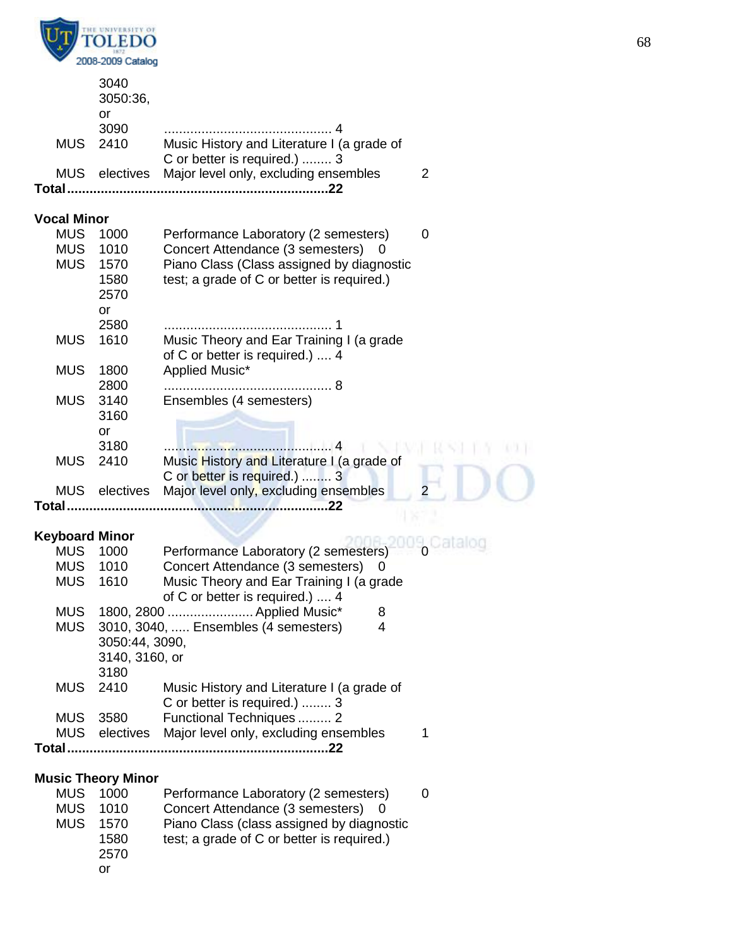

|                          | 3040<br>3050:36,              |                                                                                         |   |
|--------------------------|-------------------------------|-----------------------------------------------------------------------------------------|---|
|                          | or<br>3090                    |                                                                                         |   |
| <b>MUS</b>               | 2410                          | Music History and Literature I (a grade of<br>C or better is required.)  3              |   |
| <b>MUS</b>               | electives                     | Major level only, excluding ensembles                                                   | 2 |
| <b>Total</b>             |                               |                                                                                         |   |
| <b>Vocal Minor</b>       |                               |                                                                                         |   |
| <b>MUS</b>               | 1000                          | Performance Laboratory (2 semesters)                                                    | 0 |
| <b>MUS</b>               | 1010                          | Concert Attendance (3 semesters)                                                        |   |
| <b>MUS</b>               | 1570<br>1580                  | Piano Class (Class assigned by diagnostic<br>test; a grade of C or better is required.) |   |
|                          | 2570                          |                                                                                         |   |
|                          | or                            |                                                                                         |   |
|                          | 2580                          |                                                                                         |   |
| <b>MUS</b>               | 1610                          | Music Theory and Ear Training I (a grade                                                |   |
|                          |                               | of C or better is required.)  4                                                         |   |
| <b>MUS</b>               | 1800<br>2800                  | Applied Music*                                                                          |   |
| <b>MUS</b>               | 3140                          | Ensembles (4 semesters)                                                                 |   |
|                          | 3160                          |                                                                                         |   |
|                          | <b>or</b>                     |                                                                                         |   |
|                          | 3180                          | . 4                                                                                     |   |
| <b>MUS</b>               | 2410                          | Music History and Literature I (a grade of<br>C or better is required.)  3              |   |
| <b>MUS</b>               | electives                     | Major level only, excluding ensembles                                                   | 2 |
| Total                    |                               | . 22                                                                                    |   |
|                          |                               |                                                                                         |   |
| <b>MUS</b>               | <b>Keyboard Minor</b><br>1000 | Performance Laboratory (2 semesters)                                                    |   |
| <b>MUS</b>               | 1010                          | Concert Attendance (3 semesters)<br>0                                                   |   |
| <b>MUS</b>               | 1610                          | Music Theory and Ear Training I (a grade                                                |   |
|                          |                               | of C or better is required.)  4                                                         |   |
| <b>MUS</b>               |                               | 1800, 2800  Applied Music*<br>8                                                         |   |
| <b>MUS</b>               | 3050:44, 3090,                | 3010, 3040,  Ensembles (4 semesters)<br>4                                               |   |
|                          | 3140, 3160, or                |                                                                                         |   |
|                          | 3180                          |                                                                                         |   |
| <b>MUS</b>               | 2410                          | Music History and Literature I (a grade of                                              |   |
|                          |                               | C or better is required.)  3                                                            |   |
| <b>MUS</b><br><b>MUS</b> | 3580                          | Functional Techniques  2<br>electives Major level only, excluding ensembles             | 1 |
|                          |                               |                                                                                         |   |
|                          |                               |                                                                                         |   |
|                          | <b>Music Theory Minor</b>     |                                                                                         |   |
| <b>MUS</b>               | 1000                          | Performance Laboratory (2 semesters)                                                    | 0 |
| <b>MUS</b>               | 1010                          | Concert Attendance (3 semesters)<br>0                                                   |   |
| <b>MUS</b>               | 1570<br>1580                  | Piano Class (class assigned by diagnostic<br>test; a grade of C or better is required.) |   |
|                          | 2570                          |                                                                                         |   |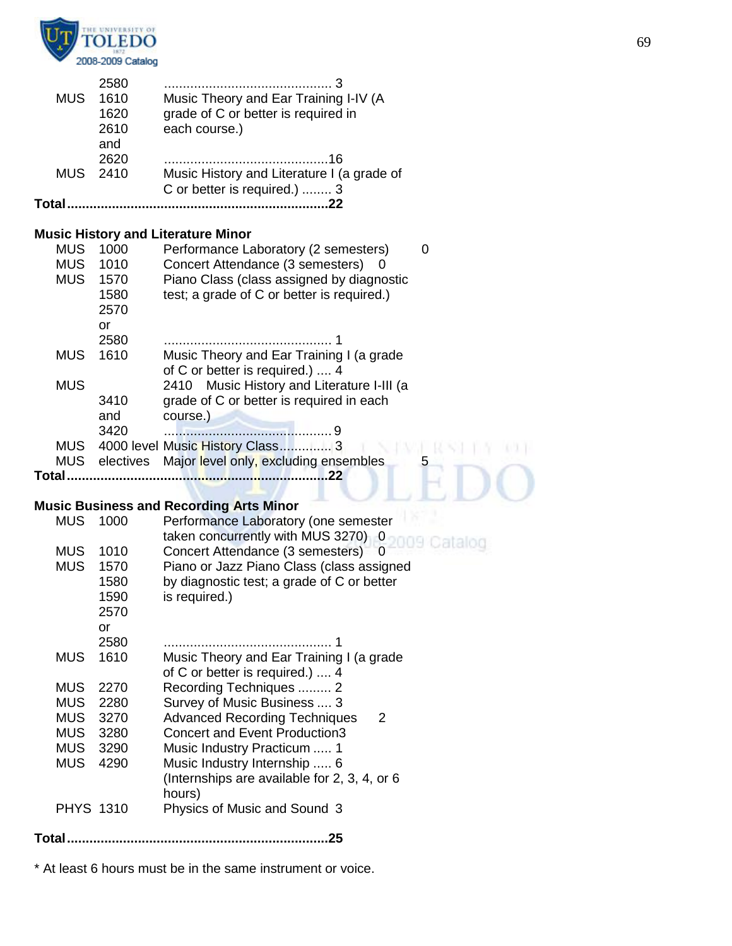

|          | and<br>2620 | 16                                         |
|----------|-------------|--------------------------------------------|
| MUS 2410 |             | Music History and Literature I (a grade of |
|          |             | C or better is required.)  3               |
|          |             |                                            |

# **Music History and Literature Minor**

| <b>MUS</b> | 1000 | Performance Laboratory (2 semesters)                 |   |
|------------|------|------------------------------------------------------|---|
| <b>MUS</b> | 1010 | Concert Attendance (3 semesters)<br>$\left( \right)$ |   |
| <b>MUS</b> | 1570 | Piano Class (class assigned by diagnostic            |   |
|            | 1580 | test; a grade of C or better is required.)           |   |
|            | 2570 |                                                      |   |
|            | or   |                                                      |   |
|            | 2580 |                                                      |   |
| <b>MUS</b> | 1610 | Music Theory and Ear Training I (a grade             |   |
|            |      | of C or better is required.)  4                      |   |
| <b>MUS</b> |      | 2410 Music History and Literature I-III (a           |   |
|            | 3410 | grade of C or better is required in each             |   |
|            | and  | course.)                                             |   |
|            | 3420 |                                                      |   |
| MUS.       |      | 4000 level Music History Class 3                     |   |
| <b>MUS</b> |      | electives Major level only, excluding ensembles      | 5 |
| Total      |      |                                                      |   |
|            |      |                                                      |   |

# **Music Business and Recording Arts Minor**

|                  |      | 200111000 and Roomanig Arto Minor             |
|------------------|------|-----------------------------------------------|
| <b>MUS</b>       | 1000 | Performance Laboratory (one semester          |
|                  |      | taken concurrently with MUS 3270) 0           |
| <b>MUS</b>       | 1010 | Concert Attendance (3 semesters)<br>0         |
| <b>MUS</b>       | 1570 | Piano or Jazz Piano Class (class assigned     |
|                  | 1580 | by diagnostic test; a grade of C or better    |
|                  | 1590 | is required.)                                 |
|                  | 2570 |                                               |
|                  | or   |                                               |
|                  | 2580 |                                               |
| <b>MUS</b>       | 1610 | Music Theory and Ear Training I (a grade      |
|                  |      | of C or better is required.)  4               |
| <b>MUS</b>       | 2270 | Recording Techniques  2                       |
| MUS              | 2280 | Survey of Music Business  3                   |
| <b>MUS</b>       | 3270 | <b>Advanced Recording Techniques</b><br>2     |
| MUS              | 3280 | <b>Concert and Event Production3</b>          |
| MUS              | 3290 | Music Industry Practicum  1                   |
| <b>MUS</b>       | 4290 | Music Industry Internship  6                  |
|                  |      | (Internships are available for 2, 3, 4, or 6) |
|                  |      | hours)                                        |
| <b>PHYS 1310</b> |      | Physics of Music and Sound 3                  |
|                  |      |                                               |
| Total            |      | 25                                            |
|                  |      |                                               |

\* At least 6 hours must be in the same instrument or voice.

1. 4. 9. 9. 9. 9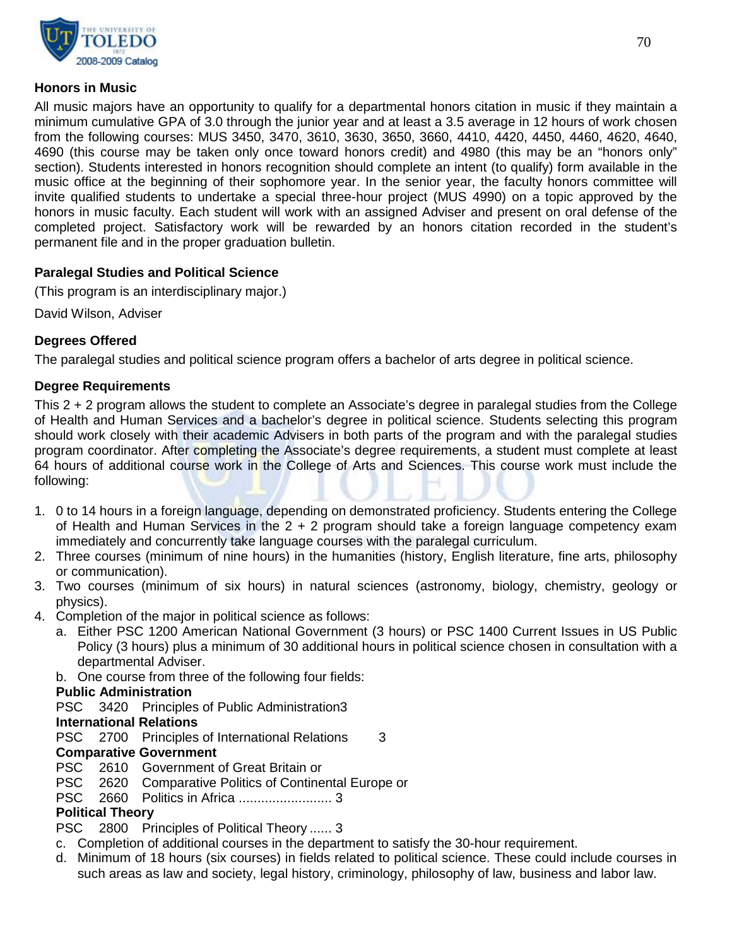

## **Honors in Music**

All music majors have an opportunity to qualify for a departmental honors citation in music if they maintain a minimum cumulative GPA of 3.0 through the junior year and at least a 3.5 average in 12 hours of work chosen from the following courses: MUS 3450, 3470, 3610, 3630, 3650, 3660, 4410, 4420, 4450, 4460, 4620, 4640, 4690 (this course may be taken only once toward honors credit) and 4980 (this may be an "honors only" section). Students interested in honors recognition should complete an intent (to qualify) form available in the music office at the beginning of their sophomore year. In the senior year, the faculty honors committee will invite qualified students to undertake a special three-hour project (MUS 4990) on a topic approved by the honors in music faculty. Each student will work with an assigned Adviser and present on oral defense of the completed project. Satisfactory work will be rewarded by an honors citation recorded in the student's permanent file and in the proper graduation bulletin.

## **Paralegal Studies and Political Science**

(This program is an interdisciplinary major.)

David Wilson, Adviser

## **Degrees Offered**

The paralegal studies and political science program offers a bachelor of arts degree in political science.

## **Degree Requirements**

This 2 + 2 program allows the student to complete an Associate's degree in paralegal studies from the College of Health and Human Services and a bachelor's degree in political science. Students selecting this program should work closely with their academic Advisers in both parts of the program and with the paralegal studies program coordinator. After completing the Associate's degree requirements, a student must complete at least 64 hours of additional course work in the College of Arts and Sciences. This course work must include the following:

- 1. 0 to 14 hours in a foreign language, depending on demonstrated proficiency. Students entering the College of Health and Human Services in the  $2 + 2$  program should take a foreign language competency exam immediately and concurrently take language courses with the paralegal curriculum.
- 2. Three courses (minimum of nine hours) in the humanities (history, English literature, fine arts, philosophy or communication).
- 3. Two courses (minimum of six hours) in natural sciences (astronomy, biology, chemistry, geology or physics).
- 4. Completion of the major in political science as follows:
	- a. Either PSC 1200 American National Government (3 hours) or PSC 1400 Current Issues in US Public Policy (3 hours) plus a minimum of 30 additional hours in political science chosen in consultation with a departmental Adviser.
	- b. One course from three of the following four fields:

## **Public Administration**

PSC 3420 Principles of Public Administration3

## **International Relations**

PSC 2700 Principles of International Relations 3

# **Comparative Government**<br>PSC 2610 Government

- 2610 Government of Great Britain or
- PSC 2620 Comparative Politics of Continental Europe or
- PSC 2660 Politics in Africa ......................... 3

# **Political Theory**<br>PSC 2800 Pri

2800 Principles of Political Theory ...... 3

- c. Completion of additional courses in the department to satisfy the 30-hour requirement.
- d. Minimum of 18 hours (six courses) in fields related to political science. These could include courses in such areas as law and society, legal history, criminology, philosophy of law, business and labor law.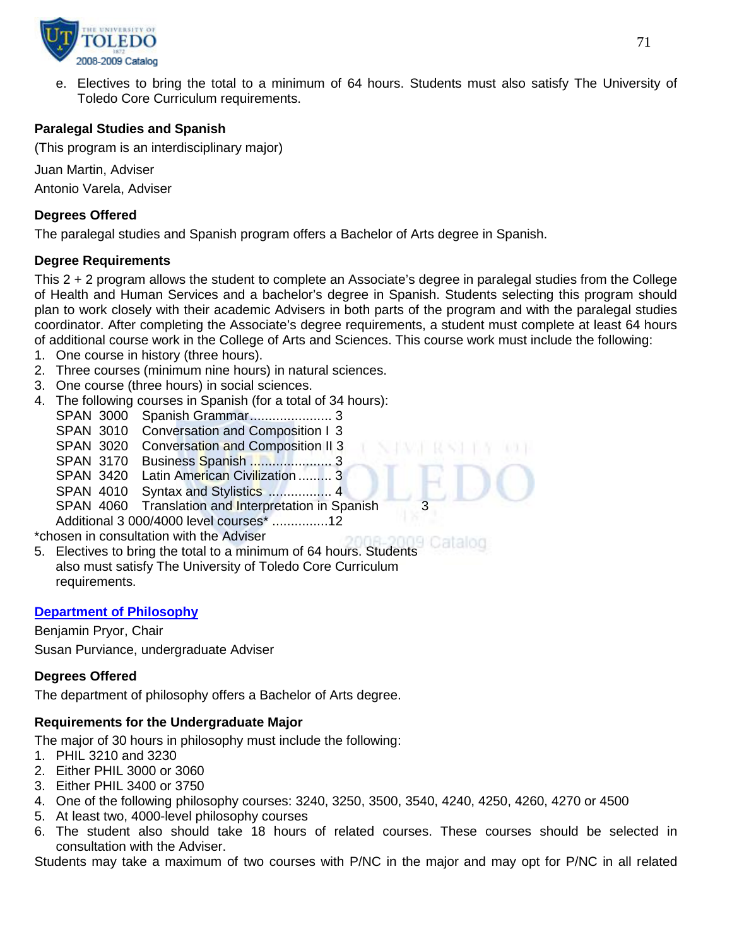

e. Electives to bring the total to a minimum of 64 hours. Students must also satisfy The University of Toledo Core Curriculum requirements.

# **Paralegal Studies and Spanish**

(This program is an interdisciplinary major)

Juan Martin, Adviser Antonio Varela, Adviser

# **Degrees Offered**

The paralegal studies and Spanish program offers a Bachelor of Arts degree in Spanish.

# **Degree Requirements**

This 2 + 2 program allows the student to complete an Associate's degree in paralegal studies from the College of Health and Human Services and a bachelor's degree in Spanish. Students selecting this program should plan to work closely with their academic Advisers in both parts of the program and with the paralegal studies coordinator. After completing the Associate's degree requirements, a student must complete at least 64 hours of additional course work in the College of Arts and Sciences. This course work must include the following:

- 1. One course in history (three hours).
- 2. Three courses (minimum nine hours) in natural sciences.
- 3. One course (three hours) in social sciences.
- 4. The following courses in Spanish (for a total of 34 hours):
	- SPAN 3000 Spanish Grammar...................... 3
	- SPAN 3010 Conversation and Composition I 3
	- SPAN 3020 Conversation and Composition II 3
	- SPAN 3170 Business Spanish ...................... 3
	- SPAN 3420 Latin American Civilization ......... 3
	- SPAN 4010 Syntax and Stylistics ................. 4
	- SPAN 4060 Translation and Interpretation in Spanish

Additional 3 000/4000 level courses\* ...............12

\*chosen in consultation with the Adviser

5. Electives to bring the total to a minimum of 64 hours. Students also must satisfy The University of Toledo Core Curriculum requirements.

## **[Department of Philosophy](http://www.utoledo.edu/as/philosophy/)**

Benjamin Pryor, Chair

Susan Purviance, undergraduate Adviser

## **Degrees Offered**

The department of philosophy offers a Bachelor of Arts degree.

# **Requirements for the Undergraduate Major**

The major of 30 hours in philosophy must include the following:

- 1. PHIL 3210 and 3230
- 2. Either PHIL 3000 or 3060
- 3. Either PHIL 3400 or 3750
- 4. One of the following philosophy courses: 3240, 3250, 3500, 3540, 4240, 4250, 4260, 4270 or 4500
- 5. At least two, 4000-level philosophy courses
- 6. The student also should take 18 hours of related courses. These courses should be selected in consultation with the Adviser.

Students may take a maximum of two courses with P/NC in the major and may opt for P/NC in all related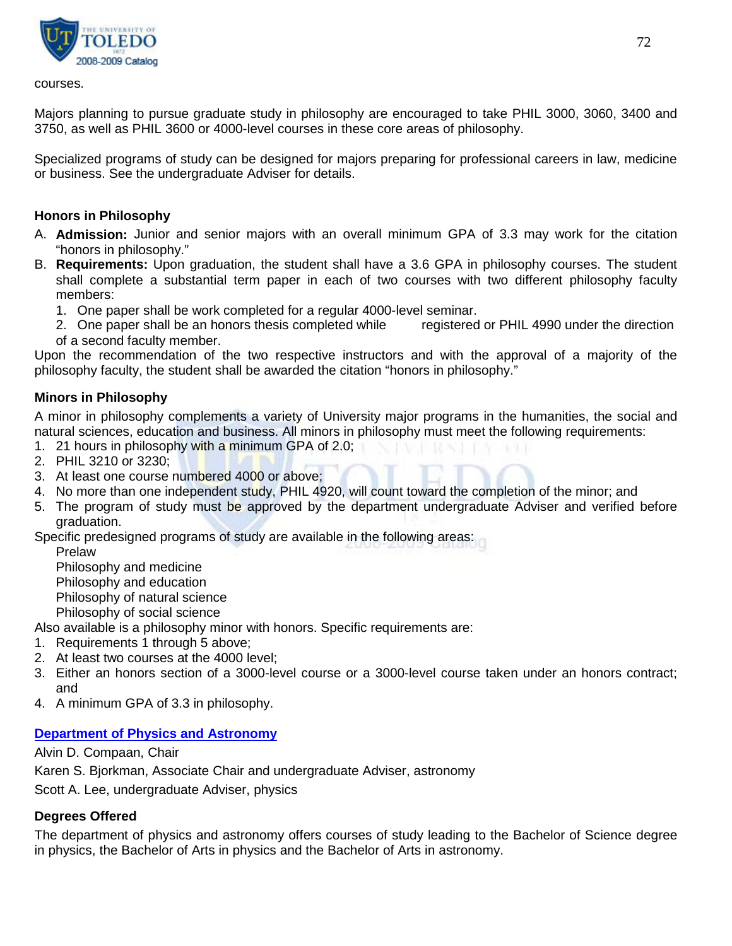

courses.

Majors planning to pursue graduate study in philosophy are encouraged to take PHIL 3000, 3060, 3400 and 3750, as well as PHIL 3600 or 4000-level courses in these core areas of philosophy.

Specialized programs of study can be designed for majors preparing for professional careers in law, medicine or business. See the undergraduate Adviser for details.

## **Honors in Philosophy**

- A. **Admission:** Junior and senior majors with an overall minimum GPA of 3.3 may work for the citation "honors in philosophy."
- B. **Requirements:** Upon graduation, the student shall have a 3.6 GPA in philosophy courses. The student shall complete a substantial term paper in each of two courses with two different philosophy faculty members:
	- 1. One paper shall be work completed for a regular 4000-level seminar.
	- 2. One paper shall be an honors thesis completed while registered or PHIL 4990 under the direction of a second faculty member.

Upon the recommendation of the two respective instructors and with the approval of a majority of the philosophy faculty, the student shall be awarded the citation "honors in philosophy."

## **Minors in Philosophy**

A minor in philosophy complements a variety of University major programs in the humanities, the social and natural sciences, education and business. All minors in philosophy must meet the following requirements:

SA 1572 1697

- 1. 21 hours in philosophy with a minimum GPA of 2.0;
- 2. PHIL 3210 or 3230;
- 3. At least one course numbered 4000 or above;
- 4. No more than one independent study, PHIL 4920, will count toward the completion of the minor; and
- 5. The program of study must be approved by the department undergraduate Adviser and verified before graduation.

Specific predesigned programs of study are available in the following areas:

Prelaw

Philosophy and medicine

Philosophy and education

Philosophy of natural science

Philosophy of social science

Also available is a philosophy minor with honors. Specific requirements are:

- 1. Requirements 1 through 5 above;
- 2. At least two courses at the 4000 level;
- 3. Either an honors section of a 3000-level course or a 3000-level course taken under an honors contract; and
- 4. A minimum GPA of 3.3 in philosophy.

# **[Department of Physics and Astronomy](http://www.utoledo.edu/as/physast/)**

Alvin D. Compaan, Chair

Karen S. Bjorkman, Associate Chair and undergraduate Adviser, astronomy

Scott A. Lee, undergraduate Adviser, physics

# **Degrees Offered**

The department of physics and astronomy offers courses of study leading to the Bachelor of Science degree in physics, the Bachelor of Arts in physics and the Bachelor of Arts in astronomy.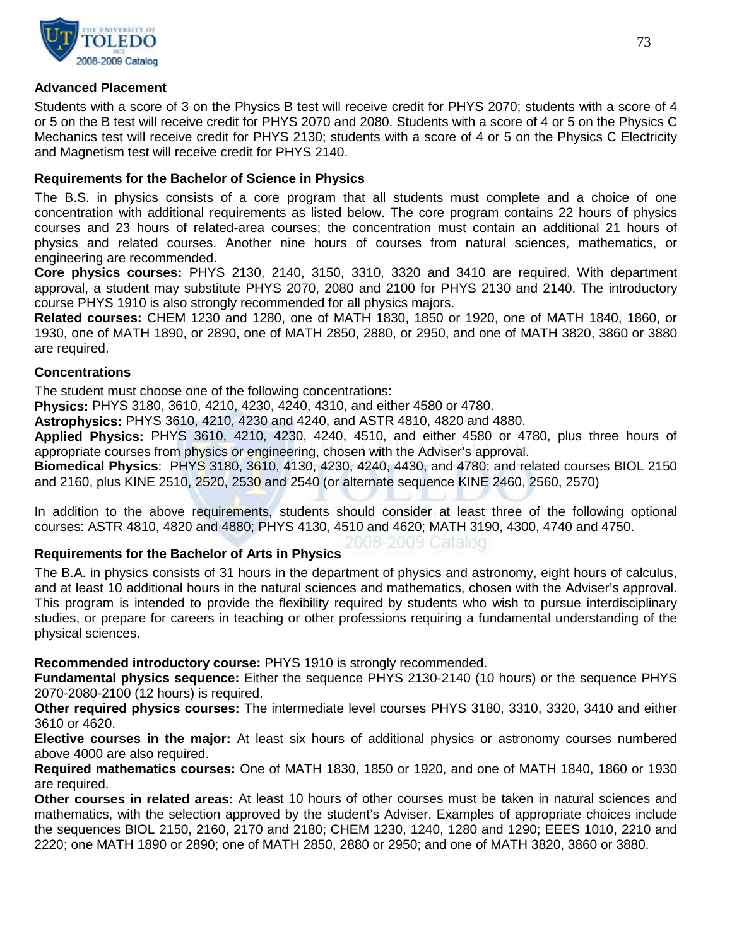

## **Advanced Placement**

Students with a score of 3 on the Physics B test will receive credit for PHYS 2070; students with a score of 4 or 5 on the B test will receive credit for PHYS 2070 and 2080. Students with a score of 4 or 5 on the Physics C Mechanics test will receive credit for PHYS 2130; students with a score of 4 or 5 on the Physics C Electricity and Magnetism test will receive credit for PHYS 2140.

## **Requirements for the Bachelor of Science in Physics**

The B.S. in physics consists of a core program that all students must complete and a choice of one concentration with additional requirements as listed below. The core program contains 22 hours of physics courses and 23 hours of related-area courses; the concentration must contain an additional 21 hours of physics and related courses. Another nine hours of courses from natural sciences, mathematics, or engineering are recommended.

**Core physics courses:** PHYS 2130, 2140, 3150, 3310, 3320 and 3410 are required. With department approval, a student may substitute PHYS 2070, 2080 and 2100 for PHYS 2130 and 2140. The introductory course PHYS 1910 is also strongly recommended for all physics majors.

**Related courses:** CHEM 1230 and 1280, one of MATH 1830, 1850 or 1920, one of MATH 1840, 1860, or 1930, one of MATH 1890, or 2890, one of MATH 2850, 2880, or 2950, and one of MATH 3820, 3860 or 3880 are required.

#### **Concentrations**

The student must choose one of the following concentrations:

**Physics:** PHYS 3180, 3610, 4210, 4230, 4240, 4310, and either 4580 or 4780.

**Astrophysics:** PHYS 3610, 4210, 4230 and 4240, and ASTR 4810, 4820 and 4880.

**Applied Physics:** PHYS 3610, 4210, 4230, 4240, 4510, and either 4580 or 4780, plus three hours of appropriate courses from physics or engineering, chosen with the Adviser's approval.

**Biomedical Physics**: PHYS 3180, 3610, 4130, 4230, 4240, 4430, and 4780; and related courses BIOL 2150 and 2160, plus KINE 2510, 2520, 2530 and 2540 (or alternate sequence KINE 2460, 2560, 2570)

In addition to the above requirements, students should consider at least three of the following optional courses: ASTR 4810, 4820 and 4880; PHYS 4130, 4510 and 4620; MATH 3190, 4300, 4740 and 4750.

006-2009 Catalog

## **Requirements for the Bachelor of Arts in Physics**

The B.A. in physics consists of 31 hours in the department of physics and astronomy, eight hours of calculus, and at least 10 additional hours in the natural sciences and mathematics, chosen with the Adviser's approval. This program is intended to provide the flexibility required by students who wish to pursue interdisciplinary studies, or prepare for careers in teaching or other professions requiring a fundamental understanding of the physical sciences.

**Recommended introductory course:** PHYS 1910 is strongly recommended.

**Fundamental physics sequence:** Either the sequence PHYS 2130-2140 (10 hours) or the sequence PHYS 2070-2080-2100 (12 hours) is required.

**Other required physics courses:** The intermediate level courses PHYS 3180, 3310, 3320, 3410 and either 3610 or 4620.

**Elective courses in the major:** At least six hours of additional physics or astronomy courses numbered above 4000 are also required.

**Required mathematics courses:** One of MATH 1830, 1850 or 1920, and one of MATH 1840, 1860 or 1930 are required.

**Other courses in related areas:** At least 10 hours of other courses must be taken in natural sciences and mathematics, with the selection approved by the student's Adviser. Examples of appropriate choices include the sequences BIOL 2150, 2160, 2170 and 2180; CHEM 1230, 1240, 1280 and 1290; EEES 1010, 2210 and 2220; one MATH 1890 or 2890; one of MATH 2850, 2880 or 2950; and one of MATH 3820, 3860 or 3880.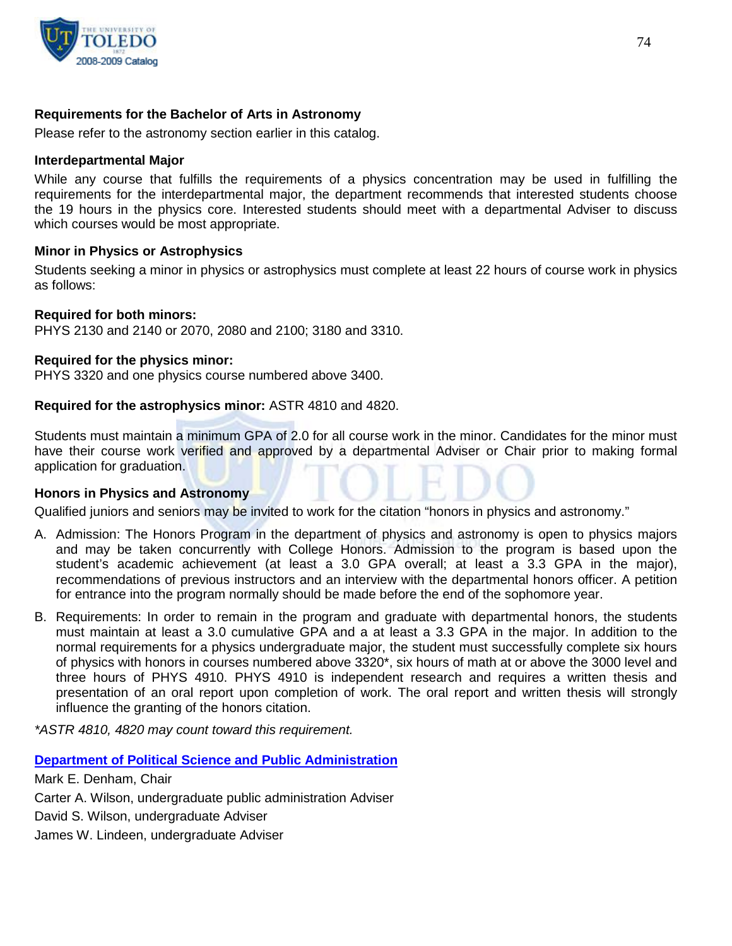

## **Requirements for the Bachelor of Arts in Astronomy**

Please refer to the astronomy section earlier in this catalog.

#### **Interdepartmental Major**

While any course that fulfills the requirements of a physics concentration may be used in fulfilling the requirements for the interdepartmental major, the department recommends that interested students choose the 19 hours in the physics core. Interested students should meet with a departmental Adviser to discuss which courses would be most appropriate.

#### **Minor in Physics or Astrophysics**

Students seeking a minor in physics or astrophysics must complete at least 22 hours of course work in physics as follows:

#### **Required for both minors:**

PHYS 2130 and 2140 or 2070, 2080 and 2100; 3180 and 3310.

#### **Required for the physics minor:**

PHYS 3320 and one physics course numbered above 3400.

#### **Required for the astrophysics minor:** ASTR 4810 and 4820.

Students must maintain a minimum GPA of 2.0 for all course work in the minor. Candidates for the minor must have their course work verified and approved by a departmental Adviser or Chair prior to making formal application for graduation.

#### **Honors in Physics and Astronomy**

Qualified juniors and seniors may be invited to work for the citation "honors in physics and astronomy."

- A. Admission: The Honors Program in the department of physics and astronomy is open to physics majors and may be taken concurrently with College Honors. Admission to the program is based upon the student's academic achievement (at least a 3.0 GPA overall; at least a 3.3 GPA in the major), recommendations of previous instructors and an interview with the departmental honors officer. A petition for entrance into the program normally should be made before the end of the sophomore year.
- B. Requirements: In order to remain in the program and graduate with departmental honors, the students must maintain at least a 3.0 cumulative GPA and a at least a 3.3 GPA in the major. In addition to the normal requirements for a physics undergraduate major, the student must successfully complete six hours of physics with honors in courses numbered above 3320\*, six hours of math at or above the 3000 level and three hours of PHYS 4910. PHYS 4910 is independent research and requires a written thesis and presentation of an oral report upon completion of work. The oral report and written thesis will strongly influence the granting of the honors citation.

*\*ASTR 4810, 4820 may count toward this requirement.*

**[Department of Political Science and Public Administration](http://www.utoledo.edu/as/pspa/)**

Mark E. Denham, Chair Carter A. Wilson, undergraduate public administration Adviser David S. Wilson, undergraduate Adviser James W. Lindeen, undergraduate Adviser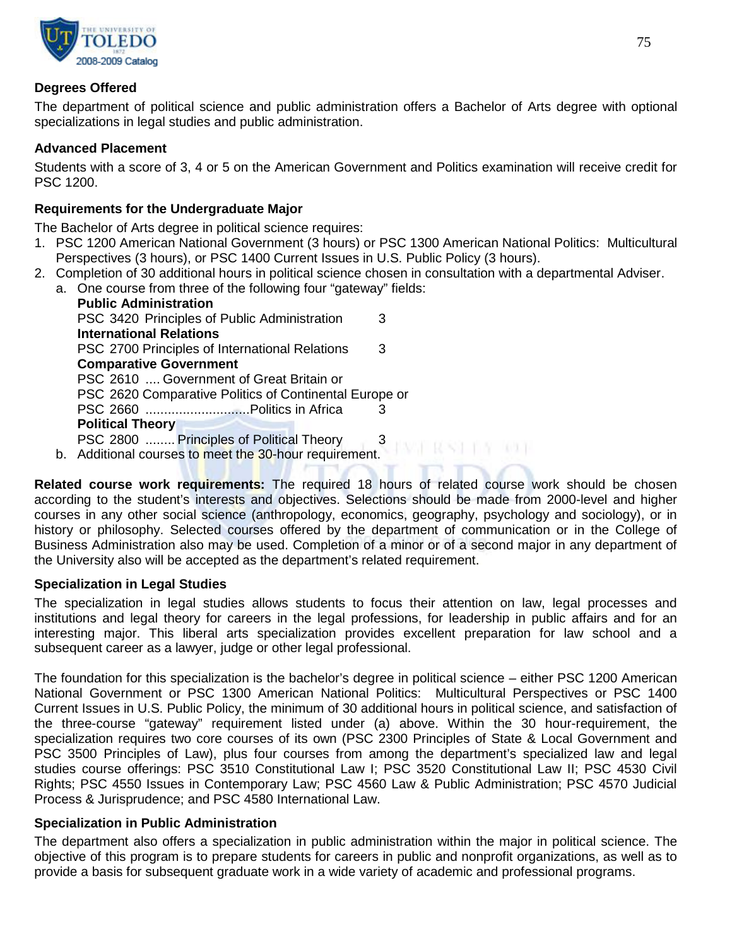

## **Degrees Offered**

The department of political science and public administration offers a Bachelor of Arts degree with optional specializations in legal studies and public administration.

## **Advanced Placement**

Students with a score of 3, 4 or 5 on the American Government and Politics examination will receive credit for PSC 1200.

## **Requirements for the Undergraduate Major**

The Bachelor of Arts degree in political science requires:

- 1. PSC 1200 American National Government (3 hours) or PSC 1300 American National Politics: Multicultural Perspectives (3 hours), or PSC 1400 Current Issues in U.S. Public Policy (3 hours).
- 2. Completion of 30 additional hours in political science chosen in consultation with a departmental Adviser.
	- a. One course from three of the following four "gateway" fields: **Public Administration** PSC 3420 Principles of Public Administration 3 **International Relations** PSC 2700 Principles of International Relations 3 **Comparative Government** PSC 2610 .... Government of Great Britain or PSC 2620 Comparative Politics of Continental Europe or PSC 2660 ............................Politics in Africa 3 **Political Theory** PSC 2800 ........ Principles of Political Theory 3 PAST REST TEM TRUE b. Additional courses to meet the 30-hour requirement.

**Related course work requirements:** The required 18 hours of related course work should be chosen according to the student's interests and objectives. Selections should be made from 2000-level and higher courses in any other social science (anthropology, economics, geography, psychology and sociology), or in history or philosophy. Selected courses offered by the department of communication or in the College of Business Administration also may be used. Completion of a minor or of a second major in any department of the University also will be accepted as the department's related requirement.

## **Specialization in Legal Studies**

The specialization in legal studies allows students to focus their attention on law, legal processes and institutions and legal theory for careers in the legal professions, for leadership in public affairs and for an interesting major. This liberal arts specialization provides excellent preparation for law school and a subsequent career as a lawyer, judge or other legal professional.

The foundation for this specialization is the bachelor's degree in political science – either PSC 1200 American National Government or PSC 1300 American National Politics: Multicultural Perspectives or PSC 1400 Current Issues in U.S. Public Policy, the minimum of 30 additional hours in political science, and satisfaction of the three-course "gateway" requirement listed under (a) above. Within the 30 hour-requirement, the specialization requires two core courses of its own (PSC 2300 Principles of State & Local Government and PSC 3500 Principles of Law), plus four courses from among the department's specialized law and legal studies course offerings: PSC 3510 Constitutional Law I; PSC 3520 Constitutional Law II; PSC 4530 Civil Rights; PSC 4550 Issues in Contemporary Law; PSC 4560 Law & Public Administration; PSC 4570 Judicial Process & Jurisprudence; and PSC 4580 International Law.

## **Specialization in Public Administration**

The department also offers a specialization in public administration within the major in political science. The objective of this program is to prepare students for careers in public and nonprofit organizations, as well as to provide a basis for subsequent graduate work in a wide variety of academic and professional programs.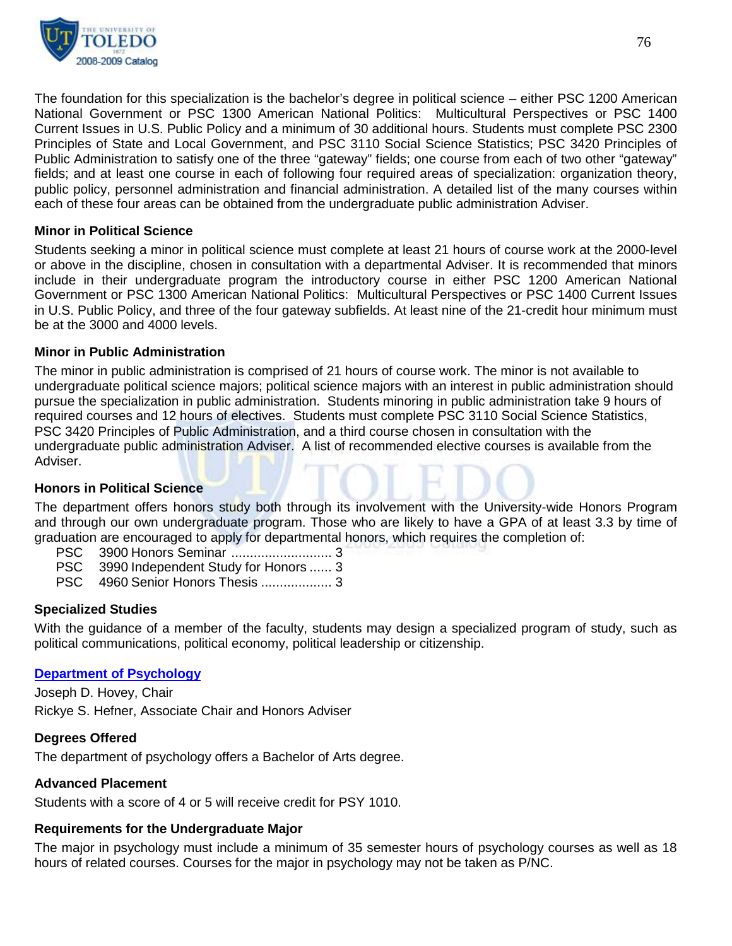

The foundation for this specialization is the bachelor's degree in political science – either PSC 1200 American National Government or PSC 1300 American National Politics: Multicultural Perspectives or PSC 1400 Current Issues in U.S. Public Policy and a minimum of 30 additional hours. Students must complete PSC 2300 Principles of State and Local Government, and PSC 3110 Social Science Statistics; PSC 3420 Principles of Public Administration to satisfy one of the three "gateway" fields; one course from each of two other "gateway" fields; and at least one course in each of following four required areas of specialization: organization theory, public policy, personnel administration and financial administration. A detailed list of the many courses within each of these four areas can be obtained from the undergraduate public administration Adviser.

## **Minor in Political Science**

Students seeking a minor in political science must complete at least 21 hours of course work at the 2000-level or above in the discipline, chosen in consultation with a departmental Adviser. It is recommended that minors include in their undergraduate program the introductory course in either PSC 1200 American National Government or PSC 1300 American National Politics: Multicultural Perspectives or PSC 1400 Current Issues in U.S. Public Policy, and three of the four gateway subfields. At least nine of the 21-credit hour minimum must be at the 3000 and 4000 levels.

#### **Minor in Public Administration**

The minor in public administration is comprised of 21 hours of course work. The minor is not available to undergraduate political science majors; political science majors with an interest in public administration should pursue the specialization in public administration. Students minoring in public administration take 9 hours of required courses and 12 hours of electives. Students must complete PSC 3110 Social Science Statistics, PSC 3420 Principles of Public Administration, and a third course chosen in consultation with the undergraduate public administration Adviser. A list of recommended elective courses is available from the Adviser.

#### **Honors in Political Science**

The department offers honors study both through its involvement with the University-wide Honors Program and through our own undergraduate program. Those who are likely to have a GPA of at least 3.3 by time of graduation are encouraged to apply for departmental honors, which requires the completion of:

PSC 3990 Independent Study for Honors ...... 3

PSC 4960 Senior Honors Thesis ................... 3

#### **Specialized Studies**

With the guidance of a member of the faculty, students may design a specialized program of study, such as political communications, political economy, political leadership or citizenship.

#### **[Department of Psychology](http://psychology.utoledo.edu/)**

Joseph D. Hovey, Chair

Rickye S. Hefner, Associate Chair and Honors Adviser

#### **Degrees Offered**

The department of psychology offers a Bachelor of Arts degree.

## **Advanced Placement**

Students with a score of 4 or 5 will receive credit for PSY 1010.

#### **Requirements for the Undergraduate Major**

The major in psychology must include a minimum of 35 semester hours of psychology courses as well as 18 hours of related courses. Courses for the major in psychology may not be taken as P/NC.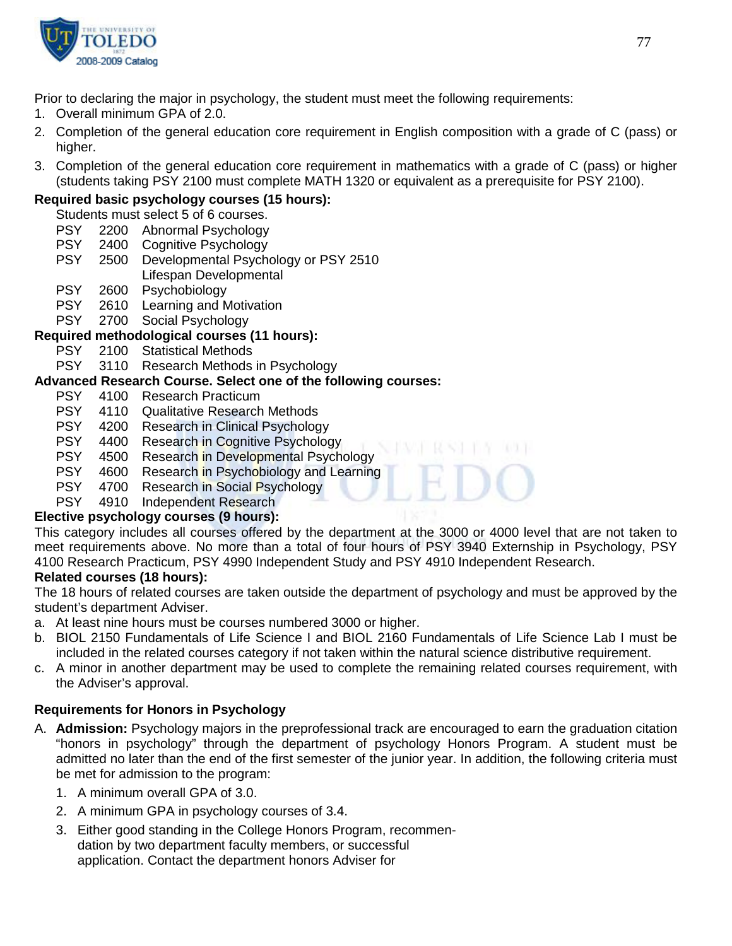

Prior to declaring the major in psychology, the student must meet the following requirements:

- 1. Overall minimum GPA of 2.0.
- 2. Completion of the general education core requirement in English composition with a grade of C (pass) or higher.
- 3. Completion of the general education core requirement in mathematics with a grade of C (pass) or higher (students taking PSY 2100 must complete MATH 1320 or equivalent as a prerequisite for PSY 2100).

# **Required basic psychology courses (15 hours):**

Students must select 5 of 6 courses.

- PSY 2200 Abnormal Psychology<br>PSY 2400 Cognitive Psychology
- 2400 Cognitive Psychology
- PSY 2500 Developmental Psychology or PSY 2510

## Lifespan Developmental

- PSY 2600 Psychobiology
- PSY 2610 Learning and Motivation
- PSY 2700 Social Psychology

## **Required methodological courses (11 hours):**

- 
- PSY 2100 Statistical Methods<br>PSY 3110 Research Methods 3110 Research Methods in Psychology

# **Advanced Research Course. Select one of the following courses:**

- 4100 Research Practicum
- PSY 4110 Qualitative Research Methods
- PSY 4200 Research in Clinical Psychology<br>PSY 4400 Research in Cognitive Psycholog
- 4400 Research in Cognitive Psychology
- PSY 4500 Research in Developmental Psychology
- PSY 4600 Research in Psychobiology and Learning
- PSY 4700 Research in Social Psychology
- PSY 4910 Independent Research

## **Elective psychology courses (9 hours):**

This category includes all courses offered by the department at the 3000 or 4000 level that are not taken to meet requirements above. No more than a total of four hours of PSY 3940 Externship in Psychology, PSY 4100 Research Practicum, PSY 4990 Independent Study and PSY 4910 Independent Research.

## **Related courses (18 hours):**

The 18 hours of related courses are taken outside the department of psychology and must be approved by the student's department Adviser.

- a. At least nine hours must be courses numbered 3000 or higher.
- b. BIOL 2150 Fundamentals of Life Science I and BIOL 2160 Fundamentals of Life Science Lab I must be included in the related courses category if not taken within the natural science distributive requirement.
- c. A minor in another department may be used to complete the remaining related courses requirement, with the Adviser's approval.

## **Requirements for Honors in Psychology**

- A. **Admission:** Psychology majors in the preprofessional track are encouraged to earn the graduation citation "honors in psychology" through the department of psychology Honors Program. A student must be admitted no later than the end of the first semester of the junior year. In addition, the following criteria must be met for admission to the program:
	- 1. A minimum overall GPA of 3.0.
	- 2. A minimum GPA in psychology courses of 3.4.
	- 3. Either good standing in the College Honors Program, recommendation by two department faculty members, or successful application. Contact the department honors Adviser for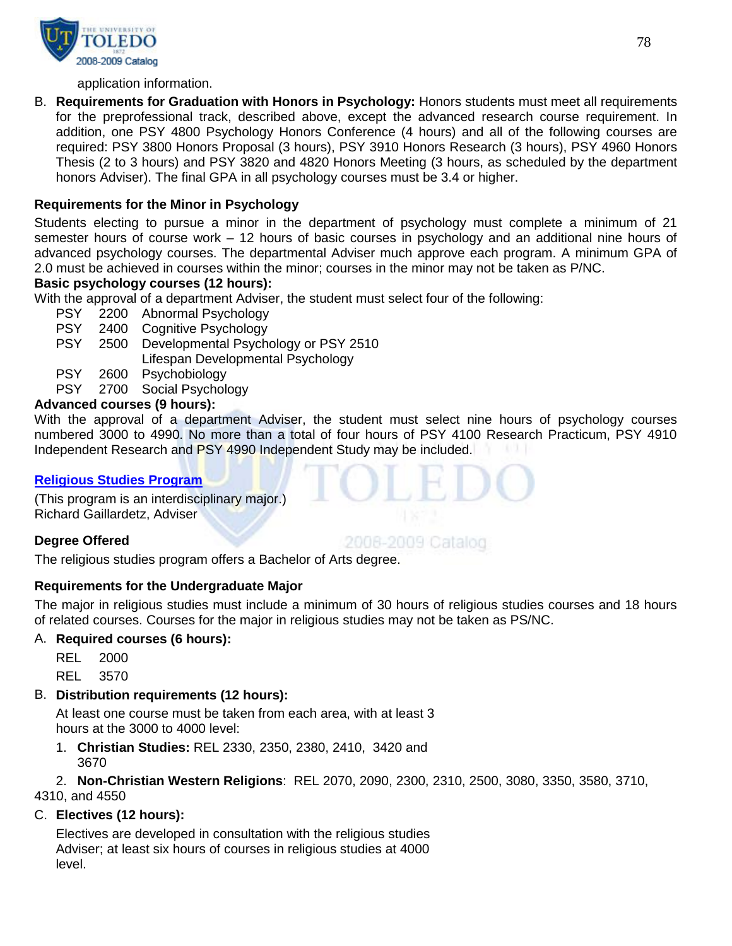

application information.

B. **Requirements for Graduation with Honors in Psychology:** Honors students must meet all requirements for the preprofessional track, described above, except the advanced research course requirement. In addition, one PSY 4800 Psychology Honors Conference (4 hours) and all of the following courses are required: PSY 3800 Honors Proposal (3 hours), PSY 3910 Honors Research (3 hours), PSY 4960 Honors Thesis (2 to 3 hours) and PSY 3820 and 4820 Honors Meeting (3 hours, as scheduled by the department honors Adviser). The final GPA in all psychology courses must be 3.4 or higher.

## **Requirements for the Minor in Psychology**

Students electing to pursue a minor in the department of psychology must complete a minimum of 21 semester hours of course work – 12 hours of basic courses in psychology and an additional nine hours of advanced psychology courses. The departmental Adviser much approve each program. A minimum GPA of 2.0 must be achieved in courses within the minor; courses in the minor may not be taken as P/NC.

## **Basic psychology courses (12 hours):**

With the approval of a department Adviser, the student must select four of the following:

- PSY 2200 Abnormal Psychology<br>PSY 2400 Cognitive Psychology
- 2400 Cognitive Psychology
- PSY 2500 Developmental Psychology or PSY 2510 Lifespan Developmental Psychology
- PSY 2600 Psychobiology
- PSY 2700 Social Psychology

#### **Advanced courses (9 hours):**

With the approval of a department Adviser, the student must select nine hours of psychology courses numbered 3000 to 4990. No more than a total of four hours of PSY 4100 Research Practicum, PSY 4910 Independent Research and PSY 4990 Independent Study may be included.

#### **[Religious Studies Program](http://www.utoledo.edu/as/philosophy/religious/index.html)**

(This program is an interdisciplinary major.) Richard Gaillardetz, Adviser

## **Degree Offered**

The religious studies program offers a Bachelor of Arts degree.

## **Requirements for the Undergraduate Major**

The major in religious studies must include a minimum of 30 hours of religious studies courses and 18 hours of related courses. Courses for the major in religious studies may not be taken as PS/NC.

#### A. **Required courses (6 hours):**

REL 2000 REL 3570

## B. **Distribution requirements (12 hours):**

At least one course must be taken from each area, with at least 3 hours at the 3000 to 4000 level:

1. **Christian Studies:** REL 2330, 2350, 2380, 2410, 3420 and 3670

2. **Non-Christian Western Religions**: REL 2070, 2090, 2300, 2310, 2500, 3080, 3350, 3580, 3710, 4310, and 4550

## C. **Electives (12 hours):**

Electives are developed in consultation with the religious studies Adviser; at least six hours of courses in religious studies at 4000 level.

2008-2009 Catalog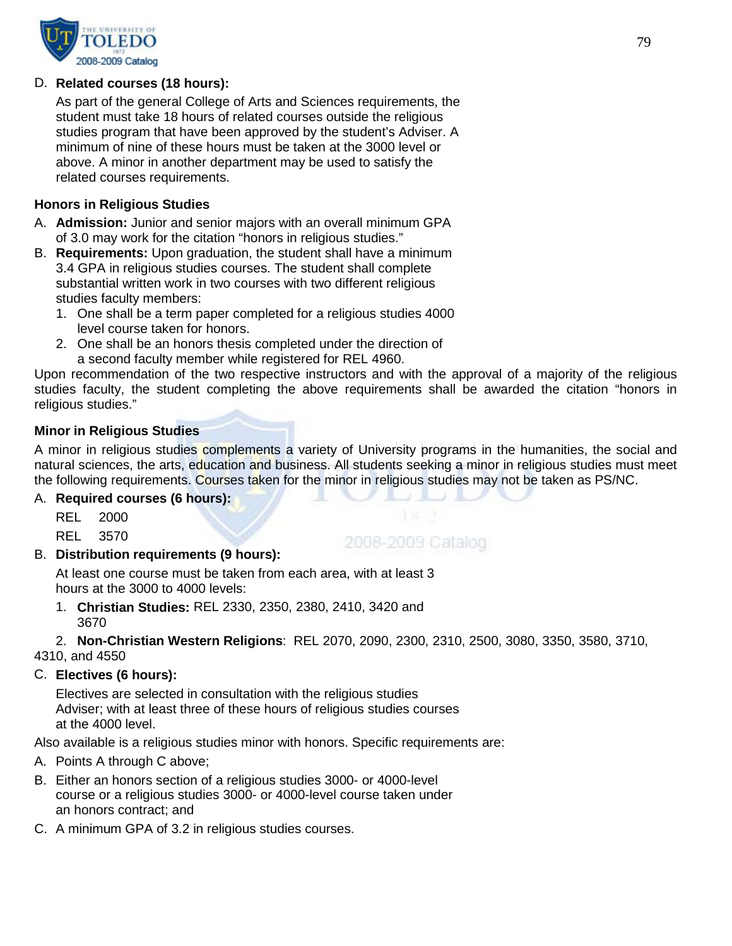

## D. **Related courses (18 hours):**

As part of the general College of Arts and Sciences requirements, the student must take 18 hours of related courses outside the religious studies program that have been approved by the student's Adviser. A minimum of nine of these hours must be taken at the 3000 level or above. A minor in another department may be used to satisfy the related courses requirements.

## **Honors in Religious Studies**

- A. **Admission:** Junior and senior majors with an overall minimum GPA of 3.0 may work for the citation "honors in religious studies."
- B. **Requirements:** Upon graduation, the student shall have a minimum 3.4 GPA in religious studies courses. The student shall complete substantial written work in two courses with two different religious studies faculty members:
	- 1. One shall be a term paper completed for a religious studies 4000 level course taken for honors.
	- 2. One shall be an honors thesis completed under the direction of a second faculty member while registered for REL 4960.

Upon recommendation of the two respective instructors and with the approval of a majority of the religious studies faculty, the student completing the above requirements shall be awarded the citation "honors in religious studies."

## **Minor in Religious Studies**

A minor in religious studies complements a variety of University programs in the humanities, the social and natural sciences, the arts, education and business. All students seeking a minor in religious studies must meet the following requirements. Courses taken for the minor in religious studies may not be taken as PS/NC.

2008-2009 Catalog

## A. **Required courses (6 hours):**

REL 2000

REL 3570

## B. **Distribution requirements (9 hours):**

At least one course must be taken from each area, with at least 3 hours at the 3000 to 4000 levels:

1. **Christian Studies:** REL 2330, 2350, 2380, 2410, 3420 and 3670

2. **Non-Christian Western Religions**: REL 2070, 2090, 2300, 2310, 2500, 3080, 3350, 3580, 3710,

4310, and 4550

## C. **Electives (6 hours):**

Electives are selected in consultation with the religious studies Adviser; with at least three of these hours of religious studies courses at the 4000 level.

Also available is a religious studies minor with honors. Specific requirements are:

- A. Points A through C above;
- B. Either an honors section of a religious studies 3000- or 4000-level course or a religious studies 3000- or 4000-level course taken under an honors contract; and
- C. A minimum GPA of 3.2 in religious studies courses.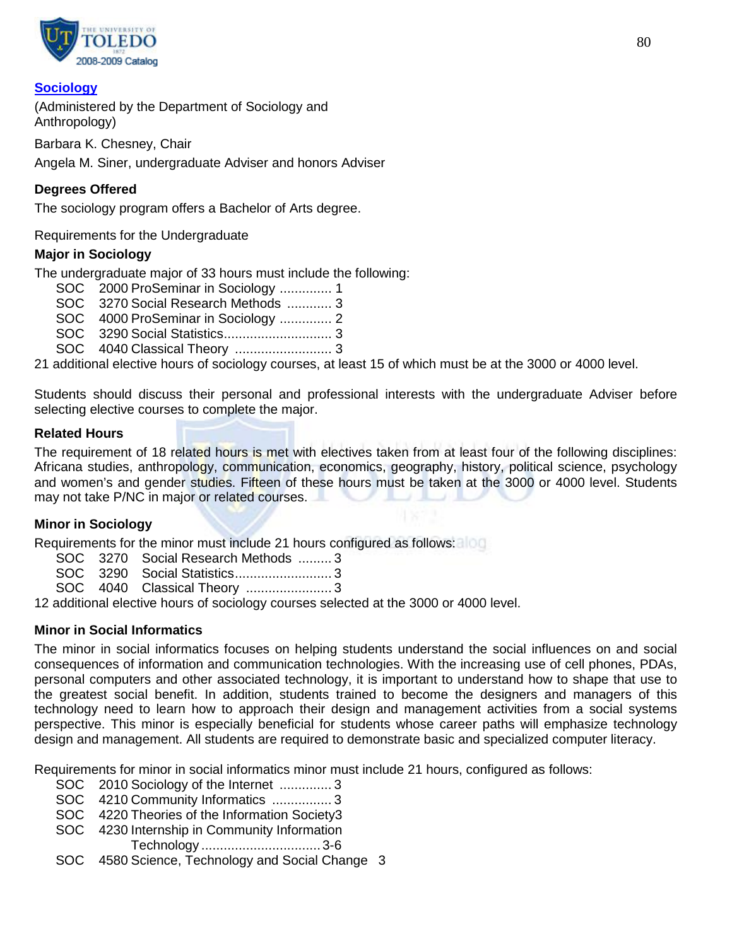

## **[Sociology](http://www.utoledo.edu/as/sa/index.html)**

(Administered by the Department of Sociology and Anthropology)

Barbara K. Chesney, Chair

Angela M. Siner, undergraduate Adviser and honors Adviser

## **Degrees Offered**

The sociology program offers a Bachelor of Arts degree.

Requirements for the Undergraduate

## **Major in Sociology**

The undergraduate major of 33 hours must include the following:

- SOC 2000 ProSeminar in Sociology .............. 1
- SOC 3270 Social Research Methods ............ 3
- SOC 4000 ProSeminar in Sociology .............. 2
- SOC 3290 Social Statistics............................. 3
- SOC 4040 Classical Theory .......................... 3

21 additional elective hours of sociology courses, at least 15 of which must be at the 3000 or 4000 level.

Students should discuss their personal and professional interests with the undergraduate Adviser before selecting elective courses to complete the major.

## **Related Hours**

The requirement of 18 related hours is met with electives taken from at least four of the following disciplines: Africana studies, anthropology, communication, economics, geography, history, political science, psychology and women's and gender studies. Fifteen of these hours must be taken at the 3000 or 4000 level. Students may not take P/NC in major or related courses. . . . .

## **Minor in Sociology**

Requirements for the minor must include 21 hours configured as follows:

- SOC 3270 Social Research Methods ......... 3<br>SOC 3290 Social Statistics.......................... 3
- SOC 3290 Social Statistics.......................... 3
- SOC 4040 Classical Theory ....................... 3

12 additional elective hours of sociology courses selected at the 3000 or 4000 level.

## **Minor in Social Informatics**

The minor in social informatics focuses on helping students understand the social influences on and social consequences of information and communication technologies. With the increasing use of cell phones, PDAs, personal computers and other associated technology, it is important to understand how to shape that use to the greatest social benefit. In addition, students trained to become the designers and managers of this technology need to learn how to approach their design and management activities from a social systems perspective. This minor is especially beneficial for students whose career paths will emphasize technology design and management. All students are required to demonstrate basic and specialized computer literacy.

Requirements for minor in social informatics minor must include 21 hours, configured as follows:

- SOC 2010 Sociology of the Internet .............. 3
- SOC 4210 Community Informatics ................ 3
- SOC 4220 Theories of the Information Society3
- SOC 4230 Internship in Community Information Technology ................................ 3-6
- SOC 4580 Science, Technology and Social Change 3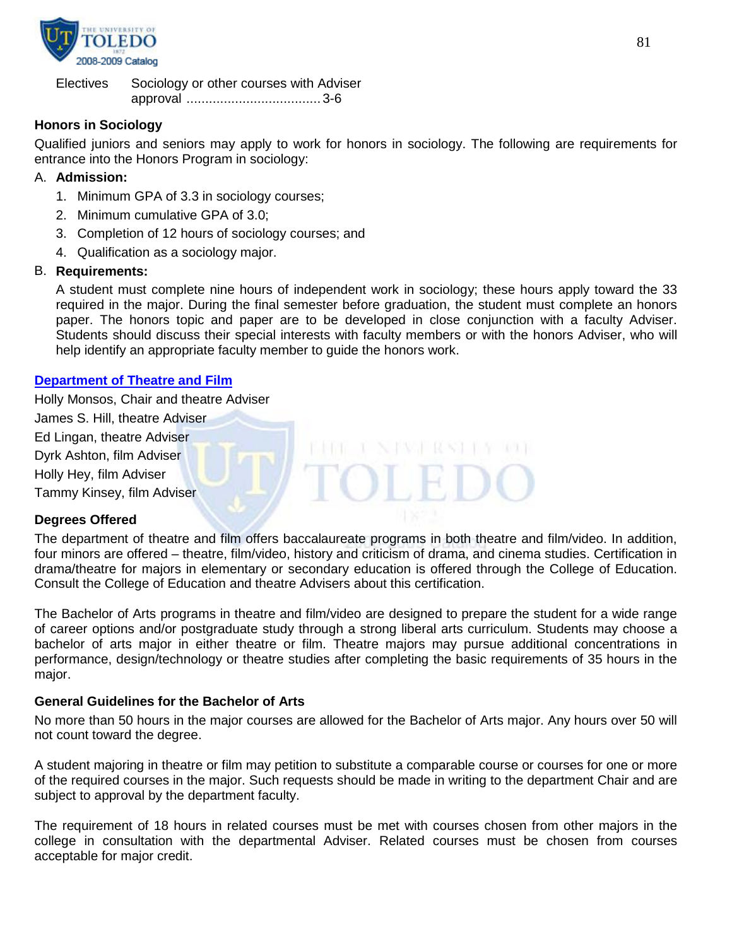

Electives Sociology or other courses with Adviser approval .................................... 3-6

## **Honors in Sociology**

Qualified juniors and seniors may apply to work for honors in sociology. The following are requirements for entrance into the Honors Program in sociology:

## A. **Admission:**

- 1. Minimum GPA of 3.3 in sociology courses;
- 2. Minimum cumulative GPA of 3.0;
- 3. Completion of 12 hours of sociology courses; and
- 4. Qualification as a sociology major.

## B. **Requirements:**

A student must complete nine hours of independent work in sociology; these hours apply toward the 33 required in the major. During the final semester before graduation, the student must complete an honors paper. The honors topic and paper are to be developed in close conjunction with a faculty Adviser. Students should discuss their special interests with faculty members or with the honors Adviser, who will help identify an appropriate faculty member to guide the honors work.

## **[Department of Theatre and Film](http://www.utoledo.edu/as/theatrefilm/index.html)**

Holly Monsos, Chair and theatre Adviser James S. Hill, theatre Adviser Ed Lingan, theatre Adviser Dyrk Ashton, film Adviser Holly Hey, film Adviser TO H Tammy Kinsey, film Adviser

## **Degrees Offered**

The department of theatre and film offers baccalaureate programs in both theatre and film/video. In addition, four minors are offered – theatre, film/video, history and criticism of drama, and cinema studies. Certification in drama/theatre for majors in elementary or secondary education is offered through the College of Education. Consult the College of Education and theatre Advisers about this certification.

The Bachelor of Arts programs in theatre and film/video are designed to prepare the student for a wide range of career options and/or postgraduate study through a strong liberal arts curriculum. Students may choose a bachelor of arts major in either theatre or film. Theatre majors may pursue additional concentrations in performance, design/technology or theatre studies after completing the basic requirements of 35 hours in the major.

## **General Guidelines for the Bachelor of Arts**

No more than 50 hours in the major courses are allowed for the Bachelor of Arts major. Any hours over 50 will not count toward the degree.

A student majoring in theatre or film may petition to substitute a comparable course or courses for one or more of the required courses in the major. Such requests should be made in writing to the department Chair and are subject to approval by the department faculty.

The requirement of 18 hours in related courses must be met with courses chosen from other majors in the college in consultation with the departmental Adviser. Related courses must be chosen from courses acceptable for major credit.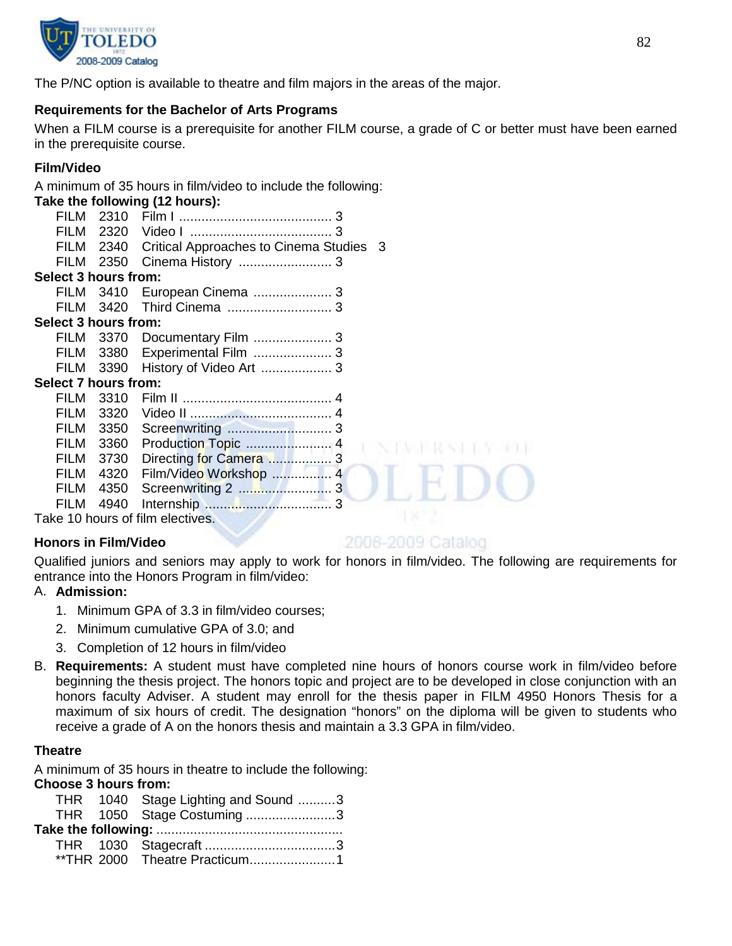

The P/NC option is available to theatre and film majors in the areas of the major.

## **Requirements for the Bachelor of Arts Programs**

When a FILM course is a prerequisite for another FILM course, a grade of C or better must have been earned in the prerequisite course.

## **Film/Video**

A minimum of 35 hours in film/video to include the following:

|                      |      | Take the following (12 hours):               |  |
|----------------------|------|----------------------------------------------|--|
| FILM                 | 2310 |                                              |  |
| FILM                 |      |                                              |  |
| FILM                 |      | 2340 Critical Approaches to Cinema Studies 3 |  |
| <b>FILM</b>          | 2350 |                                              |  |
| Select 3 hours from: |      |                                              |  |
| FILM                 | 3410 |                                              |  |
| FILM                 |      |                                              |  |
| Select 3 hours from: |      |                                              |  |
| FILM                 | 3370 |                                              |  |
| FILM                 |      | 3380 Experimental Film  3                    |  |
| FILM                 |      |                                              |  |
| Select 7 hours from: |      |                                              |  |
| FILM                 |      |                                              |  |
| FILM                 |      |                                              |  |
| FILM                 |      |                                              |  |
| FILM                 | 3360 | Production Topic  4                          |  |
| FILM                 |      | 3730 Directing for Camera  3                 |  |
| FILM                 | 4320 | Film/Video Workshop  4                       |  |
| FILM                 | 4350 |                                              |  |
| FILM                 | 4940 |                                              |  |
|                      |      | Take 10 hours of film electives.             |  |

# **Honors in Film/Video**

## 2008-2009 Catalog

Qualified juniors and seniors may apply to work for honors in film/video. The following are requirements for entrance into the Honors Program in film/video:

# A. **Admission:**

- 1. Minimum GPA of 3.3 in film/video courses;
- 2. Minimum cumulative GPA of 3.0; and
- 3. Completion of 12 hours in film/video
- B. **Requirements:** A student must have completed nine hours of honors course work in film/video before beginning the thesis project. The honors topic and project are to be developed in close conjunction with an honors faculty Adviser. A student may enroll for the thesis paper in FILM 4950 Honors Thesis for a maximum of six hours of credit. The designation "honors" on the diploma will be given to students who receive a grade of A on the honors thesis and maintain a 3.3 GPA in film/video.

## **Theatre**

A minimum of 35 hours in theatre to include the following:

## **Choose 3 hours from:**

|  | THR 1040 Stage Lighting and Sound 3<br>THR 1050 Stage Costuming3 |
|--|------------------------------------------------------------------|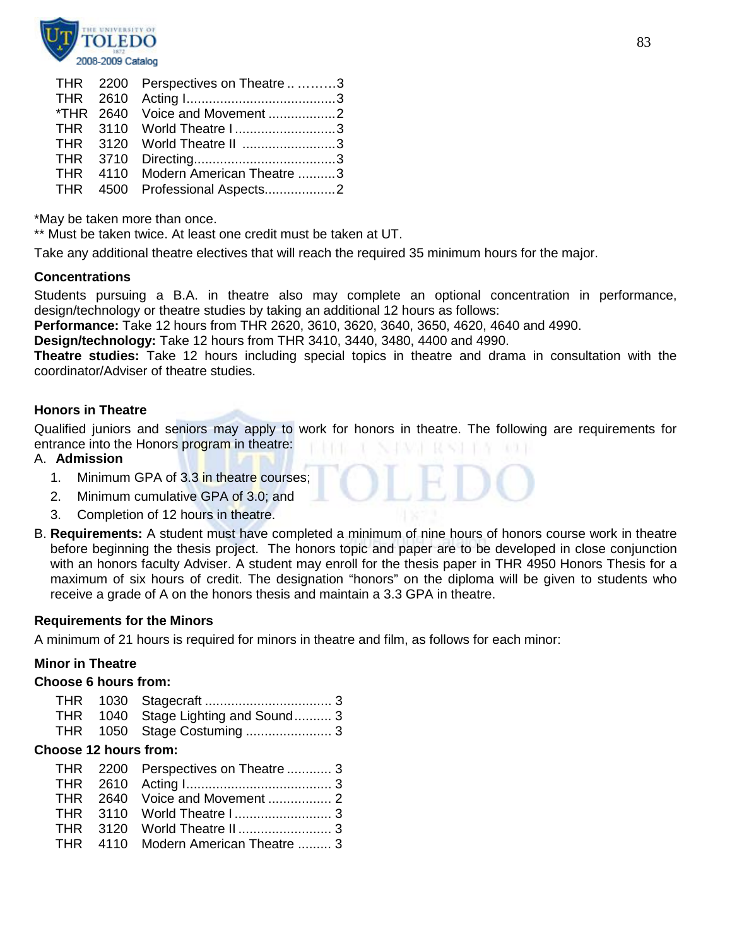

|  | THR 2200 Perspectives on Theatre 3 |  |
|--|------------------------------------|--|
|  |                                    |  |
|  | *THR 2640 Voice and Movement 2     |  |
|  | THR 3110 World Theatre I3          |  |
|  | THR 3120 World Theatre II 3        |  |
|  |                                    |  |
|  | THR 4110 Modern American Theatre 3 |  |
|  | THR 4500 Professional Aspects2     |  |
|  |                                    |  |

\*May be taken more than once.

\*\* Must be taken twice. At least one credit must be taken at UT.

Take any additional theatre electives that will reach the required 35 minimum hours for the major.

#### **Concentrations**

Students pursuing a B.A. in theatre also may complete an optional concentration in performance, design/technology or theatre studies by taking an additional 12 hours as follows:

**Performance:** Take 12 hours from THR 2620, 3610, 3620, 3640, 3650, 4620, 4640 and 4990.

**Design/technology:** Take 12 hours from THR 3410, 3440, 3480, 4400 and 4990.

**Theatre studies:** Take 12 hours including special topics in theatre and drama in consultation with the coordinator/Adviser of theatre studies.

## **Honors in Theatre**

Qualified juniors and seniors may apply to work for honors in theatre. The following are requirements for entrance into the Honors program in theatre:

## A. **Admission**

- 1. Minimum GPA of 3.3 in theatre courses;
- 2. Minimum cumulative GPA of 3.0; and
- 3. Completion of 12 hours in theatre.
- B. **Requirements:** A student must have completed a minimum of nine hours of honors course work in theatre before beginning the thesis project. The honors topic and paper are to be developed in close conjunction with an honors faculty Adviser. A student may enroll for the thesis paper in THR 4950 Honors Thesis for a maximum of six hours of credit. The designation "honors" on the diploma will be given to students who receive a grade of A on the honors thesis and maintain a 3.3 GPA in theatre.

#### **Requirements for the Minors**

A minimum of 21 hours is required for minors in theatre and film, as follows for each minor:

## **Minor in Theatre**

#### **Choose 6 hours from:**

| <b>THR</b><br><b>THR</b><br><b>THR</b>                        | 1030<br>1050                 | 1040 Stage Lighting and Sound 3 |
|---------------------------------------------------------------|------------------------------|---------------------------------|
| <b>Choose 12 hours from:</b>                                  |                              |                                 |
| THR .<br><b>THR</b><br><b>THR</b><br><b>THR</b><br><b>THR</b> | 2200<br>2610<br>3110<br>3120 | Perspectives on Theatre  3      |
| <b>THR</b>                                                    | 4110                         | Modern American Theatre  3      |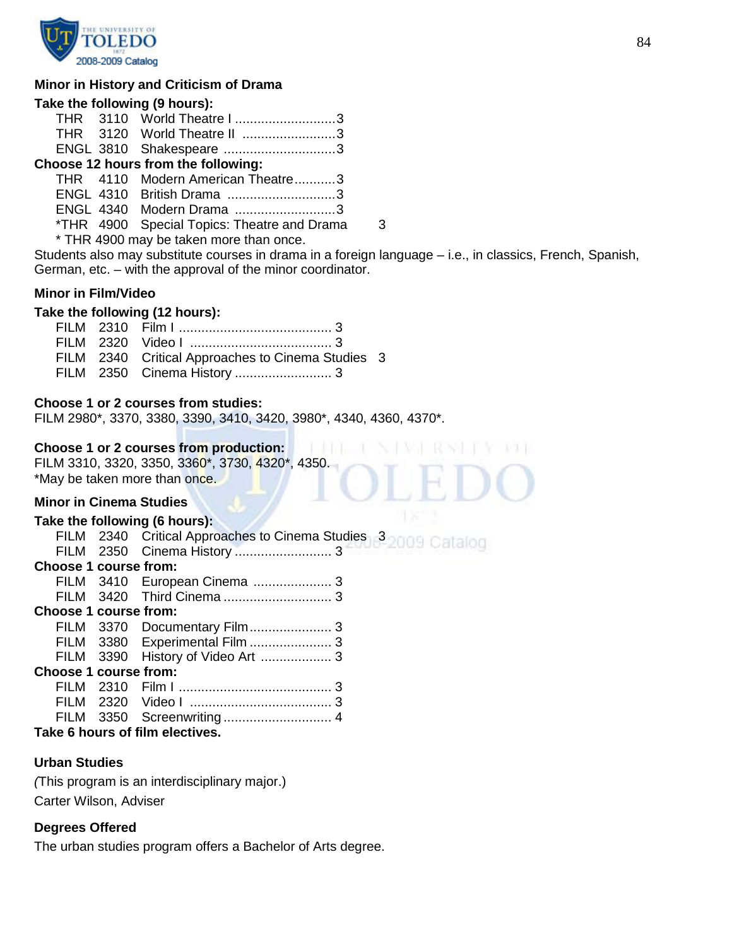

#### **Minor in History and Criticism of Drama**

#### **Take the following (9 hours):**

|  | THR 3110 World Theatre I 3          |  |
|--|-------------------------------------|--|
|  | THR 3120 World Theatre II 3         |  |
|  | ENGL 3810 Shakespeare 3             |  |
|  | Choose 12 hours from the following: |  |
|  | THR 4110 Modern American Theatre3   |  |

ENGL 4310 British Drama .............................3 ENGL 4340 Modern Drama ...........................3 \*THR 4900 Special Topics: Theatre and Drama 3

\* THR 4900 may be taken more than once.

Students also may substitute courses in drama in a foreign language – i.e., in classics, French, Spanish, German, etc. – with the approval of the minor coordinator.

#### **Minor in Film/Video**

#### **Take the following (12 hours):**

|  | FILM 2340 Critical Approaches to Cinema Studies 3 |  |
|--|---------------------------------------------------|--|
|  |                                                   |  |

#### **Choose 1 or 2 courses from studies:**

FILM 2980\*, 3370, 3380, 3390, 3410, 3420, 3980\*, 4340, 4360, 4370\*.

## **Choose 1 or 2 courses from production:**

FILM 3310, 3320, 3350, 3360\*, 3730, 4320\*, 4350. \*May be taken more than once.

#### **Minor in Cinema Studies**

## **Take the following (6 hours):**

| Choose 1 course from:           |  |                                |  |
|---------------------------------|--|--------------------------------|--|
|                                 |  |                                |  |
|                                 |  |                                |  |
| Choose 1 course from:           |  |                                |  |
|                                 |  |                                |  |
|                                 |  | FILM 3380 Experimental Film  3 |  |
|                                 |  |                                |  |
| <b>Choose 1 course from:</b>    |  |                                |  |
|                                 |  |                                |  |
|                                 |  |                                |  |
|                                 |  |                                |  |
| Take 6 hours of film electives. |  |                                |  |

# **Urban Studies**

*(*This program is an interdisciplinary major.) Carter Wilson, Adviser

## **Degrees Offered**

The urban studies program offers a Bachelor of Arts degree.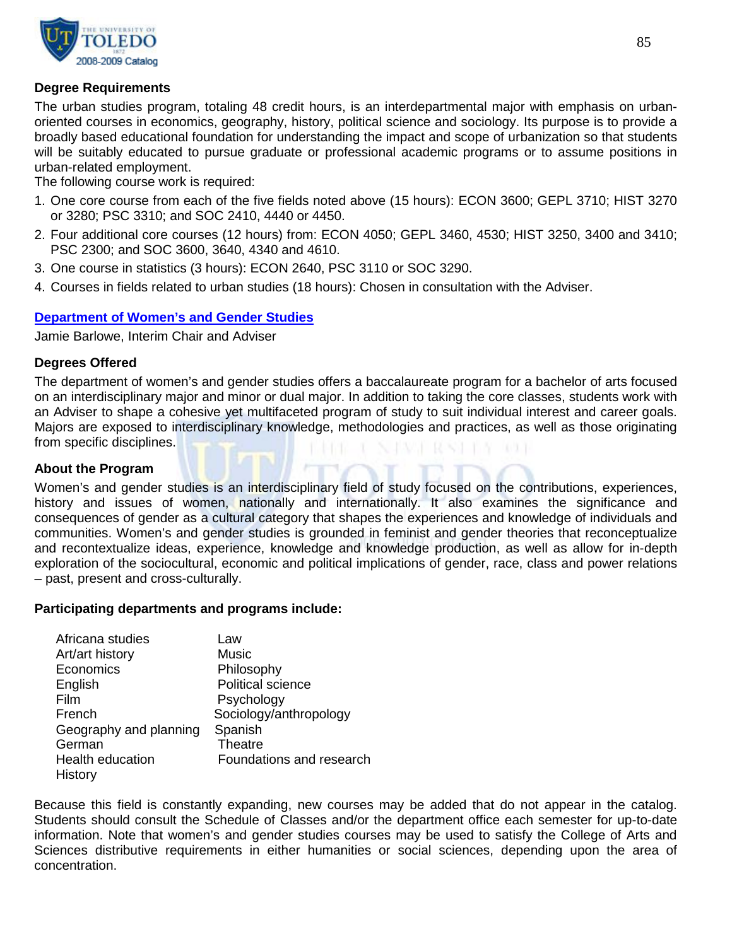

## **Degree Requirements**

The urban studies program, totaling 48 credit hours, is an interdepartmental major with emphasis on urbanoriented courses in economics, geography, history, political science and sociology. Its purpose is to provide a broadly based educational foundation for understanding the impact and scope of urbanization so that students will be suitably educated to pursue graduate or professional academic programs or to assume positions in urban-related employment.

The following course work is required:

- 1. One core course from each of the five fields noted above (15 hours): ECON 3600; GEPL 3710; HIST 3270 or 3280; PSC 3310; and SOC 2410, 4440 or 4450.
- 2. Four additional core courses (12 hours) from: ECON 4050; GEPL 3460, 4530; HIST 3250, 3400 and 3410; PSC 2300; and SOC 3600, 3640, 4340 and 4610.
- 3. One course in statistics (3 hours): ECON 2640, PSC 3110 or SOC 3290.
- 4. Courses in fields related to urban studies (18 hours): Chosen in consultation with the Adviser.

#### **[Department of Women's and Gender Studies](http://utoledo.edu/as/wgst/)**

Jamie Barlowe, Interim Chair and Adviser

#### **Degrees Offered**

The department of women's and gender studies offers a baccalaureate program for a bachelor of arts focused on an interdisciplinary major and minor or dual major. In addition to taking the core classes, students work with an Adviser to shape a cohesive yet multifaceted program of study to suit individual interest and career goals. Majors are exposed to interdisciplinary knowledge, methodologies and practices, as well as those originating from specific disciplines. 化气管 化聚二硫化

#### **About the Program**

Women's and gender studies is an interdisciplinary field of study focused on the contributions, experiences, history and issues of women, nationally and internationally. It also examines the significance and consequences of gender as a cultural category that shapes the experiences and knowledge of individuals and communities. Women's and gender studies is grounded in feminist and gender theories that reconceptualize and recontextualize ideas, experience, knowledge and knowledge production, as well as allow for in-depth exploration of the sociocultural, economic and political implications of gender, race, class and power relations – past, present and cross-culturally.

#### **Participating departments and programs include:**

| Africana studies        | Law                      |
|-------------------------|--------------------------|
| Art/art history         | Music                    |
| Economics               | Philosophy               |
| English                 | <b>Political science</b> |
| Film                    | Psychology               |
| French                  | Sociology/anthropology   |
| Geography and planning  | Spanish                  |
| German                  | <b>Theatre</b>           |
| <b>Health education</b> | Foundations and research |
| History                 |                          |

Because this field is constantly expanding, new courses may be added that do not appear in the catalog. Students should consult the Schedule of Classes and/or the department office each semester for up-to-date information. Note that women's and gender studies courses may be used to satisfy the College of Arts and Sciences distributive requirements in either humanities or social sciences, depending upon the area of concentration.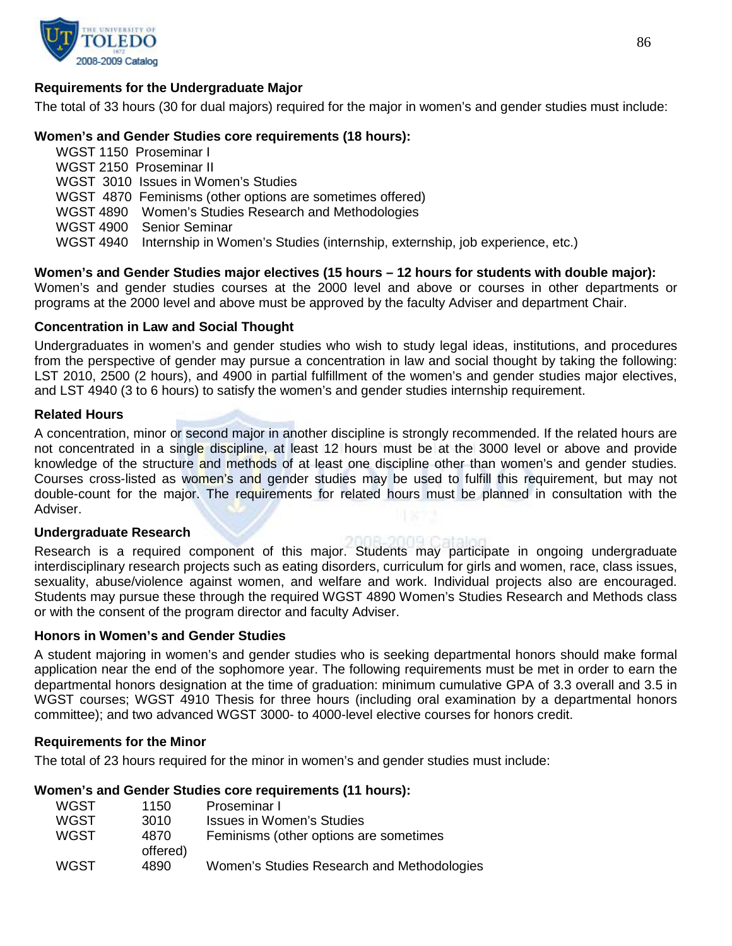

## **Requirements for the Undergraduate Major**

The total of 33 hours (30 for dual majors) required for the major in women's and gender studies must include:

## **Women's and Gender Studies core requirements (18 hours):**

WGST 1150 Proseminar I WGST 2150 Proseminar II WGST 3010 Issues in Women's Studies WGST 4870 Feminisms (other options are sometimes offered) WGST 4890 Women's Studies Research and Methodologies WGST 4900 Senior Seminar WGST 4940 Internship in Women's Studies (internship, externship, job experience, etc.)

**Women's and Gender Studies major electives (15 hours – 12 hours for students with double major):** Women's and gender studies courses at the 2000 level and above or courses in other departments or programs at the 2000 level and above must be approved by the faculty Adviser and department Chair.

#### **Concentration in Law and Social Thought**

Undergraduates in women's and gender studies who wish to study legal ideas, institutions, and procedures from the perspective of gender may pursue a concentration in law and social thought by taking the following: LST 2010, 2500 (2 hours), and 4900 in partial fulfillment of the women's and gender studies major electives, and LST 4940 (3 to 6 hours) to satisfy the women's and gender studies internship requirement.

#### **Related Hours**

A concentration, minor or second major in another discipline is strongly recommended. If the related hours are not concentrated in a single discipline, at least 12 hours must be at the 3000 level or above and provide knowledge of the structure and methods of at least one discipline other than women's and gender studies. Courses cross-listed as women's and gender studies may be used to fulfill this requirement, but may not double-count for the major. The requirements for related hours must be planned in consultation with the Adviser.

#### **Undergraduate Research**

Research is a required component of this major. Students may participate in ongoing undergraduate interdisciplinary research projects such as eating disorders, curriculum for girls and women, race, class issues, sexuality, abuse/violence against women, and welfare and work. Individual projects also are encouraged. Students may pursue these through the required WGST 4890 Women's Studies Research and Methods class or with the consent of the program director and faculty Adviser.

#### **Honors in Women's and Gender Studies**

A student majoring in women's and gender studies who is seeking departmental honors should make formal application near the end of the sophomore year. The following requirements must be met in order to earn the departmental honors designation at the time of graduation: minimum cumulative GPA of 3.3 overall and 3.5 in WGST courses; WGST 4910 Thesis for three hours (including oral examination by a departmental honors committee); and two advanced WGST 3000- to 4000-level elective courses for honors credit.

#### **Requirements for the Minor**

The total of 23 hours required for the minor in women's and gender studies must include:

#### **Women's and Gender Studies core requirements (11 hours):**

| <b>WGST</b> | 1150             | Proseminar I                               |
|-------------|------------------|--------------------------------------------|
| <b>WGST</b> | 3010             | Issues in Women's Studies                  |
| <b>WGST</b> | 4870<br>offered) | Feminisms (other options are sometimes     |
| WGST        | 4890             | Women's Studies Research and Methodologies |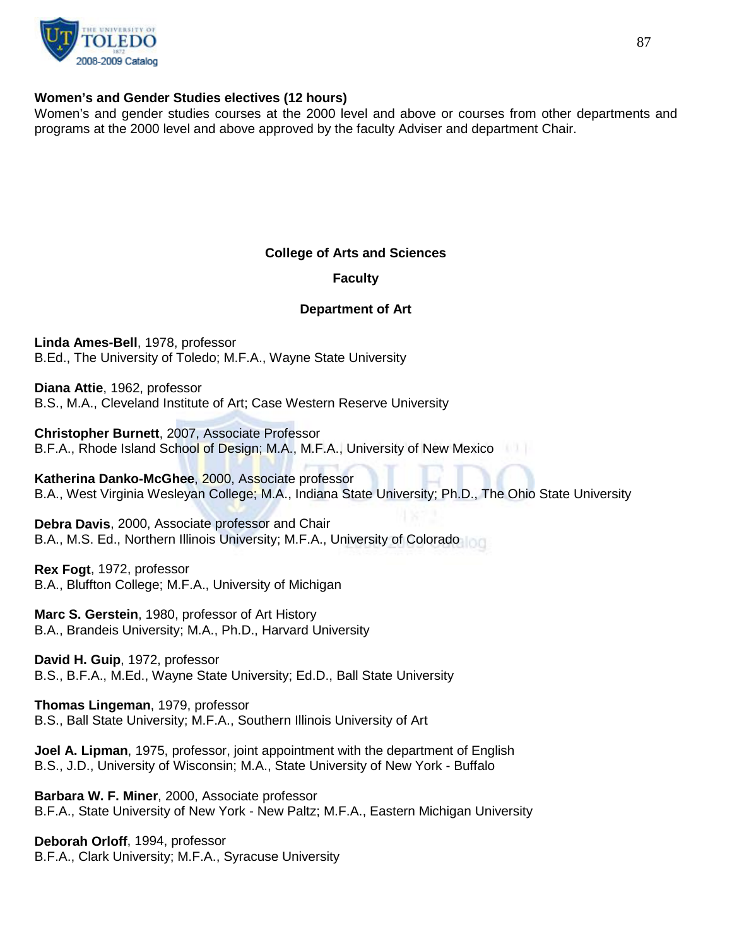

## **Women's and Gender Studies electives (12 hours)**

Women's and gender studies courses at the 2000 level and above or courses from other departments and programs at the 2000 level and above approved by the faculty Adviser and department Chair.

## **College of Arts and Sciences**

## **Faculty**

## **Department of Art**

**Linda Ames-Bell**, 1978, professor B.Ed., The University of Toledo; M.F.A., Wayne State University

**Diana Attie**, 1962, professor B.S., M.A., Cleveland Institute of Art; Case Western Reserve University

**Christopher Burnett**, 2007, Associate Professor B.F.A., Rhode Island School of Design; M.A., M.F.A., University of New Mexico

**Katherina Danko-McGhee**, 2000, Associate professor B.A., West Virginia Wesleyan College; M.A., Indiana State University; Ph.D., The Ohio State University

**Debra Davis**, 2000, Associate professor and Chair B.A., M.S. Ed., Northern Illinois University; M.F.A., University of Colorado

**Rex Fogt**, 1972, professor B.A., Bluffton College; M.F.A., University of Michigan

**Marc S. Gerstein**, 1980, professor of Art History B.A., Brandeis University; M.A., Ph.D., Harvard University

**David H. Guip**, 1972, professor B.S., B.F.A., M.Ed., Wayne State University; Ed.D., Ball State University

**Thomas Lingeman**, 1979, professor B.S., Ball State University; M.F.A., Southern Illinois University of Art

**Joel A. Lipman**, 1975, professor, joint appointment with the department of English B.S., J.D., University of Wisconsin; M.A., State University of New York - Buffalo

**Barbara W. F. Miner**, 2000, Associate professor B.F.A., State University of New York - New Paltz; M.F.A., Eastern Michigan University

**Deborah Orloff**, 1994, professor B.F.A., Clark University; M.F.A., Syracuse University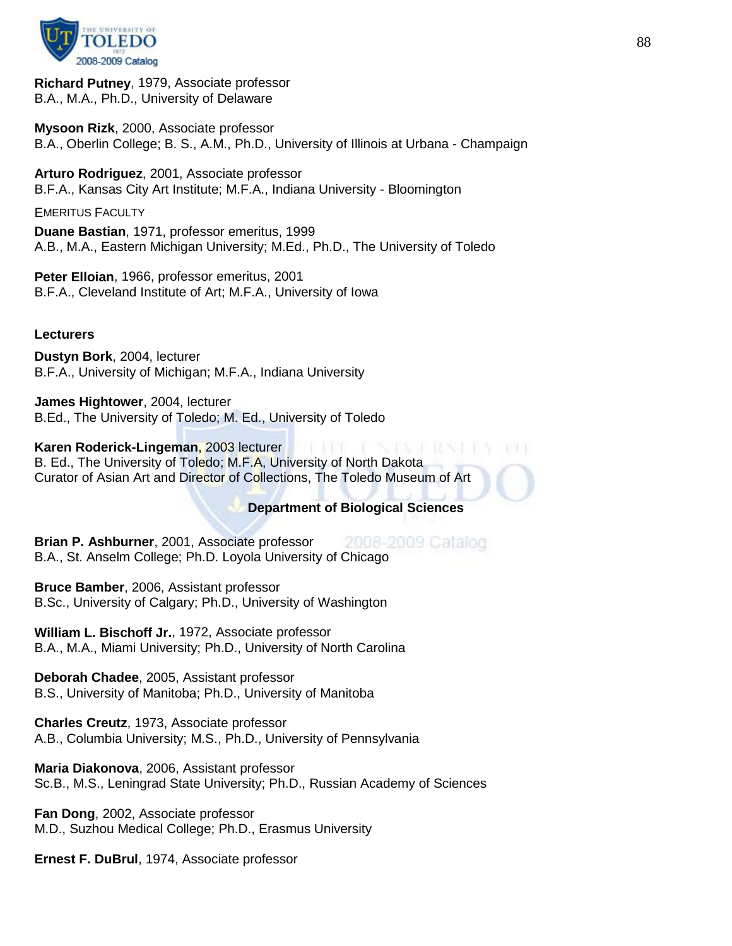

**Richard Putney**, 1979, Associate professor B.A., M.A., Ph.D., University of Delaware

**Mysoon Rizk**, 2000, Associate professor B.A., Oberlin College; B. S., A.M., Ph.D., University of Illinois at Urbana - Champaign

**Arturo Rodriguez**, 2001, Associate professor B.F.A., Kansas City Art Institute; M.F.A., Indiana University - Bloomington

EMERITUS FACULTY

**Duane Bastian**, 1971, professor emeritus, 1999 A.B., M.A., Eastern Michigan University; M.Ed., Ph.D., The University of Toledo

**Peter Elloian**, 1966, professor emeritus, 2001 B.F.A., Cleveland Institute of Art; M.F.A., University of Iowa

#### **Lecturers**

**Dustyn Bork**, 2004, lecturer B.F.A., University of Michigan; M.F.A., Indiana University

**James Hightower**, 2004, lecturer B.Ed., The University of Toledo; M. Ed., University of Toledo

#### **Karen Roderick-Lingeman**, 2003 lecturer

B. Ed., The University of Toledo; M.F.A, University of North Dakota Curator of Asian Art and Director of Collections, The Toledo Museum of Art

## **Department of Biological Sciences**

L NAWA RWA L

**Brian P. Ashburner**, 2001, Associate professor 2008-2009 Catalog B.A., St. Anselm College; Ph.D. Loyola University of Chicago

**Bruce Bamber**, 2006, Assistant professor B.Sc., University of Calgary; Ph.D., University of Washington

**William L. Bischoff Jr.**, 1972, Associate professor B.A., M.A., Miami University; Ph.D., University of North Carolina

**Deborah Chadee**, 2005, Assistant professor B.S., University of Manitoba; Ph.D., University of Manitoba

**Charles Creutz**, 1973, Associate professor A.B., Columbia University; M.S., Ph.D., University of Pennsylvania

**Maria Diakonova**, 2006, Assistant professor Sc.B., M.S., Leningrad State University; Ph.D., Russian Academy of Sciences

**Fan Dong**, 2002, Associate professor M.D., Suzhou Medical College; Ph.D., Erasmus University

**Ernest F. DuBrul**, 1974, Associate professor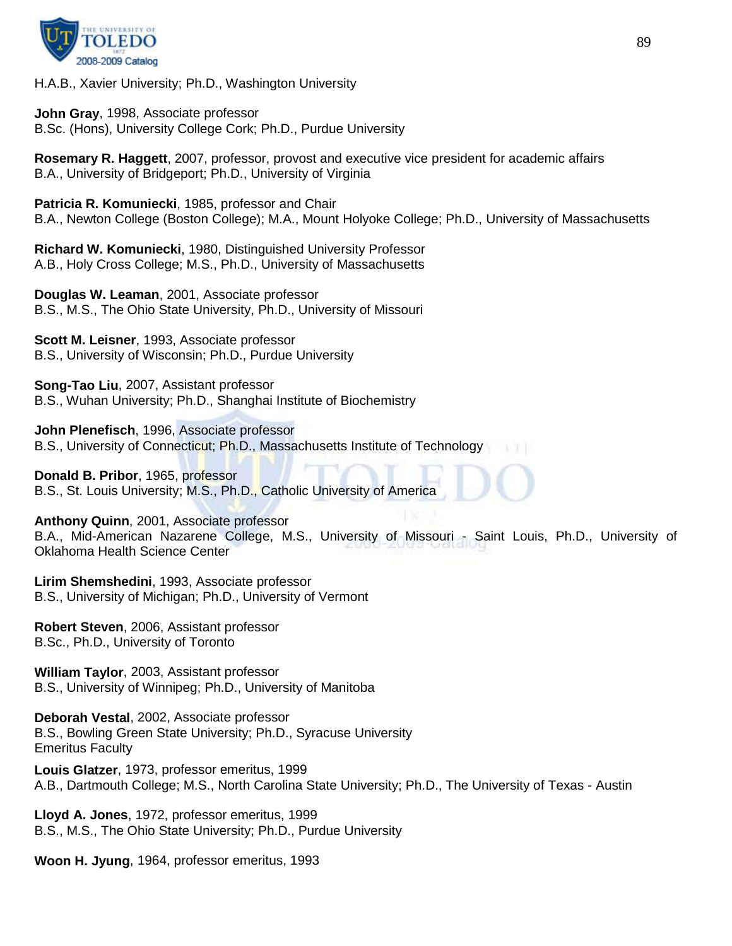

H.A.B., Xavier University; Ph.D., Washington University

**John Gray**, 1998, Associate professor B.Sc. (Hons), University College Cork; Ph.D., Purdue University

**Rosemary R. Haggett**, 2007, professor, provost and executive vice president for academic affairs B.A., University of Bridgeport; Ph.D., University of Virginia

**Patricia R. Komuniecki**, 1985, professor and Chair B.A., Newton College (Boston College); M.A., Mount Holyoke College; Ph.D., University of Massachusetts

**Richard W. Komuniecki**, 1980, Distinguished University Professor A.B., Holy Cross College; M.S., Ph.D., University of Massachusetts

**Douglas W. Leaman**, 2001, Associate professor B.S., M.S., The Ohio State University, Ph.D., University of Missouri

**Scott M. Leisner**, 1993, Associate professor B.S., University of Wisconsin; Ph.D., Purdue University

**Song-Tao Liu**, 2007, Assistant professor B.S., Wuhan University; Ph.D., Shanghai Institute of Biochemistry

**John Plenefisch**, 1996, Associate professor B.S., University of Connecticut; Ph.D., Massachusetts Institute of Technology

**Donald B. Pribor**, 1965, professor B.S., St. Louis University; M.S., Ph.D., Catholic University of America

**Anthony Quinn**, 2001, Associate professor

B.A., Mid-American Nazarene College, M.S., University of Missouri - Saint Louis, Ph.D., University of Oklahoma Health Science Center

**Lirim Shemshedini**, 1993, Associate professor B.S., University of Michigan; Ph.D., University of Vermont

**Robert Steven**, 2006, Assistant professor B.Sc., Ph.D., University of Toronto

**William Taylor**, 2003, Assistant professor B.S., University of Winnipeg; Ph.D., University of Manitoba

**Deborah Vestal**, 2002, Associate professor B.S., Bowling Green State University; Ph.D., Syracuse University Emeritus Faculty

**Louis Glatzer**, 1973, professor emeritus, 1999 A.B., Dartmouth College; M.S., North Carolina State University; Ph.D., The University of Texas - Austin

**Lloyd A. Jones**, 1972, professor emeritus, 1999 B.S., M.S., The Ohio State University; Ph.D., Purdue University

**Woon H. Jyung**, 1964, professor emeritus, 1993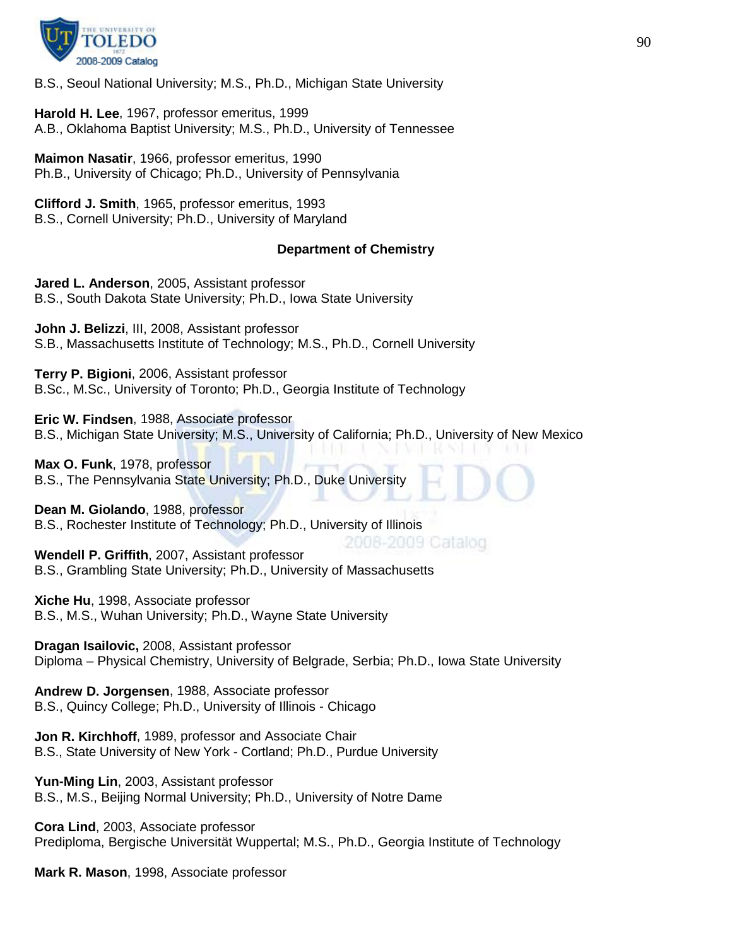

B.S., Seoul National University; M.S., Ph.D., Michigan State University

**Harold H. Lee**, 1967, professor emeritus, 1999 A.B., Oklahoma Baptist University; M.S., Ph.D., University of Tennessee

**Maimon Nasatir**, 1966, professor emeritus, 1990 Ph.B., University of Chicago; Ph.D., University of Pennsylvania

**Clifford J. Smith**, 1965, professor emeritus, 1993 B.S., Cornell University; Ph.D., University of Maryland

## **Department of Chemistry**

**Jared L. Anderson**, 2005, Assistant professor B.S., South Dakota State University; Ph.D., Iowa State University

**John J. Belizzi**, III, 2008, Assistant professor S.B., Massachusetts Institute of Technology; M.S., Ph.D., Cornell University

**Terry P. Bigioni**, 2006, Assistant professor B.Sc., M.Sc., University of Toronto; Ph.D., Georgia Institute of Technology

**Eric W. Findsen**, 1988, Associate professor B.S., Michigan State University; M.S., University of California; Ph.D., University of New Mexico

**Max O. Funk**, 1978, professor B.S., The Pennsylvania State University; Ph.D., Duke University

**Dean M. Giolando**, 1988, professor B.S., Rochester Institute of Technology; Ph.D., University of Illinois

2006-2009 Catalog **Wendell P. Griffith**, 2007, Assistant professor B.S., Grambling State University; Ph.D., University of Massachusetts

**Xiche Hu**, 1998, Associate professor B.S., M.S., Wuhan University; Ph.D., Wayne State University

**Dragan Isailovic,** 2008, Assistant professor Diploma – Physical Chemistry, University of Belgrade, Serbia; Ph.D., Iowa State University

**Andrew D. Jorgensen**, 1988, Associate professor B.S., Quincy College; Ph.D., University of Illinois - Chicago

**Jon R. Kirchhoff**, 1989, professor and Associate Chair B.S., State University of New York - Cortland; Ph.D., Purdue University

**Yun-Ming Lin**, 2003, Assistant professor B.S., M.S., Beijing Normal University; Ph.D., University of Notre Dame

**Cora Lind**, 2003, Associate professor Prediploma, Bergische Universität Wuppertal; M.S., Ph.D., Georgia Institute of Technology

**Mark R. Mason**, 1998, Associate professor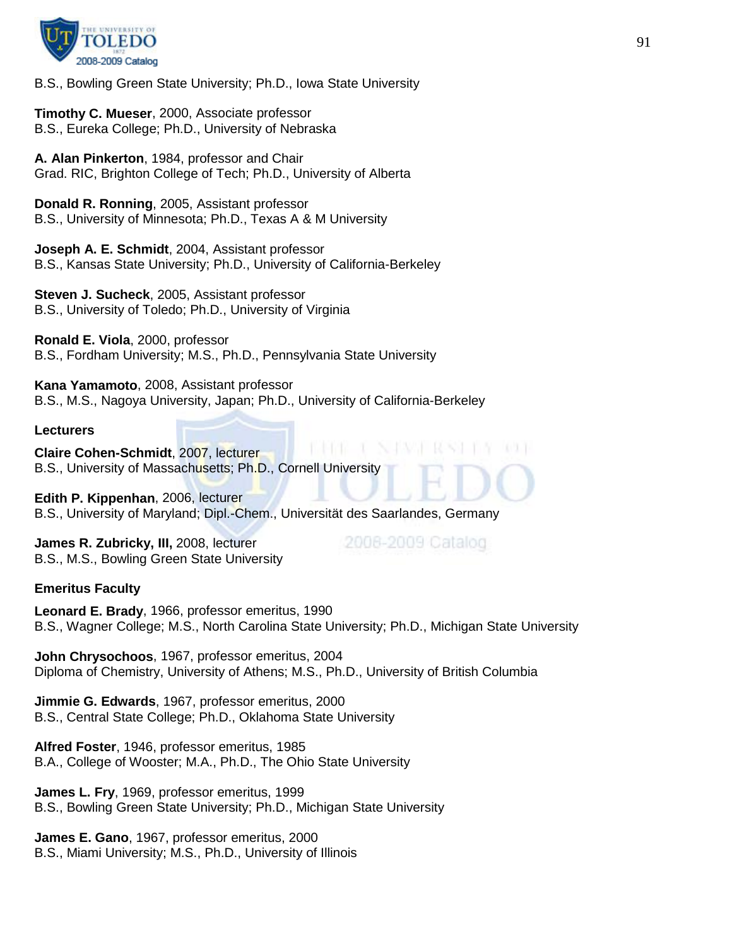

B.S., Bowling Green State University; Ph.D., Iowa State University

**Timothy C. Mueser**, 2000, Associate professor B.S., Eureka College; Ph.D., University of Nebraska

**A. Alan Pinkerton**, 1984, professor and Chair Grad. RIC, Brighton College of Tech; Ph.D., University of Alberta

**Donald R. Ronning**, 2005, Assistant professor B.S., University of Minnesota; Ph.D., Texas A & M University

**Joseph A. E. Schmidt**, 2004, Assistant professor B.S., Kansas State University; Ph.D., University of California-Berkeley

**Steven J. Sucheck**, 2005, Assistant professor B.S., University of Toledo; Ph.D., University of Virginia

**Ronald E. Viola**, 2000, professor B.S., Fordham University; M.S., Ph.D., Pennsylvania State University

**Kana Yamamoto**, 2008, Assistant professor B.S., M.S., Nagoya University, Japan; Ph.D., University of California-Berkeley

**Lecturers**

**Claire Cohen-Schmidt**, 2007, lecturer B.S., University of Massachusetts; Ph.D., Cornell University

**Edith P. Kippenhan**, 2006, lecturer B.S., University of Maryland; Dipl.-Chem., Universität des Saarlandes, Germany

**James R. Zubricky, III,** 2008, lecturer B.S., M.S., Bowling Green State University 2008-2009 Catalog

#### **Emeritus Faculty**

**Leonard E. Brady**, 1966, professor emeritus, 1990 B.S., Wagner College; M.S., North Carolina State University; Ph.D., Michigan State University

**John Chrysochoos**, 1967, professor emeritus, 2004 Diploma of Chemistry, University of Athens; M.S., Ph.D., University of British Columbia

**Jimmie G. Edwards**, 1967, professor emeritus, 2000 B.S., Central State College; Ph.D., Oklahoma State University

**Alfred Foster**, 1946, professor emeritus, 1985 B.A., College of Wooster; M.A., Ph.D., The Ohio State University

**James L. Fry**, 1969, professor emeritus, 1999 B.S., Bowling Green State University; Ph.D., Michigan State University

**James E. Gano**, 1967, professor emeritus, 2000 B.S., Miami University; M.S., Ph.D., University of Illinois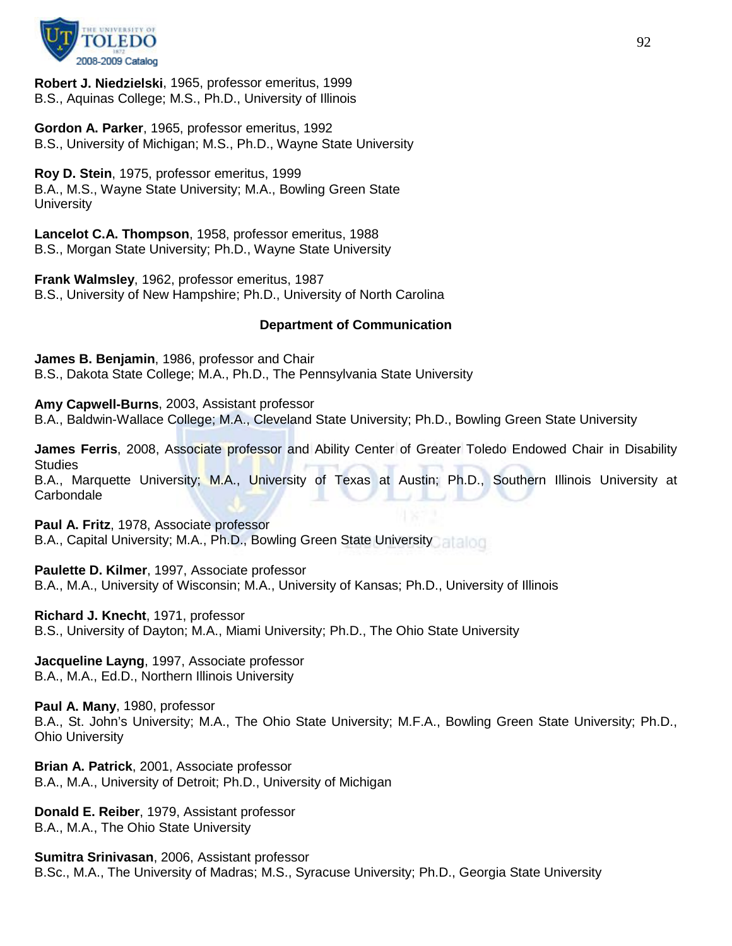

**Robert J. Niedzielski**, 1965, professor emeritus, 1999 B.S., Aquinas College; M.S., Ph.D., University of Illinois

**Gordon A. Parker**, 1965, professor emeritus, 1992 B.S., University of Michigan; M.S., Ph.D., Wayne State University

**Roy D. Stein**, 1975, professor emeritus, 1999 B.A., M.S., Wayne State University; M.A., Bowling Green State **University** 

**Lancelot C.A. Thompson**, 1958, professor emeritus, 1988 B.S., Morgan State University; Ph.D., Wayne State University

**Frank Walmsley**, 1962, professor emeritus, 1987 B.S., University of New Hampshire; Ph.D., University of North Carolina

## **Department of Communication**

**James B. Benjamin**, 1986, professor and Chair B.S., Dakota State College; M.A., Ph.D., The Pennsylvania State University

**Amy Capwell-Burns**, 2003, Assistant professor B.A., Baldwin-Wallace College; M.A., Cleveland State University; Ph.D., Bowling Green State University

**James Ferris**, 2008, Associate professor and Ability Center of Greater Toledo Endowed Chair in Disability **Studies** 

B.A., Marquette University; M.A., University of Texas at Austin; Ph.D., Southern Illinois University at **Carbondale** 

**Paul A. Fritz**, 1978, Associate professor

B.A., Capital University; M.A., Ph.D., Bowling Green State University

**Paulette D. Kilmer**, 1997, Associate professor

B.A., M.A., University of Wisconsin; M.A., University of Kansas; Ph.D., University of Illinois

**Richard J. Knecht**, 1971, professor

B.S., University of Dayton; M.A., Miami University; Ph.D., The Ohio State University

**Jacqueline Layng**, 1997, Associate professor B.A., M.A., Ed.D., Northern Illinois University

**Paul A. Many**, 1980, professor B.A., St. John's University; M.A., The Ohio State University; M.F.A., Bowling Green State University; Ph.D., Ohio University

**Brian A. Patrick**, 2001, Associate professor B.A., M.A., University of Detroit; Ph.D., University of Michigan

**Donald E. Reiber**, 1979, Assistant professor B.A., M.A., The Ohio State University

**Sumitra Srinivasan**, 2006, Assistant professor B.Sc., M.A., The University of Madras; M.S., Syracuse University; Ph.D., Georgia State University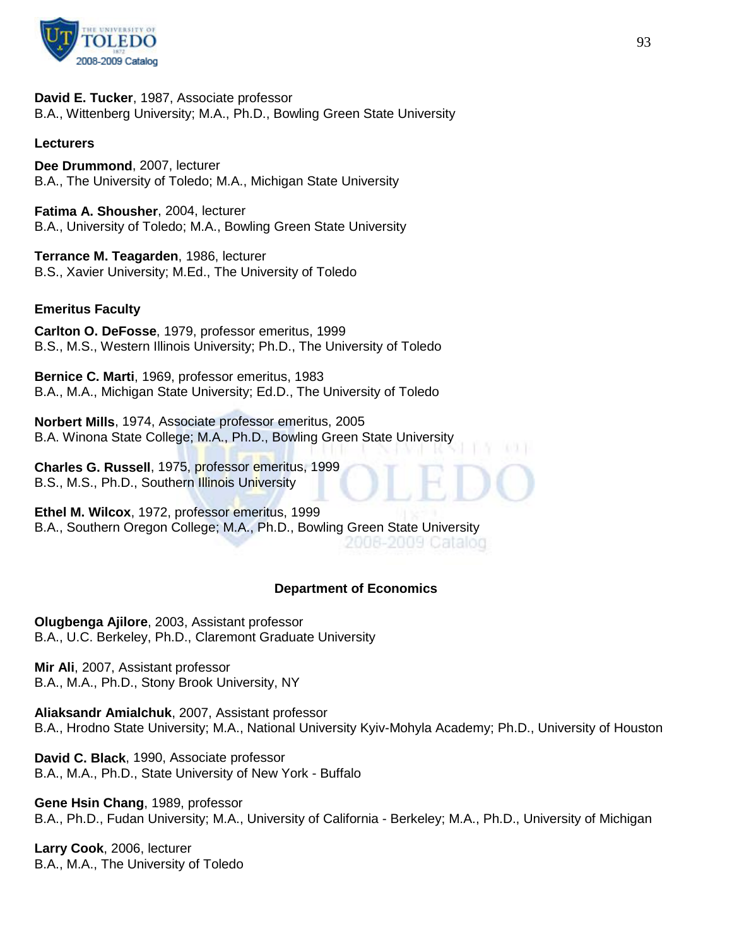

**David E. Tucker**, 1987, Associate professor B.A., Wittenberg University; M.A., Ph.D., Bowling Green State University

## **Lecturers**

**Dee Drummond**, 2007, lecturer B.A., The University of Toledo; M.A., Michigan State University

**Fatima A. Shousher**, 2004, lecturer B.A., University of Toledo; M.A., Bowling Green State University

**Terrance M. Teagarden**, 1986, lecturer B.S., Xavier University; M.Ed., The University of Toledo

#### **Emeritus Faculty**

**Carlton O. DeFosse**, 1979, professor emeritus, 1999 B.S., M.S., Western Illinois University; Ph.D., The University of Toledo

**Bernice C. Marti**, 1969, professor emeritus, 1983 B.A., M.A., Michigan State University; Ed.D., The University of Toledo

**Norbert Mills**, 1974, Associate professor emeritus, 2005 B.A. Winona State College; M.A., Ph.D., Bowling Green State University

**Charles G. Russell**, 1975, professor emeritus, 1999 B.S., M.S., Ph.D., Southern Illinois University

**Ethel M. Wilcox**, 1972, professor emeritus, 1999 B.A., Southern Oregon College; M.A., Ph.D., Bowling Green State University

## 2006-2009 Catalog

#### **Department of Economics**

**Olugbenga Ajilore**, 2003, Assistant professor B.A., U.C. Berkeley, Ph.D., Claremont Graduate University

**Mir Ali**, 2007, Assistant professor B.A., M.A., Ph.D., Stony Brook University, NY

**Aliaksandr Amialchuk**, 2007, Assistant professor B.A., Hrodno State University; M.A., National University Kyiv-Mohyla Academy; Ph.D., University of Houston

**David C. Black**, 1990, Associate professor B.A., M.A., Ph.D., State University of New York - Buffalo

**Gene Hsin Chang**, 1989, professor B.A., Ph.D., Fudan University; M.A., University of California - Berkeley; M.A., Ph.D., University of Michigan

**Larry Cook**, 2006, lecturer B.A., M.A., The University of Toledo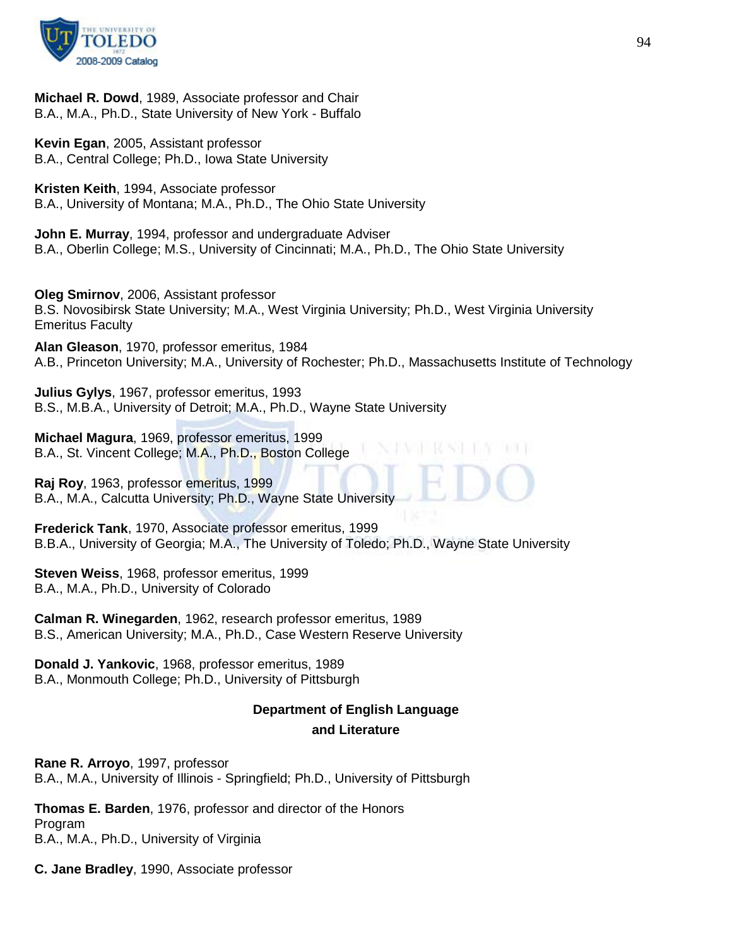

**Michael R. Dowd**, 1989, Associate professor and Chair B.A., M.A., Ph.D., State University of New York - Buffalo

**Kevin Egan**, 2005, Assistant professor B.A., Central College; Ph.D., Iowa State University

**Kristen Keith**, 1994, Associate professor B.A., University of Montana; M.A., Ph.D., The Ohio State University

**John E. Murray**, 1994, professor and undergraduate Adviser B.A., Oberlin College; M.S., University of Cincinnati; M.A., Ph.D., The Ohio State University

**Oleg Smirnov**, 2006, Assistant professor B.S. Novosibirsk State University; M.A., West Virginia University; Ph.D., West Virginia University Emeritus Faculty

**Alan Gleason**, 1970, professor emeritus, 1984 A.B., Princeton University; M.A., University of Rochester; Ph.D., Massachusetts Institute of Technology

**Julius Gylys**, 1967, professor emeritus, 1993 B.S., M.B.A., University of Detroit; M.A., Ph.D., Wayne State University

**Michael Magura**, 1969, professor emeritus, 1999 B.A., St. Vincent College; M.A., Ph.D., Boston College

**Raj Roy**, 1963, professor emeritus, 1999 B.A., M.A., Calcutta University; Ph.D., Wayne State University

**Frederick Tank**, 1970, Associate professor emeritus, 1999 B.B.A., University of Georgia; M.A., The University of Toledo; Ph.D., Wayne State University

**Steven Weiss**, 1968, professor emeritus, 1999 B.A., M.A., Ph.D., University of Colorado

**Calman R. Winegarden**, 1962, research professor emeritus, 1989 B.S., American University; M.A., Ph.D., Case Western Reserve University

**Donald J. Yankovic**, 1968, professor emeritus, 1989 B.A., Monmouth College; Ph.D., University of Pittsburgh

# **Department of English Language and Literature**

**Rane R. Arroyo**, 1997, professor B.A., M.A., University of Illinois - Springfield; Ph.D., University of Pittsburgh

**Thomas E. Barden**, 1976, professor and director of the Honors Program B.A., M.A., Ph.D., University of Virginia

**C. Jane Bradley**, 1990, Associate professor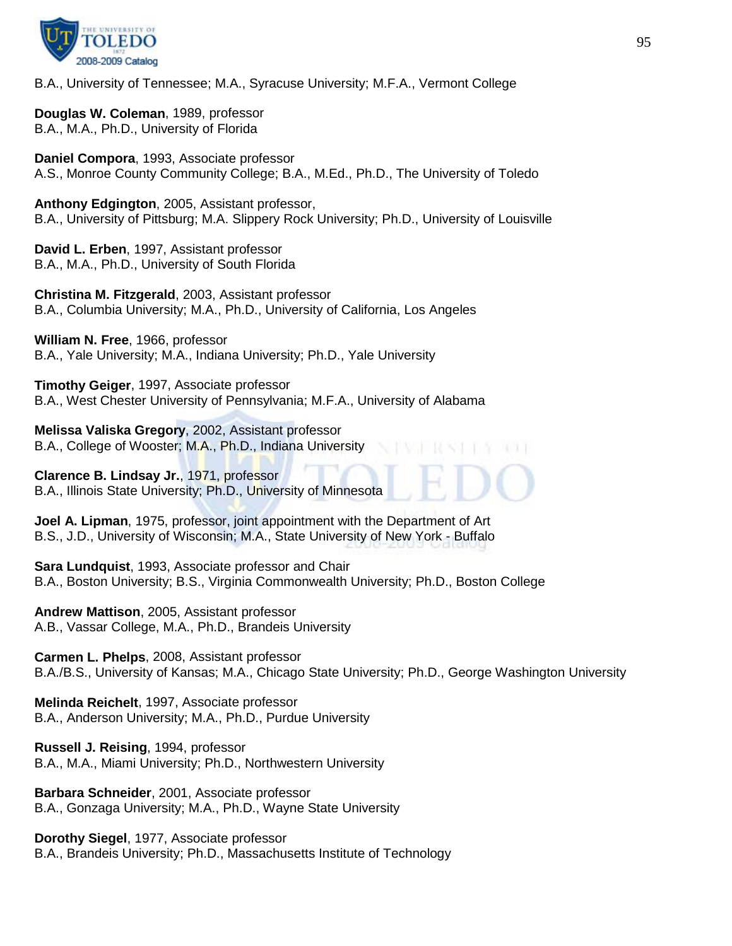

B.A., University of Tennessee; M.A., Syracuse University; M.F.A., Vermont College

**Douglas W. Coleman**, 1989, professor B.A., M.A., Ph.D., University of Florida

**Daniel Compora**, 1993, Associate professor A.S., Monroe County Community College; B.A., M.Ed., Ph.D., The University of Toledo

**Anthony Edgington**, 2005, Assistant professor, B.A., University of Pittsburg; M.A. Slippery Rock University; Ph.D., University of Louisville

**David L. Erben**, 1997, Assistant professor B.A., M.A., Ph.D., University of South Florida

**Christina M. Fitzgerald**, 2003, Assistant professor B.A., Columbia University; M.A., Ph.D., University of California, Los Angeles

**William N. Free**, 1966, professor B.A., Yale University; M.A., Indiana University; Ph.D., Yale University

**Timothy Geiger**, 1997, Associate professor B.A., West Chester University of Pennsylvania; M.F.A., University of Alabama

**Melissa Valiska Gregory**, 2002, Assistant professor B.A., College of Wooster; M.A., Ph.D., Indiana University

**Clarence B. Lindsay Jr.**, 1971, professor B.A., Illinois State University; Ph.D., University of Minnesota

**Joel A. Lipman**, 1975, professor, joint appointment with the Department of Art B.S., J.D., University of Wisconsin; M.A., State University of New York - Buffalo

**Sara Lundquist**, 1993, Associate professor and Chair B.A., Boston University; B.S., Virginia Commonwealth University; Ph.D., Boston College

**Andrew Mattison**, 2005, Assistant professor A.B., Vassar College, M.A., Ph.D., Brandeis University

**Carmen L. Phelps**, 2008, Assistant professor B.A./B.S., University of Kansas; M.A., Chicago State University; Ph.D., George Washington University

**Melinda Reichelt**, 1997, Associate professor B.A., Anderson University; M.A., Ph.D., Purdue University

**Russell J. Reising**, 1994, professor B.A., M.A., Miami University; Ph.D., Northwestern University

**Barbara Schneider**, 2001, Associate professor B.A., Gonzaga University; M.A., Ph.D., Wayne State University

**Dorothy Siegel**, 1977, Associate professor B.A., Brandeis University; Ph.D., Massachusetts Institute of Technology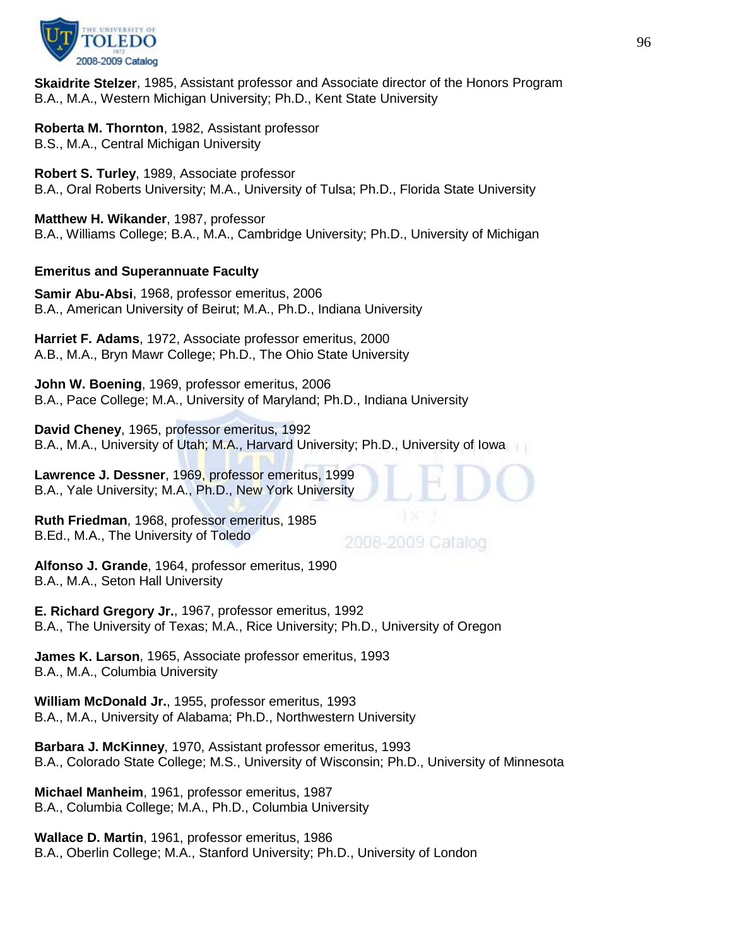

**Skaidrite Stelzer**, 1985, Assistant professor and Associate director of the Honors Program B.A., M.A., Western Michigan University; Ph.D., Kent State University

**Roberta M. Thornton**, 1982, Assistant professor B.S., M.A., Central Michigan University

**Robert S. Turley**, 1989, Associate professor B.A., Oral Roberts University; M.A., University of Tulsa; Ph.D., Florida State University

**Matthew H. Wikander**, 1987, professor B.A., Williams College; B.A., M.A., Cambridge University; Ph.D., University of Michigan

## **Emeritus and Superannuate Faculty**

**Samir Abu-Absi**, 1968, professor emeritus, 2006 B.A., American University of Beirut; M.A., Ph.D., Indiana University

**Harriet F. Adams**, 1972, Associate professor emeritus, 2000 A.B., M.A., Bryn Mawr College; Ph.D., The Ohio State University

**John W. Boening**, 1969, professor emeritus, 2006 B.A., Pace College; M.A., University of Maryland; Ph.D., Indiana University

**David Cheney**, 1965, professor emeritus, 1992 B.A., M.A., University of Utah; M.A., Harvard University; Ph.D., University of Iowa

**Lawrence J. Dessner**, 1969, professor emeritus, 1999 B.A., Yale University; M.A., Ph.D., New York University

**Ruth Friedman**, 1968, professor emeritus, 1985 B.Ed., M.A., The University of Toledo

2008-2009 Catalog

**Alfonso J. Grande**, 1964, professor emeritus, 1990 B.A., M.A., Seton Hall University

**E. Richard Gregory Jr.**, 1967, professor emeritus, 1992 B.A., The University of Texas; M.A., Rice University; Ph.D., University of Oregon

**James K. Larson**, 1965, Associate professor emeritus, 1993 B.A., M.A., Columbia University

**William McDonald Jr.**, 1955, professor emeritus, 1993 B.A., M.A., University of Alabama; Ph.D., Northwestern University

**Barbara J. McKinney**, 1970, Assistant professor emeritus, 1993 B.A., Colorado State College; M.S., University of Wisconsin; Ph.D., University of Minnesota

**Michael Manheim**, 1961, professor emeritus, 1987 B.A., Columbia College; M.A., Ph.D., Columbia University

**Wallace D. Martin**, 1961, professor emeritus, 1986 B.A., Oberlin College; M.A., Stanford University; Ph.D., University of London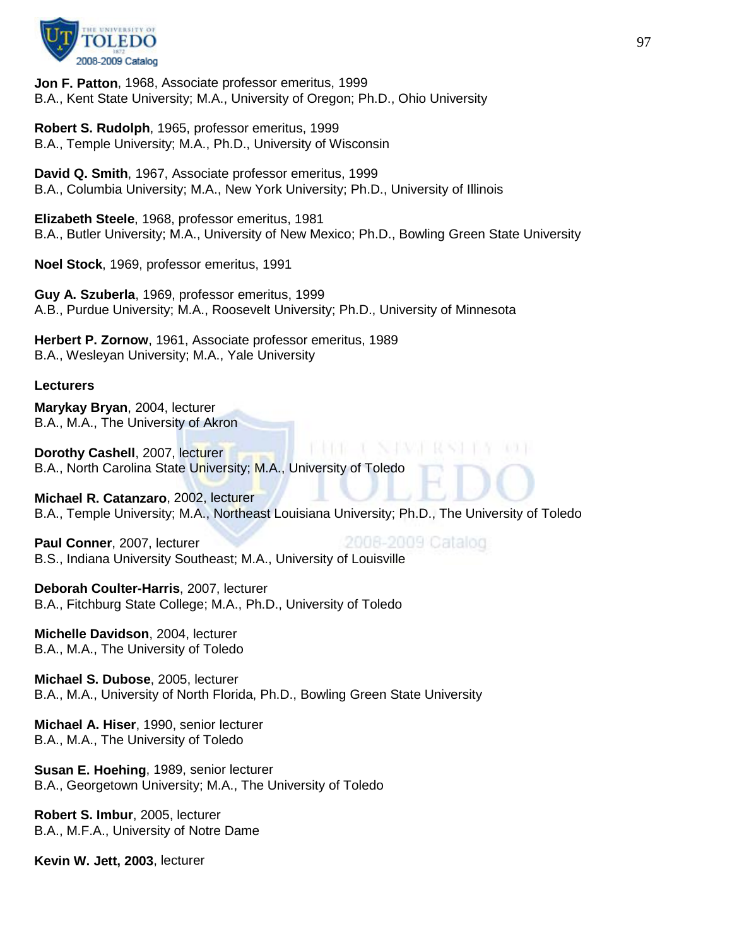

**Jon F. Patton**, 1968, Associate professor emeritus, 1999 B.A., Kent State University; M.A., University of Oregon; Ph.D., Ohio University

**Robert S. Rudolph**, 1965, professor emeritus, 1999 B.A., Temple University; M.A., Ph.D., University of Wisconsin

**David Q. Smith**, 1967, Associate professor emeritus, 1999 B.A., Columbia University; M.A., New York University; Ph.D., University of Illinois

**Elizabeth Steele**, 1968, professor emeritus, 1981 B.A., Butler University; M.A., University of New Mexico; Ph.D., Bowling Green State University

**Noel Stock**, 1969, professor emeritus, 1991

**Guy A. Szuberla**, 1969, professor emeritus, 1999 A.B., Purdue University; M.A., Roosevelt University; Ph.D., University of Minnesota

**Herbert P. Zornow**, 1961, Associate professor emeritus, 1989 B.A., Wesleyan University; M.A., Yale University

#### **Lecturers**

**Marykay Bryan**, 2004, lecturer B.A., M.A., The University of Akron

**Dorothy Cashell**, 2007, lecturer B.A., North Carolina State University; M.A., University of Toledo

**Michael R. Catanzaro**, 2002, lecturer B.A., Temple University; M.A., Northeast Louisiana University; Ph.D., The University of Toledo

2008-2009 Catalog **Paul Conner**, 2007, lecturer B.S., Indiana University Southeast; M.A., University of Louisville

**Deborah Coulter-Harris**, 2007, lecturer B.A., Fitchburg State College; M.A., Ph.D., University of Toledo

**Michelle Davidson**, 2004, lecturer B.A., M.A., The University of Toledo

**Michael S. Dubose**, 2005, lecturer B.A., M.A., University of North Florida, Ph.D., Bowling Green State University

**Michael A. Hiser**, 1990, senior lecturer B.A., M.A., The University of Toledo

**Susan E. Hoehing**, 1989, senior lecturer B.A., Georgetown University; M.A., The University of Toledo

**Robert S. Imbur**, 2005, lecturer B.A., M.F.A., University of Notre Dame

**Kevin W. Jett, 2003**, lecturer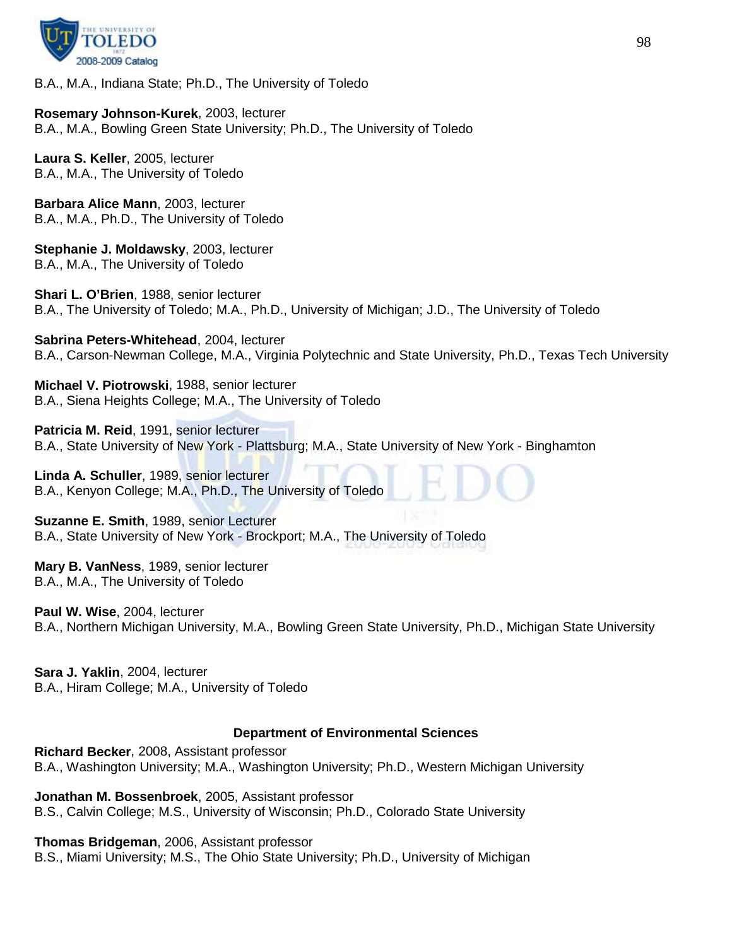

B.A., M.A., Indiana State; Ph.D., The University of Toledo

**Rosemary Johnson-Kurek**, 2003, lecturer B.A., M.A., Bowling Green State University; Ph.D., The University of Toledo

**Laura S. Keller**, 2005, lecturer B.A., M.A., The University of Toledo

**Barbara Alice Mann**, 2003, lecturer B.A., M.A., Ph.D., The University of Toledo

**Stephanie J. Moldawsky**, 2003, lecturer B.A., M.A., The University of Toledo

**Shari L. O'Brien**, 1988, senior lecturer B.A., The University of Toledo; M.A., Ph.D., University of Michigan; J.D., The University of Toledo

**Sabrina Peters-Whitehead**, 2004, lecturer B.A., Carson-Newman College, M.A., Virginia Polytechnic and State University, Ph.D., Texas Tech University

**Michael V. Piotrowski**, 1988, senior lecturer B.A., Siena Heights College; M.A., The University of Toledo

**Patricia M. Reid**, 1991, senior lecturer B.A., State University of New York - Plattsburg; M.A., State University of New York - Binghamton

**Linda A. Schuller**, 1989, senior lecturer B.A., Kenyon College; M.A., Ph.D., The University of Toledo

**Suzanne E. Smith**, 1989, senior Lecturer B.A., State University of New York - Brockport; M.A., The University of Toledo

**Mary B. VanNess**, 1989, senior lecturer B.A., M.A., The University of Toledo

**Paul W. Wise**, 2004, lecturer B.A., Northern Michigan University, M.A., Bowling Green State University, Ph.D., Michigan State University

**Sara J. Yaklin**, 2004, lecturer B.A., Hiram College; M.A., University of Toledo

## **Department of Environmental Sciences**

**Richard Becker**, 2008, Assistant professor B.A., Washington University; M.A., Washington University; Ph.D., Western Michigan University

**Jonathan M. Bossenbroek**, 2005, Assistant professor B.S., Calvin College; M.S., University of Wisconsin; Ph.D., Colorado State University

**Thomas Bridgeman**, 2006, Assistant professor

B.S., Miami University; M.S., The Ohio State University; Ph.D., University of Michigan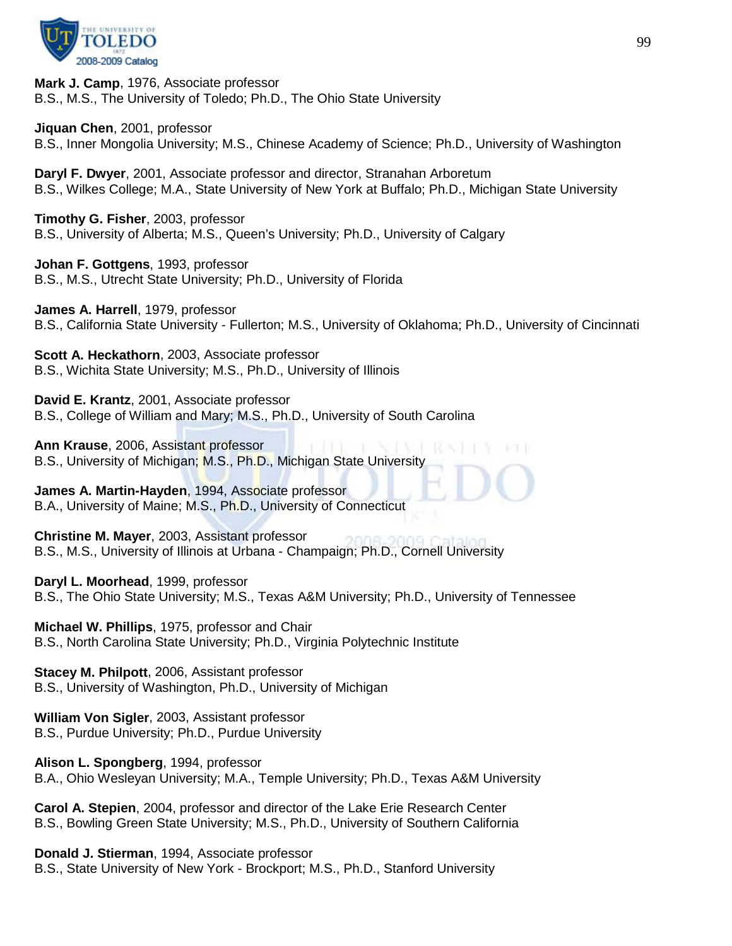

**Mark J. Camp**, 1976, Associate professor B.S., M.S., The University of Toledo; Ph.D., The Ohio State University

**Jiquan Chen**, 2001, professor

B.S., Inner Mongolia University; M.S., Chinese Academy of Science; Ph.D., University of Washington

**Daryl F. Dwyer**, 2001, Associate professor and director, Stranahan Arboretum B.S., Wilkes College; M.A., State University of New York at Buffalo; Ph.D., Michigan State University

**Timothy G. Fisher**, 2003, professor B.S., University of Alberta; M.S., Queen's University; Ph.D., University of Calgary

**Johan F. Gottgens**, 1993, professor B.S., M.S., Utrecht State University; Ph.D., University of Florida

**James A. Harrell**, 1979, professor B.S., California State University - Fullerton; M.S., University of Oklahoma; Ph.D., University of Cincinnati

**Scott A. Heckathorn**, 2003, Associate professor B.S., Wichita State University; M.S., Ph.D., University of Illinois

**David E. Krantz**, 2001, Associate professor B.S., College of William and Mary; M.S., Ph.D., University of South Carolina

**Ann Krause**, 2006, Assistant professor B.S., University of Michigan; M.S., Ph.D., Michigan State University

**James A. Martin-Hayden**, 1994, Associate professor B.A., University of Maine; M.S., Ph.D., University of Connecticut

**Christine M. Mayer**, 2003, Assistant professor B.S., M.S., University of Illinois at Urbana - Champaign; Ph.D., Cornell University

**Daryl L. Moorhead**, 1999, professor B.S., The Ohio State University; M.S., Texas A&M University; Ph.D., University of Tennessee

**Michael W. Phillips**, 1975, professor and Chair B.S., North Carolina State University; Ph.D., Virginia Polytechnic Institute

**Stacey M. Philpott**, 2006, Assistant professor B.S., University of Washington, Ph.D., University of Michigan

**William Von Sigler**, 2003, Assistant professor B.S., Purdue University; Ph.D., Purdue University

**Alison L. Spongberg**, 1994, professor B.A., Ohio Wesleyan University; M.A., Temple University; Ph.D., Texas A&M University

**Carol A. Stepien**, 2004, professor and director of the Lake Erie Research Center B.S., Bowling Green State University; M.S., Ph.D., University of Southern California

**Donald J. Stierman**, 1994, Associate professor B.S., State University of New York - Brockport; M.S., Ph.D., Stanford University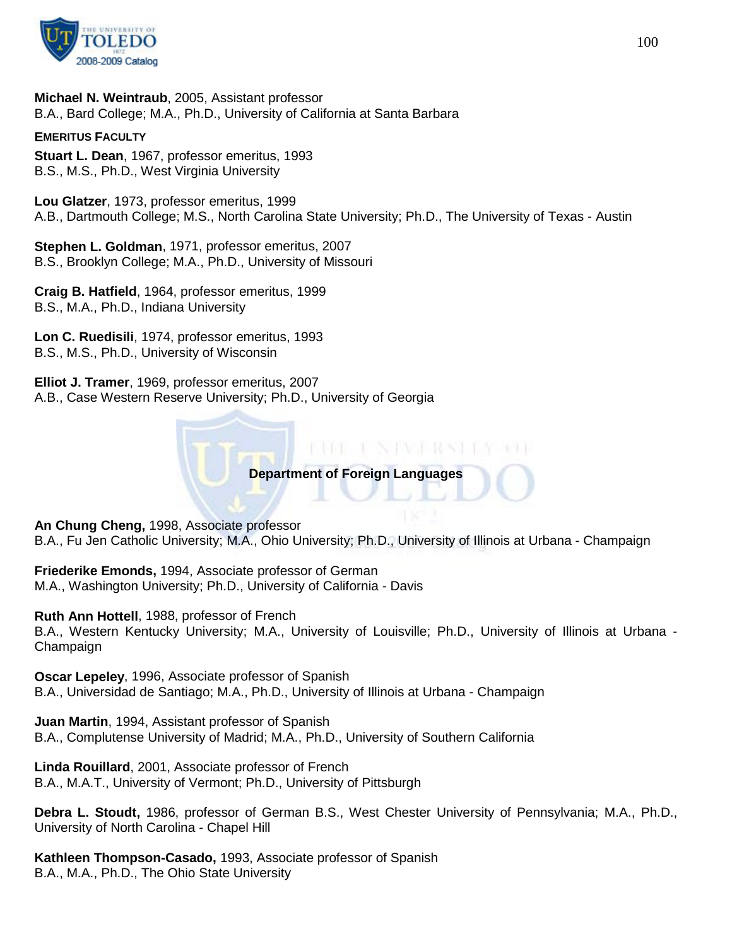

**Michael N. Weintraub**, 2005, Assistant professor B.A., Bard College; M.A., Ph.D., University of California at Santa Barbara

#### **EMERITUS FACULTY**

**Stuart L. Dean**, 1967, professor emeritus, 1993 B.S., M.S., Ph.D., West Virginia University

**Lou Glatzer**, 1973, professor emeritus, 1999 A.B., Dartmouth College; M.S., North Carolina State University; Ph.D., The University of Texas - Austin

**Stephen L. Goldman**, 1971, professor emeritus, 2007 B.S., Brooklyn College; M.A., Ph.D., University of Missouri

**Craig B. Hatfield**, 1964, professor emeritus, 1999 B.S., M.A., Ph.D., Indiana University

**Lon C. Ruedisili**, 1974, professor emeritus, 1993 B.S., M.S., Ph.D., University of Wisconsin

**Elliot J. Tramer**, 1969, professor emeritus, 2007 A.B., Case Western Reserve University; Ph.D., University of Georgia

**Department of Foreign Languages**

BIOGRAFI NATWOLKING TON

**An Chung Cheng,** 1998, Associate professor B.A., Fu Jen Catholic University; M.A., Ohio University; Ph.D., University of Illinois at Urbana - Champaign

**Friederike Emonds,** 1994, Associate professor of German M.A., Washington University; Ph.D., University of California - Davis

**Ruth Ann Hottell**, 1988, professor of French B.A., Western Kentucky University; M.A., University of Louisville; Ph.D., University of Illinois at Urbana - Champaign

**Oscar Lepeley**, 1996, Associate professor of Spanish B.A., Universidad de Santiago; M.A., Ph.D., University of Illinois at Urbana - Champaign

**Juan Martin**, 1994, Assistant professor of Spanish B.A., Complutense University of Madrid; M.A., Ph.D., University of Southern California

**Linda Rouillard**, 2001, Associate professor of French B.A., M.A.T., University of Vermont; Ph.D., University of Pittsburgh

**Debra L. Stoudt,** 1986, professor of German B.S., West Chester University of Pennsylvania; M.A., Ph.D., University of North Carolina - Chapel Hill

**Kathleen Thompson-Casado,** 1993, Associate professor of Spanish B.A., M.A., Ph.D., The Ohio State University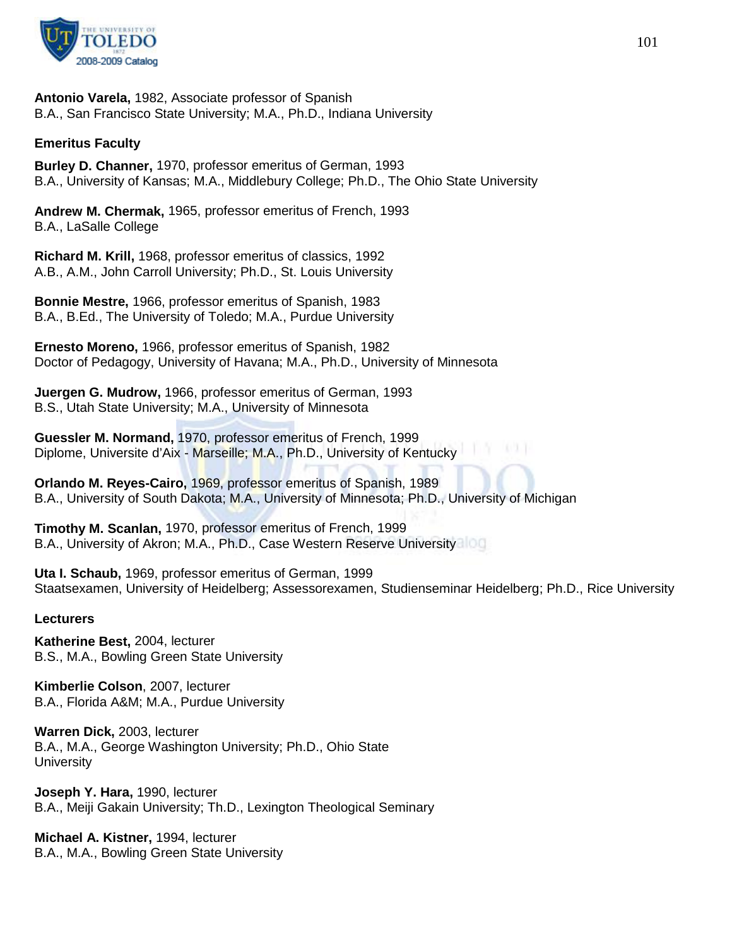

**Antonio Varela,** 1982, Associate professor of Spanish B.A., San Francisco State University; M.A., Ph.D., Indiana University

## **Emeritus Faculty**

**Burley D. Channer,** 1970, professor emeritus of German, 1993 B.A., University of Kansas; M.A., Middlebury College; Ph.D., The Ohio State University

**Andrew M. Chermak,** 1965, professor emeritus of French, 1993 B.A., LaSalle College

**Richard M. Krill,** 1968, professor emeritus of classics, 1992 A.B., A.M., John Carroll University; Ph.D., St. Louis University

**Bonnie Mestre,** 1966, professor emeritus of Spanish, 1983 B.A., B.Ed., The University of Toledo; M.A., Purdue University

**Ernesto Moreno,** 1966, professor emeritus of Spanish, 1982 Doctor of Pedagogy, University of Havana; M.A., Ph.D., University of Minnesota

**Juergen G. Mudrow,** 1966, professor emeritus of German, 1993 B.S., Utah State University; M.A., University of Minnesota

**Guessler M. Normand,** 1970, professor emeritus of French, 1999 Diplome, Universite d'Aix - Marseille; M.A., Ph.D., University of Kentucky

**Orlando M. Reyes-Cairo,** 1969, professor emeritus of Spanish, 1989 B.A., University of South Dakota; M.A., University of Minnesota; Ph.D., University of Michigan

**Timothy M. Scanlan,** 1970, professor emeritus of French, 1999 B.A., University of Akron; M.A., Ph.D., Case Western Reserve University

**Uta I. Schaub,** 1969, professor emeritus of German, 1999 Staatsexamen, University of Heidelberg; Assessorexamen, Studienseminar Heidelberg; Ph.D., Rice University

#### **Lecturers**

**Katherine Best,** 2004, lecturer B.S., M.A., Bowling Green State University

**Kimberlie Colson**, 2007, lecturer B.A., Florida A&M; M.A., Purdue University

**Warren Dick,** 2003, lecturer B.A., M.A., George Washington University; Ph.D., Ohio State **University** 

**Joseph Y. Hara,** 1990, lecturer B.A., Meiji Gakain University; Th.D., Lexington Theological Seminary

**Michael A. Kistner,** 1994, lecturer B.A., M.A., Bowling Green State University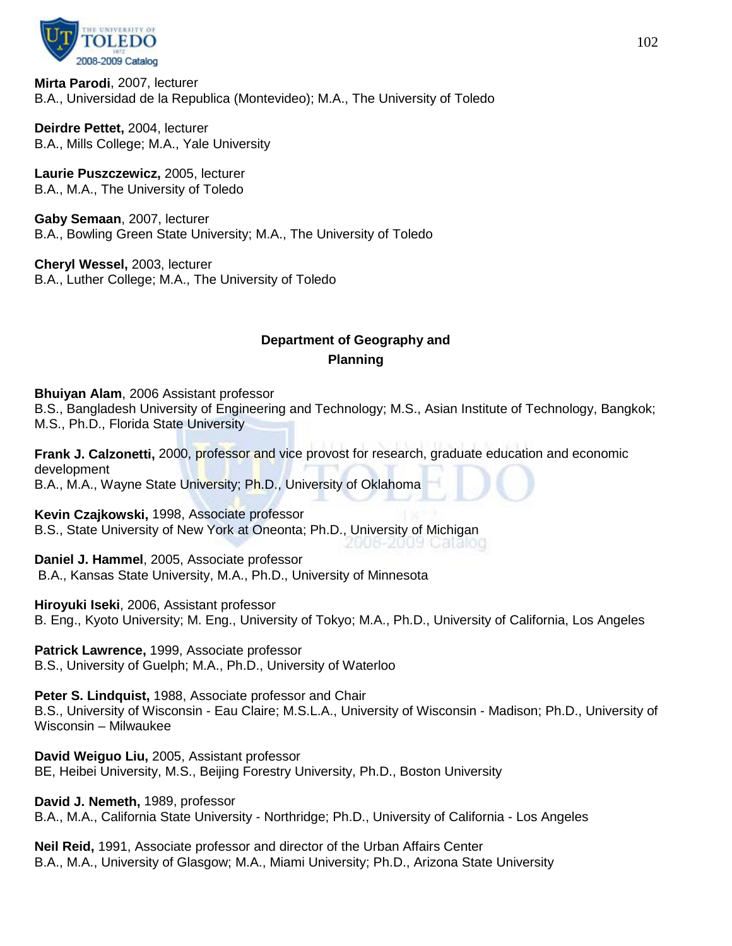

**Mirta Parodi**, 2007, lecturer B.A., Universidad de la Republica (Montevideo); M.A., The University of Toledo

**Deirdre Pettet,** 2004, lecturer B.A., Mills College; M.A., Yale University

**Laurie Puszczewicz,** 2005, lecturer B.A., M.A., The University of Toledo

**Gaby Semaan**, 2007, lecturer B.A., Bowling Green State University; M.A., The University of Toledo

**Cheryl Wessel,** 2003, lecturer B.A., Luther College; M.A., The University of Toledo

# **Department of Geography and Planning**

**Bhuiyan Alam**, 2006 Assistant professor

B.S., Bangladesh University of Engineering and Technology; M.S., Asian Institute of Technology, Bangkok; M.S., Ph.D., Florida State University

**Frank J. Calzonetti,** 2000, professor and vice provost for research, graduate education and economic development B.A., M.A., Wayne State University; Ph.D., University of Oklahoma

**Kevin Czajkowski,** 1998, Associate professor B.S., State University of New York at Oneonta; Ph.D., University of Michigan

**Daniel J. Hammel**, 2005, Associate professor B.A., Kansas State University, M.A., Ph.D., University of Minnesota

**Hiroyuki Iseki**, 2006, Assistant professor

B. Eng., Kyoto University; M. Eng., University of Tokyo; M.A., Ph.D., University of California, Los Angeles

**Patrick Lawrence,** 1999, Associate professor B.S., University of Guelph; M.A., Ph.D., University of Waterloo

**Peter S. Lindquist,** 1988, Associate professor and Chair B.S., University of Wisconsin - Eau Claire; M.S.L.A., University of Wisconsin - Madison; Ph.D., University of Wisconsin – Milwaukee

**David Weiguo Liu,** 2005, Assistant professor BE, Heibei University, M.S., Beijing Forestry University, Ph.D., Boston University

**David J. Nemeth,** 1989, professor B.A., M.A., California State University - Northridge; Ph.D., University of California - Los Angeles

**Neil Reid,** 1991, Associate professor and director of the Urban Affairs Center B.A., M.A., University of Glasgow; M.A., Miami University; Ph.D., Arizona State University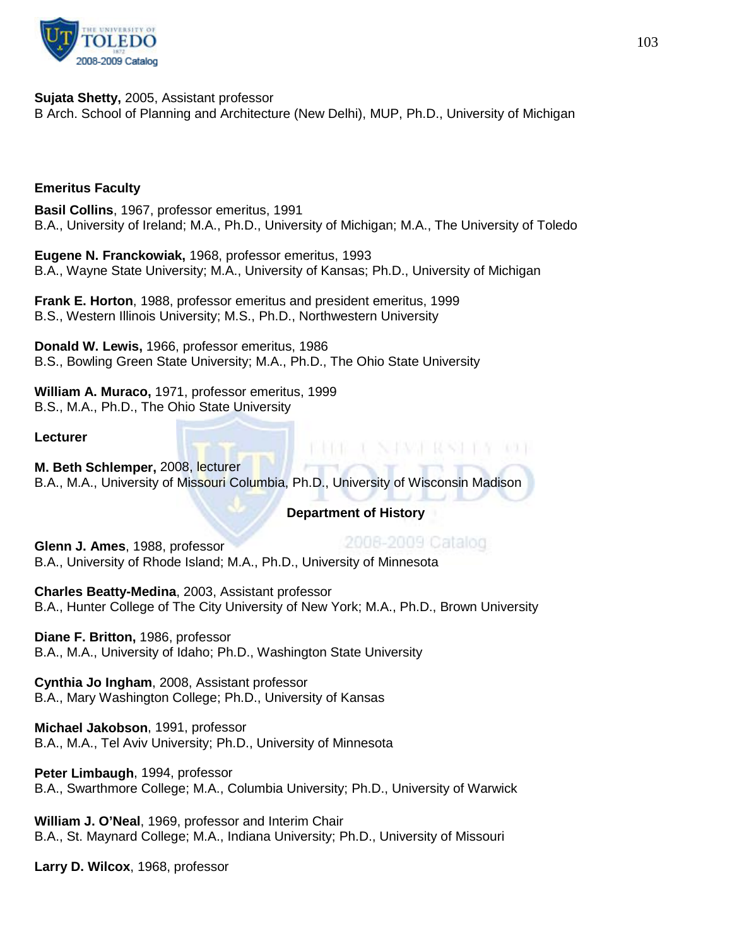

**Sujata Shetty,** 2005, Assistant professor B Arch. School of Planning and Architecture (New Delhi), MUP, Ph.D., University of Michigan

## **Emeritus Faculty**

**Basil Collins**, 1967, professor emeritus, 1991 B.A., University of Ireland; M.A., Ph.D., University of Michigan; M.A., The University of Toledo

**Eugene N. Franckowiak,** 1968, professor emeritus, 1993 B.A., Wayne State University; M.A., University of Kansas; Ph.D., University of Michigan

**Frank E. Horton**, 1988, professor emeritus and president emeritus, 1999 B.S., Western Illinois University; M.S., Ph.D., Northwestern University

**Donald W. Lewis,** 1966, professor emeritus, 1986 B.S., Bowling Green State University; M.A., Ph.D., The Ohio State University

**William A. Muraco,** 1971, professor emeritus, 1999 B.S., M.A., Ph.D., The Ohio State University

**Lecturer**

**M. Beth Schlemper,** 2008, lecturer B.A., M.A., University of Missouri Columbia, Ph.D., University of Wisconsin Madison

## **Department of History**

2008-2009 Catalog **Glenn J. Ames**, 1988, professor B.A., University of Rhode Island; M.A., Ph.D., University of Minnesota

**Charles Beatty-Medina**, 2003, Assistant professor B.A., Hunter College of The City University of New York; M.A., Ph.D., Brown University

**Diane F. Britton,** 1986, professor B.A., M.A., University of Idaho; Ph.D., Washington State University

**Cynthia Jo Ingham**, 2008, Assistant professor B.A., Mary Washington College; Ph.D., University of Kansas

**Michael Jakobson**, 1991, professor B.A., M.A., Tel Aviv University; Ph.D., University of Minnesota

**Peter Limbaugh**, 1994, professor B.A., Swarthmore College; M.A., Columbia University; Ph.D., University of Warwick

**William J. O'Neal**, 1969, professor and Interim Chair B.A., St. Maynard College; M.A., Indiana University; Ph.D., University of Missouri

**Larry D. Wilcox**, 1968, professor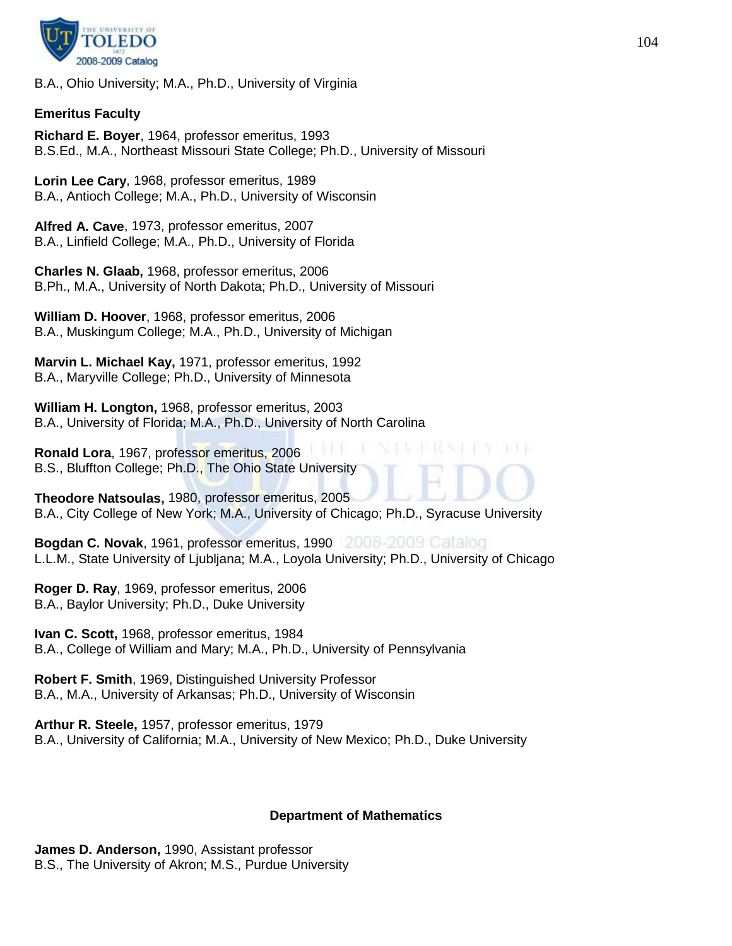

B.A., Ohio University; M.A., Ph.D., University of Virginia

## **Emeritus Faculty**

**Richard E. Boyer**, 1964, professor emeritus, 1993 B.S.Ed., M.A., Northeast Missouri State College; Ph.D., University of Missouri

**Lorin Lee Cary**, 1968, professor emeritus, 1989 B.A., Antioch College; M.A., Ph.D., University of Wisconsin

**Alfred A. Cave**, 1973, professor emeritus, 2007 B.A., Linfield College; M.A., Ph.D., University of Florida

**Charles N. Glaab,** 1968, professor emeritus, 2006 B.Ph., M.A., University of North Dakota; Ph.D., University of Missouri

**William D. Hoover**, 1968, professor emeritus, 2006 B.A., Muskingum College; M.A., Ph.D., University of Michigan

**Marvin L. Michael Kay,** 1971, professor emeritus, 1992 B.A., Maryville College; Ph.D., University of Minnesota

**William H. Longton,** 1968, professor emeritus, 2003 B.A., University of Florida; M.A., Ph.D., University of North Carolina

**Ronald Lora**, 1967, professor emeritus, 2006 B.S., Bluffton College; Ph.D., The Ohio State University

**Theodore Natsoulas,** 1980, professor emeritus, 2005 B.A., City College of New York; M.A., University of Chicago; Ph.D., Syracuse University

**Bogdan C. Novak**, 1961, professor emeritus, 1990 L.L.M., State University of Ljubljana; M.A., Loyola University; Ph.D., University of Chicago

**Roger D. Ray**, 1969, professor emeritus, 2006 B.A., Baylor University; Ph.D., Duke University

**Ivan C. Scott,** 1968, professor emeritus, 1984 B.A., College of William and Mary; M.A., Ph.D., University of Pennsylvania

**Robert F. Smith**, 1969, Distinguished University Professor B.A., M.A., University of Arkansas; Ph.D., University of Wisconsin

**Arthur R. Steele,** 1957, professor emeritus, 1979 B.A., University of California; M.A., University of New Mexico; Ph.D., Duke University

## **Department of Mathematics**

**James D. Anderson,** 1990, Assistant professor B.S., The University of Akron; M.S., Purdue University 93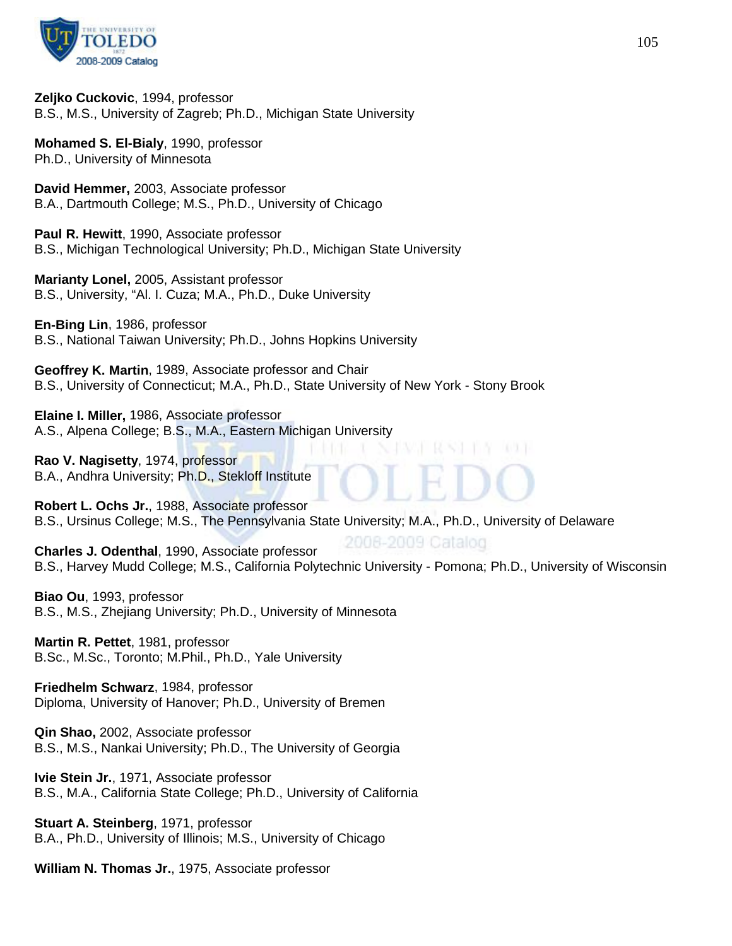

**Zeljko Cuckovic**, 1994, professor B.S., M.S., University of Zagreb; Ph.D., Michigan State University

**Mohamed S. El-Bialy**, 1990, professor Ph.D., University of Minnesota

**David Hemmer,** 2003, Associate professor B.A., Dartmouth College; M.S., Ph.D., University of Chicago

**Paul R. Hewitt**, 1990, Associate professor B.S., Michigan Technological University; Ph.D., Michigan State University

**Marianty Lonel,** 2005, Assistant professor B.S., University, "Al. I. Cuza; M.A., Ph.D., Duke University

**En-Bing Lin**, 1986, professor B.S., National Taiwan University; Ph.D., Johns Hopkins University

**Geoffrey K. Martin**, 1989, Associate professor and Chair B.S., University of Connecticut; M.A., Ph.D., State University of New York - Stony Brook

**Elaine I. Miller,** 1986, Associate professor A.S., Alpena College; B.S., M.A., Eastern Michigan University

**Rao V. Nagisetty**, 1974, professor B.A., Andhra University; Ph.D., Stekloff Institute

**Robert L. Ochs Jr.**, 1988, Associate professor B.S., Ursinus College; M.S., The Pennsylvania State University; M.A., Ph.D., University of Delaware

2008-2009 Catalog **Charles J. Odenthal**, 1990, Associate professor B.S., Harvey Mudd College; M.S., California Polytechnic University - Pomona; Ph.D., University of Wisconsin

**Biao Ou**, 1993, professor B.S., M.S., Zhejiang University; Ph.D., University of Minnesota

**Martin R. Pettet**, 1981, professor B.Sc., M.Sc., Toronto; M.Phil., Ph.D., Yale University

**Friedhelm Schwarz**, 1984, professor Diploma, University of Hanover; Ph.D., University of Bremen

**Qin Shao,** 2002, Associate professor B.S., M.S., Nankai University; Ph.D., The University of Georgia

**Ivie Stein Jr.**, 1971, Associate professor B.S., M.A., California State College; Ph.D., University of California

**Stuart A. Steinberg**, 1971, professor B.A., Ph.D., University of Illinois; M.S., University of Chicago

**William N. Thomas Jr.**, 1975, Associate professor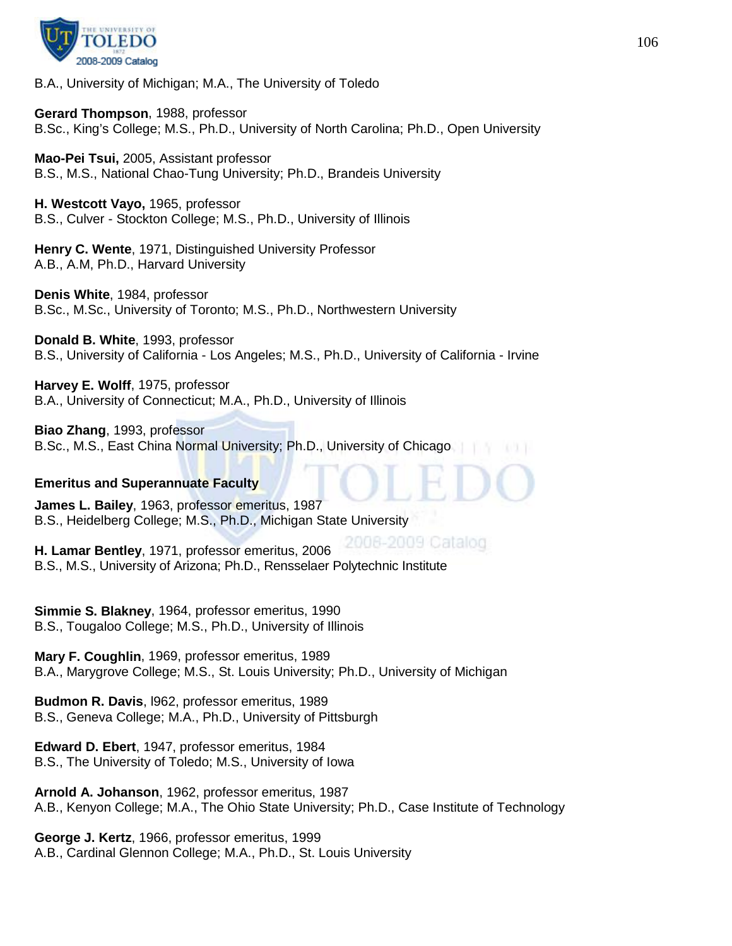

B.A., University of Michigan; M.A., The University of Toledo

**Gerard Thompson**, 1988, professor B.Sc., King's College; M.S., Ph.D., University of North Carolina; Ph.D., Open University

**Mao-Pei Tsui,** 2005, Assistant professor B.S., M.S., National Chao-Tung University; Ph.D., Brandeis University

**H. Westcott Vayo,** 1965, professor B.S., Culver - Stockton College; M.S., Ph.D., University of Illinois

**Henry C. Wente**, 1971, Distinguished University Professor A.B., A.M, Ph.D., Harvard University

**Denis White**, 1984, professor B.Sc., M.Sc., University of Toronto; M.S., Ph.D., Northwestern University

**Donald B. White**, 1993, professor B.S., University of California - Los Angeles; M.S., Ph.D., University of California - Irvine

**Harvey E. Wolff**, 1975, professor B.A., University of Connecticut; M.A., Ph.D., University of Illinois

**Biao Zhang**, 1993, professor B.Sc., M.S., East China Normal University; Ph.D., University of Chicago

#### **Emeritus and Superannuate Faculty**

**James L. Bailey**, 1963, professor emeritus, 1987 B.S., Heidelberg College; M.S., Ph.D., Michigan State University

2008-2009 Catalog **H. Lamar Bentley**, 1971, professor emeritus, 2006 B.S., M.S., University of Arizona; Ph.D., Rensselaer Polytechnic Institute

**Simmie S. Blakney**, 1964, professor emeritus, 1990 B.S., Tougaloo College; M.S., Ph.D., University of Illinois

**Mary F. Coughlin**, 1969, professor emeritus, 1989 B.A., Marygrove College; M.S., St. Louis University; Ph.D., University of Michigan

**Budmon R. Davis**, l962, professor emeritus, 1989 B.S., Geneva College; M.A., Ph.D., University of Pittsburgh

**Edward D. Ebert**, 1947, professor emeritus, 1984 B.S., The University of Toledo; M.S., University of Iowa

**Arnold A. Johanson**, 1962, professor emeritus, 1987 A.B., Kenyon College; M.A., The Ohio State University; Ph.D., Case Institute of Technology

**George J. Kertz**, 1966, professor emeritus, 1999 A.B., Cardinal Glennon College; M.A., Ph.D., St. Louis University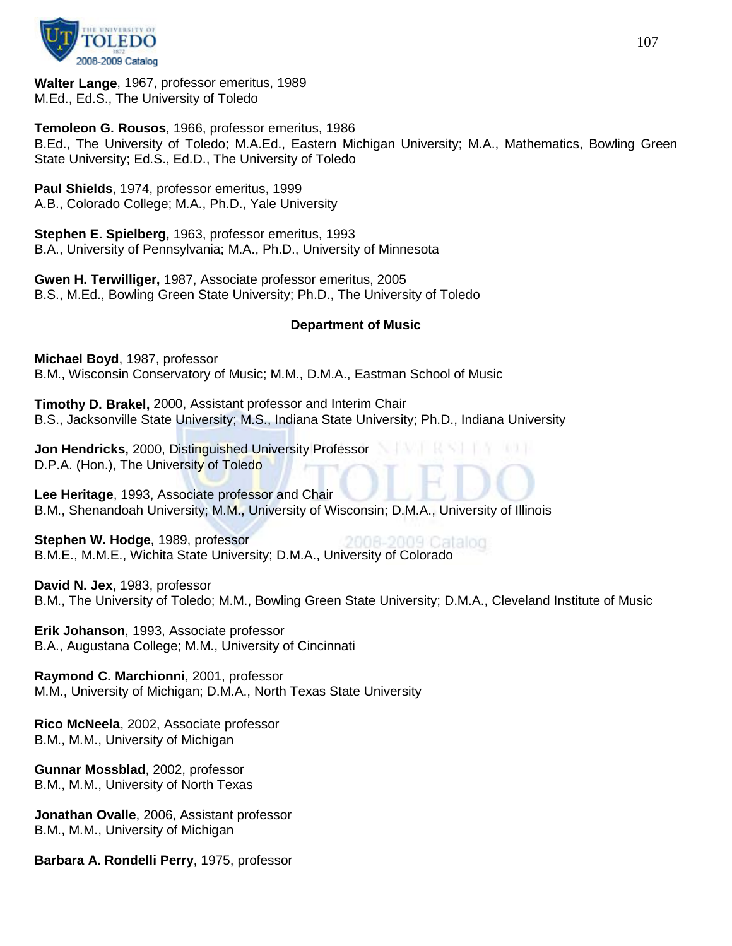

**Walter Lange**, 1967, professor emeritus, 1989 M.Ed., Ed.S., The University of Toledo

**Temoleon G. Rousos**, 1966, professor emeritus, 1986 B.Ed., The University of Toledo; M.A.Ed., Eastern Michigan University; M.A., Mathematics, Bowling Green State University; Ed.S., Ed.D., The University of Toledo

**Paul Shields**, 1974, professor emeritus, 1999 A.B., Colorado College; M.A., Ph.D., Yale University

**Stephen E. Spielberg,** 1963, professor emeritus, 1993 B.A., University of Pennsylvania; M.A., Ph.D., University of Minnesota

**Gwen H. Terwilliger,** 1987, Associate professor emeritus, 2005 B.S., M.Ed., Bowling Green State University; Ph.D., The University of Toledo

## **Department of Music**

**Michael Boyd**, 1987, professor B.M., Wisconsin Conservatory of Music; M.M., D.M.A., Eastman School of Music

**Timothy D. Brakel,** 2000, Assistant professor and Interim Chair B.S., Jacksonville State University; M.S., Indiana State University; Ph.D., Indiana University

**Jon Hendricks,** 2000, Distinguished University Professor D.P.A. (Hon.), The University of Toledo

**Lee Heritage**, 1993, Associate professor and Chair B.M., Shenandoah University; M.M., University of Wisconsin; D.M.A., University of Illinois

**Stephen W. Hodge**, 1989, professor 2009 Catalog B.M.E., M.M.E., Wichita State University; D.M.A., University of Colorado

**David N. Jex**, 1983, professor B.M., The University of Toledo; M.M., Bowling Green State University; D.M.A., Cleveland Institute of Music

**Erik Johanson**, 1993, Associate professor B.A., Augustana College; M.M., University of Cincinnati

**Raymond C. Marchionni**, 2001, professor M.M., University of Michigan; D.M.A., North Texas State University

**Rico McNeela**, 2002, Associate professor B.M., M.M., University of Michigan

**Gunnar Mossblad**, 2002, professor B.M., M.M., University of North Texas

**Jonathan Ovalle**, 2006, Assistant professor B.M., M.M., University of Michigan

**Barbara A. Rondelli Perry**, 1975, professor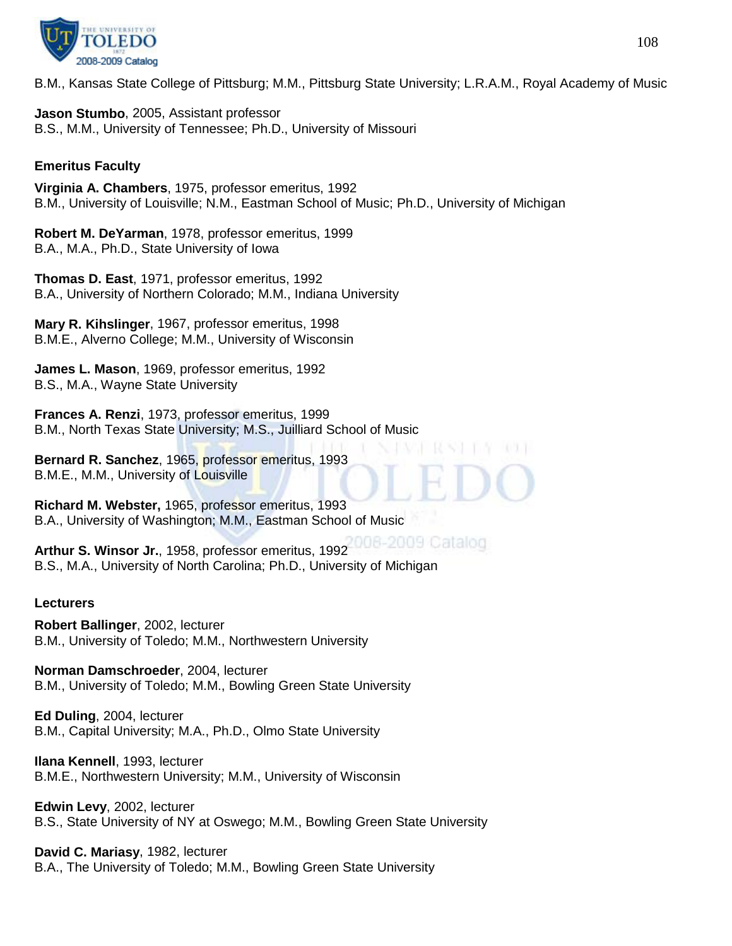

B.M., Kansas State College of Pittsburg; M.M., Pittsburg State University; L.R.A.M., Royal Academy of Music

**Jason Stumbo**, 2005, Assistant professor B.S., M.M., University of Tennessee; Ph.D., University of Missouri

## **Emeritus Faculty**

**Virginia A. Chambers**, 1975, professor emeritus, 1992 B.M., University of Louisville; N.M., Eastman School of Music; Ph.D., University of Michigan

**Robert M. DeYarman**, 1978, professor emeritus, 1999 B.A., M.A., Ph.D., State University of Iowa

**Thomas D. East**, 1971, professor emeritus, 1992 B.A., University of Northern Colorado; M.M., Indiana University

**Mary R. Kihslinger**, 1967, professor emeritus, 1998 B.M.E., Alverno College; M.M., University of Wisconsin

**James L. Mason**, 1969, professor emeritus, 1992 B.S., M.A., Wayne State University

**Frances A. Renzi**, 1973, professor emeritus, 1999 B.M., North Texas State University; M.S., Juilliard School of Music

**Bernard R. Sanchez**, 1965, professor emeritus, 1993 B.M.E., M.M., University of Louisville

**Richard M. Webster,** 1965, professor emeritus, 1993 B.A., University of Washington; M.M., Eastman School of Music

**Arthur S. Winsor Jr.**, 1958, professor emeritus, 1992 B.S., M.A., University of North Carolina; Ph.D., University of Michigan

## **Lecturers**

**Robert Ballinger**, 2002, lecturer B.M., University of Toledo; M.M., Northwestern University

**Norman Damschroeder**, 2004, lecturer B.M., University of Toledo; M.M., Bowling Green State University

**Ed Duling**, 2004, lecturer B.M., Capital University; M.A., Ph.D., Olmo State University

**Ilana Kennell**, 1993, lecturer B.M.E., Northwestern University; M.M., University of Wisconsin

**Edwin Levy**, 2002, lecturer B.S., State University of NY at Oswego; M.M., Bowling Green State University

**David C. Mariasy**, 1982, lecturer B.A., The University of Toledo; M.M., Bowling Green State University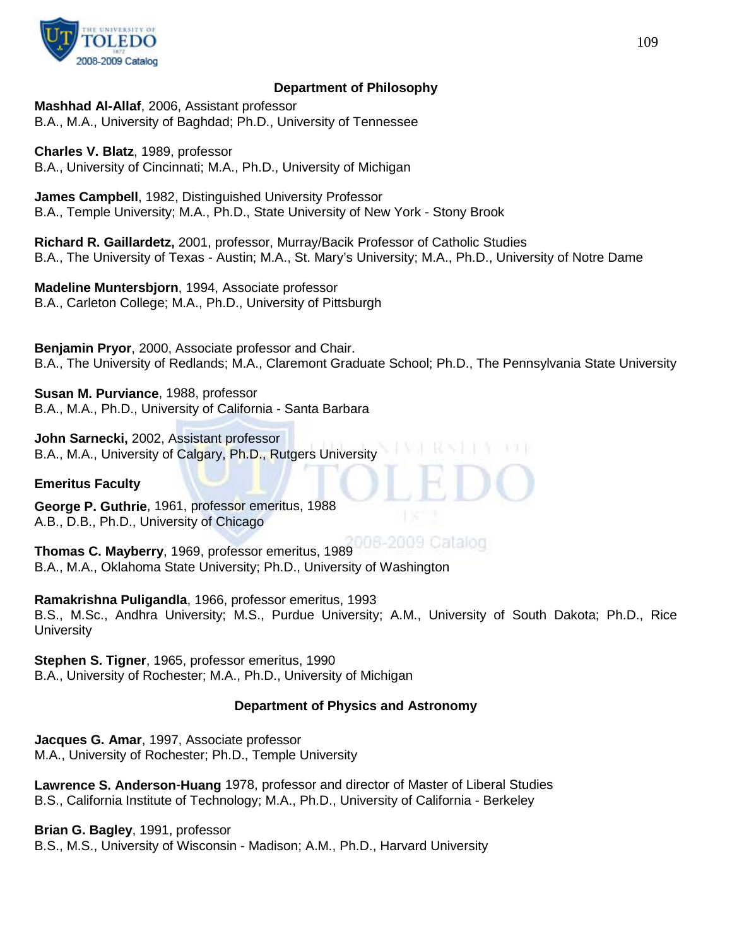

# **Department of Philosophy**

**Mashhad Al-Allaf**, 2006, Assistant professor B.A., M.A., University of Baghdad; Ph.D., University of Tennessee

**Charles V. Blatz**, 1989, professor B.A., University of Cincinnati; M.A., Ph.D., University of Michigan

**James Campbell**, 1982, Distinguished University Professor B.A., Temple University; M.A., Ph.D., State University of New York - Stony Brook

**Richard R. Gaillardetz,** 2001, professor, Murray/Bacik Professor of Catholic Studies B.A., The University of Texas - Austin; M.A., St. Mary's University; M.A., Ph.D., University of Notre Dame

**Madeline Muntersbjorn**, 1994, Associate professor B.A., Carleton College; M.A., Ph.D., University of Pittsburgh

**Benjamin Pryor**, 2000, Associate professor and Chair. B.A., The University of Redlands; M.A., Claremont Graduate School; Ph.D., The Pennsylvania State University

**Susan M. Purviance**, 1988, professor B.A., M.A., Ph.D., University of California - Santa Barbara

**John Sarnecki,** 2002, Assistant professor B.A., M.A., University of Calgary, Ph.D., Rutgers University

### **Emeritus Faculty**

**George P. Guthrie**, 1961, professor emeritus, 1988 A.B., D.B., Ph.D., University of Chicago

**Thomas C. Mayberry**, 1969, professor emeritus, 1989 B.A., M.A., Oklahoma State University; Ph.D., University of Washington

**Ramakrishna Puligandla**, 1966, professor emeritus, 1993 B.S., M.Sc., Andhra University; M.S., Purdue University; A.M., University of South Dakota; Ph.D., Rice **University** 

**Stephen S. Tigner**, 1965, professor emeritus, 1990 B.A., University of Rochester; M.A., Ph.D., University of Michigan

# **Department of Physics and Astronomy**

**Jacques G. Amar**, 1997, Associate professor M.A., University of Rochester; Ph.D., Temple University

**Lawrence S. Anderson**-**Huang** 1978, professor and director of Master of Liberal Studies B.S., California Institute of Technology; M.A., Ph.D., University of California - Berkeley

**Brian G. Bagley**, 1991, professor B.S., M.S., University of Wisconsin - Madison; A.M., Ph.D., Harvard University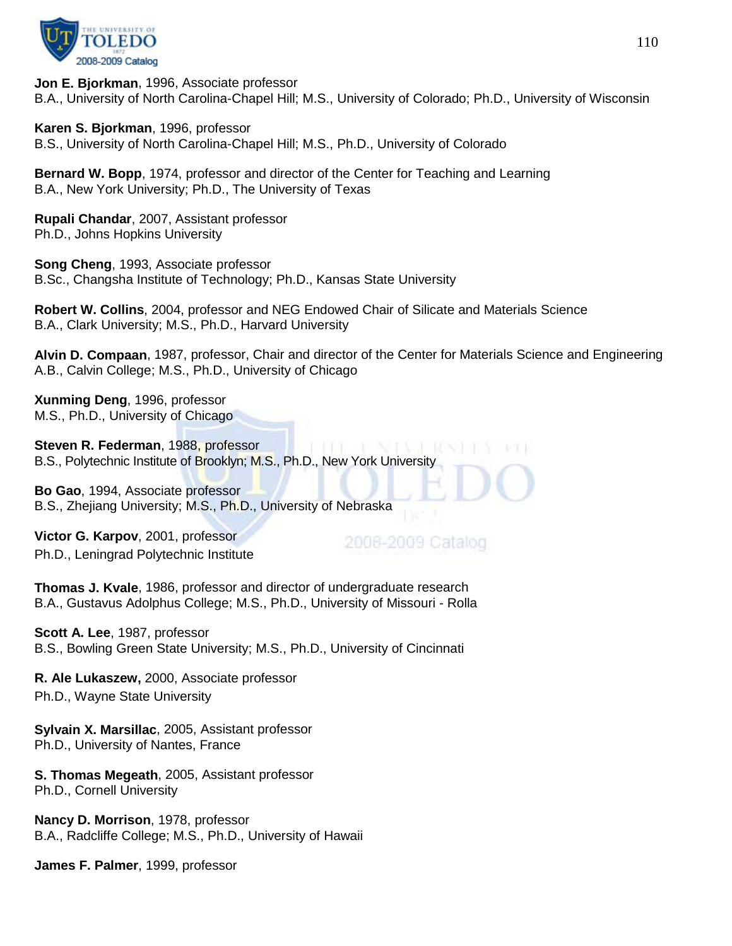

**Jon E. Bjorkman**, 1996, Associate professor B.A., University of North Carolina-Chapel Hill; M.S., University of Colorado; Ph.D., University of Wisconsin

**Karen S. Bjorkman**, 1996, professor

B.S., University of North Carolina-Chapel Hill; M.S., Ph.D., University of Colorado

**Bernard W. Bopp**, 1974, professor and director of the Center for Teaching and Learning B.A., New York University; Ph.D., The University of Texas

**Rupali Chandar**, 2007, Assistant professor Ph.D., Johns Hopkins University

**Song Cheng**, 1993, Associate professor B.Sc., Changsha Institute of Technology; Ph.D., Kansas State University

**Robert W. Collins**, 2004, professor and NEG Endowed Chair of Silicate and Materials Science B.A., Clark University; M.S., Ph.D., Harvard University

**Alvin D. Compaan**, 1987, professor, Chair and director of the Center for Materials Science and Engineering A.B., Calvin College; M.S., Ph.D., University of Chicago

**Xunming Deng**, 1996, professor M.S., Ph.D., University of Chicago

**Steven R. Federman**, 1988, professor B.S., Polytechnic Institute of Brooklyn; M.S., Ph.D., New York University

**Bo Gao**, 1994, Associate professor B.S., Zhejiang University; M.S., Ph.D., University of Nebraska

**Victor G. Karpov**, 2001, professor Ph.D., Leningrad Polytechnic Institute

2008-2009 Catalog

**Thomas J. Kvale**, 1986, professor and director of undergraduate research B.A., Gustavus Adolphus College; M.S., Ph.D., University of Missouri - Rolla

**Scott A. Lee**, 1987, professor B.S., Bowling Green State University; M.S., Ph.D., University of Cincinnati

**R. Ale Lukaszew,** 2000, Associate professor Ph.D., Wayne State University

**Sylvain X. Marsillac**, 2005, Assistant professor Ph.D., University of Nantes, France

**S. Thomas Megeath**, 2005, Assistant professor Ph.D., Cornell University

**Nancy D. Morrison**, 1978, professor B.A., Radcliffe College; M.S., Ph.D., University of Hawaii

**James F. Palmer**, 1999, professor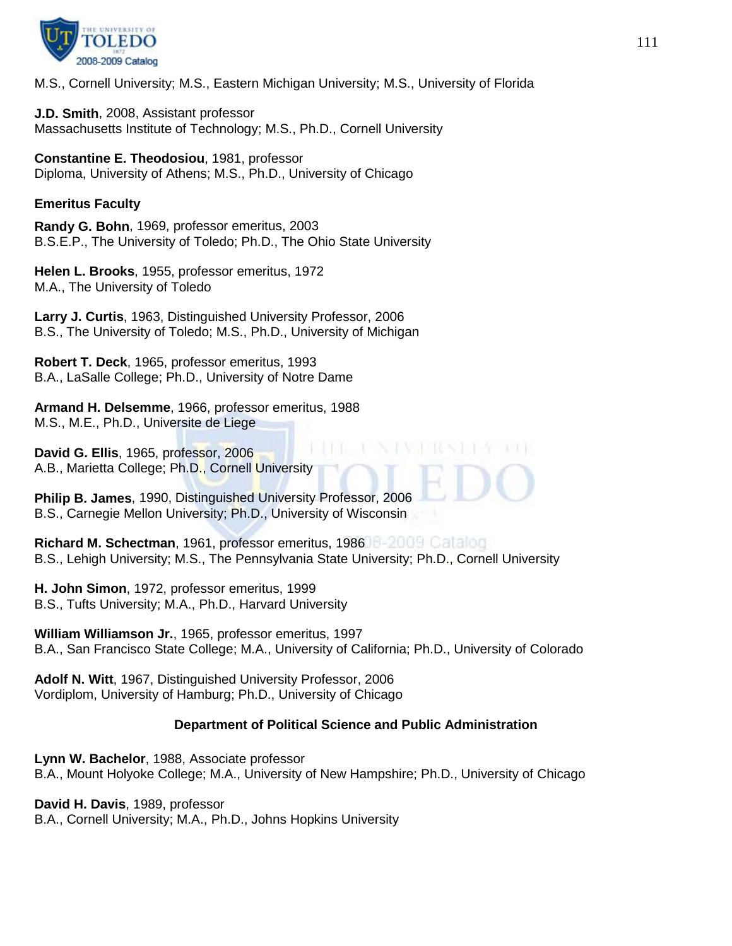

M.S., Cornell University; M.S., Eastern Michigan University; M.S., University of Florida

**J.D. Smith**, 2008, Assistant professor Massachusetts Institute of Technology; M.S., Ph.D., Cornell University

**Constantine E. Theodosiou**, 1981, professor Diploma, University of Athens; M.S., Ph.D., University of Chicago

## **Emeritus Faculty**

**Randy G. Bohn**, 1969, professor emeritus, 2003 B.S.E.P., The University of Toledo; Ph.D., The Ohio State University

**Helen L. Brooks**, 1955, professor emeritus, 1972 M.A., The University of Toledo

**Larry J. Curtis**, 1963, Distinguished University Professor, 2006 B.S., The University of Toledo; M.S., Ph.D., University of Michigan

**Robert T. Deck**, 1965, professor emeritus, 1993 B.A., LaSalle College; Ph.D., University of Notre Dame

**Armand H. Delsemme**, 1966, professor emeritus, 1988 M.S., M.E., Ph.D., Universite de Liege

**David G. Ellis**, 1965, professor, 2006 A.B., Marietta College; Ph.D., Cornell University

**Philip B. James**, 1990, Distinguished University Professor, 2006 B.S., Carnegie Mellon University; Ph.D., University of Wisconsin

**Richard M. Schectman**, 1961, professor emeritus, 1986 B.S., Lehigh University; M.S., The Pennsylvania State University; Ph.D., Cornell University

**H. John Simon**, 1972, professor emeritus, 1999 B.S., Tufts University; M.A., Ph.D., Harvard University

**William Williamson Jr.**, 1965, professor emeritus, 1997 B.A., San Francisco State College; M.A., University of California; Ph.D., University of Colorado

**Adolf N. Witt**, 1967, Distinguished University Professor, 2006 Vordiplom, University of Hamburg; Ph.D., University of Chicago

# **Department of Political Science and Public Administration**

**Lynn W. Bachelor**, 1988, Associate professor B.A., Mount Holyoke College; M.A., University of New Hampshire; Ph.D., University of Chicago

**David H. Davis**, 1989, professor B.A., Cornell University; M.A., Ph.D., Johns Hopkins University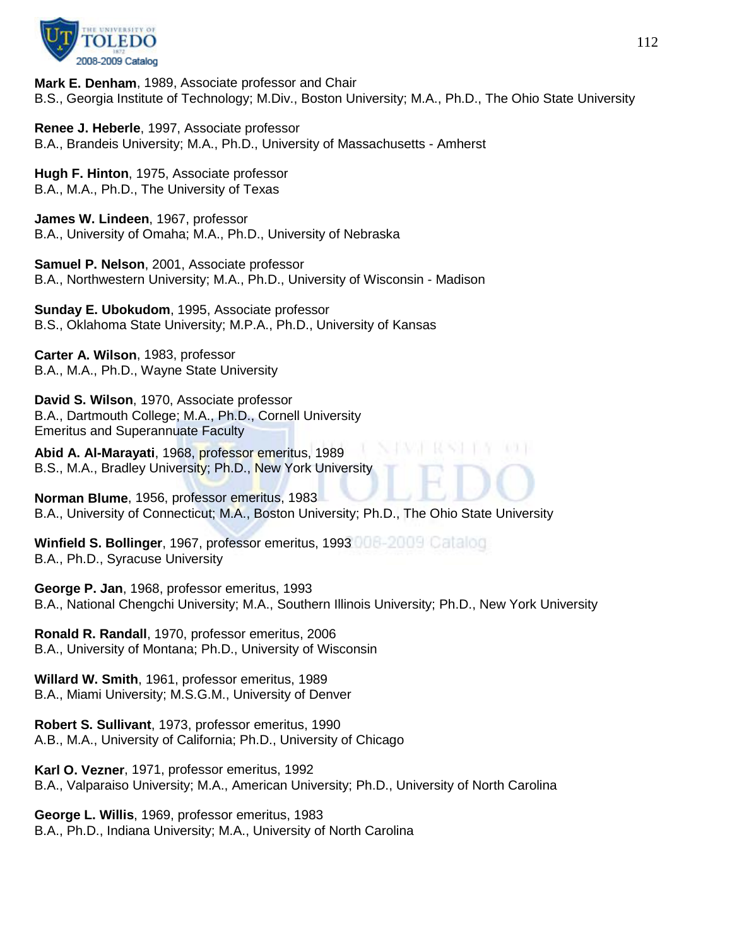

**Mark E. Denham**, 1989, Associate professor and Chair B.S., Georgia Institute of Technology; M.Div., Boston University; M.A., Ph.D., The Ohio State University

**Renee J. Heberle**, 1997, Associate professor B.A., Brandeis University; M.A., Ph.D., University of Massachusetts - Amherst

**Hugh F. Hinton**, 1975, Associate professor B.A., M.A., Ph.D., The University of Texas

**James W. Lindeen**, 1967, professor B.A., University of Omaha; M.A., Ph.D., University of Nebraska

**Samuel P. Nelson**, 2001, Associate professor B.A., Northwestern University; M.A., Ph.D., University of Wisconsin - Madison

**Sunday E. Ubokudom**, 1995, Associate professor B.S., Oklahoma State University; M.P.A., Ph.D., University of Kansas

**Carter A. Wilson**, 1983, professor B.A., M.A., Ph.D., Wayne State University

**David S. Wilson**, 1970, Associate professor B.A., Dartmouth College; M.A., Ph.D., Cornell University Emeritus and Superannuate Faculty

**Abid A. Al-Marayati**, 1968, professor emeritus, 1989 B.S., M.A., Bradley University; Ph.D., New York University

**Norman Blume**, 1956, professor emeritus, 1983 B.A., University of Connecticut; M.A., Boston University; Ph.D., The Ohio State University

**Winfield S. Bollinger**, 1967, professor emeritus, 1993 B.A., Ph.D., Syracuse University

**George P. Jan**, 1968, professor emeritus, 1993 B.A., National Chengchi University; M.A., Southern Illinois University; Ph.D., New York University

**Ronald R. Randall**, 1970, professor emeritus, 2006 B.A., University of Montana; Ph.D., University of Wisconsin

**Willard W. Smith**, 1961, professor emeritus, 1989 B.A., Miami University; M.S.G.M., University of Denver

**Robert S. Sullivant**, 1973, professor emeritus, 1990 A.B., M.A., University of California; Ph.D., University of Chicago

**Karl O. Vezner**, 1971, professor emeritus, 1992 B.A., Valparaiso University; M.A., American University; Ph.D., University of North Carolina

**George L. Willis**, 1969, professor emeritus, 1983 B.A., Ph.D., Indiana University; M.A., University of North Carolina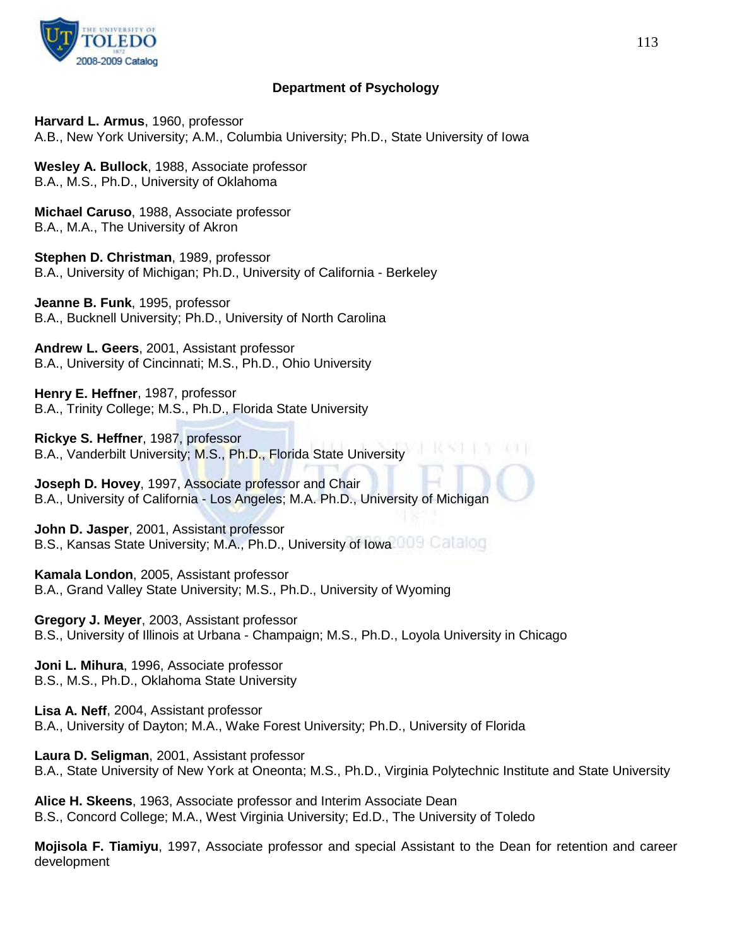

# **Department of Psychology**

**Harvard L. Armus**, 1960, professor A.B., New York University; A.M., Columbia University; Ph.D., State University of Iowa

**Wesley A. Bullock**, 1988, Associate professor B.A., M.S., Ph.D., University of Oklahoma

**Michael Caruso**, 1988, Associate professor B.A., M.A., The University of Akron

**Stephen D. Christman**, 1989, professor B.A., University of Michigan; Ph.D., University of California - Berkeley

**Jeanne B. Funk**, 1995, professor B.A., Bucknell University; Ph.D., University of North Carolina

**Andrew L. Geers**, 2001, Assistant professor B.A., University of Cincinnati; M.S., Ph.D., Ohio University

**Henry E. Heffner**, 1987, professor B.A., Trinity College; M.S., Ph.D., Florida State University

**Rickye S. Heffner**, 1987, professor B.A., Vanderbilt University; M.S., Ph.D., Florida State University

**Joseph D. Hovey**, 1997, Associate professor and Chair B.A., University of California - Los Angeles; M.A. Ph.D., University of Michigan

**John D. Jasper**, 2001, Assistant professor B.S., Kansas State University; M.A., Ph.D., University of Iowa

**Kamala London**, 2005, Assistant professor B.A., Grand Valley State University; M.S., Ph.D., University of Wyoming

**Gregory J. Meyer**, 2003, Assistant professor B.S., University of Illinois at Urbana - Champaign; M.S., Ph.D., Loyola University in Chicago

**Joni L. Mihura**, 1996, Associate professor B.S., M.S., Ph.D., Oklahoma State University

**Lisa A. Neff**, 2004, Assistant professor B.A., University of Dayton; M.A., Wake Forest University; Ph.D., University of Florida

**Laura D. Seligman**, 2001, Assistant professor B.A., State University of New York at Oneonta; M.S., Ph.D., Virginia Polytechnic Institute and State University

**Alice H. Skeens**, 1963, Associate professor and Interim Associate Dean B.S., Concord College; M.A., West Virginia University; Ed.D., The University of Toledo

**Mojisola F. Tiamiyu**, 1997, Associate professor and special Assistant to the Dean for retention and career development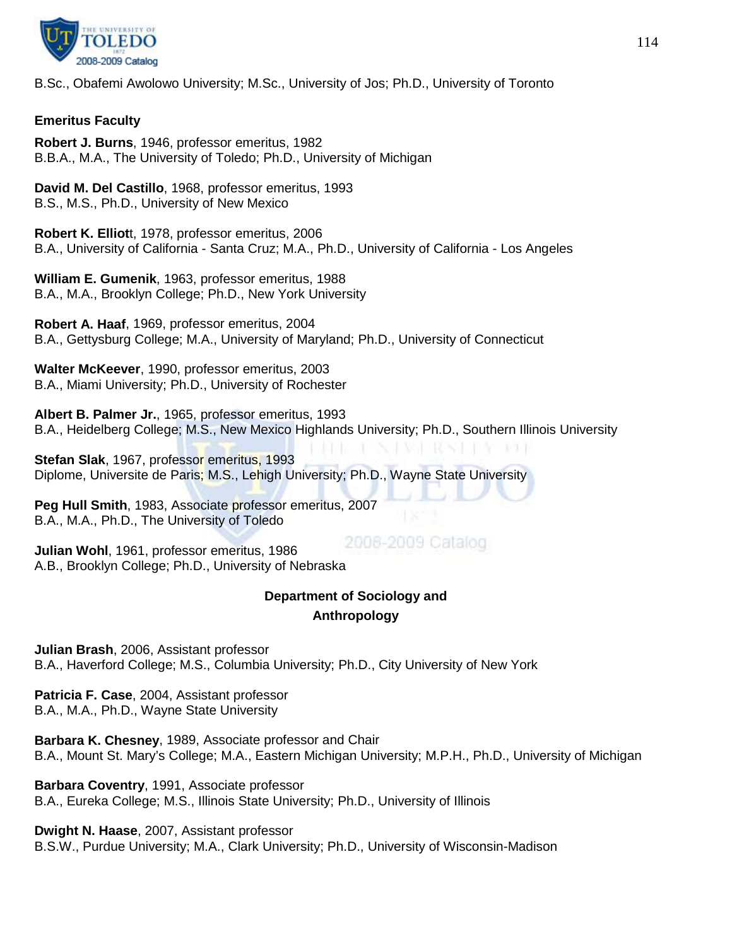

B.Sc., Obafemi Awolowo University; M.Sc., University of Jos; Ph.D., University of Toronto

## **Emeritus Faculty**

**Robert J. Burns**, 1946, professor emeritus, 1982 B.B.A., M.A., The University of Toledo; Ph.D., University of Michigan

**David M. Del Castillo**, 1968, professor emeritus, 1993 B.S., M.S., Ph.D., University of New Mexico

**Robert K. Elliot**t, 1978, professor emeritus, 2006 B.A., University of California - Santa Cruz; M.A., Ph.D., University of California - Los Angeles

**William E. Gumenik**, 1963, professor emeritus, 1988 B.A., M.A., Brooklyn College; Ph.D., New York University

**Robert A. Haaf**, 1969, professor emeritus, 2004 B.A., Gettysburg College; M.A., University of Maryland; Ph.D., University of Connecticut

**Walter McKeever**, 1990, professor emeritus, 2003 B.A., Miami University; Ph.D., University of Rochester

**Albert B. Palmer Jr.**, 1965, professor emeritus, 1993 B.A., Heidelberg College; M.S., New Mexico Highlands University; Ph.D., Southern Illinois University

**Stefan Slak**, 1967, professor emeritus, 1993 Diplome, Universite de Paris; M.S., Lehigh University; Ph.D., Wayne State University

**Peg Hull Smith**, 1983, Associate professor emeritus, 2007 B.A., M.A., Ph.D., The University of Toledo

2008-2009 Catalog **Julian Wohl**, 1961, professor emeritus, 1986 A.B., Brooklyn College; Ph.D., University of Nebraska

# **Department of Sociology and Anthropology**

**Julian Brash**, 2006, Assistant professor B.A., Haverford College; M.S., Columbia University; Ph.D., City University of New York

**Patricia F. Case**, 2004, Assistant professor B.A., M.A., Ph.D., Wayne State University

**Barbara K. Chesney**, 1989, Associate professor and Chair B.A., Mount St. Mary's College; M.A., Eastern Michigan University; M.P.H., Ph.D., University of Michigan

**Barbara Coventry**, 1991, Associate professor B.A., Eureka College; M.S., Illinois State University; Ph.D., University of Illinois

**Dwight N. Haase**, 2007, Assistant professor

B.S.W., Purdue University; M.A., Clark University; Ph.D., University of Wisconsin-Madison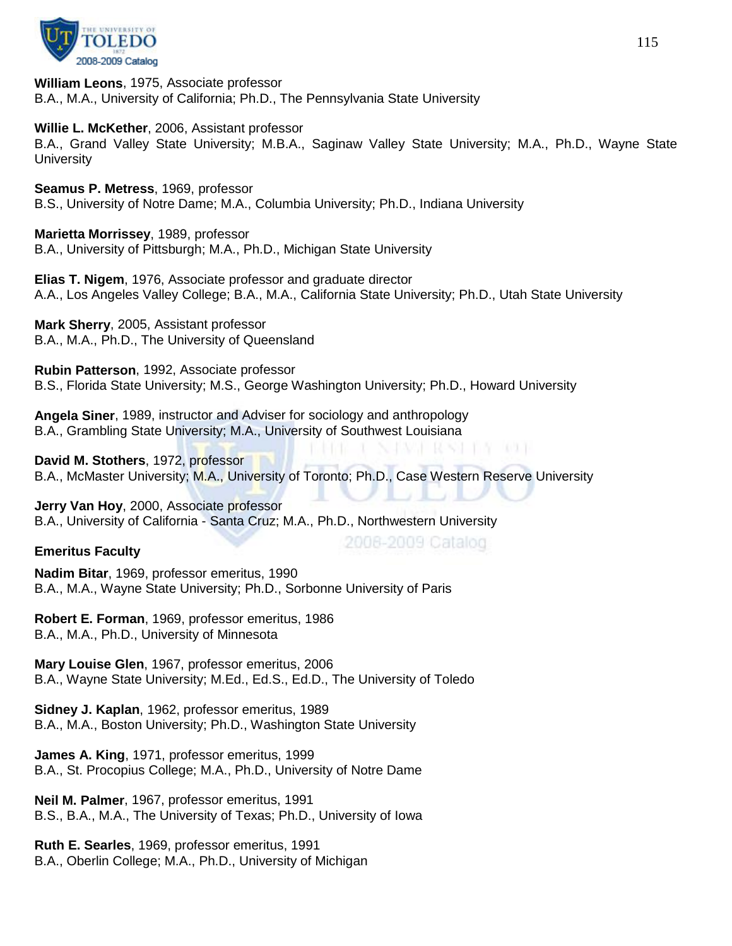

**William Leons**, 1975, Associate professor B.A., M.A., University of California; Ph.D., The Pennsylvania State University

**Willie L. McKether**, 2006, Assistant professor

B.A., Grand Valley State University; M.B.A., Saginaw Valley State University; M.A., Ph.D., Wayne State **University** 

**Seamus P. Metress**, 1969, professor B.S., University of Notre Dame; M.A., Columbia University; Ph.D., Indiana University

**Marietta Morrissey**, 1989, professor B.A., University of Pittsburgh; M.A., Ph.D., Michigan State University

**Elias T. Nigem**, 1976, Associate professor and graduate director A.A., Los Angeles Valley College; B.A., M.A., California State University; Ph.D., Utah State University

**Mark Sherry**, 2005, Assistant professor B.A., M.A., Ph.D., The University of Queensland

**Rubin Patterson**, 1992, Associate professor B.S., Florida State University; M.S., George Washington University; Ph.D., Howard University

**Angela Siner**, 1989, instructor and Adviser for sociology and anthropology B.A., Grambling State University; M.A., University of Southwest Louisiana

**David M. Stothers**, 1972, professor B.A., McMaster University; M.A., University of Toronto; Ph.D., Case Western Reserve University

28 FA 61

2008-2009 Catalog

**Jerry Van Hoy**, 2000, Associate professor B.A., University of California - Santa Cruz; M.A., Ph.D., Northwestern University

# **Emeritus Faculty**

**Nadim Bitar**, 1969, professor emeritus, 1990 B.A., M.A., Wayne State University; Ph.D., Sorbonne University of Paris

**Robert E. Forman**, 1969, professor emeritus, 1986 B.A., M.A., Ph.D., University of Minnesota

**Mary Louise Glen**, 1967, professor emeritus, 2006 B.A., Wayne State University; M.Ed., Ed.S., Ed.D., The University of Toledo

**Sidney J. Kaplan**, 1962, professor emeritus, 1989 B.A., M.A., Boston University; Ph.D., Washington State University

**James A. King**, 1971, professor emeritus, 1999 B.A., St. Procopius College; M.A., Ph.D., University of Notre Dame

**Neil M. Palmer**, 1967, professor emeritus, 1991 B.S., B.A., M.A., The University of Texas; Ph.D., University of Iowa

**Ruth E. Searles**, 1969, professor emeritus, 1991 B.A., Oberlin College; M.A., Ph.D., University of Michigan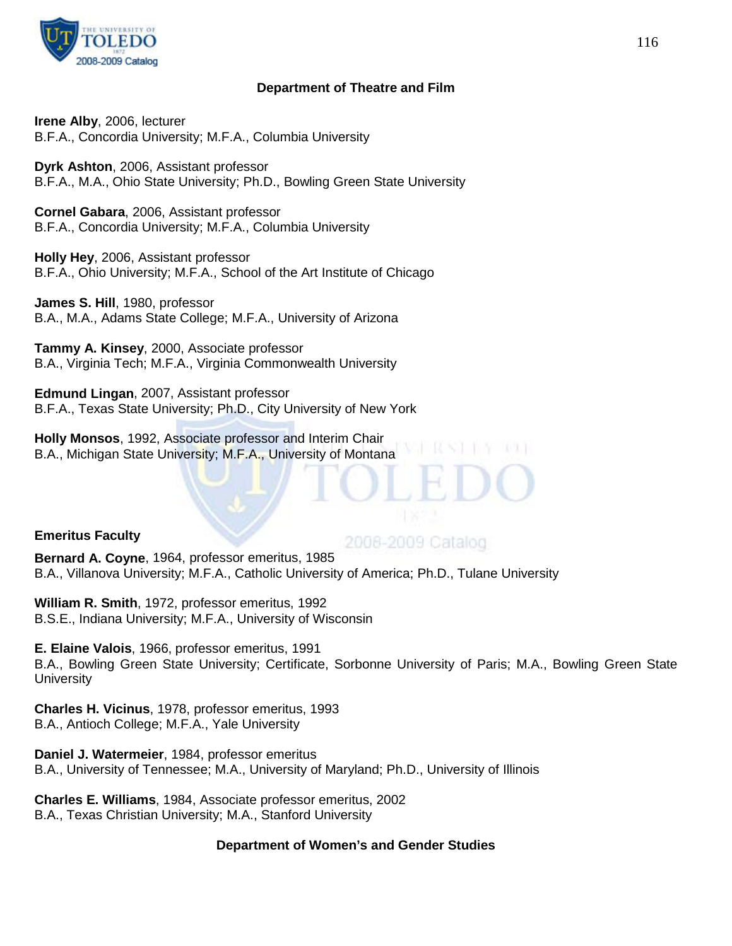

### **Department of Theatre and Film**

**Irene Alby**, 2006, lecturer B.F.A., Concordia University; M.F.A., Columbia University

**Dyrk Ashton**, 2006, Assistant professor B.F.A., M.A., Ohio State University; Ph.D., Bowling Green State University

**Cornel Gabara**, 2006, Assistant professor B.F.A., Concordia University; M.F.A., Columbia University

**Holly Hey**, 2006, Assistant professor B.F.A., Ohio University; M.F.A., School of the Art Institute of Chicago

**James S. Hill**, 1980, professor B.A., M.A., Adams State College; M.F.A., University of Arizona

**Tammy A. Kinsey**, 2000, Associate professor B.A., Virginia Tech; M.F.A., Virginia Commonwealth University

**Edmund Lingan**, 2007, Assistant professor B.F.A., Texas State University; Ph.D., City University of New York

**Holly Monsos**, 1992, Associate professor and Interim Chair B.A., Michigan State University; M.F.A., University of Montana

### **Emeritus Faculty**

# 2008-2009 Catalog

**Bernard A. Coyne**, 1964, professor emeritus, 1985 B.A., Villanova University; M.F.A., Catholic University of America; Ph.D., Tulane University

**William R. Smith**, 1972, professor emeritus, 1992 B.S.E., Indiana University; M.F.A., University of Wisconsin

**E. Elaine Valois**, 1966, professor emeritus, 1991 B.A., Bowling Green State University; Certificate, Sorbonne University of Paris; M.A., Bowling Green State **University** 

**Charles H. Vicinus**, 1978, professor emeritus, 1993 B.A., Antioch College; M.F.A., Yale University

**Daniel J. Watermeier**, 1984, professor emeritus B.A., University of Tennessee; M.A., University of Maryland; Ph.D., University of Illinois

**Charles E. Williams**, 1984, Associate professor emeritus, 2002 B.A., Texas Christian University; M.A., Stanford University

### **Department of Women's and Gender Studies**